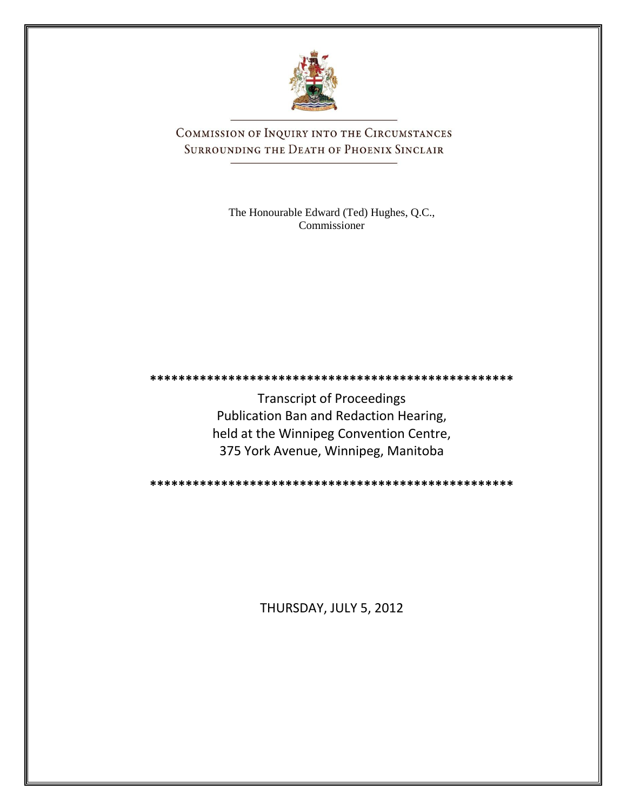

COMMISSION OF INQUIRY INTO THE CIRCUMSTANCES SURROUNDING THE DEATH OF PHOENIX SINCLAIR

> The Honourable Edward (Ted) Hughes, Q.C., Commissioner

**\*\*\*\*\*\*\*\*\*\*\*\*\*\*\*\*\*\*\*\*\*\*\*\*\*\*\*\*\*\*\*\*\*\*\*\*\*\*\*\*\*\*\*\*\*\*\*\*\*\*\***

Transcript of Proceedings Publication Ban and Redaction Hearing, held at the Winnipeg Convention Centre, 375 York Avenue, Winnipeg, Manitoba

**\*\*\*\*\*\*\*\*\*\*\*\*\*\*\*\*\*\*\*\*\*\*\*\*\*\*\*\*\*\*\*\*\*\*\*\*\*\*\*\*\*\*\*\*\*\*\*\*\*\*\***

THURSDAY, JULY 5, 2012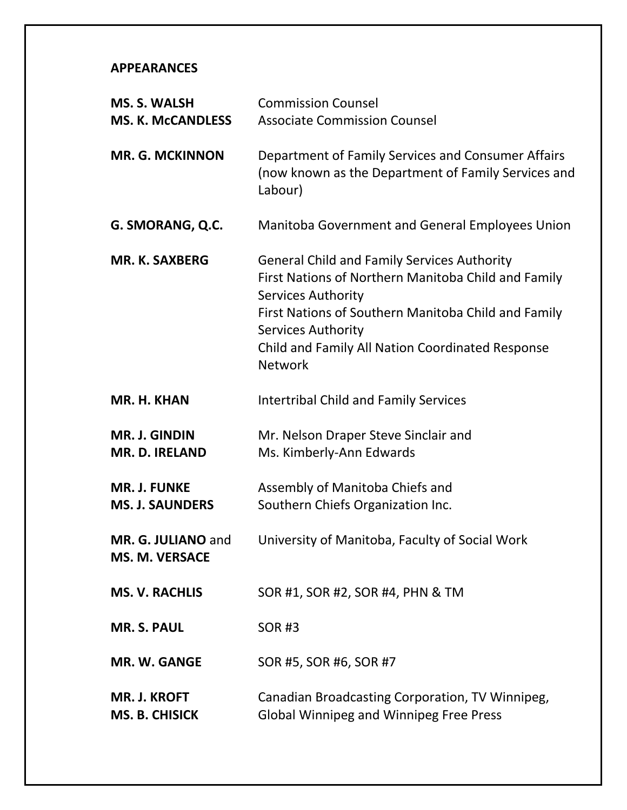## **APPEARANCES**

| <b>MS. S. WALSH</b><br><b>MS. K. McCANDLESS</b> | <b>Commission Counsel</b><br><b>Associate Commission Counsel</b>                                                                                                                                                                                                                          |
|-------------------------------------------------|-------------------------------------------------------------------------------------------------------------------------------------------------------------------------------------------------------------------------------------------------------------------------------------------|
| <b>MR. G. MCKINNON</b>                          | Department of Family Services and Consumer Affairs<br>(now known as the Department of Family Services and<br>Labour)                                                                                                                                                                      |
| G. SMORANG, Q.C.                                | Manitoba Government and General Employees Union                                                                                                                                                                                                                                           |
| <b>MR. K. SAXBERG</b>                           | <b>General Child and Family Services Authority</b><br>First Nations of Northern Manitoba Child and Family<br>Services Authority<br>First Nations of Southern Manitoba Child and Family<br><b>Services Authority</b><br>Child and Family All Nation Coordinated Response<br><b>Network</b> |
| MR. H. KHAN                                     | <b>Intertribal Child and Family Services</b>                                                                                                                                                                                                                                              |
| <b>MR. J. GINDIN</b><br><b>MR. D. IRELAND</b>   | Mr. Nelson Draper Steve Sinclair and<br>Ms. Kimberly-Ann Edwards                                                                                                                                                                                                                          |
| <b>MR. J. FUNKE</b><br><b>MS. J. SAUNDERS</b>   | Assembly of Manitoba Chiefs and<br>Southern Chiefs Organization Inc.                                                                                                                                                                                                                      |
| MR. G. JULIANO and<br><b>MS. M. VERSACE</b>     | University of Manitoba, Faculty of Social Work                                                                                                                                                                                                                                            |
| <b>MS. V. RACHLIS</b>                           | SOR #1, SOR #2, SOR #4, PHN & TM                                                                                                                                                                                                                                                          |
| <b>MR. S. PAUL</b>                              | <b>SOR#3</b>                                                                                                                                                                                                                                                                              |
| MR. W. GANGE                                    | SOR #5, SOR #6, SOR #7                                                                                                                                                                                                                                                                    |
| <b>MR. J. KROFT</b><br><b>MS. B. CHISICK</b>    | Canadian Broadcasting Corporation, TV Winnipeg,<br><b>Global Winnipeg and Winnipeg Free Press</b>                                                                                                                                                                                         |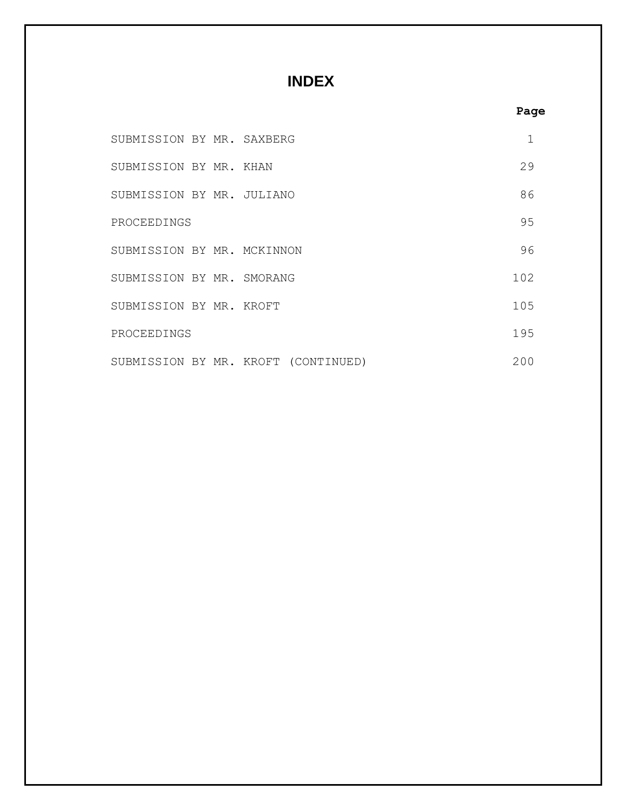# **INDEX**

| M | ۰.<br>w |
|---|---------|
|   |         |

| SUBMISSION BY MR. SAXBERG  |                                     | 1    |
|----------------------------|-------------------------------------|------|
| SUBMISSION BY MR. KHAN     |                                     | 29   |
| SUBMISSION BY MR. JULIANO  |                                     | 86   |
| PROCEEDINGS                |                                     | 95   |
| SUBMISSION BY MR. MCKINNON |                                     | 96   |
| SUBMISSION BY MR. SMORANG  |                                     | 102. |
| SUBMISSION BY MR. KROFT    |                                     | 105  |
| PROCEEDINGS                |                                     | 195  |
|                            | SUBMISSION BY MR. KROFT (CONTINUED) | 200  |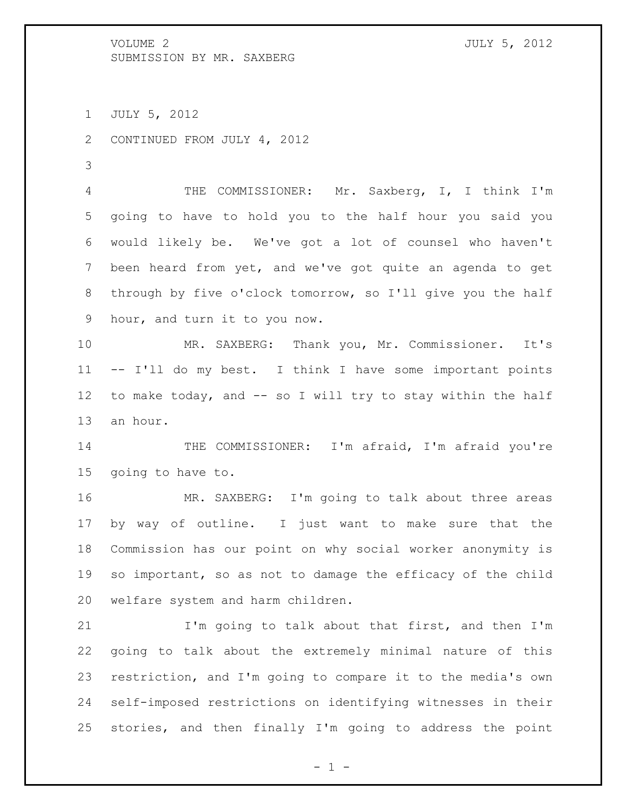JULY 5, 2012

CONTINUED FROM JULY 4, 2012

 THE COMMISSIONER: Mr. Saxberg, I, I think I'm going to have to hold you to the half hour you said you would likely be. We've got a lot of counsel who haven't been heard from yet, and we've got quite an agenda to get through by five o'clock tomorrow, so I'll give you the half hour, and turn it to you now.

 MR. SAXBERG: Thank you, Mr. Commissioner. It's -- I'll do my best. I think I have some important points to make today, and -- so I will try to stay within the half an hour.

14 THE COMMISSIONER: I'm afraid, I'm afraid you're going to have to.

 MR. SAXBERG: I'm going to talk about three areas by way of outline. I just want to make sure that the Commission has our point on why social worker anonymity is so important, so as not to damage the efficacy of the child welfare system and harm children.

21 I'm going to talk about that first, and then I'm going to talk about the extremely minimal nature of this restriction, and I'm going to compare it to the media's own self-imposed restrictions on identifying witnesses in their stories, and then finally I'm going to address the point

 $- 1 -$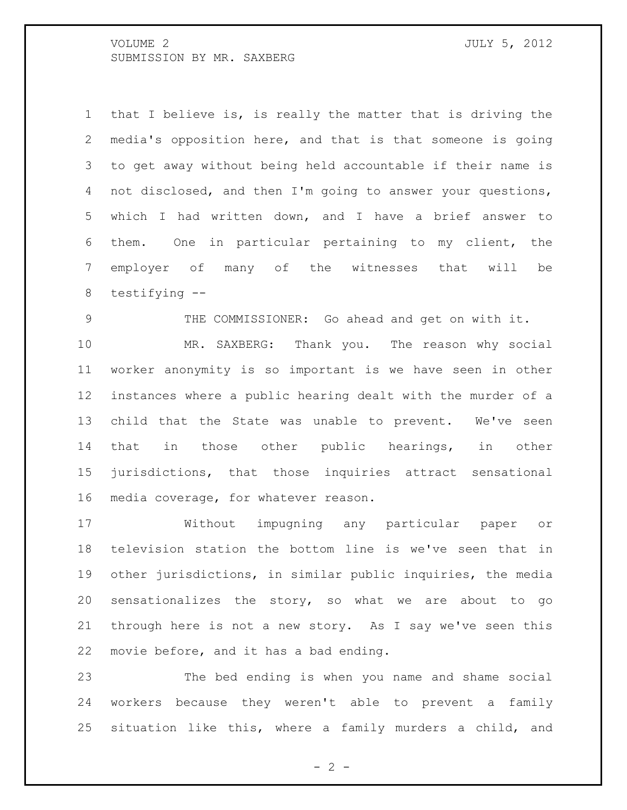that I believe is, is really the matter that is driving the media's opposition here, and that is that someone is going to get away without being held accountable if their name is not disclosed, and then I'm going to answer your questions, which I had written down, and I have a brief answer to them. One in particular pertaining to my client, the employer of many of the witnesses that will be testifying --

THE COMMISSIONER: Go ahead and get on with it.

 MR. SAXBERG: Thank you. The reason why social worker anonymity is so important is we have seen in other instances where a public hearing dealt with the murder of a child that the State was unable to prevent. We've seen that in those other public hearings, in other jurisdictions, that those inquiries attract sensational media coverage, for whatever reason.

 Without impugning any particular paper or television station the bottom line is we've seen that in other jurisdictions, in similar public inquiries, the media sensationalizes the story, so what we are about to go through here is not a new story. As I say we've seen this movie before, and it has a bad ending.

 The bed ending is when you name and shame social workers because they weren't able to prevent a family situation like this, where a family murders a child, and

 $- 2 -$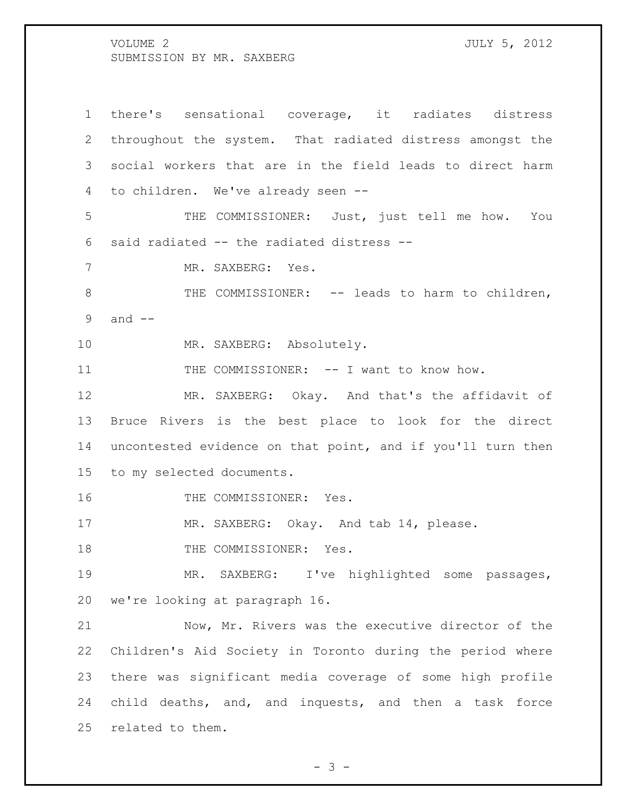there's sensational coverage, it radiates distress throughout the system. That radiated distress amongst the social workers that are in the field leads to direct harm to children. We've already seen -- THE COMMISSIONER: Just, just tell me how. You said radiated -- the radiated distress -- MR. SAXBERG: Yes. 8 THE COMMISSIONER: -- leads to harm to children, and -- 10 MR. SAXBERG: Absolutely. 11 THE COMMISSIONER: -- I want to know how. 12 MR. SAXBERG: Okay. And that's the affidavit of Bruce Rivers is the best place to look for the direct uncontested evidence on that point, and if you'll turn then to my selected documents. 16 THE COMMISSIONER: Yes. 17 MR. SAXBERG: Okay. And tab 14, please. 18 THE COMMISSIONER: Yes. MR. SAXBERG: I've highlighted some passages, we're looking at paragraph 16. Now, Mr. Rivers was the executive director of the Children's Aid Society in Toronto during the period where there was significant media coverage of some high profile child deaths, and, and inquests, and then a task force related to them.

 $- 3 -$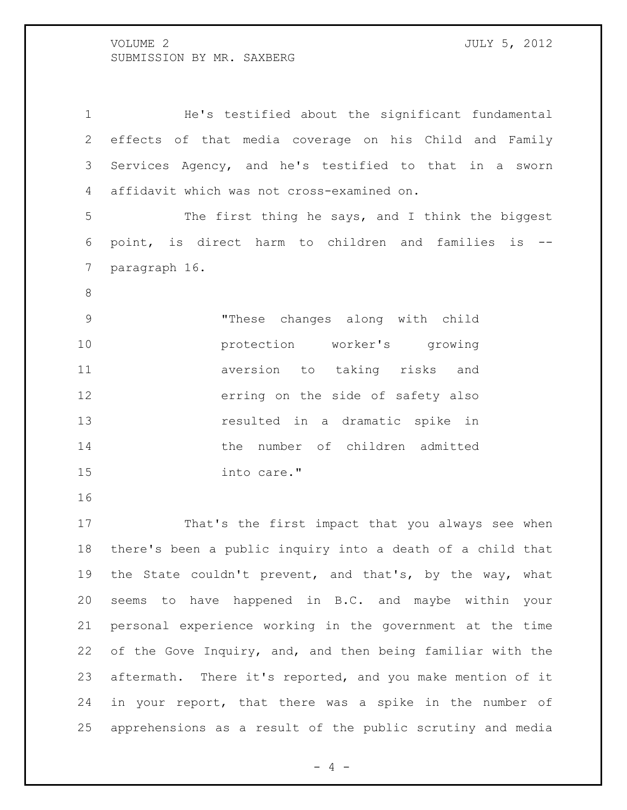He's testified about the significant fundamental effects of that media coverage on his Child and Family Services Agency, and he's testified to that in a sworn affidavit which was not cross-examined on. The first thing he says, and I think the biggest point, is direct harm to children and families is -- paragraph 16. "These changes along with child protection worker's growing aversion to taking risks and erring on the side of safety also resulted in a dramatic spike in the number of children admitted into care." That's the first impact that you always see when there's been a public inquiry into a death of a child that the State couldn't prevent, and that's, by the way, what seems to have happened in B.C. and maybe within your personal experience working in the government at the time of the Gove Inquiry, and, and then being familiar with the aftermath. There it's reported, and you make mention of it in your report, that there was a spike in the number of

 $- 4 -$ 

apprehensions as a result of the public scrutiny and media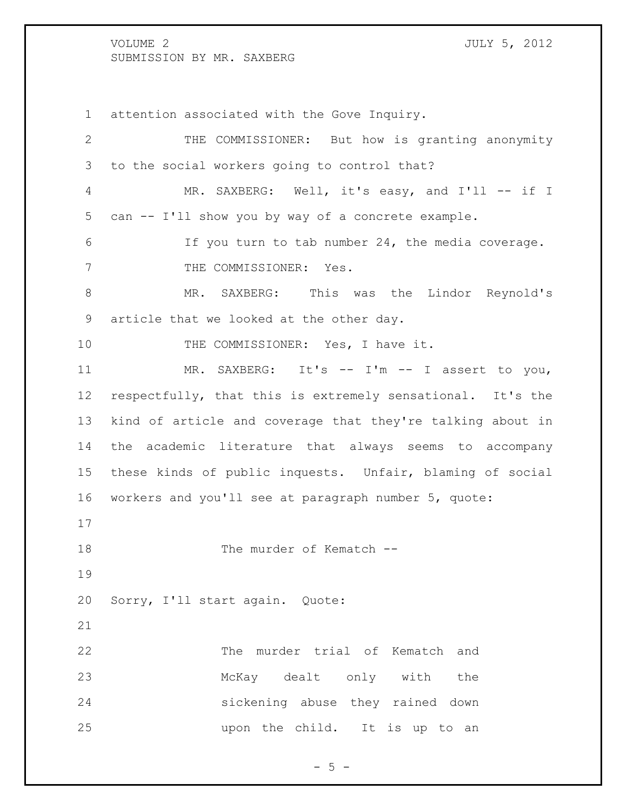attention associated with the Gove Inquiry. THE COMMISSIONER: But how is granting anonymity to the social workers going to control that? 4 MR. SAXBERG: Well, it's easy, and I'll -- if I can -- I'll show you by way of a concrete example. If you turn to tab number 24, the media coverage. 7 THE COMMISSIONER: Yes. MR. SAXBERG: This was the Lindor Reynold's article that we looked at the other day. 10 THE COMMISSIONER: Yes, I have it. 11 MR. SAXBERG: It's -- I'm -- I assert to you, respectfully, that this is extremely sensational. It's the kind of article and coverage that they're talking about in the academic literature that always seems to accompany these kinds of public inquests. Unfair, blaming of social workers and you'll see at paragraph number 5, quote: 18 The murder of Kematch -- Sorry, I'll start again. Quote: The murder trial of Kematch and McKay dealt only with the sickening abuse they rained down upon the child. It is up to an

 $- 5 -$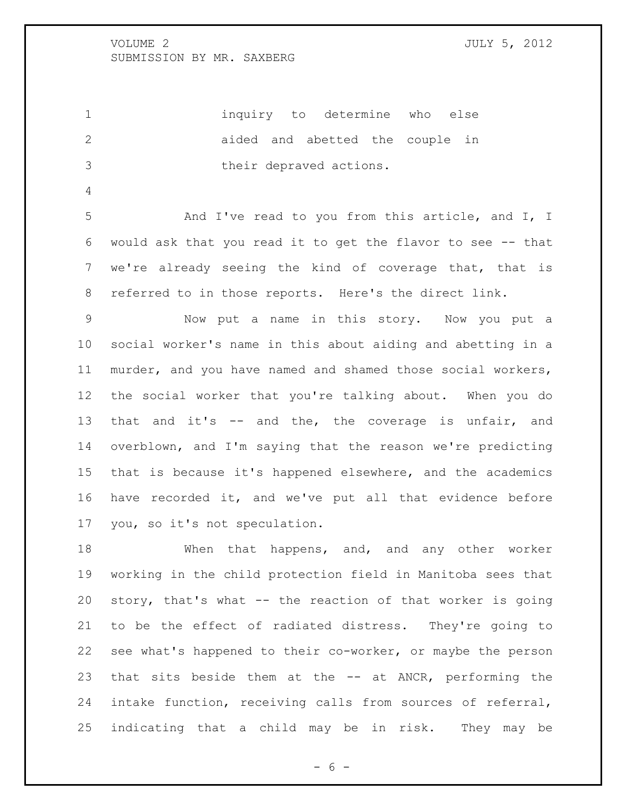inquiry to determine who else 2 aided and abetted the couple in their depraved actions.

 And I've read to you from this article, and I, I would ask that you read it to get the flavor to see -- that we're already seeing the kind of coverage that, that is referred to in those reports. Here's the direct link.

 Now put a name in this story. Now you put a social worker's name in this about aiding and abetting in a murder, and you have named and shamed those social workers, the social worker that you're talking about. When you do that and it's -- and the, the coverage is unfair, and overblown, and I'm saying that the reason we're predicting that is because it's happened elsewhere, and the academics have recorded it, and we've put all that evidence before you, so it's not speculation.

18 When that happens, and, and any other worker working in the child protection field in Manitoba sees that story, that's what -- the reaction of that worker is going to be the effect of radiated distress. They're going to see what's happened to their co-worker, or maybe the person that sits beside them at the -- at ANCR, performing the intake function, receiving calls from sources of referral, indicating that a child may be in risk. They may be

 $- 6 -$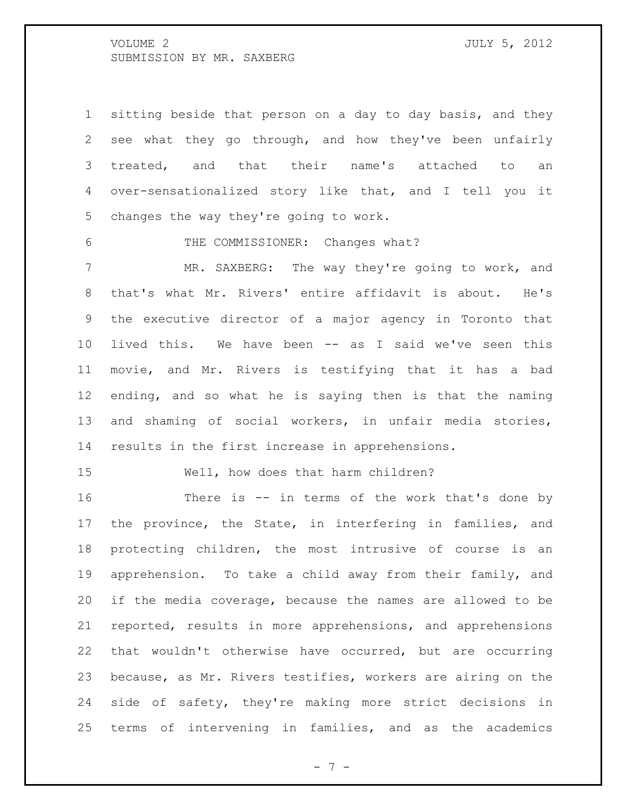sitting beside that person on a day to day basis, and they see what they go through, and how they've been unfairly treated, and that their name's attached to an over-sensationalized story like that, and I tell you it changes the way they're going to work.

THE COMMISSIONER: Changes what?

 MR. SAXBERG: The way they're going to work, and that's what Mr. Rivers' entire affidavit is about. He's the executive director of a major agency in Toronto that lived this. We have been -- as I said we've seen this movie, and Mr. Rivers is testifying that it has a bad ending, and so what he is saying then is that the naming and shaming of social workers, in unfair media stories, results in the first increase in apprehensions.

Well, how does that harm children?

16 There is -- in terms of the work that's done by the province, the State, in interfering in families, and protecting children, the most intrusive of course is an apprehension. To take a child away from their family, and if the media coverage, because the names are allowed to be reported, results in more apprehensions, and apprehensions that wouldn't otherwise have occurred, but are occurring because, as Mr. Rivers testifies, workers are airing on the side of safety, they're making more strict decisions in terms of intervening in families, and as the academics

 $- 7 -$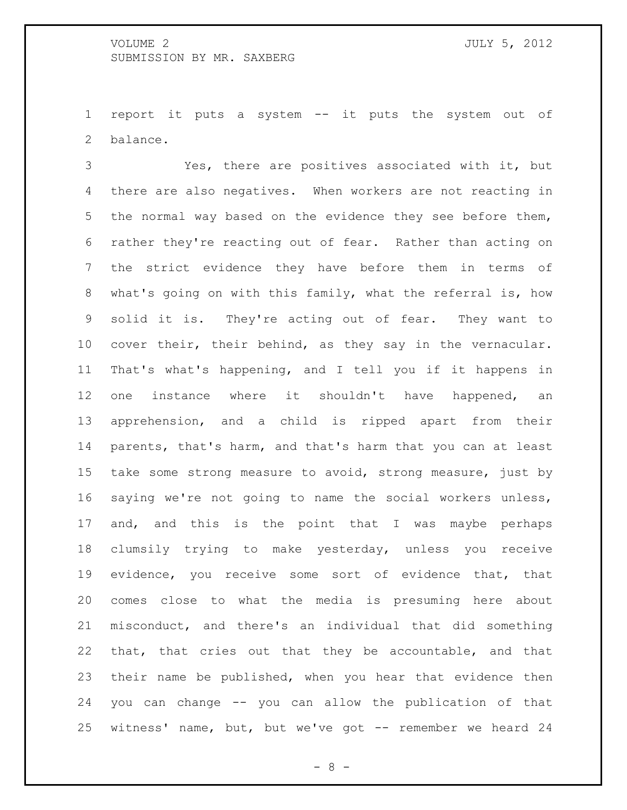report it puts a system -- it puts the system out of balance.

 Yes, there are positives associated with it, but there are also negatives. When workers are not reacting in the normal way based on the evidence they see before them, rather they're reacting out of fear. Rather than acting on the strict evidence they have before them in terms of what's going on with this family, what the referral is, how solid it is. They're acting out of fear. They want to cover their, their behind, as they say in the vernacular. That's what's happening, and I tell you if it happens in 12 one instance where it shouldn't have happened, an apprehension, and a child is ripped apart from their parents, that's harm, and that's harm that you can at least take some strong measure to avoid, strong measure, just by saying we're not going to name the social workers unless, 17 and, and this is the point that I was maybe perhaps clumsily trying to make yesterday, unless you receive evidence, you receive some sort of evidence that, that comes close to what the media is presuming here about misconduct, and there's an individual that did something that, that cries out that they be accountable, and that their name be published, when you hear that evidence then you can change -- you can allow the publication of that witness' name, but, but we've got -- remember we heard 24

- 8 -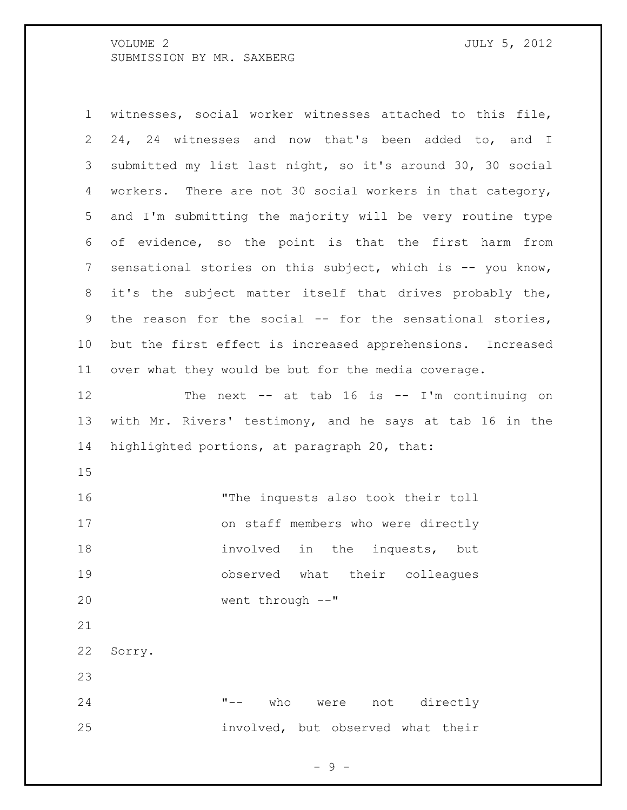witnesses, social worker witnesses attached to this file, 24, 24 witnesses and now that's been added to, and I submitted my list last night, so it's around 30, 30 social workers. There are not 30 social workers in that category, and I'm submitting the majority will be very routine type of evidence, so the point is that the first harm from 7 sensational stories on this subject, which is -- you know, it's the subject matter itself that drives probably the, the reason for the social -- for the sensational stories, but the first effect is increased apprehensions. Increased over what they would be but for the media coverage. The next -- at tab 16 is -- I'm continuing on with Mr. Rivers' testimony, and he says at tab 16 in the highlighted portions, at paragraph 20, that: "The inquests also took their toll on staff members who were directly 18 involved in the inquests, but observed what their colleagues went through --" Sorry. "-- who were not directly involved, but observed what their

- 9 -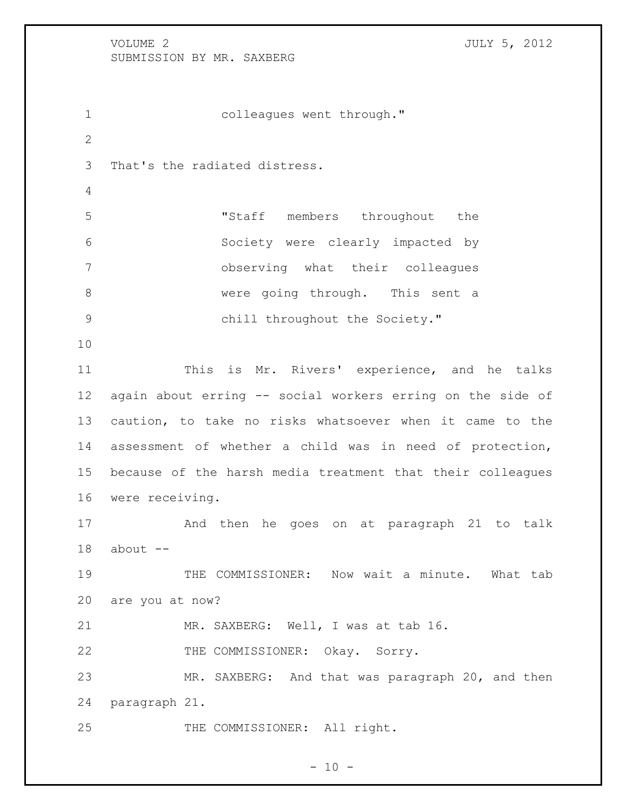colleagues went through." That's the radiated distress. "Staff members throughout the Society were clearly impacted by observing what their colleagues 8 were going through. This sent a chill throughout the Society." This is Mr. Rivers' experience, and he talks again about erring -- social workers erring on the side of caution, to take no risks whatsoever when it came to the assessment of whether a child was in need of protection, because of the harsh media treatment that their colleagues were receiving. And then he goes on at paragraph 21 to talk about  $-$ 19 THE COMMISSIONER: Now wait a minute. What tab are you at now? MR. SAXBERG: Well, I was at tab 16. THE COMMISSIONER: Okay. Sorry. MR. SAXBERG: And that was paragraph 20, and then paragraph 21. 25 THE COMMISSIONER: All right.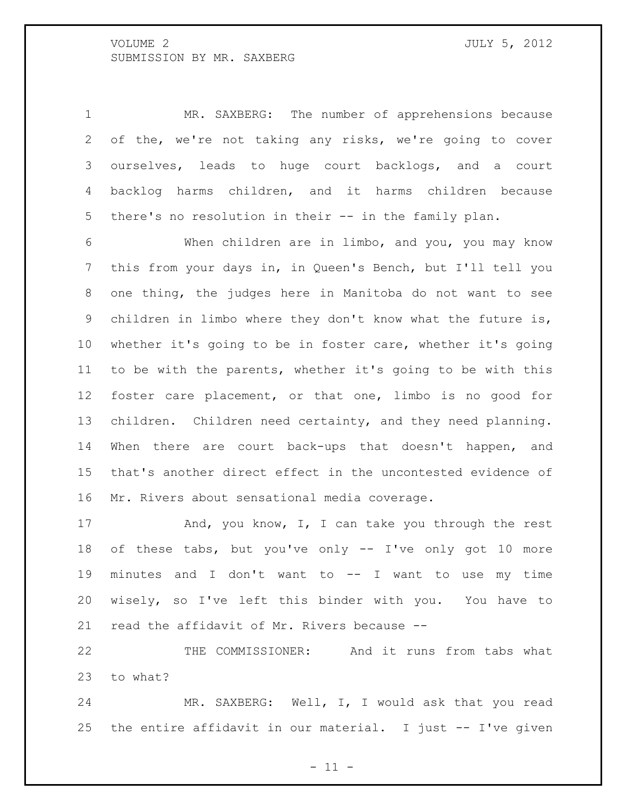MR. SAXBERG: The number of apprehensions because of the, we're not taking any risks, we're going to cover ourselves, leads to huge court backlogs, and a court backlog harms children, and it harms children because there's no resolution in their -- in the family plan.

 When children are in limbo, and you, you may know this from your days in, in Queen's Bench, but I'll tell you one thing, the judges here in Manitoba do not want to see children in limbo where they don't know what the future is, whether it's going to be in foster care, whether it's going to be with the parents, whether it's going to be with this foster care placement, or that one, limbo is no good for children. Children need certainty, and they need planning. When there are court back-ups that doesn't happen, and that's another direct effect in the uncontested evidence of Mr. Rivers about sensational media coverage.

17 And, you know, I, I can take you through the rest of these tabs, but you've only -- I've only got 10 more minutes and I don't want to -- I want to use my time wisely, so I've left this binder with you. You have to read the affidavit of Mr. Rivers because --

22 THE COMMISSIONER: And it runs from tabs what to what?

 MR. SAXBERG: Well, I, I would ask that you read 25 the entire affidavit in our material. I just  $-$  I've given

 $-11 -$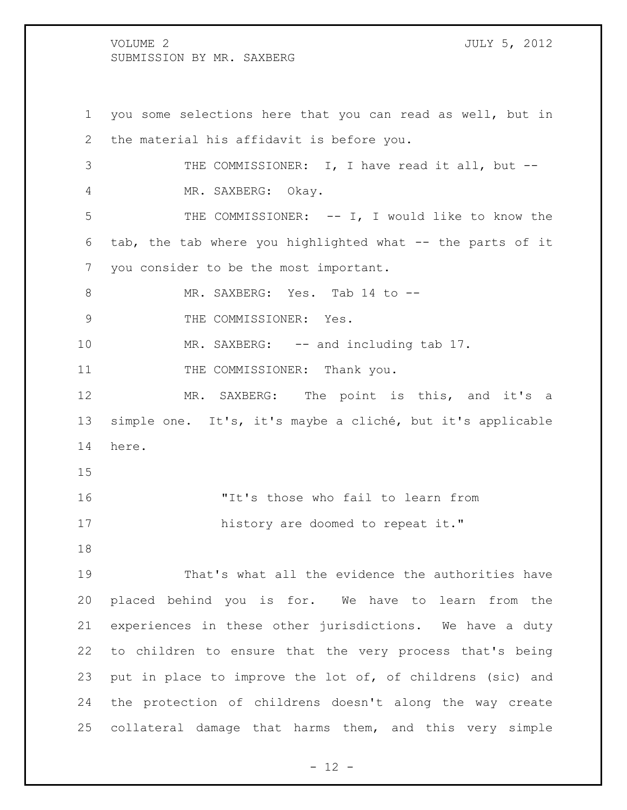you some selections here that you can read as well, but in the material his affidavit is before you. 3 THE COMMISSIONER: I, I have read it all, but -- MR. SAXBERG: Okay. THE COMMISSIONER: -- I, I would like to know the tab, the tab where you highlighted what -- the parts of it you consider to be the most important. 8 MR. SAXBERG: Yes. Tab 14 to --9 THE COMMISSIONER: Yes. 10 MR. SAXBERG: -- and including tab 17. 11 THE COMMISSIONER: Thank you. MR. SAXBERG: The point is this, and it's a simple one. It's, it's maybe a cliché, but it's applicable here. "It's those who fail to learn from 17 history are doomed to repeat it." That's what all the evidence the authorities have placed behind you is for. We have to learn from the experiences in these other jurisdictions. We have a duty to children to ensure that the very process that's being put in place to improve the lot of, of childrens (sic) and the protection of childrens doesn't along the way create

collateral damage that harms them, and this very simple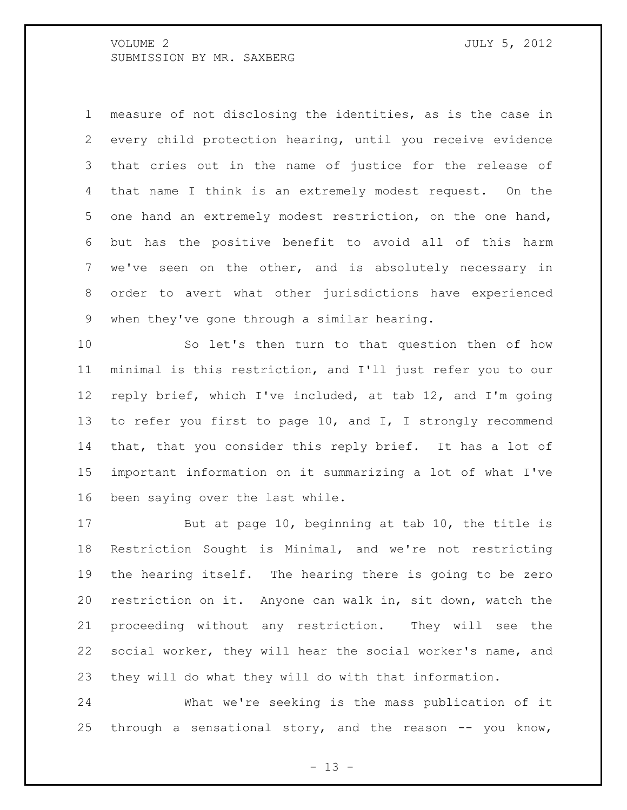measure of not disclosing the identities, as is the case in every child protection hearing, until you receive evidence that cries out in the name of justice for the release of that name I think is an extremely modest request. On the one hand an extremely modest restriction, on the one hand, but has the positive benefit to avoid all of this harm we've seen on the other, and is absolutely necessary in order to avert what other jurisdictions have experienced when they've gone through a similar hearing.

 So let's then turn to that question then of how minimal is this restriction, and I'll just refer you to our reply brief, which I've included, at tab 12, and I'm going 13 to refer you first to page 10, and I, I strongly recommend that, that you consider this reply brief. It has a lot of important information on it summarizing a lot of what I've been saying over the last while.

 But at page 10, beginning at tab 10, the title is Restriction Sought is Minimal, and we're not restricting the hearing itself. The hearing there is going to be zero restriction on it. Anyone can walk in, sit down, watch the proceeding without any restriction. They will see the social worker, they will hear the social worker's name, and they will do what they will do with that information.

 What we're seeking is the mass publication of it 25 through a sensational story, and the reason  $-$ - you know,

 $- 13 -$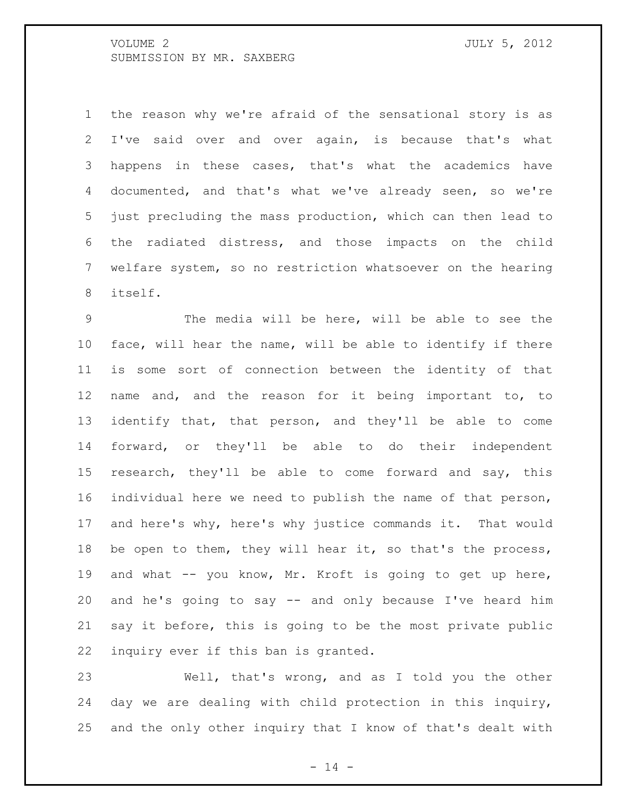the reason why we're afraid of the sensational story is as I've said over and over again, is because that's what happens in these cases, that's what the academics have documented, and that's what we've already seen, so we're just precluding the mass production, which can then lead to the radiated distress, and those impacts on the child welfare system, so no restriction whatsoever on the hearing itself.

 The media will be here, will be able to see the face, will hear the name, will be able to identify if there is some sort of connection between the identity of that name and, and the reason for it being important to, to identify that, that person, and they'll be able to come forward, or they'll be able to do their independent research, they'll be able to come forward and say, this individual here we need to publish the name of that person, and here's why, here's why justice commands it. That would 18 be open to them, they will hear it, so that's the process, and what -- you know, Mr. Kroft is going to get up here, and he's going to say -- and only because I've heard him say it before, this is going to be the most private public inquiry ever if this ban is granted.

 Well, that's wrong, and as I told you the other day we are dealing with child protection in this inquiry, and the only other inquiry that I know of that's dealt with

 $- 14 -$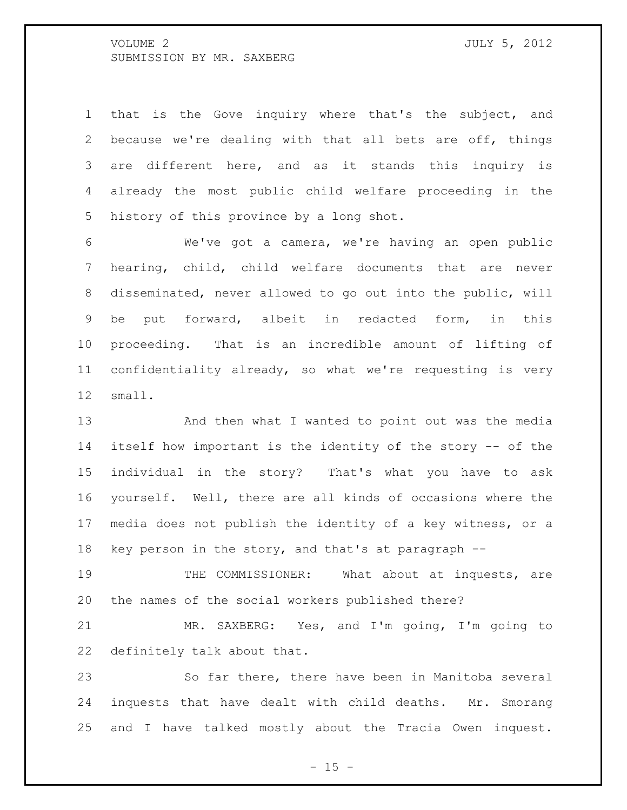that is the Gove inquiry where that's the subject, and because we're dealing with that all bets are off, things are different here, and as it stands this inquiry is already the most public child welfare proceeding in the history of this province by a long shot.

 We've got a camera, we're having an open public hearing, child, child welfare documents that are never disseminated, never allowed to go out into the public, will be put forward, albeit in redacted form, in this proceeding. That is an incredible amount of lifting of confidentiality already, so what we're requesting is very small.

 And then what I wanted to point out was the media itself how important is the identity of the story -- of the individual in the story? That's what you have to ask yourself. Well, there are all kinds of occasions where the media does not publish the identity of a key witness, or a key person in the story, and that's at paragraph --

 THE COMMISSIONER: What about at inquests, are the names of the social workers published there?

 MR. SAXBERG: Yes, and I'm going, I'm going to definitely talk about that.

 So far there, there have been in Manitoba several inquests that have dealt with child deaths. Mr. Smorang and I have talked mostly about the Tracia Owen inquest.

 $- 15 -$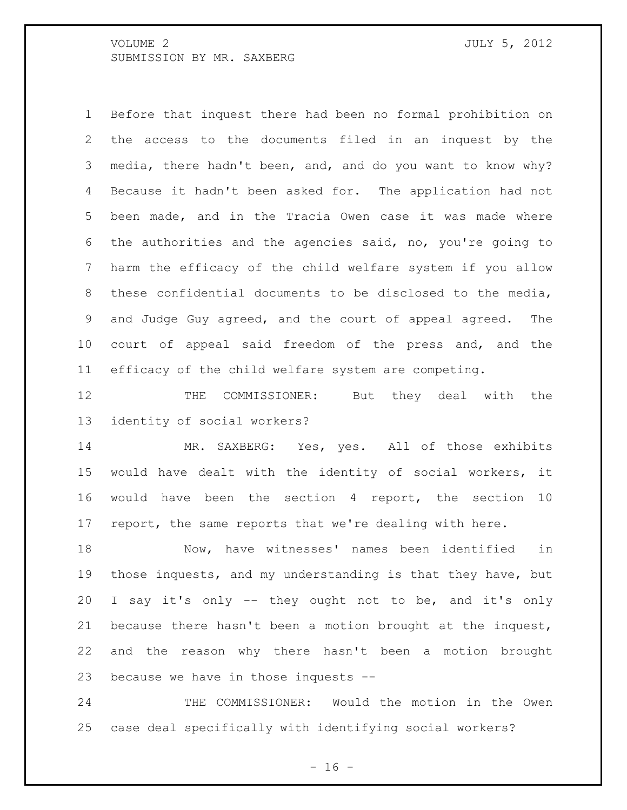Before that inquest there had been no formal prohibition on the access to the documents filed in an inquest by the media, there hadn't been, and, and do you want to know why? Because it hadn't been asked for. The application had not been made, and in the Tracia Owen case it was made where the authorities and the agencies said, no, you're going to harm the efficacy of the child welfare system if you allow these confidential documents to be disclosed to the media, and Judge Guy agreed, and the court of appeal agreed. The court of appeal said freedom of the press and, and the efficacy of the child welfare system are competing.

 THE COMMISSIONER: But they deal with the identity of social workers?

 MR. SAXBERG: Yes, yes. All of those exhibits would have dealt with the identity of social workers, it would have been the section 4 report, the section 10 report, the same reports that we're dealing with here.

 Now, have witnesses' names been identified in those inquests, and my understanding is that they have, but I say it's only -- they ought not to be, and it's only because there hasn't been a motion brought at the inquest, and the reason why there hasn't been a motion brought because we have in those inquests --

 THE COMMISSIONER: Would the motion in the Owen case deal specifically with identifying social workers?

 $- 16 -$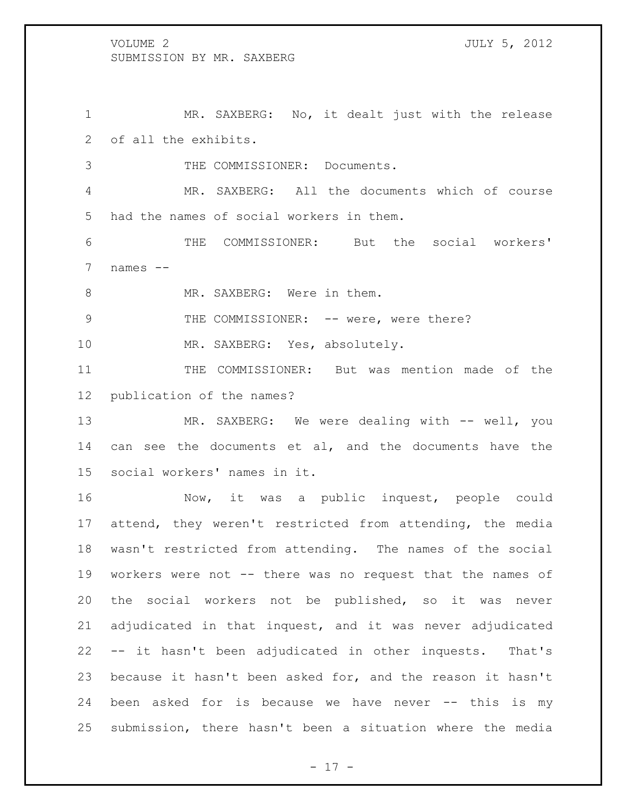MR. SAXBERG: No, it dealt just with the release of all the exhibits. THE COMMISSIONER: Documents. MR. SAXBERG: All the documents which of course

had the names of social workers in them.

 THE COMMISSIONER: But the social workers' names --

8 MR. SAXBERG: Were in them.

9 THE COMMISSIONER: -- were, were there?

10 MR. SAXBERG: Yes, absolutely.

 THE COMMISSIONER: But was mention made of the publication of the names?

13 MR. SAXBERG: We were dealing with -- well, you 14 can see the documents et al, and the documents have the social workers' names in it.

 Now, it was a public inquest, people could attend, they weren't restricted from attending, the media wasn't restricted from attending. The names of the social workers were not -- there was no request that the names of the social workers not be published, so it was never adjudicated in that inquest, and it was never adjudicated -- it hasn't been adjudicated in other inquests. That's because it hasn't been asked for, and the reason it hasn't been asked for is because we have never -- this is my submission, there hasn't been a situation where the media

 $- 17 -$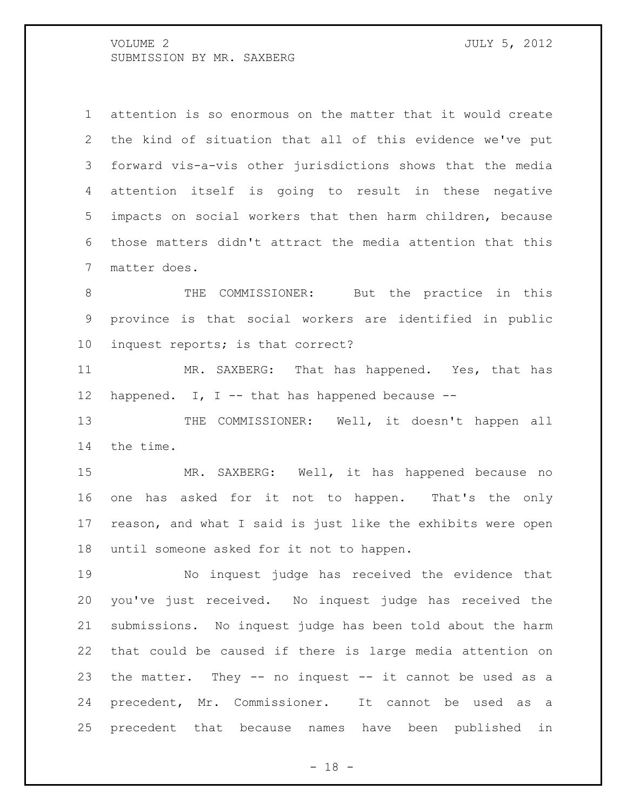attention is so enormous on the matter that it would create the kind of situation that all of this evidence we've put forward vis-a-vis other jurisdictions shows that the media attention itself is going to result in these negative impacts on social workers that then harm children, because those matters didn't attract the media attention that this matter does.

8 THE COMMISSIONER: But the practice in this province is that social workers are identified in public inquest reports; is that correct?

 MR. SAXBERG: That has happened. Yes, that has 12 happened. I, I -- that has happened because --

13 THE COMMISSIONER: Well, it doesn't happen all the time.

 MR. SAXBERG: Well, it has happened because no one has asked for it not to happen. That's the only reason, and what I said is just like the exhibits were open until someone asked for it not to happen.

 No inquest judge has received the evidence that you've just received. No inquest judge has received the submissions. No inquest judge has been told about the harm that could be caused if there is large media attention on the matter. They -- no inquest -- it cannot be used as a precedent, Mr. Commissioner. It cannot be used as a precedent that because names have been published in

 $- 18 -$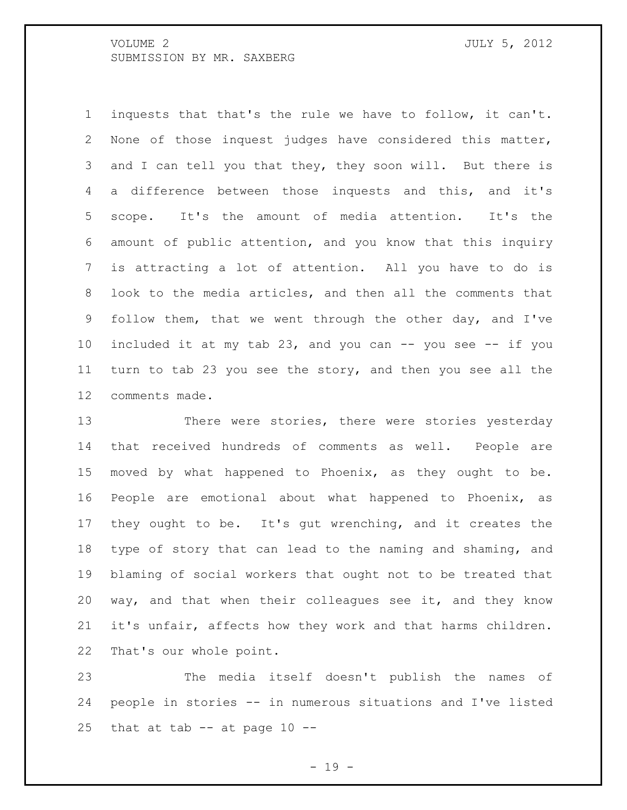inquests that that's the rule we have to follow, it can't. None of those inquest judges have considered this matter, 3 and I can tell you that they, they soon will. But there is a difference between those inquests and this, and it's scope. It's the amount of media attention. It's the amount of public attention, and you know that this inquiry is attracting a lot of attention. All you have to do is look to the media articles, and then all the comments that follow them, that we went through the other day, and I've included it at my tab 23, and you can -- you see -- if you turn to tab 23 you see the story, and then you see all the comments made.

13 There were stories, there were stories yesterday that received hundreds of comments as well. People are moved by what happened to Phoenix, as they ought to be. People are emotional about what happened to Phoenix, as they ought to be. It's gut wrenching, and it creates the type of story that can lead to the naming and shaming, and blaming of social workers that ought not to be treated that way, and that when their colleagues see it, and they know it's unfair, affects how they work and that harms children. That's our whole point.

 The media itself doesn't publish the names of people in stories -- in numerous situations and I've listed 25 that at tab  $-$  at page 10  $-$ 

- 19 -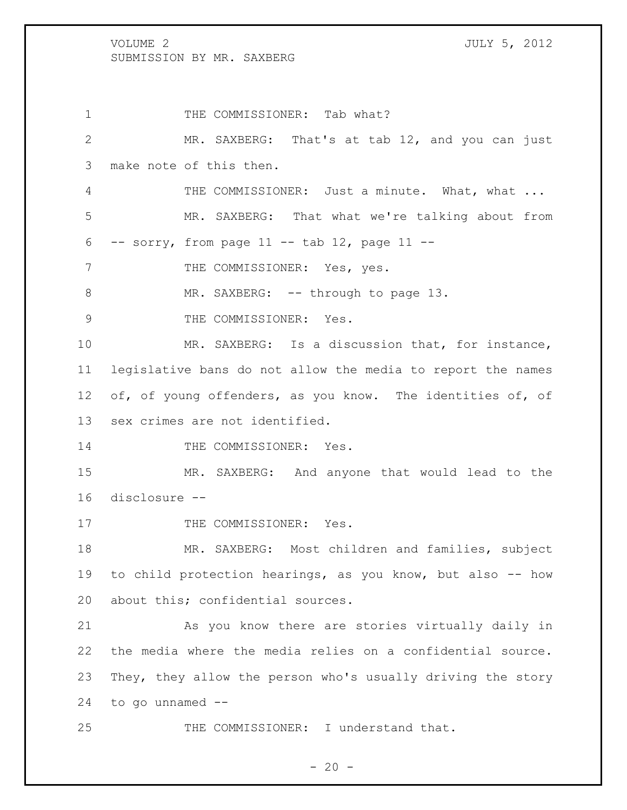1 THE COMMISSIONER: Tab what? MR. SAXBERG: That's at tab 12, and you can just make note of this then. 4 THE COMMISSIONER: Just a minute. What, what ... MR. SAXBERG: That what we're talking about from -- sorry, from page 11 -- tab 12, page 11 --7 THE COMMISSIONER: Yes, yes. 8 MR. SAXBERG: -- through to page 13. 9 THE COMMISSIONER: Yes. MR. SAXBERG: Is a discussion that, for instance, legislative bans do not allow the media to report the names 12 of, of young offenders, as you know. The identities of, of sex crimes are not identified. 14 THE COMMISSIONER: Yes. MR. SAXBERG: And anyone that would lead to the disclosure -- 17 THE COMMISSIONER: Yes. MR. SAXBERG: Most children and families, subject to child protection hearings, as you know, but also -- how about this; confidential sources. As you know there are stories virtually daily in the media where the media relies on a confidential source.

23 They, they allow the person who's usually driving the story 24 to go unnamed --

25 THE COMMISSIONER: I understand that.

$$
-20-
$$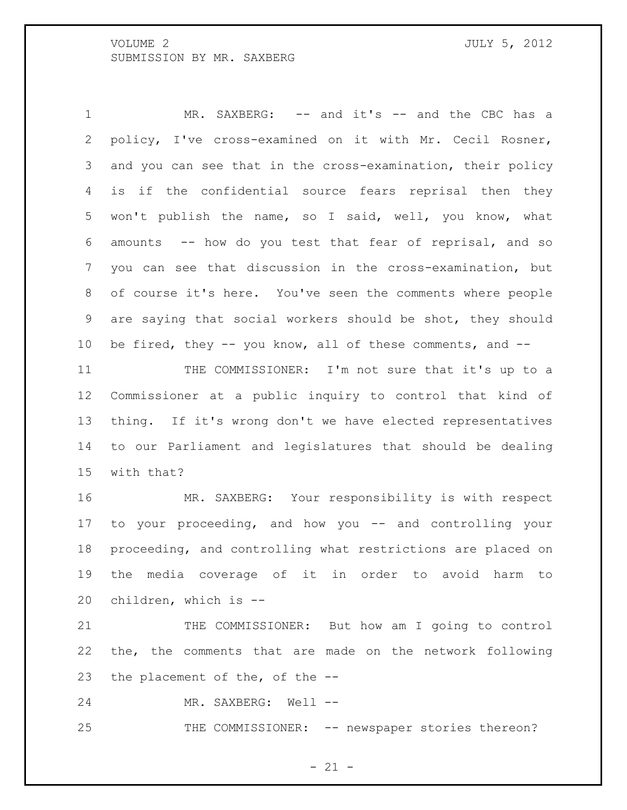1 MR. SAXBERG: -- and it's -- and the CBC has a policy, I've cross-examined on it with Mr. Cecil Rosner, and you can see that in the cross-examination, their policy is if the confidential source fears reprisal then they won't publish the name, so I said, well, you know, what amounts -- how do you test that fear of reprisal, and so you can see that discussion in the cross-examination, but of course it's here. You've seen the comments where people are saying that social workers should be shot, they should be fired, they -- you know, all of these comments, and --

11 THE COMMISSIONER: I'm not sure that it's up to a Commissioner at a public inquiry to control that kind of thing. If it's wrong don't we have elected representatives to our Parliament and legislatures that should be dealing with that?

 MR. SAXBERG: Your responsibility is with respect to your proceeding, and how you -- and controlling your proceeding, and controlling what restrictions are placed on the media coverage of it in order to avoid harm to children, which is --

21 THE COMMISSIONER: But how am I going to control the, the comments that are made on the network following the placement of the, of the --

24 MR. SAXBERG: Well --

25 THE COMMISSIONER: -- newspaper stories thereon?

 $- 21 -$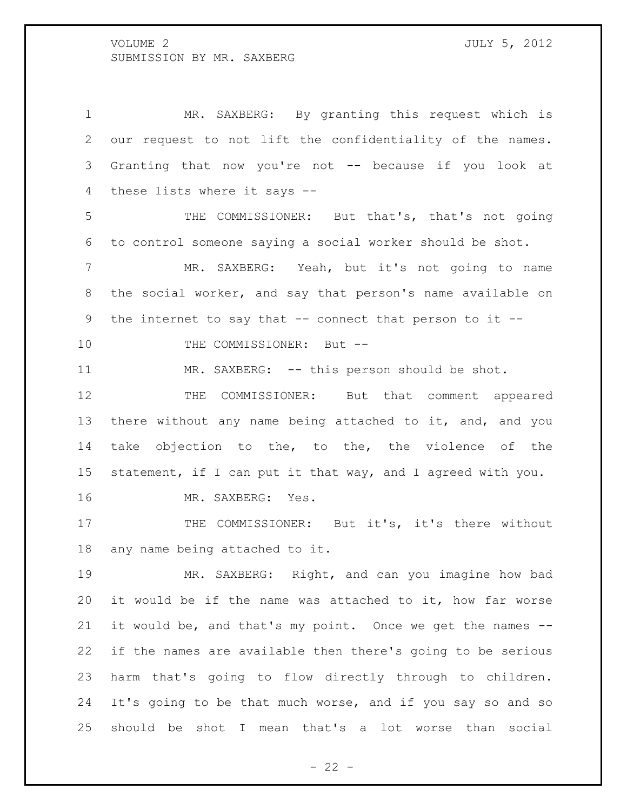MR. SAXBERG: By granting this request which is our request to not lift the confidentiality of the names. Granting that now you're not -- because if you look at these lists where it says --

 THE COMMISSIONER: But that's, that's not going to control someone saying a social worker should be shot.

 MR. SAXBERG: Yeah, but it's not going to name the social worker, and say that person's name available on the internet to say that -- connect that person to it --

10 THE COMMISSIONER: But --

11 MR. SAXBERG: -- this person should be shot.

 THE COMMISSIONER: But that comment appeared there without any name being attached to it, and, and you take objection to the, to the, the violence of the statement, if I can put it that way, and I agreed with you.

MR. SAXBERG: Yes.

17 THE COMMISSIONER: But it's, it's there without any name being attached to it.

 MR. SAXBERG: Right, and can you imagine how bad it would be if the name was attached to it, how far worse it would be, and that's my point. Once we get the names -- if the names are available then there's going to be serious harm that's going to flow directly through to children. It's going to be that much worse, and if you say so and so should be shot I mean that's a lot worse than social

 $- 22 -$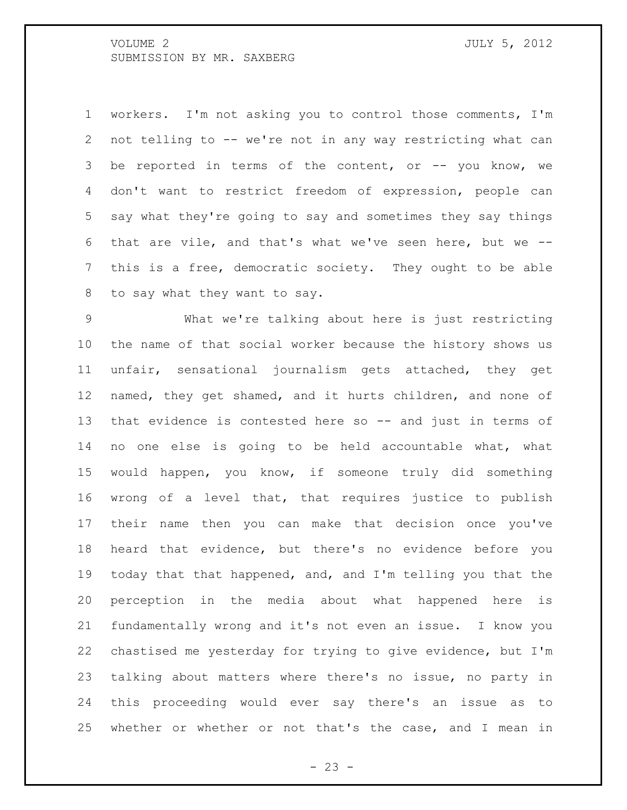workers. I'm not asking you to control those comments, I'm not telling to -- we're not in any way restricting what can be reported in terms of the content, or -- you know, we don't want to restrict freedom of expression, people can say what they're going to say and sometimes they say things that are vile, and that's what we've seen here, but we -- this is a free, democratic society. They ought to be able to say what they want to say.

 What we're talking about here is just restricting the name of that social worker because the history shows us unfair, sensational journalism gets attached, they get named, they get shamed, and it hurts children, and none of that evidence is contested here so -- and just in terms of no one else is going to be held accountable what, what would happen, you know, if someone truly did something wrong of a level that, that requires justice to publish their name then you can make that decision once you've heard that evidence, but there's no evidence before you today that that happened, and, and I'm telling you that the perception in the media about what happened here is fundamentally wrong and it's not even an issue. I know you chastised me yesterday for trying to give evidence, but I'm talking about matters where there's no issue, no party in this proceeding would ever say there's an issue as to whether or whether or not that's the case, and I mean in

 $- 23 -$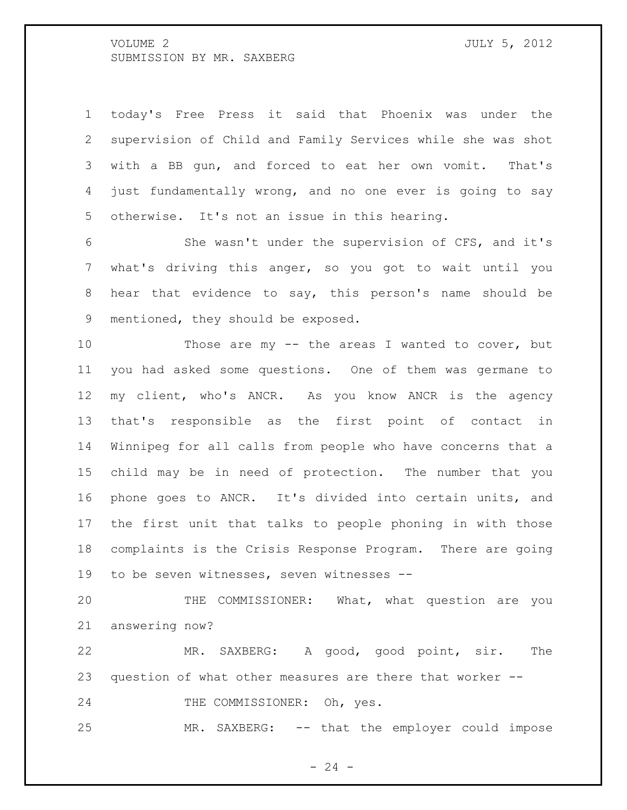today's Free Press it said that Phoenix was under the supervision of Child and Family Services while she was shot with a BB gun, and forced to eat her own vomit. That's just fundamentally wrong, and no one ever is going to say otherwise. It's not an issue in this hearing.

 She wasn't under the supervision of CFS, and it's what's driving this anger, so you got to wait until you hear that evidence to say, this person's name should be mentioned, they should be exposed.

 Those are my -- the areas I wanted to cover, but you had asked some questions. One of them was germane to my client, who's ANCR. As you know ANCR is the agency that's responsible as the first point of contact in Winnipeg for all calls from people who have concerns that a child may be in need of protection. The number that you phone goes to ANCR. It's divided into certain units, and the first unit that talks to people phoning in with those complaints is the Crisis Response Program. There are going to be seven witnesses, seven witnesses --

 THE COMMISSIONER: What, what question are you answering now?

 MR. SAXBERG: A good, good point, sir. The question of what other measures are there that worker --

24 THE COMMISSIONER: Oh, yes.

MR. SAXBERG: -- that the employer could impose

 $- 24 -$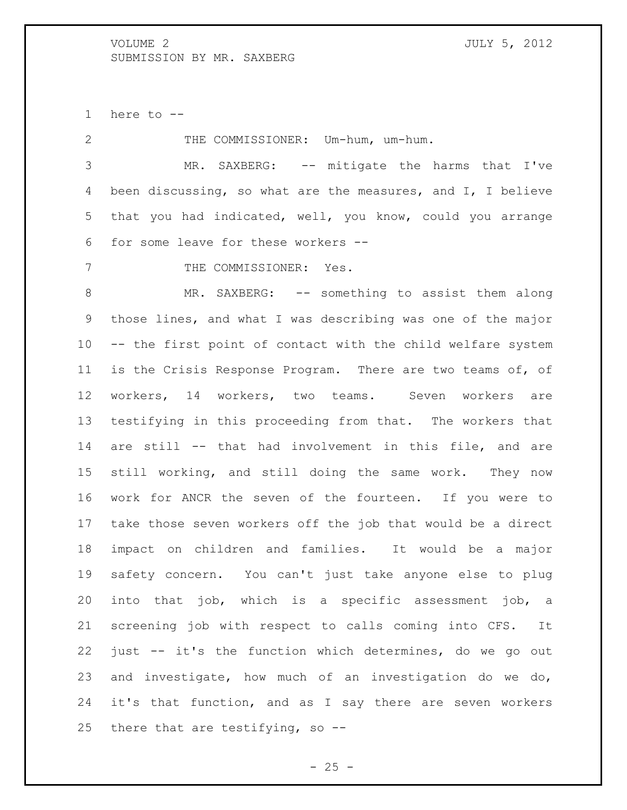here to --

 THE COMMISSIONER: Um-hum, um-hum. MR. SAXBERG: -- mitigate the harms that I've been discussing, so what are the measures, and I, I believe that you had indicated, well, you know, could you arrange for some leave for these workers -- 7 THE COMMISSIONER: Yes. 8 MR. SAXBERG: -- something to assist them along those lines, and what I was describing was one of the major -- the first point of contact with the child welfare system is the Crisis Response Program. There are two teams of, of workers, 14 workers, two teams. Seven workers are testifying in this proceeding from that. The workers that are still -- that had involvement in this file, and are still working, and still doing the same work. They now work for ANCR the seven of the fourteen. If you were to take those seven workers off the job that would be a direct impact on children and families. It would be a major safety concern. You can't just take anyone else to plug into that job, which is a specific assessment job, a screening job with respect to calls coming into CFS. It just -- it's the function which determines, do we go out and investigate, how much of an investigation do we do, it's that function, and as I say there are seven workers there that are testifying, so --

 $- 25 -$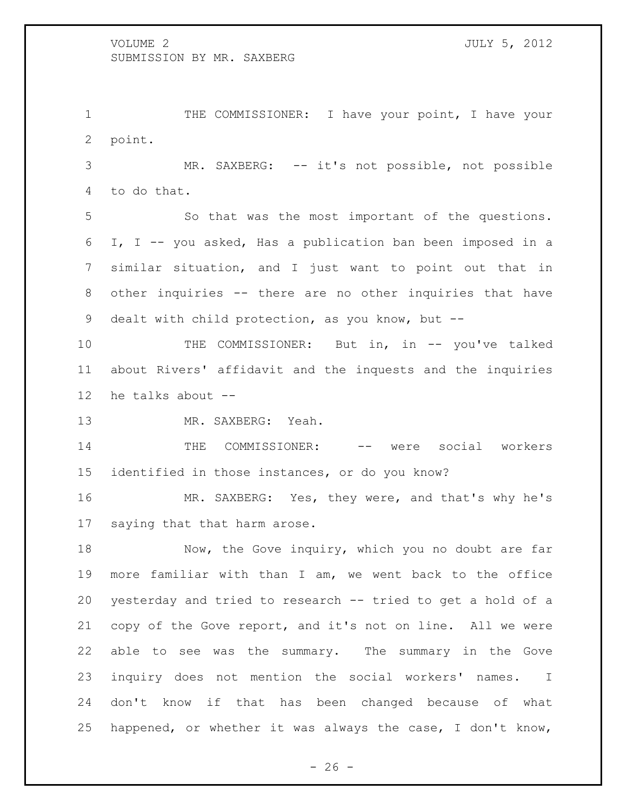1 THE COMMISSIONER: I have your point, I have your point.

 MR. SAXBERG: -- it's not possible, not possible to do that.

 So that was the most important of the questions. I, I -- you asked, Has a publication ban been imposed in a similar situation, and I just want to point out that in other inquiries -- there are no other inquiries that have dealt with child protection, as you know, but --

10 THE COMMISSIONER: But in, in -- you've talked about Rivers' affidavit and the inquests and the inquiries he talks about --

MR. SAXBERG: Yeah.

14 THE COMMISSIONER: -- were social workers identified in those instances, or do you know?

 MR. SAXBERG: Yes, they were, and that's why he's saying that that harm arose.

18 Now, the Gove inquiry, which you no doubt are far more familiar with than I am, we went back to the office yesterday and tried to research -- tried to get a hold of a copy of the Gove report, and it's not on line. All we were able to see was the summary. The summary in the Gove inquiry does not mention the social workers' names. I don't know if that has been changed because of what happened, or whether it was always the case, I don't know,

 $- 26 -$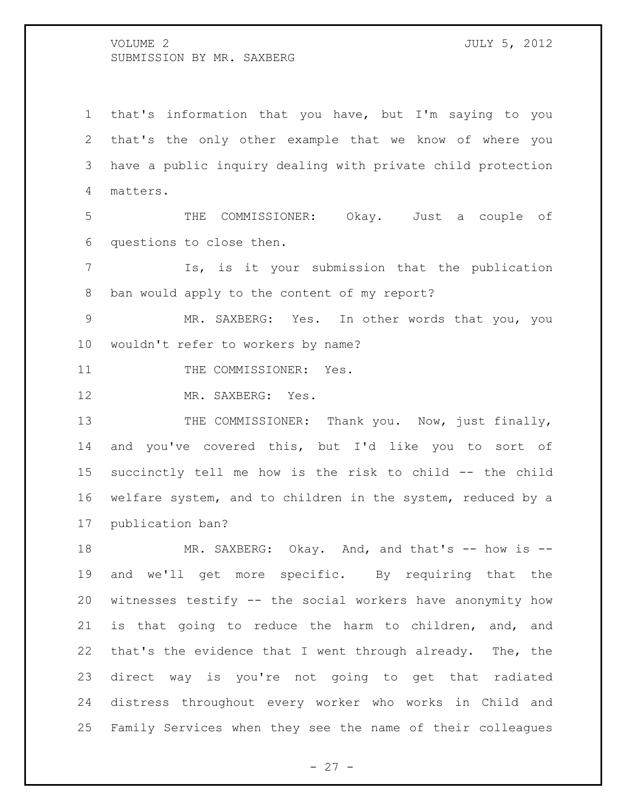that's information that you have, but I'm saying to you that's the only other example that we know of where you have a public inquiry dealing with private child protection matters.

 THE COMMISSIONER: Okay. Just a couple of questions to close then.

 Is, is it your submission that the publication ban would apply to the content of my report?

 MR. SAXBERG: Yes. In other words that you, you wouldn't refer to workers by name?

11 THE COMMISSIONER: Yes.

12 MR. SAXBERG: Yes.

13 THE COMMISSIONER: Thank you. Now, just finally, and you've covered this, but I'd like you to sort of succinctly tell me how is the risk to child -- the child welfare system, and to children in the system, reduced by a publication ban?

18 MR. SAXBERG: Okay. And, and that's -- how is -- and we'll get more specific. By requiring that the witnesses testify -- the social workers have anonymity how is that going to reduce the harm to children, and, and that's the evidence that I went through already. The, the direct way is you're not going to get that radiated distress throughout every worker who works in Child and Family Services when they see the name of their colleagues

- 27 -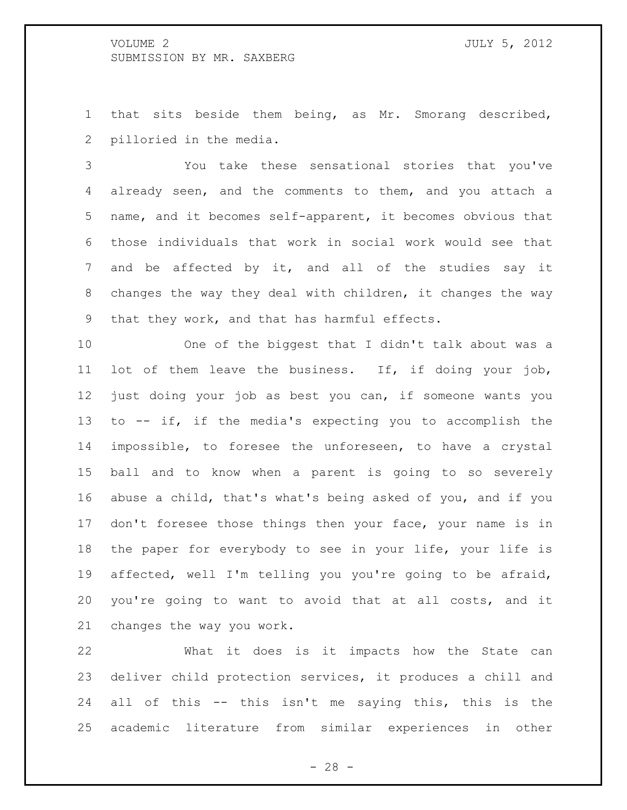that sits beside them being, as Mr. Smorang described, pilloried in the media.

 You take these sensational stories that you've already seen, and the comments to them, and you attach a name, and it becomes self-apparent, it becomes obvious that those individuals that work in social work would see that and be affected by it, and all of the studies say it changes the way they deal with children, it changes the way that they work, and that has harmful effects.

 One of the biggest that I didn't talk about was a lot of them leave the business. If, if doing your job, just doing your job as best you can, if someone wants you to -- if, if the media's expecting you to accomplish the impossible, to foresee the unforeseen, to have a crystal ball and to know when a parent is going to so severely abuse a child, that's what's being asked of you, and if you don't foresee those things then your face, your name is in the paper for everybody to see in your life, your life is affected, well I'm telling you you're going to be afraid, you're going to want to avoid that at all costs, and it changes the way you work.

 What it does is it impacts how the State can deliver child protection services, it produces a chill and all of this -- this isn't me saying this, this is the academic literature from similar experiences in other

- 28 -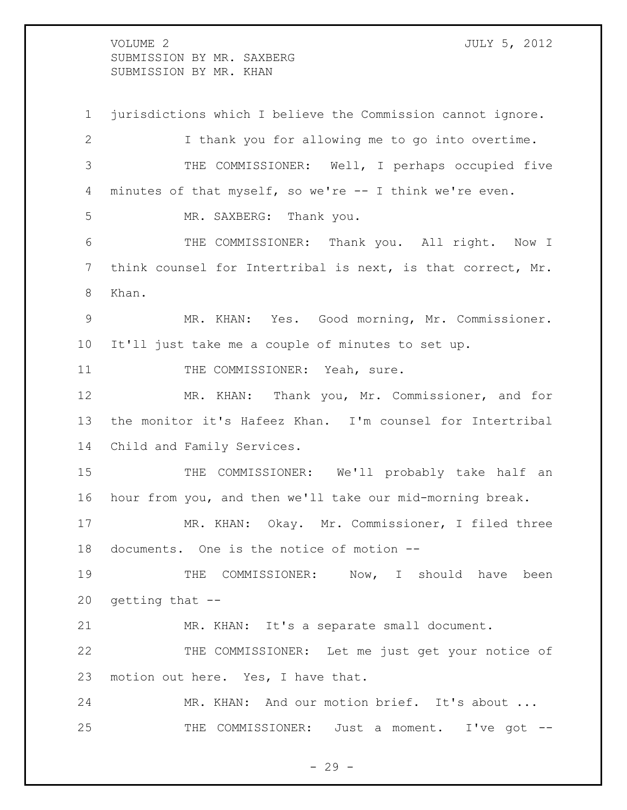VOLUME 2 JULY 5, 2012 SUBMISSION BY MR. SAXBERG SUBMISSION BY MR. KHAN

 jurisdictions which I believe the Commission cannot ignore. I thank you for allowing me to go into overtime. THE COMMISSIONER: Well, I perhaps occupied five minutes of that myself, so we're -- I think we're even. MR. SAXBERG: Thank you. THE COMMISSIONER: Thank you. All right. Now I think counsel for Intertribal is next, is that correct, Mr. Khan. MR. KHAN: Yes. Good morning, Mr. Commissioner. It'll just take me a couple of minutes to set up. 11 THE COMMISSIONER: Yeah, sure. MR. KHAN: Thank you, Mr. Commissioner, and for the monitor it's Hafeez Khan. I'm counsel for Intertribal Child and Family Services. THE COMMISSIONER: We'll probably take half an hour from you, and then we'll take our mid-morning break. MR. KHAN: Okay. Mr. Commissioner, I filed three documents. One is the notice of motion -- 19 THE COMMISSIONER: Now, I should have been getting that -- MR. KHAN: It's a separate small document. THE COMMISSIONER: Let me just get your notice of 23 motion out here. Yes, I have that. MR. KHAN: And our motion brief. It's about ... 25 THE COMMISSIONER: Just a moment. I've got --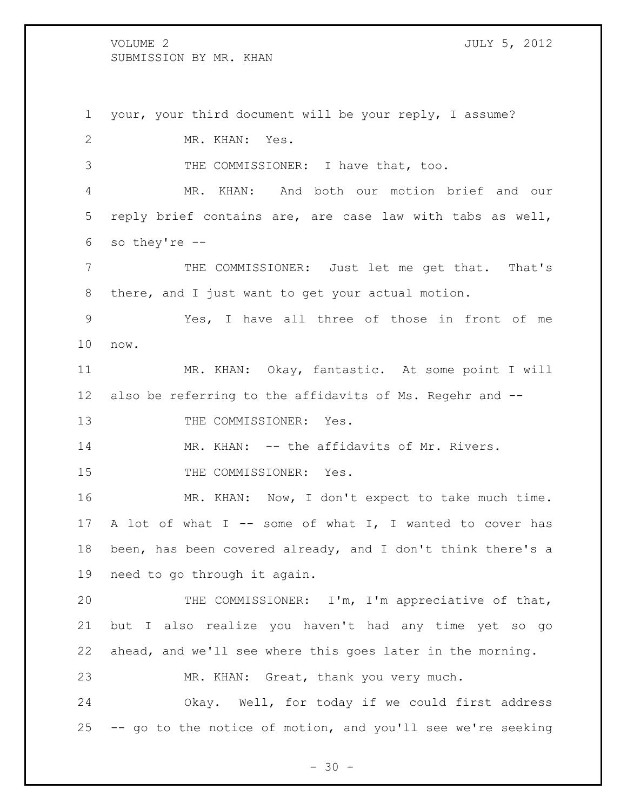your, your third document will be your reply, I assume? MR. KHAN: Yes. THE COMMISSIONER: I have that, too. MR. KHAN: And both our motion brief and our reply brief contains are, are case law with tabs as well, so they're -- THE COMMISSIONER: Just let me get that. That's there, and I just want to get your actual motion. Yes, I have all three of those in front of me now. MR. KHAN: Okay, fantastic. At some point I will also be referring to the affidavits of Ms. Regehr and -- 13 THE COMMISSIONER: Yes. 14 MR. KHAN: -- the affidavits of Mr. Rivers. 15 THE COMMISSIONER: Yes. MR. KHAN: Now, I don't expect to take much time. A lot of what I -- some of what I, I wanted to cover has been, has been covered already, and I don't think there's a need to go through it again. THE COMMISSIONER: I'm, I'm appreciative of that, but I also realize you haven't had any time yet so go ahead, and we'll see where this goes later in the morning. MR. KHAN: Great, thank you very much. Okay. Well, for today if we could first address -- go to the notice of motion, and you'll see we're seeking

 $- 30 -$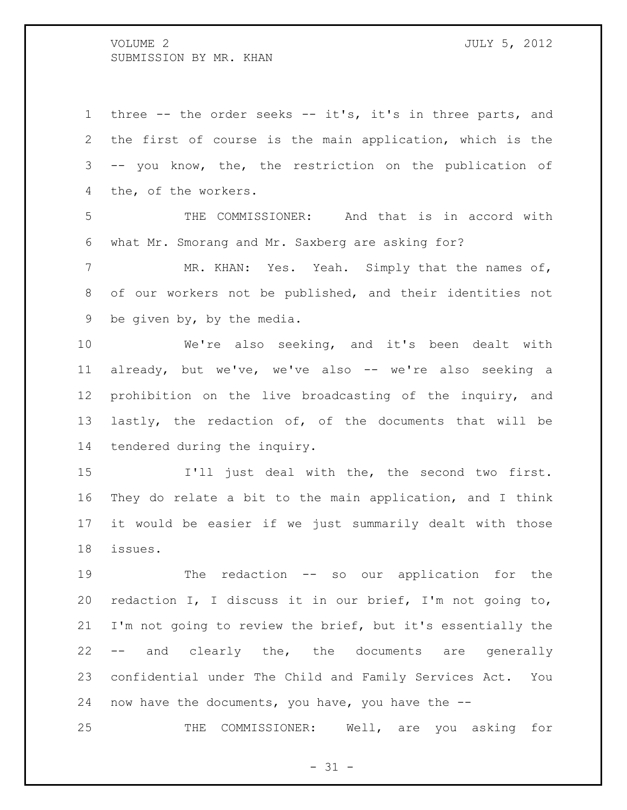three -- the order seeks -- it's, it's in three parts, and the first of course is the main application, which is the -- you know, the, the restriction on the publication of the, of the workers.

 THE COMMISSIONER: And that is in accord with what Mr. Smorang and Mr. Saxberg are asking for?

 MR. KHAN: Yes. Yeah. Simply that the names of, of our workers not be published, and their identities not be given by, by the media.

 We're also seeking, and it's been dealt with already, but we've, we've also -- we're also seeking a prohibition on the live broadcasting of the inquiry, and lastly, the redaction of, of the documents that will be tendered during the inquiry.

 I'll just deal with the, the second two first. They do relate a bit to the main application, and I think it would be easier if we just summarily dealt with those issues.

 The redaction -- so our application for the redaction I, I discuss it in our brief, I'm not going to, I'm not going to review the brief, but it's essentially the -- and clearly the, the documents are generally confidential under The Child and Family Services Act. You now have the documents, you have, you have the --

THE COMMISSIONER: Well, are you asking for

 $- 31 -$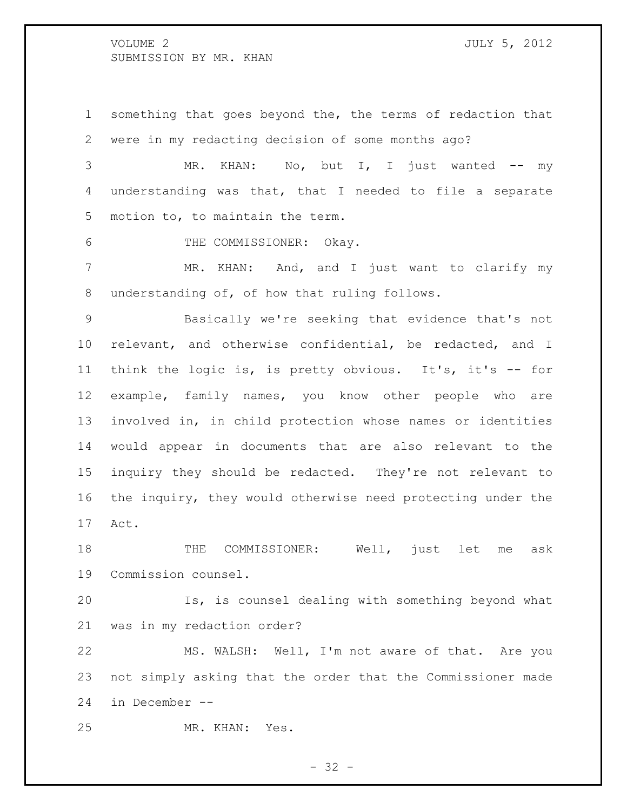something that goes beyond the, the terms of redaction that were in my redacting decision of some months ago?

3 MR. KHAN: No, but I, I just wanted -- my understanding was that, that I needed to file a separate motion to, to maintain the term.

6 THE COMMISSIONER: Okay.

 MR. KHAN: And, and I just want to clarify my understanding of, of how that ruling follows.

 Basically we're seeking that evidence that's not relevant, and otherwise confidential, be redacted, and I 11 think the logic is, is pretty obvious. It's, it's -- for example, family names, you know other people who are involved in, in child protection whose names or identities would appear in documents that are also relevant to the inquiry they should be redacted. They're not relevant to the inquiry, they would otherwise need protecting under the Act.

 THE COMMISSIONER: Well, just let me ask Commission counsel.

 Is, is counsel dealing with something beyond what was in my redaction order?

 MS. WALSH: Well, I'm not aware of that. Are you not simply asking that the order that the Commissioner made in December --

MR. KHAN: Yes.

 $- 32 -$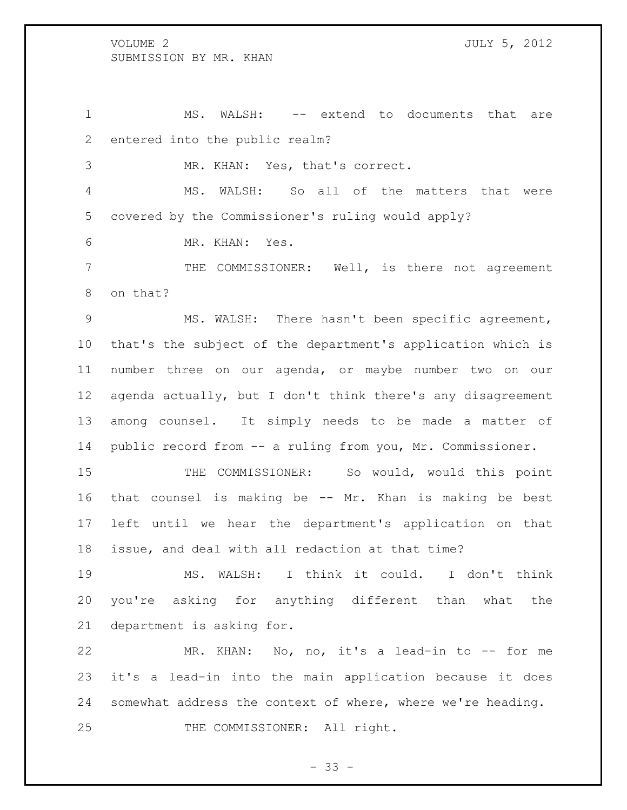1 MS. WALSH: -- extend to documents that are entered into the public realm?

MR. KHAN: Yes, that's correct.

 MS. WALSH: So all of the matters that were covered by the Commissioner's ruling would apply?

MR. KHAN: Yes.

 THE COMMISSIONER: Well, is there not agreement on that?

 MS. WALSH: There hasn't been specific agreement, that's the subject of the department's application which is number three on our agenda, or maybe number two on our agenda actually, but I don't think there's any disagreement among counsel. It simply needs to be made a matter of public record from -- a ruling from you, Mr. Commissioner.

15 THE COMMISSIONER: So would, would this point that counsel is making be -- Mr. Khan is making be best left until we hear the department's application on that issue, and deal with all redaction at that time?

 MS. WALSH: I think it could. I don't think you're asking for anything different than what the department is asking for.

 MR. KHAN: No, no, it's a lead-in to -- for me it's a lead-in into the main application because it does somewhat address the context of where, where we're heading. 25 THE COMMISSIONER: All right.

 $- 33 -$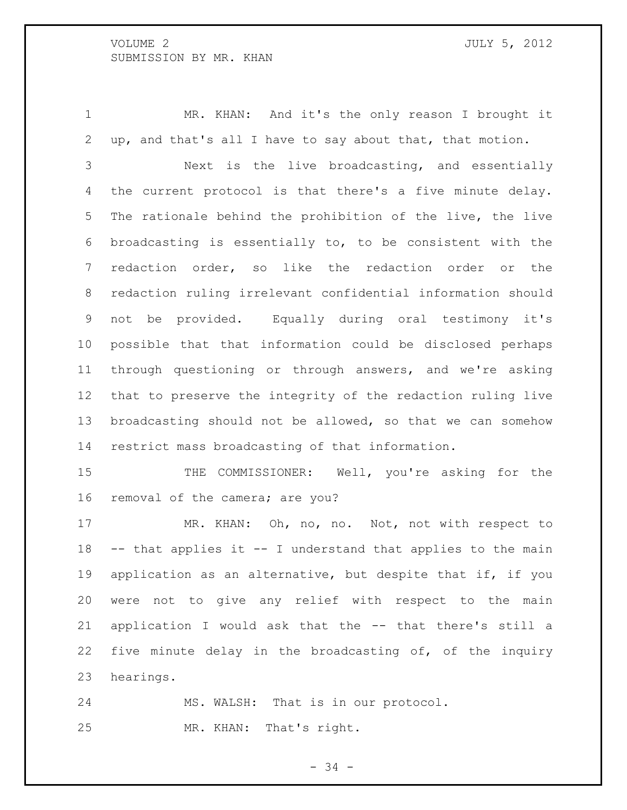MR. KHAN: And it's the only reason I brought it up, and that's all I have to say about that, that motion.

 Next is the live broadcasting, and essentially the current protocol is that there's a five minute delay. The rationale behind the prohibition of the live, the live broadcasting is essentially to, to be consistent with the redaction order, so like the redaction order or the redaction ruling irrelevant confidential information should not be provided. Equally during oral testimony it's possible that that information could be disclosed perhaps through questioning or through answers, and we're asking that to preserve the integrity of the redaction ruling live broadcasting should not be allowed, so that we can somehow restrict mass broadcasting of that information.

15 THE COMMISSIONER: Well, you're asking for the removal of the camera; are you?

17 MR. KHAN: Oh, no, no. Not, not with respect to -- that applies it -- I understand that applies to the main application as an alternative, but despite that if, if you were not to give any relief with respect to the main application I would ask that the -- that there's still a five minute delay in the broadcasting of, of the inquiry hearings.

 MS. WALSH: That is in our protocol. MR. KHAN: That's right.

- 34 -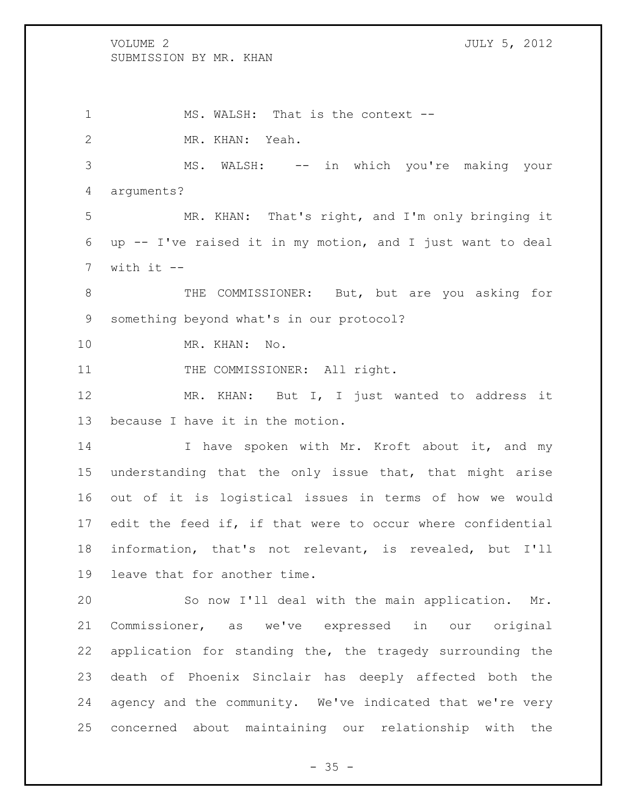1 MS. WALSH: That is the context -- MR. KHAN: Yeah. MS. WALSH: -- in which you're making your arguments? MR. KHAN: That's right, and I'm only bringing it up -- I've raised it in my motion, and I just want to deal with it  $-$  THE COMMISSIONER: But, but are you asking for something beyond what's in our protocol? MR. KHAN: No. 11 THE COMMISSIONER: All right. MR. KHAN: But I, I just wanted to address it because I have it in the motion. 14 I have spoken with Mr. Kroft about it, and my understanding that the only issue that, that might arise out of it is logistical issues in terms of how we would edit the feed if, if that were to occur where confidential information, that's not relevant, is revealed, but I'll leave that for another time. So now I'll deal with the main application. Mr.

 Commissioner, as we've expressed in our original application for standing the, the tragedy surrounding the death of Phoenix Sinclair has deeply affected both the agency and the community. We've indicated that we're very concerned about maintaining our relationship with the

 $- 35 -$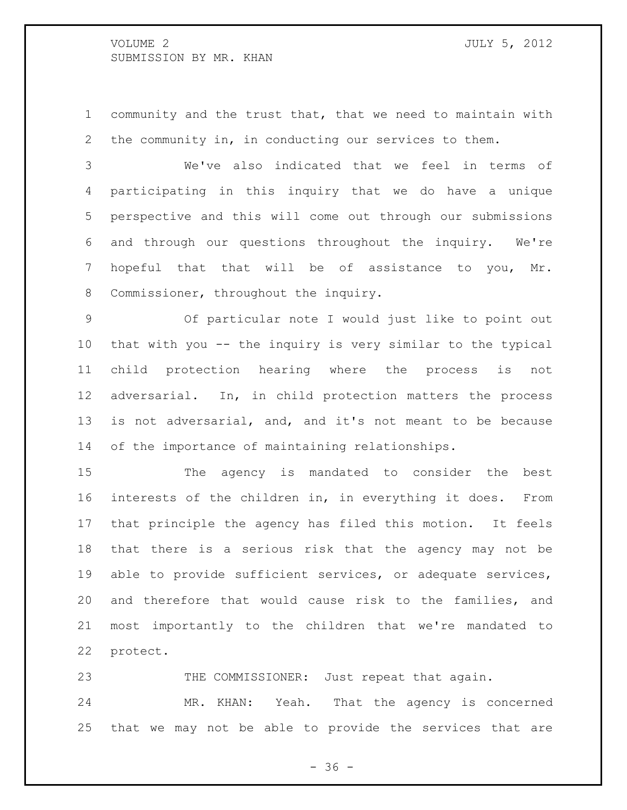community and the trust that, that we need to maintain with the community in, in conducting our services to them.

 We've also indicated that we feel in terms of participating in this inquiry that we do have a unique perspective and this will come out through our submissions and through our questions throughout the inquiry. We're hopeful that that will be of assistance to you, Mr. Commissioner, throughout the inquiry.

 Of particular note I would just like to point out that with you -- the inquiry is very similar to the typical child protection hearing where the process is not adversarial. In, in child protection matters the process is not adversarial, and, and it's not meant to be because of the importance of maintaining relationships.

 The agency is mandated to consider the best interests of the children in, in everything it does. From that principle the agency has filed this motion. It feels that there is a serious risk that the agency may not be able to provide sufficient services, or adequate services, and therefore that would cause risk to the families, and most importantly to the children that we're mandated to protect.

23 THE COMMISSIONER: Just repeat that again. MR. KHAN: Yeah. That the agency is concerned that we may not be able to provide the services that are

 $- 36 -$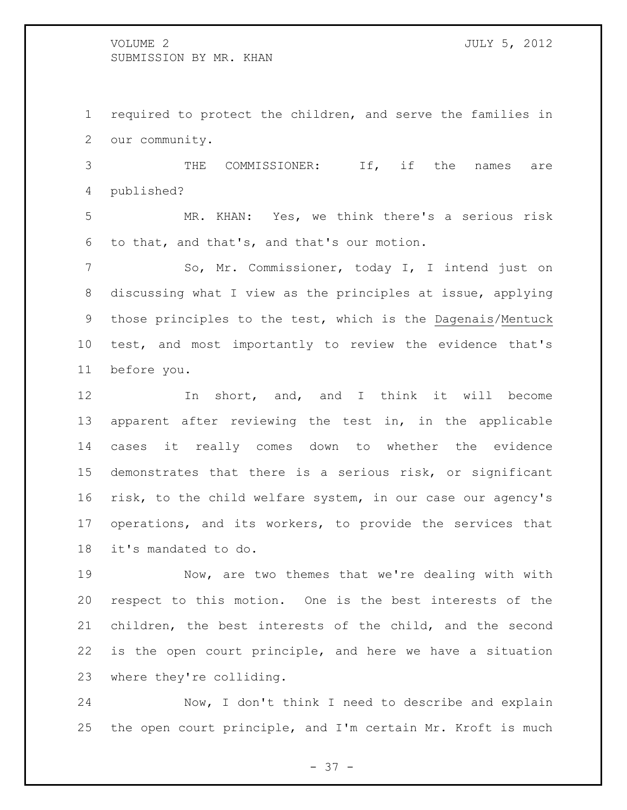required to protect the children, and serve the families in our community.

 THE COMMISSIONER: If, if the names are published?

 MR. KHAN: Yes, we think there's a serious risk to that, and that's, and that's our motion.

 So, Mr. Commissioner, today I, I intend just on discussing what I view as the principles at issue, applying those principles to the test, which is the Dagenais/Mentuck test, and most importantly to review the evidence that's before you.

 In short, and, and I think it will become apparent after reviewing the test in, in the applicable cases it really comes down to whether the evidence demonstrates that there is a serious risk, or significant risk, to the child welfare system, in our case our agency's operations, and its workers, to provide the services that it's mandated to do.

 Now, are two themes that we're dealing with with respect to this motion. One is the best interests of the children, the best interests of the child, and the second is the open court principle, and here we have a situation where they're colliding.

 Now, I don't think I need to describe and explain the open court principle, and I'm certain Mr. Kroft is much

- 37 -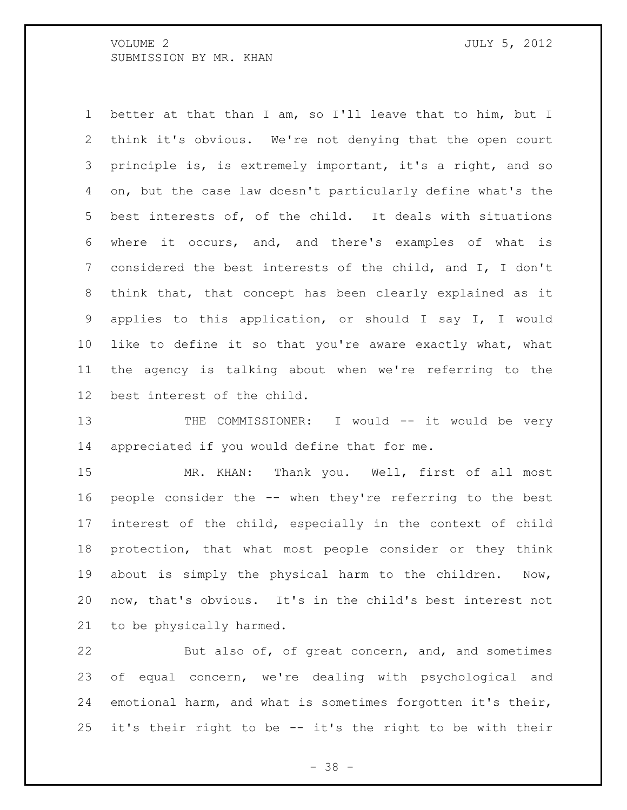better at that than I am, so I'll leave that to him, but I think it's obvious. We're not denying that the open court principle is, is extremely important, it's a right, and so on, but the case law doesn't particularly define what's the best interests of, of the child. It deals with situations where it occurs, and, and there's examples of what is considered the best interests of the child, and I, I don't think that, that concept has been clearly explained as it applies to this application, or should I say I, I would like to define it so that you're aware exactly what, what the agency is talking about when we're referring to the best interest of the child.

13 THE COMMISSIONER: I would -- it would be very appreciated if you would define that for me.

 MR. KHAN: Thank you. Well, first of all most people consider the -- when they're referring to the best interest of the child, especially in the context of child protection, that what most people consider or they think about is simply the physical harm to the children. Now, now, that's obvious. It's in the child's best interest not to be physically harmed.

 But also of, of great concern, and, and sometimes of equal concern, we're dealing with psychological and emotional harm, and what is sometimes forgotten it's their, it's their right to be -- it's the right to be with their

- 38 -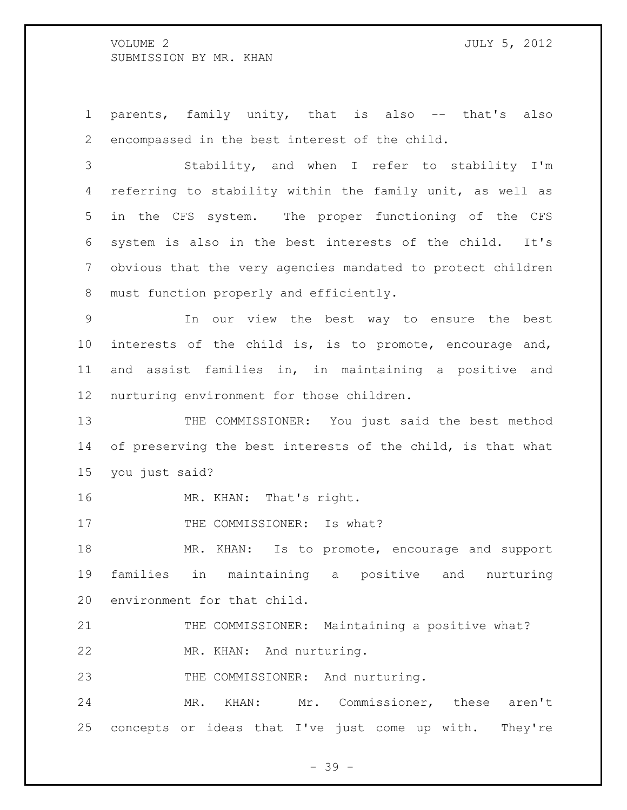parents, family unity, that is also -- that's also encompassed in the best interest of the child.

 Stability, and when I refer to stability I'm referring to stability within the family unit, as well as in the CFS system. The proper functioning of the CFS system is also in the best interests of the child. It's obvious that the very agencies mandated to protect children must function properly and efficiently.

 In our view the best way to ensure the best interests of the child is, is to promote, encourage and, and assist families in, in maintaining a positive and nurturing environment for those children.

13 THE COMMISSIONER: You just said the best method 14 of preserving the best interests of the child, is that what you just said?

16 MR. KHAN: That's right.

17 THE COMMISSIONER: Is what?

18 MR. KHAN: Is to promote, encourage and support families in maintaining a positive and nurturing environment for that child.

21 THE COMMISSIONER: Maintaining a positive what?

MR. KHAN: And nurturing.

23 THE COMMISSIONER: And nurturing.

 MR. KHAN: Mr. Commissioner, these aren't concepts or ideas that I've just come up with. They're

- 39 -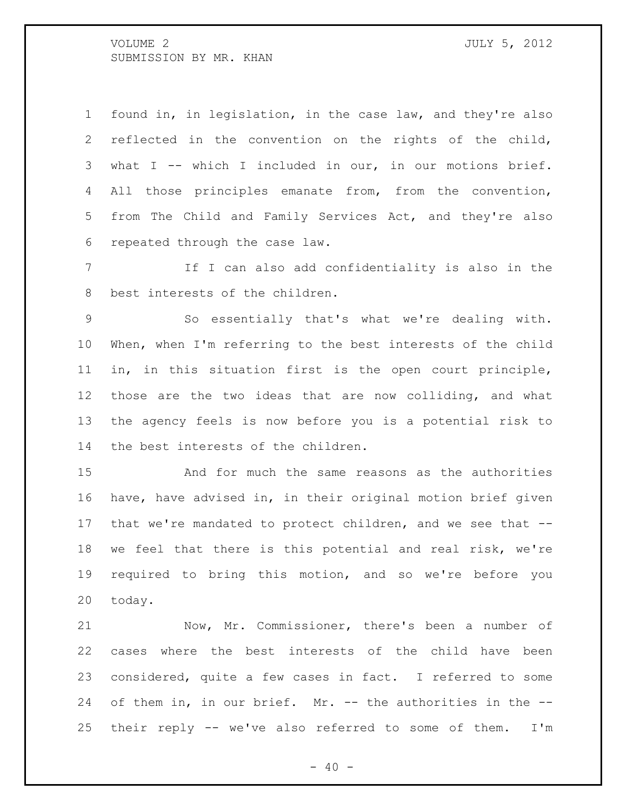found in, in legislation, in the case law, and they're also reflected in the convention on the rights of the child, what I -- which I included in our, in our motions brief. All those principles emanate from, from the convention, from The Child and Family Services Act, and they're also repeated through the case law.

 If I can also add confidentiality is also in the best interests of the children.

 So essentially that's what we're dealing with. When, when I'm referring to the best interests of the child in, in this situation first is the open court principle, those are the two ideas that are now colliding, and what the agency feels is now before you is a potential risk to the best interests of the children.

 And for much the same reasons as the authorities have, have advised in, in their original motion brief given that we're mandated to protect children, and we see that -- we feel that there is this potential and real risk, we're required to bring this motion, and so we're before you today.

 Now, Mr. Commissioner, there's been a number of cases where the best interests of the child have been considered, quite a few cases in fact. I referred to some of them in, in our brief. Mr. -- the authorities in the -- their reply -- we've also referred to some of them. I'm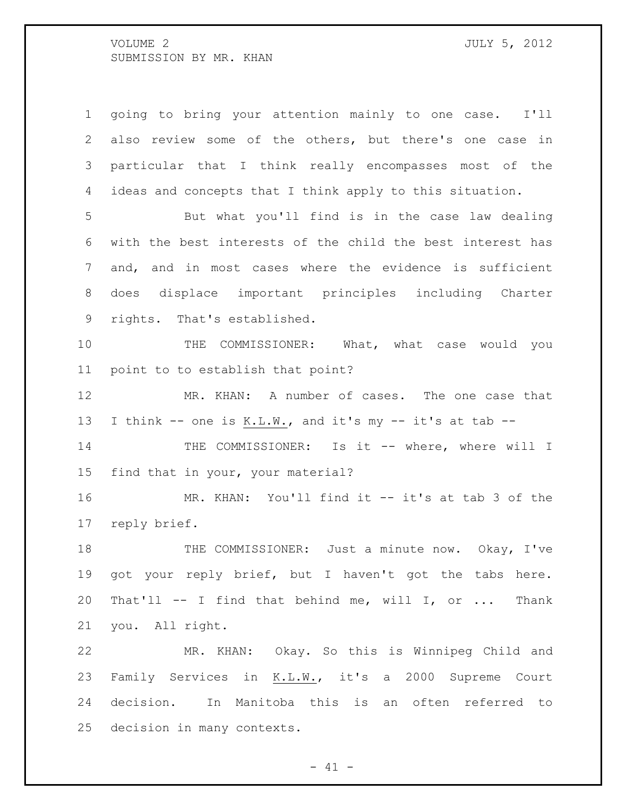going to bring your attention mainly to one case. I'll also review some of the others, but there's one case in particular that I think really encompasses most of the ideas and concepts that I think apply to this situation. But what you'll find is in the case law dealing with the best interests of the child the best interest has and, and in most cases where the evidence is sufficient does displace important principles including Charter rights. That's established. 10 THE COMMISSIONER: What, what case would you point to to establish that point? 12 MR. KHAN: A number of cases. The one case that I think -- one is K.L.W., and it's my -- it's at tab -- 14 THE COMMISSIONER: Is it -- where, where will I

find that in your, your material?

 MR. KHAN: You'll find it -- it's at tab 3 of the reply brief.

18 THE COMMISSIONER: Just a minute now. Okay, I've got your reply brief, but I haven't got the tabs here. That'll -- I find that behind me, will I, or ... Thank you. All right.

 MR. KHAN: Okay. So this is Winnipeg Child and Family Services in K.L.W., it's a 2000 Supreme Court decision. In Manitoba this is an often referred to decision in many contexts.

 $- 41 -$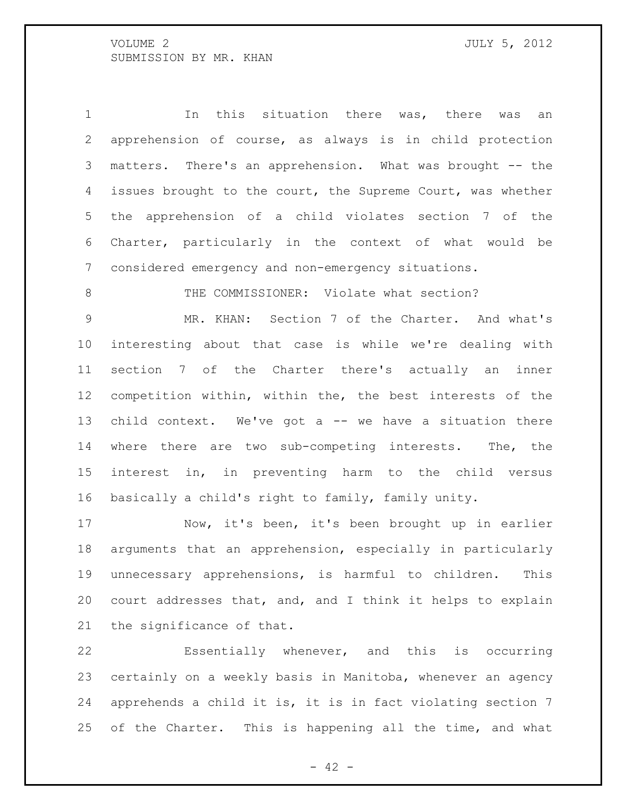In this situation there was, there was an apprehension of course, as always is in child protection matters. There's an apprehension. What was brought -- the 4 issues brought to the court, the Supreme Court, was whether the apprehension of a child violates section 7 of the Charter, particularly in the context of what would be considered emergency and non-emergency situations.

8 THE COMMISSIONER: Violate what section?

 MR. KHAN: Section 7 of the Charter. And what's interesting about that case is while we're dealing with section 7 of the Charter there's actually an inner competition within, within the, the best interests of the child context. We've got a -- we have a situation there where there are two sub-competing interests. The, the interest in, in preventing harm to the child versus basically a child's right to family, family unity.

 Now, it's been, it's been brought up in earlier arguments that an apprehension, especially in particularly unnecessary apprehensions, is harmful to children. This court addresses that, and, and I think it helps to explain the significance of that.

 Essentially whenever, and this is occurring certainly on a weekly basis in Manitoba, whenever an agency apprehends a child it is, it is in fact violating section 7 25 of the Charter. This is happening all the time, and what

 $- 42 -$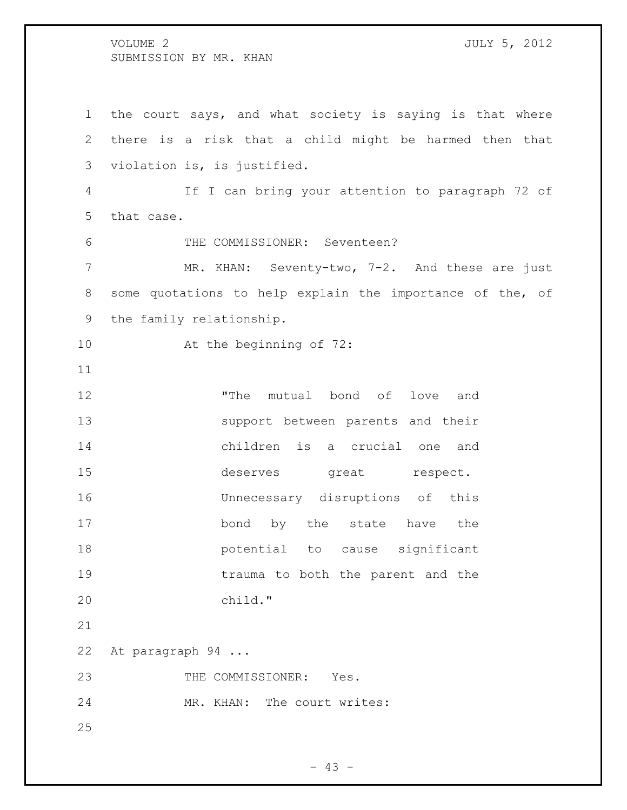the court says, and what society is saying is that where there is a risk that a child might be harmed then that violation is, is justified. If I can bring your attention to paragraph 72 of that case. THE COMMISSIONER: Seventeen? 7 MR. KHAN: Seventy-two, 7-2. And these are just some quotations to help explain the importance of the, of the family relationship. At the beginning of 72: "The mutual bond of love and support between parents and their children is a crucial one and 15 deserves great respect. Unnecessary disruptions of this 17 bond by the state have the potential to cause significant 19 trauma to both the parent and the child." At paragraph 94 ... 23 THE COMMISSIONER: Yes. 24 MR. KHAN: The court writes: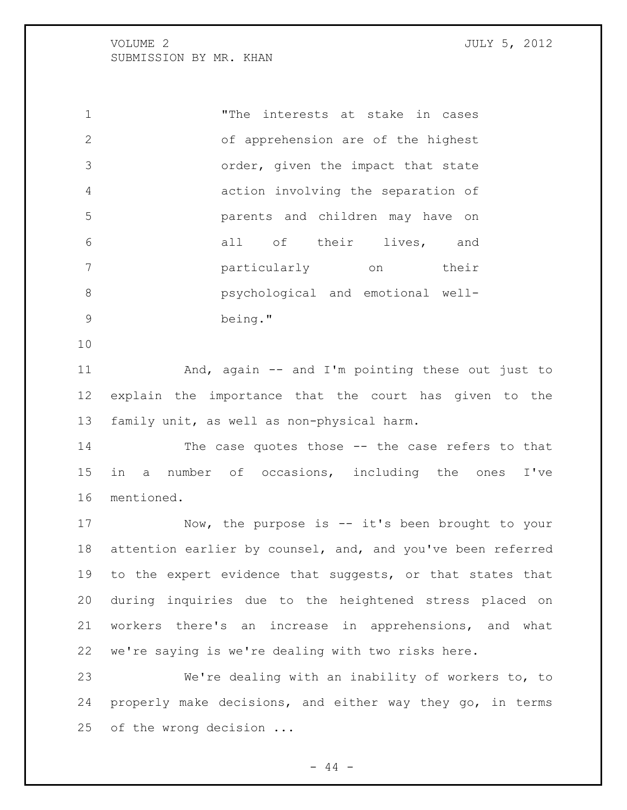"The interests at stake in cases of apprehension are of the highest order, given the impact that state action involving the separation of parents and children may have on all of their lives, and particularly on their psychological and emotional well-being."

 And, again -- and I'm pointing these out just to explain the importance that the court has given to the family unit, as well as non-physical harm.

 The case quotes those -- the case refers to that in a number of occasions, including the ones I've mentioned.

 Now, the purpose is -- it's been brought to your attention earlier by counsel, and, and you've been referred 19 to the expert evidence that suggests, or that states that during inquiries due to the heightened stress placed on workers there's an increase in apprehensions, and what we're saying is we're dealing with two risks here.

 We're dealing with an inability of workers to, to properly make decisions, and either way they go, in terms of the wrong decision ...

 $- 44 -$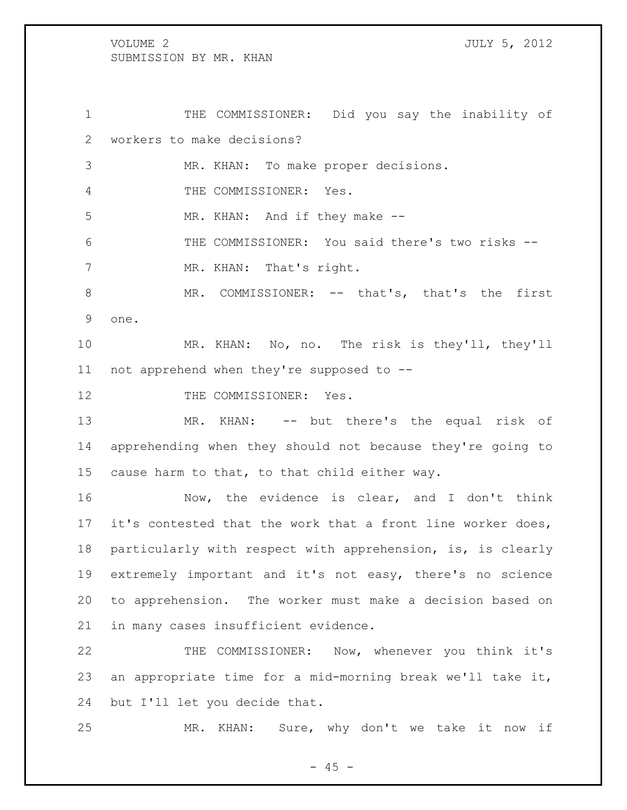THE COMMISSIONER: Did you say the inability of workers to make decisions? MR. KHAN: To make proper decisions. THE COMMISSIONER: Yes. 5 MR. KHAN: And if they make -- THE COMMISSIONER: You said there's two risks -- 7 MR. KHAN: That's right. MR. COMMISSIONER: -- that's, that's the first one. MR. KHAN: No, no. The risk is they'll, they'll not apprehend when they're supposed to -- 12 THE COMMISSIONER: Yes. MR. KHAN: -- but there's the equal risk of apprehending when they should not because they're going to cause harm to that, to that child either way. Now, the evidence is clear, and I don't think 17 it's contested that the work that a front line worker does, particularly with respect with apprehension, is, is clearly extremely important and it's not easy, there's no science to apprehension. The worker must make a decision based on

in many cases insufficient evidence.

 THE COMMISSIONER: Now, whenever you think it's an appropriate time for a mid-morning break we'll take it, but I'll let you decide that.

MR. KHAN: Sure, why don't we take it now if

 $- 45 -$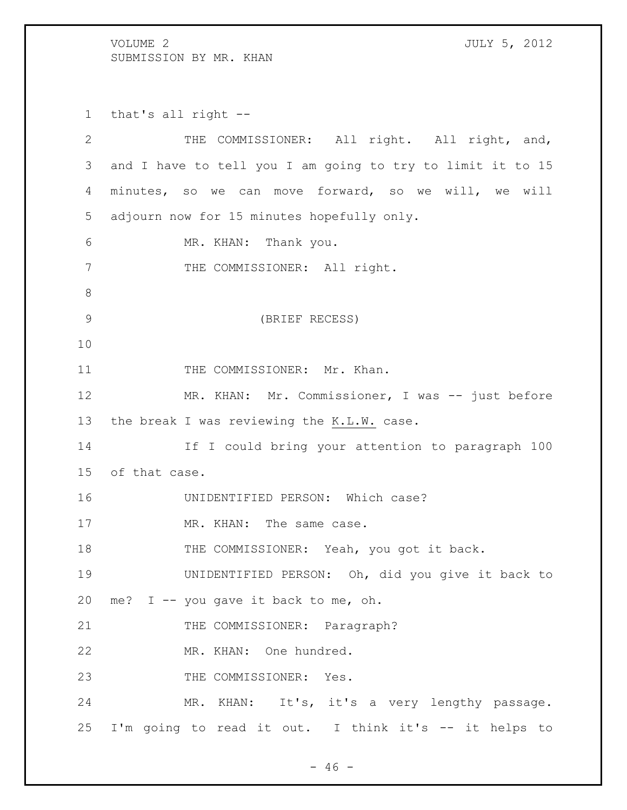that's all right -- THE COMMISSIONER: All right. All right, and, and I have to tell you I am going to try to limit it to 15 minutes, so we can move forward, so we will, we will adjourn now for 15 minutes hopefully only. MR. KHAN: Thank you. 7 THE COMMISSIONER: All right. (BRIEF RECESS) 11 THE COMMISSIONER: Mr. Khan. 12 MR. KHAN: Mr. Commissioner, I was -- just before the break I was reviewing the K.L.W. case. If I could bring your attention to paragraph 100 of that case. UNIDENTIFIED PERSON: Which case? 17 MR. KHAN: The same case. 18 THE COMMISSIONER: Yeah, you got it back. UNIDENTIFIED PERSON: Oh, did you give it back to me? I -- you gave it back to me, oh. 21 THE COMMISSIONER: Paragraph? MR. KHAN: One hundred. 23 THE COMMISSIONER: Yes. MR. KHAN: It's, it's a very lengthy passage. I'm going to read it out. I think it's -- it helps to

 $- 46 -$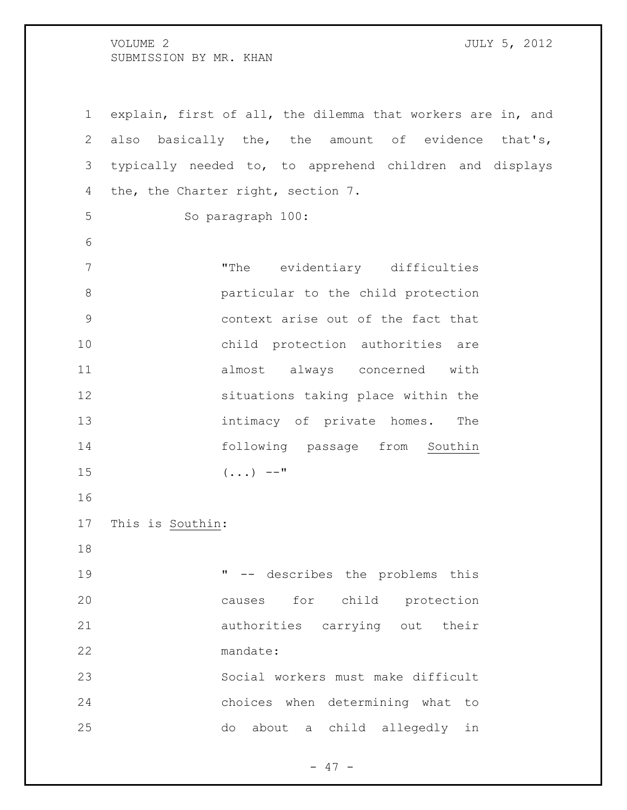explain, first of all, the dilemma that workers are in, and also basically the, the amount of evidence that's, typically needed to, to apprehend children and displays the, the Charter right, section 7. So paragraph 100: "The evidentiary difficulties particular to the child protection context arise out of the fact that child protection authorities are almost always concerned with situations taking place within the 13 intimacy of private homes. The 14 following passage from Southin (...)  $--"$  This is Southin: " -- describes the problems this causes for child protection authorities carrying out their mandate: Social workers must make difficult choices when determining what to do about a child allegedly in

 $- 47 -$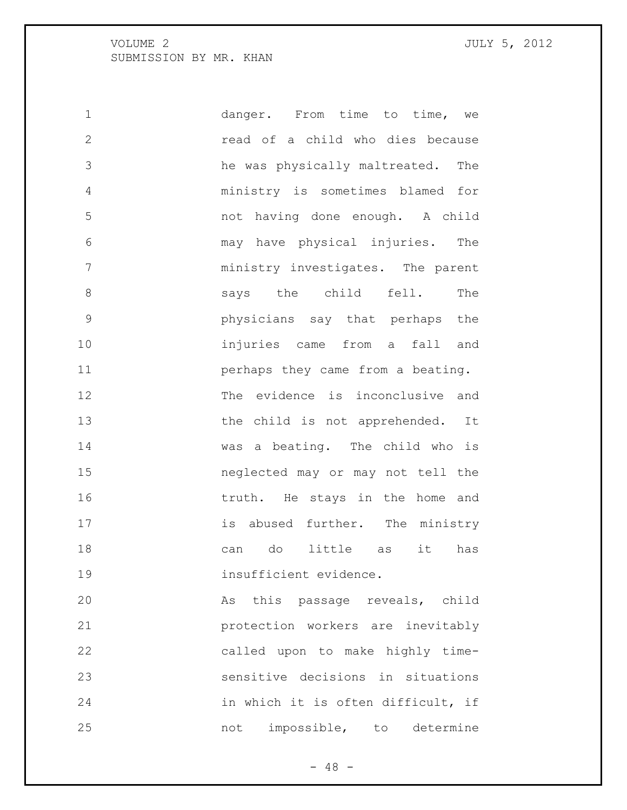danger. From time to time, we read of a child who dies because he was physically maltreated. The ministry is sometimes blamed for not having done enough. A child may have physical injuries. The ministry investigates. The parent 8 says the child fell. The physicians say that perhaps the injuries came from a fall and **perhaps** they came from a beating. The evidence is inconclusive and 13 the child is not apprehended. It was a beating. The child who is neglected may or may not tell the 16 truth. He stays in the home and 17 is abused further. The ministry can do little as it has 19 insufficient evidence. As this passage reveals, child protection workers are inevitably called upon to make highly time- sensitive decisions in situations 24 in which it is often difficult, if 25 not impossible, to determine

 $- 48 -$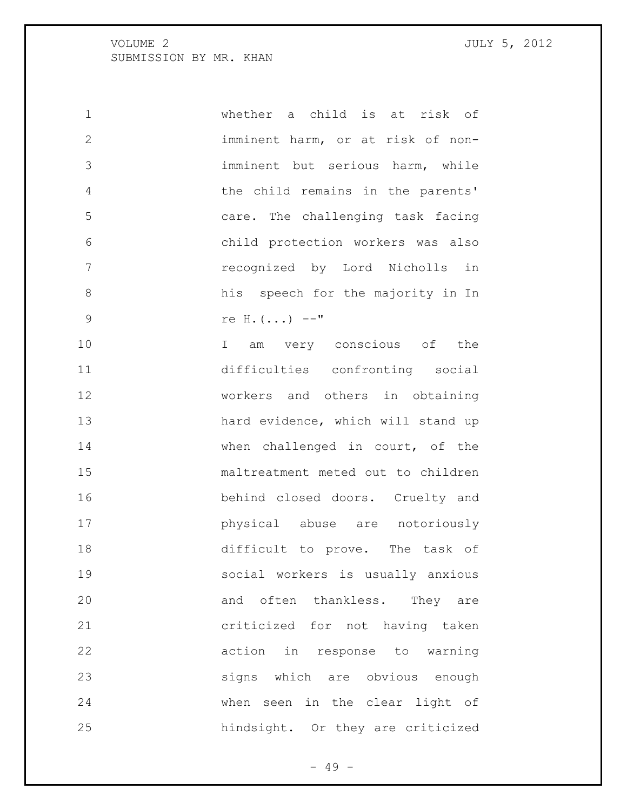| $\mathbf 1$  | whether a child is at risk of      |
|--------------|------------------------------------|
| $\mathbf{2}$ | imminent harm, or at risk of non-  |
| 3            | imminent but serious harm, while   |
| 4            | the child remains in the parents'  |
| 5            | care. The challenging task facing  |
| 6            | child protection workers was also  |
| 7            | recognized by Lord Nicholls in     |
| 8            | his speech for the majority in In  |
| $\mathsf 9$  | re H. $( \ldots )$ --"             |
| 10           | I am very conscious of the         |
| 11           | difficulties confronting social    |
| 12           | workers and others in obtaining    |
| 13           | hard evidence, which will stand up |
| 14           | when challenged in court, of the   |
| 15           | maltreatment meted out to children |
| 16           | behind closed doors. Cruelty and   |
| 17           | physical abuse are notoriously     |
| 18           | difficult to prove. The task of    |
| 19           | social workers is usually anxious  |
| 20           | and often thankless. They are      |
| 21           | criticized for not having taken    |
| 22           | action in response to warning      |
| 23           | signs which are obvious enough     |
| 24           | when seen in the clear light of    |
| 25           | hindsight. Or they are criticized  |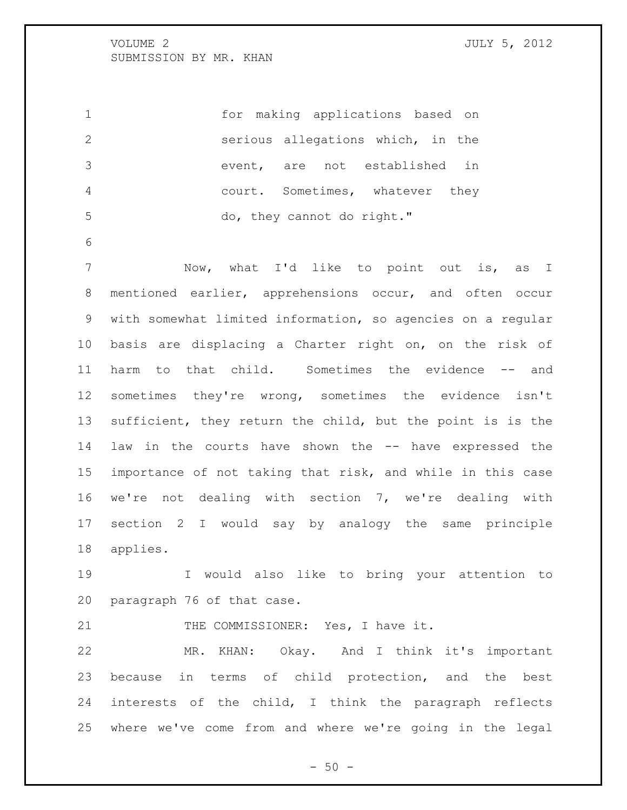for making applications based on serious allegations which, in the event, are not established in court. Sometimes, whatever they 5 do, they cannot do right." Now, what I'd like to point out is, as I mentioned earlier, apprehensions occur, and often occur with somewhat limited information, so agencies on a regular basis are displacing a Charter right on, on the risk of harm to that child. Sometimes the evidence -- and sometimes they're wrong, sometimes the evidence isn't sufficient, they return the child, but the point is is the law in the courts have shown the -- have expressed the importance of not taking that risk, and while in this case we're not dealing with section 7, we're dealing with section 2 I would say by analogy the same principle applies.

 I would also like to bring your attention to paragraph 76 of that case.

21 THE COMMISSIONER: Yes, I have it.

 MR. KHAN: Okay. And I think it's important because in terms of child protection, and the best interests of the child, I think the paragraph reflects where we've come from and where we're going in the legal

 $-50 -$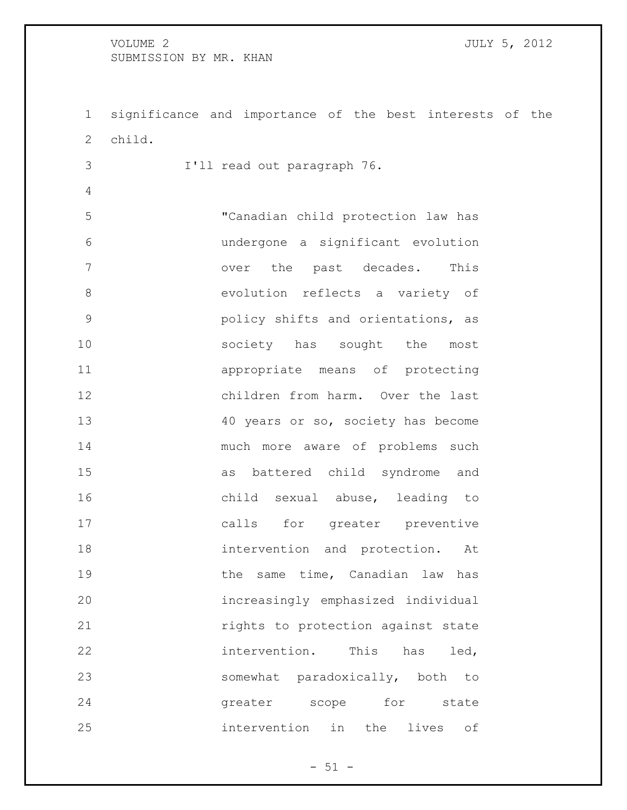significance and importance of the best interests of the child.

I'll read out paragraph 76.

 "Canadian child protection law has undergone a significant evolution 7 over the past decades. This evolution reflects a variety of policy shifts and orientations, as 10 society has sought the most appropriate means of protecting children from harm. Over the last 13 40 years or so, society has become much more aware of problems such as battered child syndrome and child sexual abuse, leading to calls for greater preventive intervention and protection. At 19 the same time, Canadian law has increasingly emphasized individual **rights** to protection against state intervention. This has led, somewhat paradoxically, both to 24 greater scope for state intervention in the lives of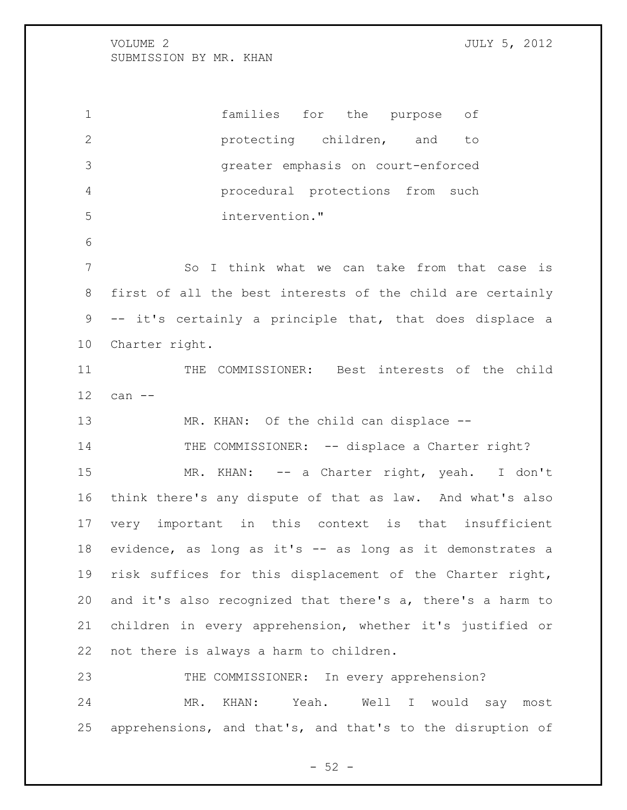protecting children, and to greater emphasis on court-enforced procedural protections from such intervention." 7 So I think what we can take from that case is first of all the best interests of the child are certainly -- it's certainly a principle that, that does displace a Charter right. 11 THE COMMISSIONER: Best interests of the child can -- 13 MR. KHAN: Of the child can displace --14 THE COMMISSIONER: -- displace a Charter right? 15 MR. KHAN: -- a Charter right, yeah. I don't think there's any dispute of that as law. And what's also very important in this context is that insufficient evidence, as long as it's -- as long as it demonstrates a risk suffices for this displacement of the Charter right, and it's also recognized that there's a, there's a harm to children in every apprehension, whether it's justified or not there is always a harm to children. 23 THE COMMISSIONER: In every apprehension? MR. KHAN: Yeah. Well I would say most

families for the purpose of

apprehensions, and that's, and that's to the disruption of

 $-52 -$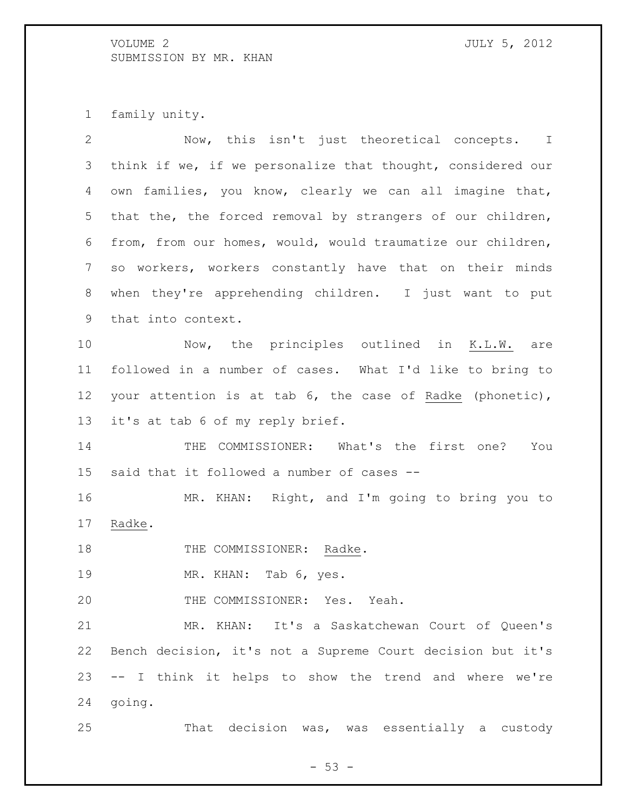family unity.

| $\overline{2}$ | Now, this isn't just theoretical concepts. I                |
|----------------|-------------------------------------------------------------|
| 3              | think if we, if we personalize that thought, considered our |
| 4              | own families, you know, clearly we can all imagine that,    |
| 5              | that the, the forced removal by strangers of our children,  |
| 6              | from, from our homes, would, would traumatize our children, |
| 7              | so workers, workers constantly have that on their minds     |
| 8              | when they're apprehending children. I just want to put      |
| 9              | that into context.                                          |
| 10             | Now, the principles outlined in K.L.W. are                  |
| 11             | followed in a number of cases. What I'd like to bring to    |
| 12             | your attention is at tab 6, the case of Radke (phonetic),   |
| 13             | it's at tab 6 of my reply brief.                            |
| 14             | THE COMMISSIONER: What's the first one?<br>You              |
| 15             | said that it followed a number of cases --                  |
| 16             | MR. KHAN: Right, and I'm going to bring you to              |
| 17             | Radke.                                                      |
| 18             | THE COMMISSIONER: Radke.                                    |
| 19             | MR. KHAN: Tab 6, yes.                                       |
| 20             | THE COMMISSIONER: Yes. Yeah.                                |
| 21             | MR. KHAN: It's a Saskatchewan Court of Queen's              |
| 22             | Bench decision, it's not a Supreme Court decision but it's  |
| 23             | -- I think it helps to show the trend and where we're       |
| 24             | going.                                                      |
| 25             | That decision was, was essentially a custody                |

- 53 -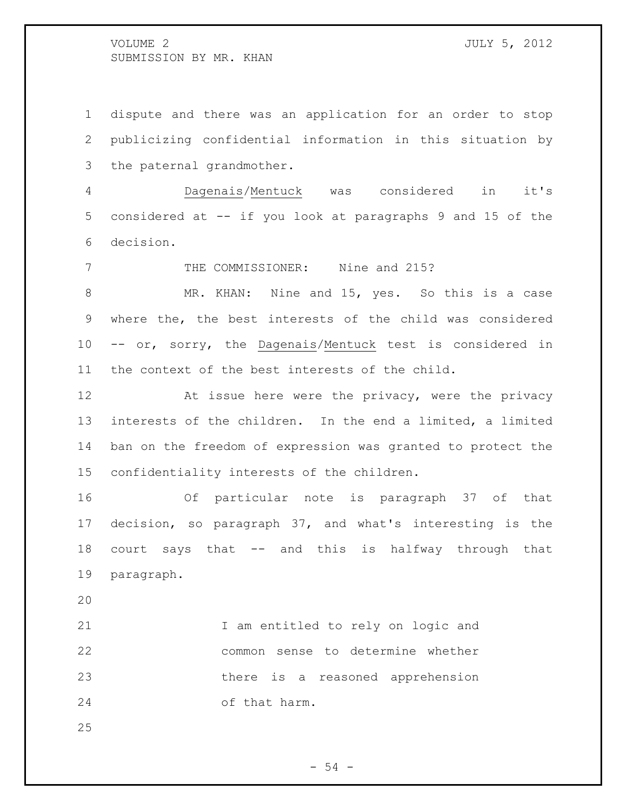dispute and there was an application for an order to stop publicizing confidential information in this situation by the paternal grandmother.

 Dagenais/Mentuck was considered in it's considered at -- if you look at paragraphs 9 and 15 of the decision.

THE COMMISSIONER: Nine and 215?

8 MR. KHAN: Nine and 15, yes. So this is a case where the, the best interests of the child was considered -- or, sorry, the Dagenais/Mentuck test is considered in the context of the best interests of the child.

12 At issue here were the privacy, were the privacy interests of the children. In the end a limited, a limited ban on the freedom of expression was granted to protect the confidentiality interests of the children.

 Of particular note is paragraph 37 of that decision, so paragraph 37, and what's interesting is the court says that -- and this is halfway through that paragraph.

21 1 am entitled to rely on logic and common sense to determine whether there is a reasoned apprehension of that harm.

 $-54 -$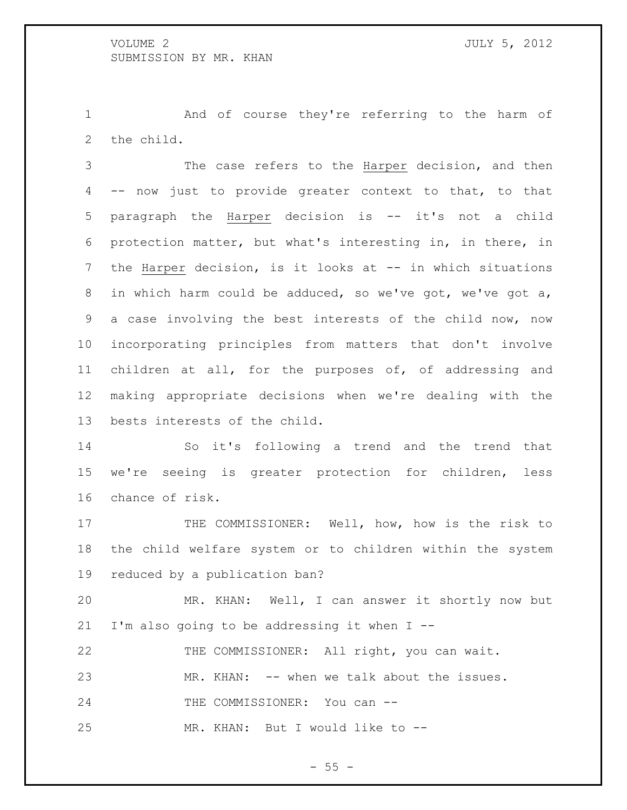And of course they're referring to the harm of the child.

 The case refers to the Harper decision, and then -- now just to provide greater context to that, to that paragraph the Harper decision is -- it's not a child protection matter, but what's interesting in, in there, in the Harper decision, is it looks at -- in which situations in which harm could be adduced, so we've got, we've got a, a case involving the best interests of the child now, now incorporating principles from matters that don't involve children at all, for the purposes of, of addressing and making appropriate decisions when we're dealing with the bests interests of the child.

 So it's following a trend and the trend that we're seeing is greater protection for children, less chance of risk.

17 THE COMMISSIONER: Well, how, how is the risk to the child welfare system or to children within the system reduced by a publication ban?

 MR. KHAN: Well, I can answer it shortly now but I'm also going to be addressing it when I --

THE COMMISSIONER: All right, you can wait.

MR. KHAN: -- when we talk about the issues.

24 THE COMMISSIONER: You can --

MR. KHAN: But I would like to --

 $-55 -$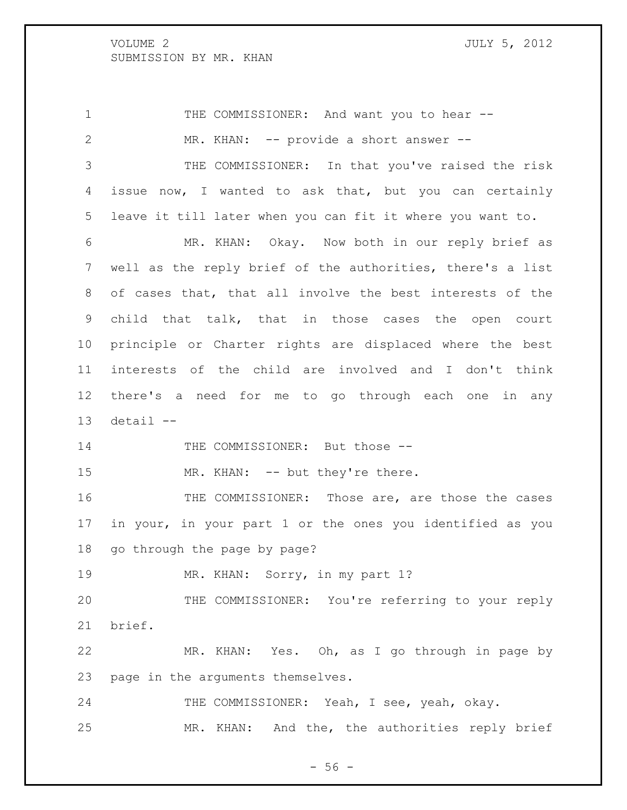1 THE COMMISSIONER: And want you to hear -- MR. KHAN: -- provide a short answer -- THE COMMISSIONER: In that you've raised the risk issue now, I wanted to ask that, but you can certainly leave it till later when you can fit it where you want to. MR. KHAN: Okay. Now both in our reply brief as well as the reply brief of the authorities, there's a list of cases that, that all involve the best interests of the child that talk, that in those cases the open court principle or Charter rights are displaced where the best interests of the child are involved and I don't think there's a need for me to go through each one in any detail  $-$ 14 THE COMMISSIONER: But those --15 MR. KHAN: -- but they're there. THE COMMISSIONER: Those are, are those the cases in your, in your part 1 or the ones you identified as you go through the page by page? 19 MR. KHAN: Sorry, in my part 1? THE COMMISSIONER: You're referring to your reply brief. MR. KHAN: Yes. Oh, as I go through in page by page in the arguments themselves. 24 THE COMMISSIONER: Yeah, I see, yeah, okay. MR. KHAN: And the, the authorities reply brief

 $-56 -$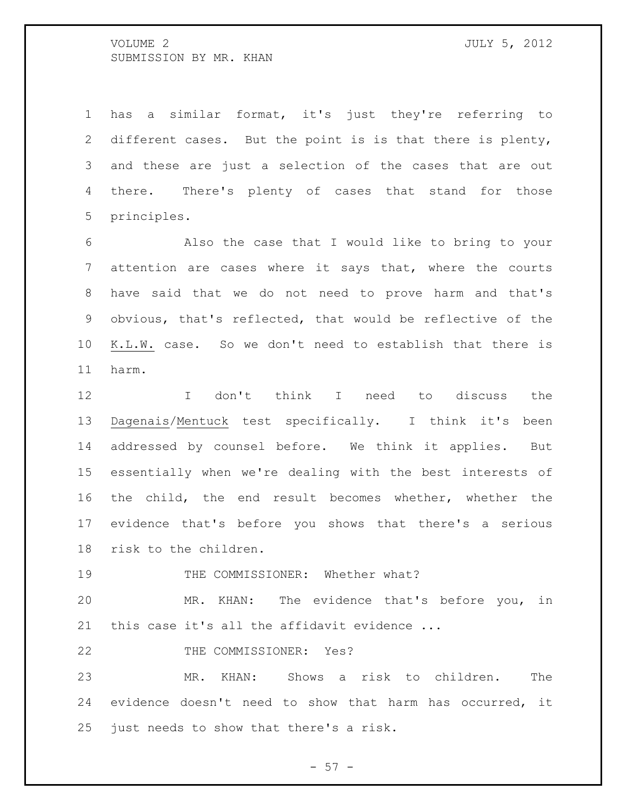has a similar format, it's just they're referring to different cases. But the point is is that there is plenty, and these are just a selection of the cases that are out there. There's plenty of cases that stand for those principles.

 Also the case that I would like to bring to your attention are cases where it says that, where the courts have said that we do not need to prove harm and that's obvious, that's reflected, that would be reflective of the K.L.W. case. So we don't need to establish that there is harm.

 I don't think I need to discuss the Dagenais/Mentuck test specifically. I think it's been addressed by counsel before. We think it applies. But essentially when we're dealing with the best interests of the child, the end result becomes whether, whether the evidence that's before you shows that there's a serious risk to the children.

19 THE COMMISSIONER: Whether what?

 MR. KHAN: The evidence that's before you, in 21 this case it's all the affidavit evidence ...

22 THE COMMISSIONER: Yes?

 MR. KHAN: Shows a risk to children. The evidence doesn't need to show that harm has occurred, it just needs to show that there's a risk.

- 57 -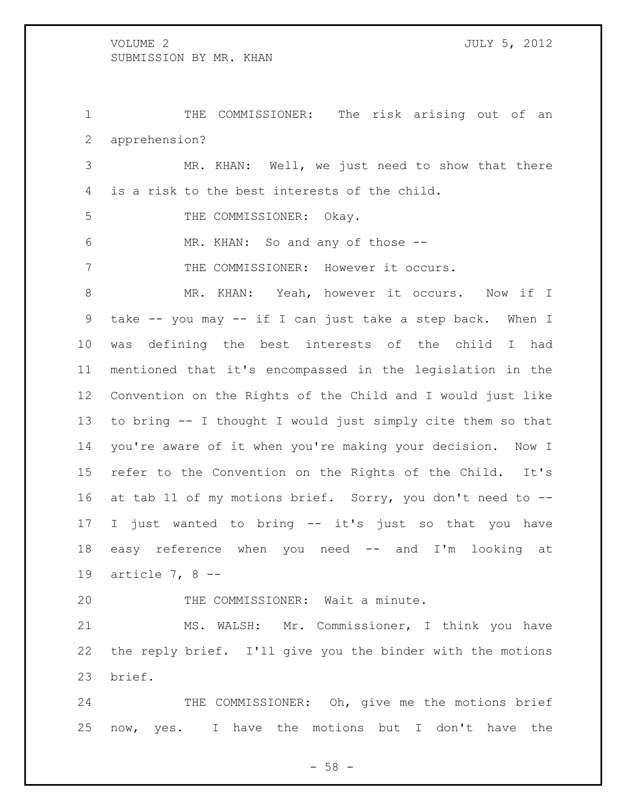THE COMMISSIONER: The risk arising out of an apprehension?

 MR. KHAN: Well, we just need to show that there is a risk to the best interests of the child.

5 THE COMMISSIONER: Okay.

MR. KHAN: So and any of those --

THE COMMISSIONER: However it occurs.

8 MR. KHAN: Yeah, however it occurs. Now if I take -- you may -- if I can just take a step back. When I was defining the best interests of the child I had mentioned that it's encompassed in the legislation in the Convention on the Rights of the Child and I would just like to bring -- I thought I would just simply cite them so that you're aware of it when you're making your decision. Now I refer to the Convention on the Rights of the Child. It's at tab 11 of my motions brief. Sorry, you don't need to -- I just wanted to bring -- it's just so that you have easy reference when you need -- and I'm looking at article 7, 8 --

THE COMMISSIONER: Wait a minute.

 MS. WALSH: Mr. Commissioner, I think you have the reply brief. I'll give you the binder with the motions brief.

24 THE COMMISSIONER: Oh, give me the motions brief now, yes. I have the motions but I don't have the

 $- 58 -$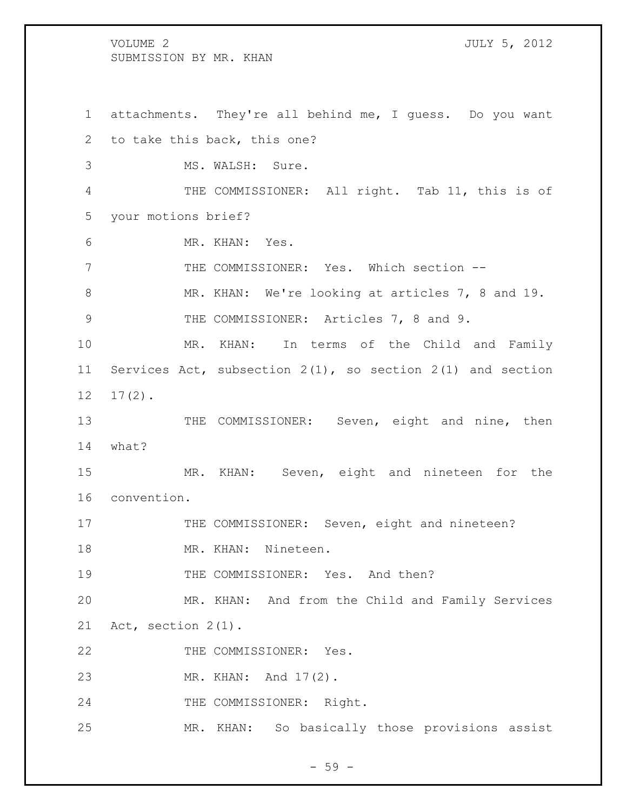attachments. They're all behind me, I guess. Do you want to take this back, this one? MS. WALSH: Sure. THE COMMISSIONER: All right. Tab 11, this is of your motions brief? MR. KHAN: Yes. THE COMMISSIONER: Yes. Which section -- MR. KHAN: We're looking at articles 7, 8 and 19. 9 THE COMMISSIONER: Articles 7, 8 and 9. MR. KHAN: In terms of the Child and Family Services Act, subsection 2(1), so section 2(1) and section 17(2). 13 THE COMMISSIONER: Seven, eight and nine, then what? MR. KHAN: Seven, eight and nineteen for the convention. 17 THE COMMISSIONER: Seven, eight and nineteen? 18 MR. KHAN: Nineteen. 19 THE COMMISSIONER: Yes. And then? MR. KHAN: And from the Child and Family Services Act, section 2(1). 22 THE COMMISSIONER: Yes. MR. KHAN: And 17(2). THE COMMISSIONER: Right. MR. KHAN: So basically those provisions assist

 $-59 -$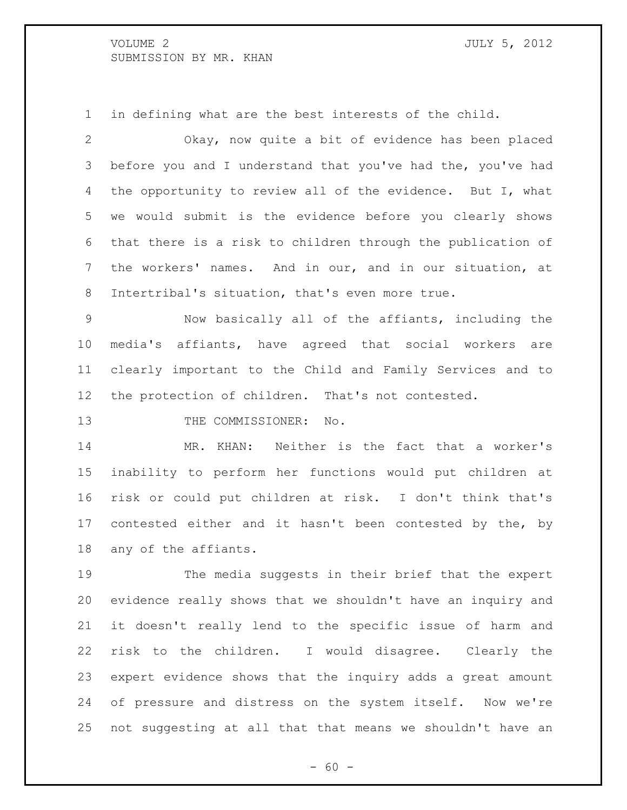in defining what are the best interests of the child.

 Okay, now quite a bit of evidence has been placed before you and I understand that you've had the, you've had 4 the opportunity to review all of the evidence. But I, what we would submit is the evidence before you clearly shows that there is a risk to children through the publication of the workers' names. And in our, and in our situation, at Intertribal's situation, that's even more true.

 Now basically all of the affiants, including the media's affiants, have agreed that social workers are clearly important to the Child and Family Services and to the protection of children. That's not contested.

13 THE COMMISSIONER: No.

 MR. KHAN: Neither is the fact that a worker's inability to perform her functions would put children at risk or could put children at risk. I don't think that's contested either and it hasn't been contested by the, by any of the affiants.

 The media suggests in their brief that the expert evidence really shows that we shouldn't have an inquiry and it doesn't really lend to the specific issue of harm and risk to the children. I would disagree. Clearly the expert evidence shows that the inquiry adds a great amount of pressure and distress on the system itself. Now we're not suggesting at all that that means we shouldn't have an

 $- 60 -$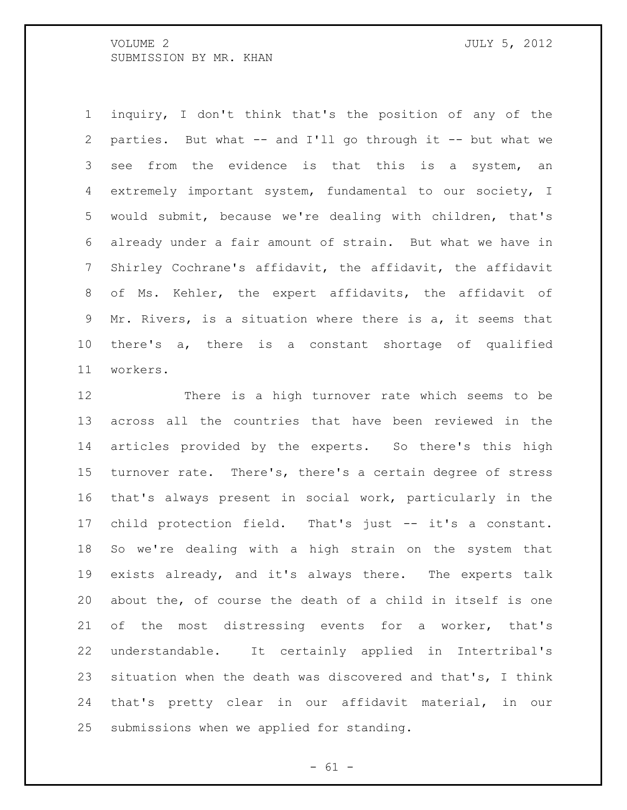inquiry, I don't think that's the position of any of the parties. But what -- and I'll go through it -- but what we see from the evidence is that this is a system, an extremely important system, fundamental to our society, I would submit, because we're dealing with children, that's already under a fair amount of strain. But what we have in Shirley Cochrane's affidavit, the affidavit, the affidavit of Ms. Kehler, the expert affidavits, the affidavit of Mr. Rivers, is a situation where there is a, it seems that there's a, there is a constant shortage of qualified workers.

 There is a high turnover rate which seems to be across all the countries that have been reviewed in the articles provided by the experts. So there's this high turnover rate. There's, there's a certain degree of stress that's always present in social work, particularly in the child protection field. That's just -- it's a constant. So we're dealing with a high strain on the system that exists already, and it's always there. The experts talk about the, of course the death of a child in itself is one of the most distressing events for a worker, that's understandable. It certainly applied in Intertribal's situation when the death was discovered and that's, I think that's pretty clear in our affidavit material, in our submissions when we applied for standing.

 $- 61 -$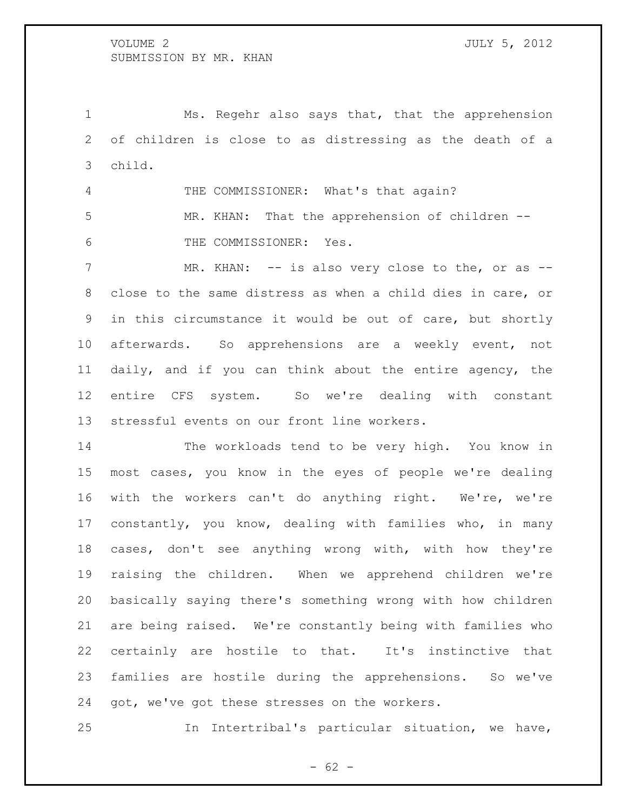Ms. Regehr also says that, that the apprehension of children is close to as distressing as the death of a child.

4 THE COMMISSIONER: What's that again? MR. KHAN: That the apprehension of children -- THE COMMISSIONER: Yes.

7 MR. KHAN: -- is also very close to the, or as -- close to the same distress as when a child dies in care, or in this circumstance it would be out of care, but shortly afterwards. So apprehensions are a weekly event, not daily, and if you can think about the entire agency, the entire CFS system. So we're dealing with constant stressful events on our front line workers.

 The workloads tend to be very high. You know in most cases, you know in the eyes of people we're dealing with the workers can't do anything right. We're, we're constantly, you know, dealing with families who, in many cases, don't see anything wrong with, with how they're raising the children. When we apprehend children we're basically saying there's something wrong with how children are being raised. We're constantly being with families who certainly are hostile to that. It's instinctive that families are hostile during the apprehensions. So we've got, we've got these stresses on the workers.

In Intertribal's particular situation, we have,

 $- 62 -$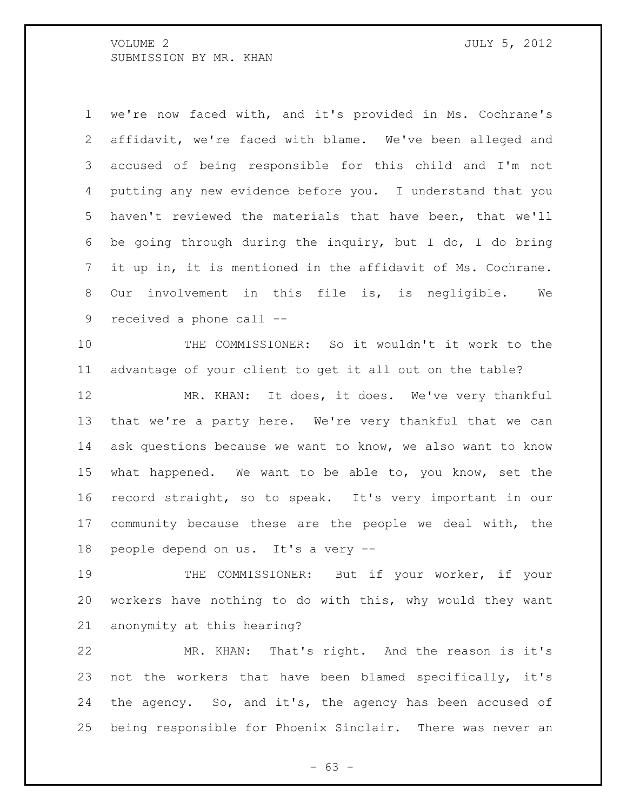we're now faced with, and it's provided in Ms. Cochrane's affidavit, we're faced with blame. We've been alleged and accused of being responsible for this child and I'm not putting any new evidence before you. I understand that you haven't reviewed the materials that have been, that we'll be going through during the inquiry, but I do, I do bring it up in, it is mentioned in the affidavit of Ms. Cochrane. Our involvement in this file is, is negligible. We received a phone call --

 THE COMMISSIONER: So it wouldn't it work to the advantage of your client to get it all out on the table?

12 MR. KHAN: It does, it does. We've very thankful that we're a party here. We're very thankful that we can ask questions because we want to know, we also want to know what happened. We want to be able to, you know, set the record straight, so to speak. It's very important in our community because these are the people we deal with, the people depend on us. It's a very --

 THE COMMISSIONER: But if your worker, if your workers have nothing to do with this, why would they want anonymity at this hearing?

 MR. KHAN: That's right. And the reason is it's not the workers that have been blamed specifically, it's the agency. So, and it's, the agency has been accused of being responsible for Phoenix Sinclair. There was never an

- 63 -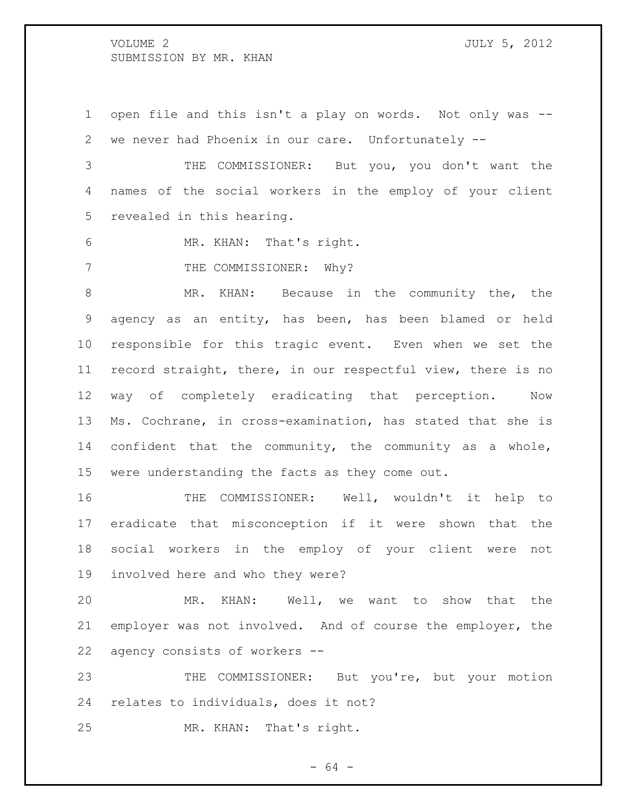open file and this isn't a play on words. Not only was -- we never had Phoenix in our care. Unfortunately --

 THE COMMISSIONER: But you, you don't want the names of the social workers in the employ of your client revealed in this hearing.

MR. KHAN: That's right.

7 THE COMMISSIONER: Why?

 MR. KHAN: Because in the community the, the agency as an entity, has been, has been blamed or held responsible for this tragic event. Even when we set the record straight, there, in our respectful view, there is no way of completely eradicating that perception. Now Ms. Cochrane, in cross-examination, has stated that she is confident that the community, the community as a whole, were understanding the facts as they come out.

 THE COMMISSIONER: Well, wouldn't it help to eradicate that misconception if it were shown that the social workers in the employ of your client were not involved here and who they were?

 MR. KHAN: Well, we want to show that the employer was not involved. And of course the employer, the agency consists of workers --

 THE COMMISSIONER: But you're, but your motion relates to individuals, does it not?

MR. KHAN: That's right.

- 64 -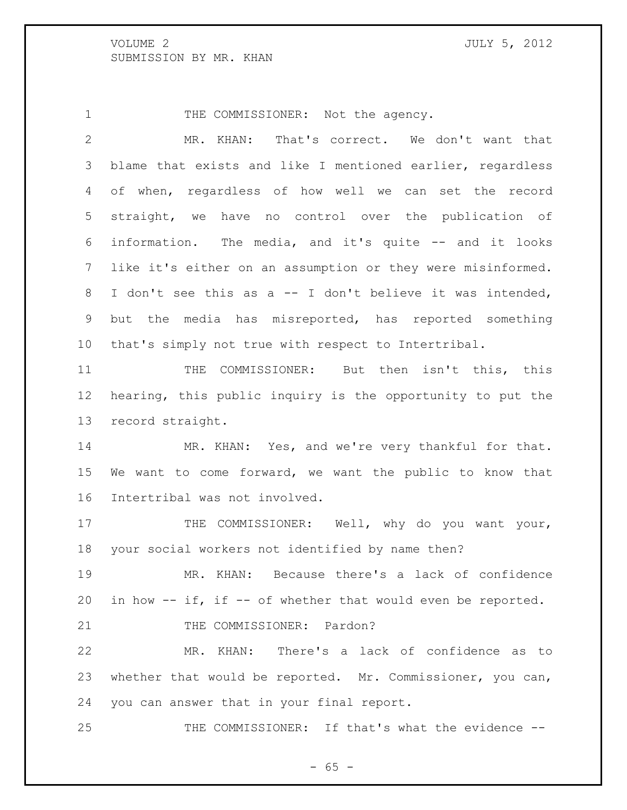1 THE COMMISSIONER: Not the agency.

 MR. KHAN: That's correct. We don't want that blame that exists and like I mentioned earlier, regardless of when, regardless of how well we can set the record straight, we have no control over the publication of information. The media, and it's quite -- and it looks like it's either on an assumption or they were misinformed. I don't see this as a -- I don't believe it was intended, but the media has misreported, has reported something that's simply not true with respect to Intertribal.

 THE COMMISSIONER: But then isn't this, this hearing, this public inquiry is the opportunity to put the record straight.

14 MR. KHAN: Yes, and we're very thankful for that. We want to come forward, we want the public to know that Intertribal was not involved.

17 THE COMMISSIONER: Well, why do you want your, your social workers not identified by name then?

 MR. KHAN: Because there's a lack of confidence in how -- if, if -- of whether that would even be reported.

21 THE COMMISSIONER: Pardon?

 MR. KHAN: There's a lack of confidence as to whether that would be reported. Mr. Commissioner, you can, you can answer that in your final report.

THE COMMISSIONER: If that's what the evidence --

 $- 65 -$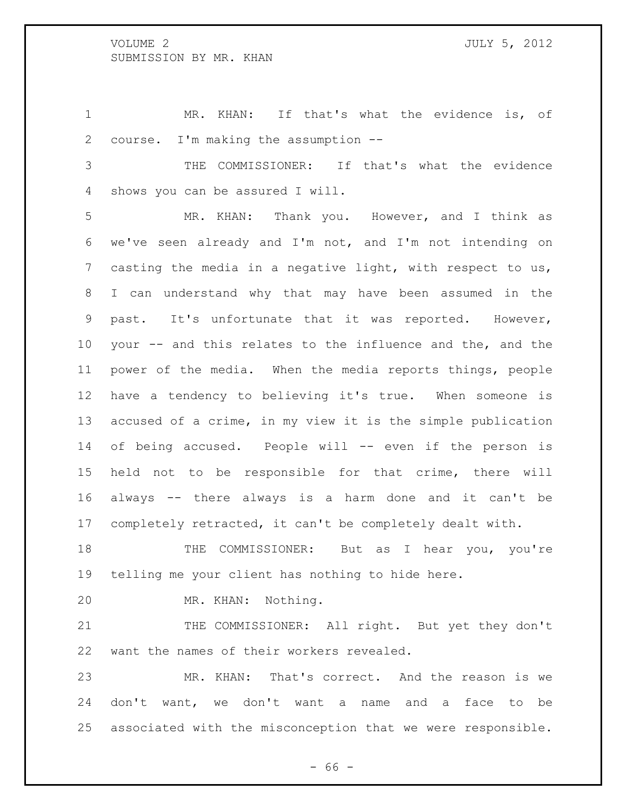MR. KHAN: If that's what the evidence is, of course. I'm making the assumption --

 THE COMMISSIONER: If that's what the evidence shows you can be assured I will.

 MR. KHAN: Thank you. However, and I think as we've seen already and I'm not, and I'm not intending on casting the media in a negative light, with respect to us, I can understand why that may have been assumed in the past. It's unfortunate that it was reported. However, your -- and this relates to the influence and the, and the power of the media. When the media reports things, people have a tendency to believing it's true. When someone is accused of a crime, in my view it is the simple publication of being accused. People will -- even if the person is held not to be responsible for that crime, there will always -- there always is a harm done and it can't be completely retracted, it can't be completely dealt with.

 THE COMMISSIONER: But as I hear you, you're telling me your client has nothing to hide here.

MR. KHAN: Nothing.

21 THE COMMISSIONER: All right. But yet they don't want the names of their workers revealed.

 MR. KHAN: That's correct. And the reason is we don't want, we don't want a name and a face to be associated with the misconception that we were responsible.

- 66 -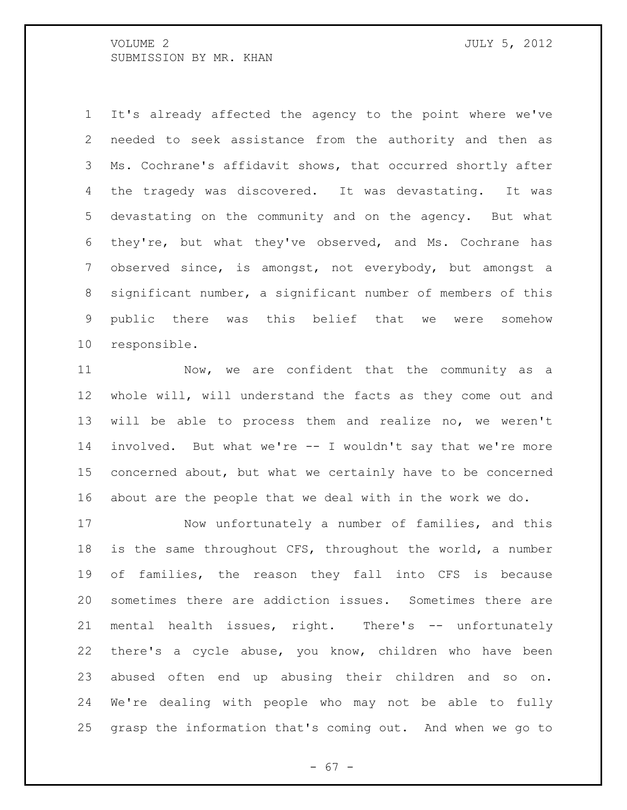It's already affected the agency to the point where we've needed to seek assistance from the authority and then as Ms. Cochrane's affidavit shows, that occurred shortly after the tragedy was discovered. It was devastating. It was devastating on the community and on the agency. But what they're, but what they've observed, and Ms. Cochrane has observed since, is amongst, not everybody, but amongst a significant number, a significant number of members of this public there was this belief that we were somehow responsible.

 Now, we are confident that the community as a whole will, will understand the facts as they come out and will be able to process them and realize no, we weren't involved. But what we're -- I wouldn't say that we're more concerned about, but what we certainly have to be concerned about are the people that we deal with in the work we do.

 Now unfortunately a number of families, and this is the same throughout CFS, throughout the world, a number of families, the reason they fall into CFS is because sometimes there are addiction issues. Sometimes there are 21 mental health issues, right. There's -- unfortunately there's a cycle abuse, you know, children who have been abused often end up abusing their children and so on. We're dealing with people who may not be able to fully grasp the information that's coming out. And when we go to

- 67 -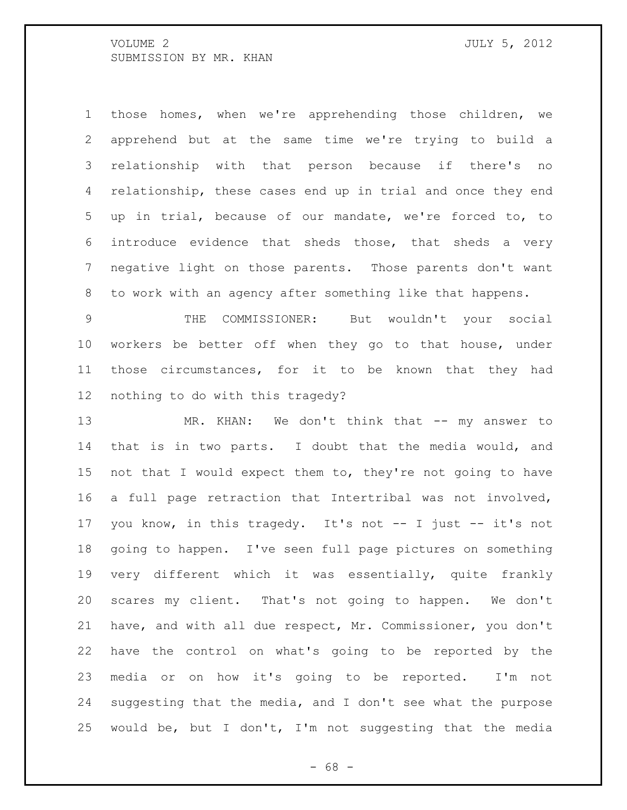those homes, when we're apprehending those children, we apprehend but at the same time we're trying to build a relationship with that person because if there's no 4 relationship, these cases end up in trial and once they end up in trial, because of our mandate, we're forced to, to introduce evidence that sheds those, that sheds a very negative light on those parents. Those parents don't want to work with an agency after something like that happens.

 THE COMMISSIONER: But wouldn't your social workers be better off when they go to that house, under those circumstances, for it to be known that they had nothing to do with this tragedy?

13 MR. KHAN: We don't think that -- my answer to that is in two parts. I doubt that the media would, and not that I would expect them to, they're not going to have a full page retraction that Intertribal was not involved, you know, in this tragedy. It's not -- I just -- it's not going to happen. I've seen full page pictures on something very different which it was essentially, quite frankly scares my client. That's not going to happen. We don't have, and with all due respect, Mr. Commissioner, you don't have the control on what's going to be reported by the media or on how it's going to be reported. I'm not suggesting that the media, and I don't see what the purpose would be, but I don't, I'm not suggesting that the media

- 68 -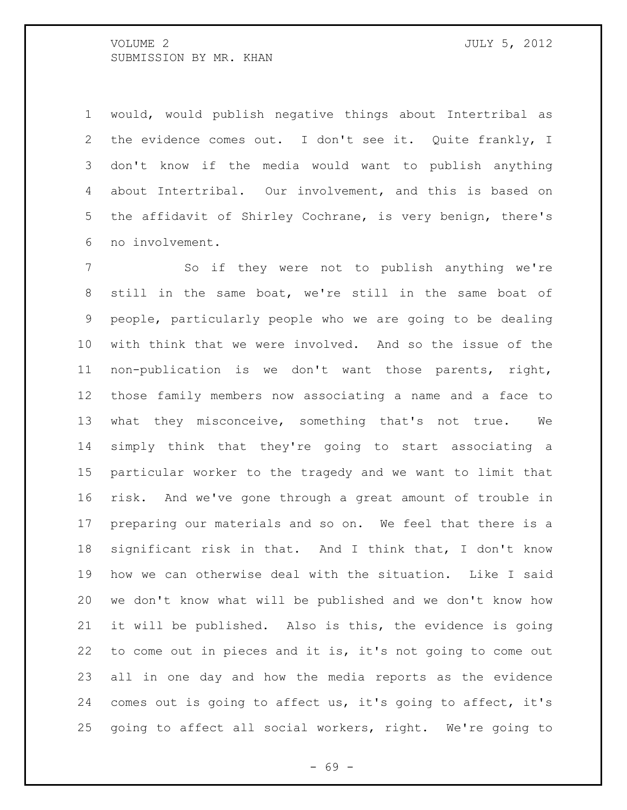would, would publish negative things about Intertribal as the evidence comes out. I don't see it. Quite frankly, I don't know if the media would want to publish anything about Intertribal. Our involvement, and this is based on the affidavit of Shirley Cochrane, is very benign, there's no involvement.

 So if they were not to publish anything we're still in the same boat, we're still in the same boat of people, particularly people who we are going to be dealing with think that we were involved. And so the issue of the non-publication is we don't want those parents, right, those family members now associating a name and a face to what they misconceive, something that's not true. We simply think that they're going to start associating a particular worker to the tragedy and we want to limit that risk. And we've gone through a great amount of trouble in preparing our materials and so on. We feel that there is a significant risk in that. And I think that, I don't know how we can otherwise deal with the situation. Like I said we don't know what will be published and we don't know how it will be published. Also is this, the evidence is going to come out in pieces and it is, it's not going to come out all in one day and how the media reports as the evidence comes out is going to affect us, it's going to affect, it's going to affect all social workers, right. We're going to

- 69 -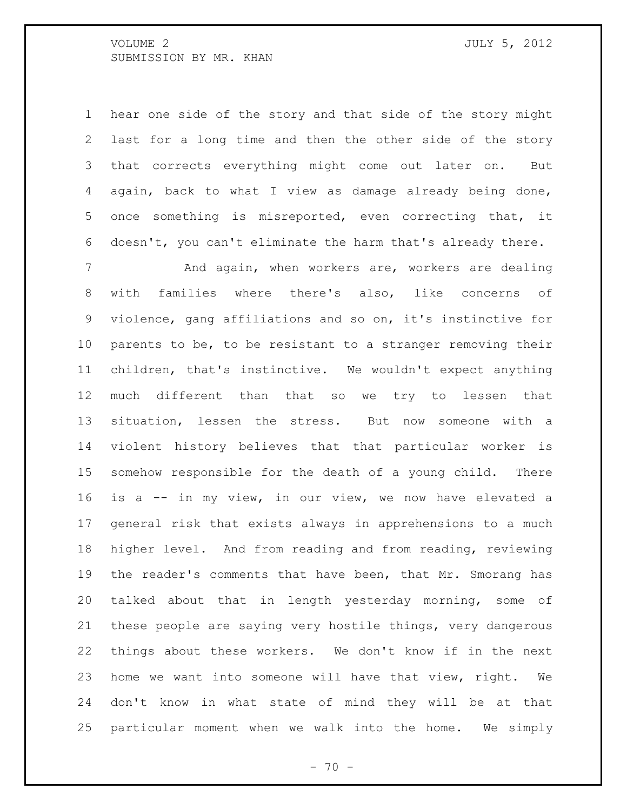| 1 hear one side of the story and that side of the story might |
|---------------------------------------------------------------|
| 2 last for a long time and then the other side of the story   |
| 3 that corrects everything might come out later on.<br>But    |
| 4 again, back to what I view as damage already being done,    |
| 5 once something is misreported, even correcting that, it     |
| 6 doesn't, you can't eliminate the harm that's already there. |

7 and again, when workers are, workers are dealing with families where there's also, like concerns of violence, gang affiliations and so on, it's instinctive for parents to be, to be resistant to a stranger removing their children, that's instinctive. We wouldn't expect anything much different than that so we try to lessen that situation, lessen the stress. But now someone with a violent history believes that that particular worker is somehow responsible for the death of a young child. There is a -- in my view, in our view, we now have elevated a general risk that exists always in apprehensions to a much higher level. And from reading and from reading, reviewing the reader's comments that have been, that Mr. Smorang has talked about that in length yesterday morning, some of these people are saying very hostile things, very dangerous things about these workers. We don't know if in the next home we want into someone will have that view, right. We don't know in what state of mind they will be at that particular moment when we walk into the home. We simply

 $- 70 -$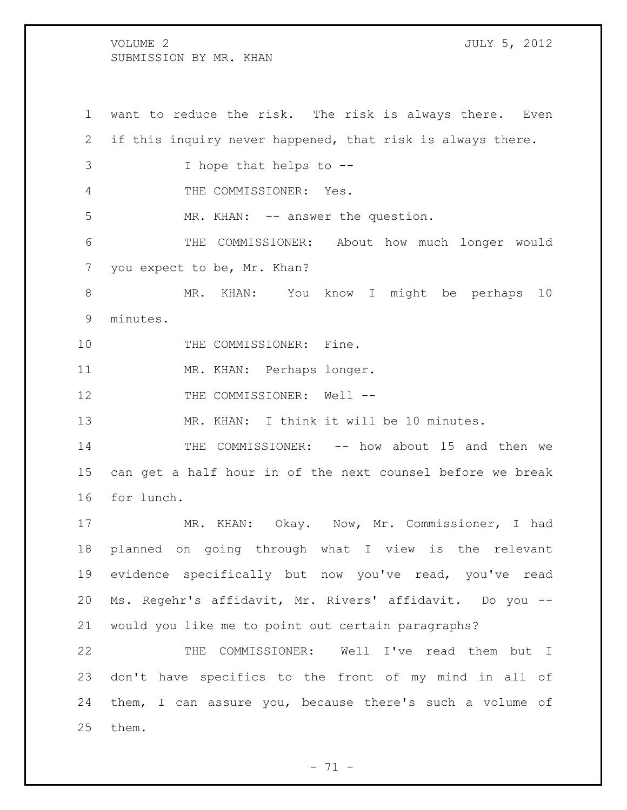want to reduce the risk. The risk is always there. Even if this inquiry never happened, that risk is always there. I hope that helps to -- THE COMMISSIONER: Yes. 5 MR. KHAN: -- answer the question. THE COMMISSIONER: About how much longer would you expect to be, Mr. Khan? MR. KHAN: You know I might be perhaps 10 minutes. 10 THE COMMISSIONER: Fine. MR. KHAN: Perhaps longer. 12 THE COMMISSIONER: Well -- MR. KHAN: I think it will be 10 minutes. THE COMMISSIONER: -- how about 15 and then we can get a half hour in of the next counsel before we break for lunch. MR. KHAN: Okay. Now, Mr. Commissioner, I had planned on going through what I view is the relevant evidence specifically but now you've read, you've read Ms. Regehr's affidavit, Mr. Rivers' affidavit. Do you -- would you like me to point out certain paragraphs? THE COMMISSIONER: Well I've read them but I don't have specifics to the front of my mind in all of them, I can assure you, because there's such a volume of them.

 $- 71 -$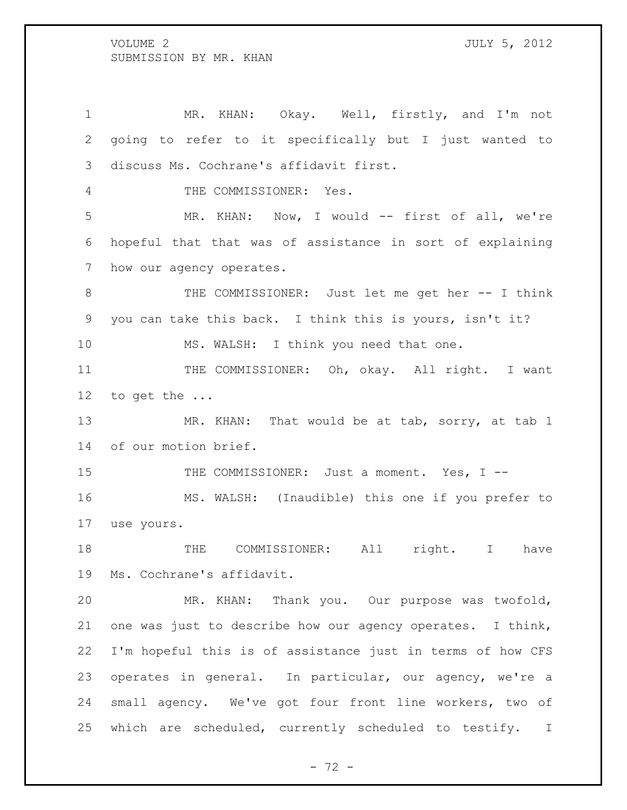MR. KHAN: Okay. Well, firstly, and I'm not going to refer to it specifically but I just wanted to discuss Ms. Cochrane's affidavit first. THE COMMISSIONER: Yes. 5 MR. KHAN: Now, I would -- first of all, we're hopeful that that was of assistance in sort of explaining how our agency operates. 8 THE COMMISSIONER: Just let me get her -- I think you can take this back. I think this is yours, isn't it? 10 MS. WALSH: I think you need that one. 11 THE COMMISSIONER: Oh, okay. All right. I want to get the ... 13 MR. KHAN: That would be at tab, sorry, at tab 1 of our motion brief. 15 THE COMMISSIONER: Just a moment. Yes, I -- MS. WALSH: (Inaudible) this one if you prefer to use yours. THE COMMISSIONER: All right. I have Ms. Cochrane's affidavit. MR. KHAN: Thank you. Our purpose was twofold, one was just to describe how our agency operates. I think, I'm hopeful this is of assistance just in terms of how CFS operates in general. In particular, our agency, we're a small agency. We've got four front line workers, two of which are scheduled, currently scheduled to testify. I

 $- 72 -$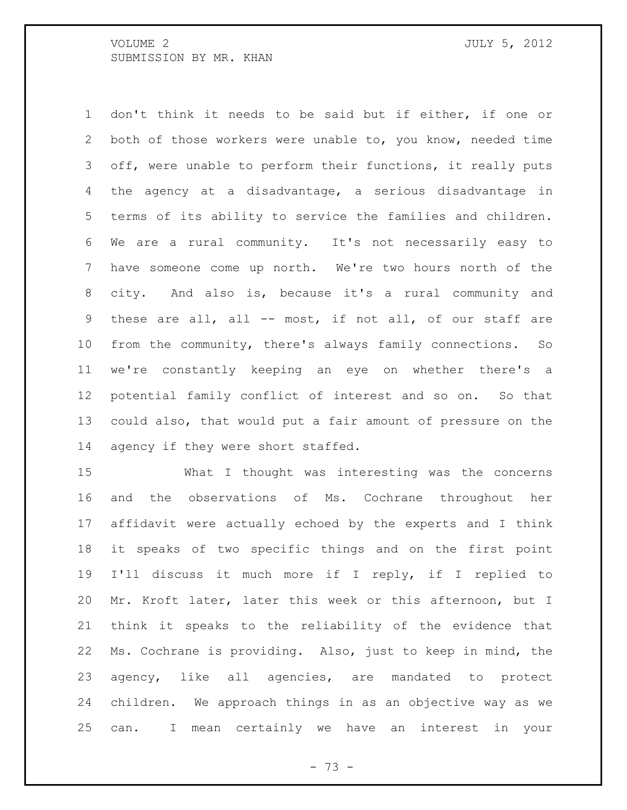don't think it needs to be said but if either, if one or both of those workers were unable to, you know, needed time off, were unable to perform their functions, it really puts the agency at a disadvantage, a serious disadvantage in terms of its ability to service the families and children. We are a rural community. It's not necessarily easy to have someone come up north. We're two hours north of the city. And also is, because it's a rural community and these are all, all -- most, if not all, of our staff are from the community, there's always family connections. So we're constantly keeping an eye on whether there's a potential family conflict of interest and so on. So that could also, that would put a fair amount of pressure on the agency if they were short staffed.

 What I thought was interesting was the concerns and the observations of Ms. Cochrane throughout her affidavit were actually echoed by the experts and I think it speaks of two specific things and on the first point I'll discuss it much more if I reply, if I replied to Mr. Kroft later, later this week or this afternoon, but I think it speaks to the reliability of the evidence that Ms. Cochrane is providing. Also, just to keep in mind, the agency, like all agencies, are mandated to protect children. We approach things in as an objective way as we can. I mean certainly we have an interest in your

- 73 -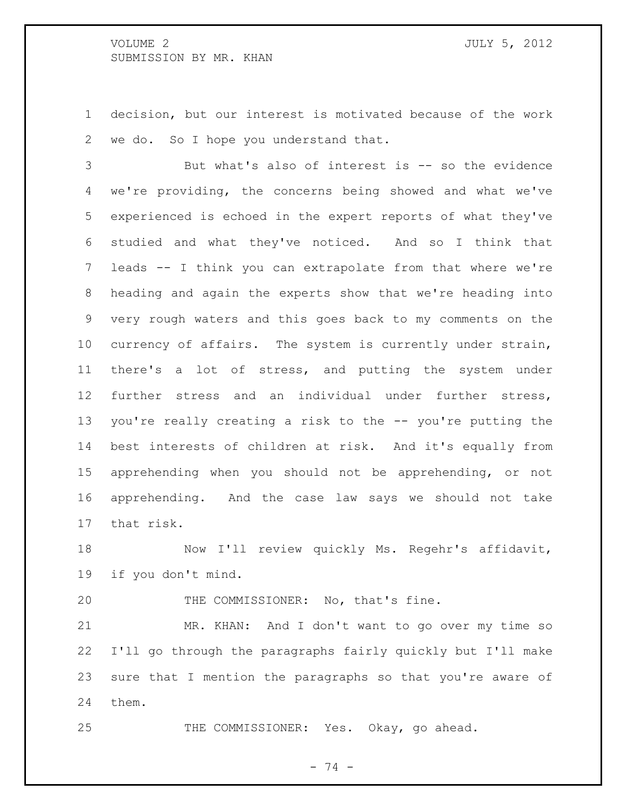decision, but our interest is motivated because of the work we do. So I hope you understand that.

 But what's also of interest is -- so the evidence we're providing, the concerns being showed and what we've experienced is echoed in the expert reports of what they've studied and what they've noticed. And so I think that leads -- I think you can extrapolate from that where we're heading and again the experts show that we're heading into very rough waters and this goes back to my comments on the currency of affairs. The system is currently under strain, there's a lot of stress, and putting the system under further stress and an individual under further stress, you're really creating a risk to the -- you're putting the best interests of children at risk. And it's equally from apprehending when you should not be apprehending, or not apprehending. And the case law says we should not take that risk.

18 Now I'll review quickly Ms. Regehr's affidavit, if you don't mind.

20 THE COMMISSIONER: No, that's fine.

 MR. KHAN: And I don't want to go over my time so I'll go through the paragraphs fairly quickly but I'll make sure that I mention the paragraphs so that you're aware of them.

THE COMMISSIONER: Yes. Okay, go ahead.

- 74 -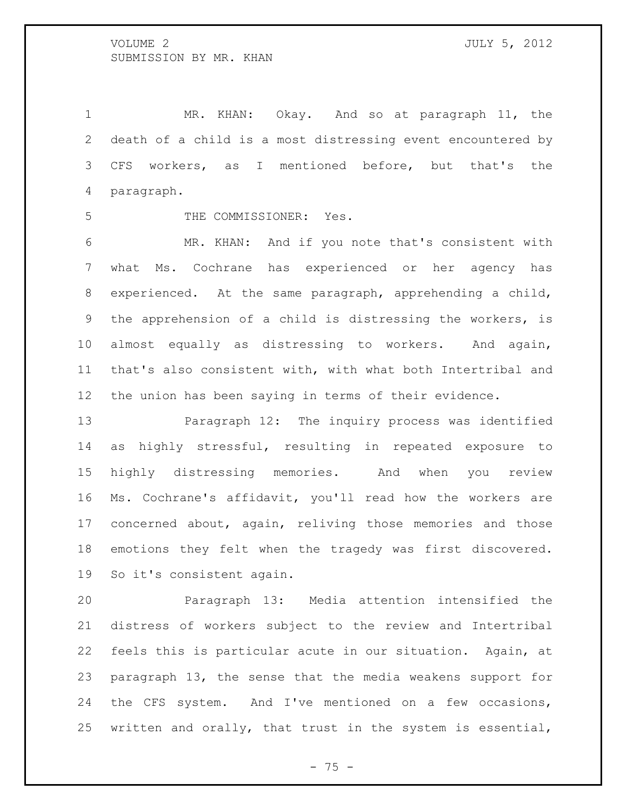MR. KHAN: Okay. And so at paragraph 11, the death of a child is a most distressing event encountered by CFS workers, as I mentioned before, but that's the paragraph.

THE COMMISSIONER: Yes.

 MR. KHAN: And if you note that's consistent with what Ms. Cochrane has experienced or her agency has experienced. At the same paragraph, apprehending a child, the apprehension of a child is distressing the workers, is almost equally as distressing to workers. And again, that's also consistent with, with what both Intertribal and the union has been saying in terms of their evidence.

 Paragraph 12: The inquiry process was identified as highly stressful, resulting in repeated exposure to highly distressing memories. And when you review Ms. Cochrane's affidavit, you'll read how the workers are concerned about, again, reliving those memories and those emotions they felt when the tragedy was first discovered. So it's consistent again.

 Paragraph 13: Media attention intensified the distress of workers subject to the review and Intertribal feels this is particular acute in our situation. Again, at paragraph 13, the sense that the media weakens support for the CFS system. And I've mentioned on a few occasions, written and orally, that trust in the system is essential,

- 75 -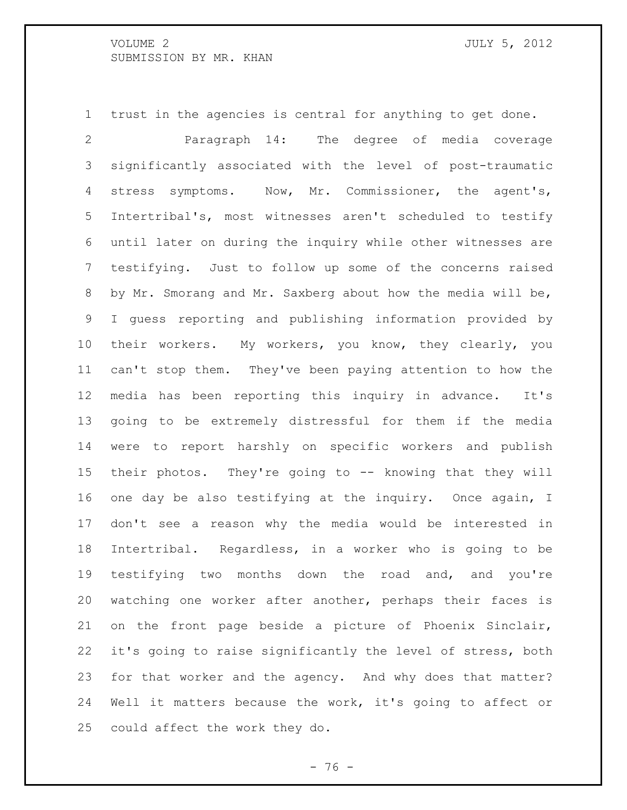trust in the agencies is central for anything to get done.

 Paragraph 14: The degree of media coverage significantly associated with the level of post-traumatic stress symptoms. Now, Mr. Commissioner, the agent's, Intertribal's, most witnesses aren't scheduled to testify until later on during the inquiry while other witnesses are testifying. Just to follow up some of the concerns raised by Mr. Smorang and Mr. Saxberg about how the media will be, I guess reporting and publishing information provided by their workers. My workers, you know, they clearly, you can't stop them. They've been paying attention to how the media has been reporting this inquiry in advance. It's going to be extremely distressful for them if the media were to report harshly on specific workers and publish their photos. They're going to -- knowing that they will one day be also testifying at the inquiry. Once again, I don't see a reason why the media would be interested in Intertribal. Regardless, in a worker who is going to be testifying two months down the road and, and you're watching one worker after another, perhaps their faces is on the front page beside a picture of Phoenix Sinclair, it's going to raise significantly the level of stress, both for that worker and the agency. And why does that matter? Well it matters because the work, it's going to affect or could affect the work they do.

- 76 -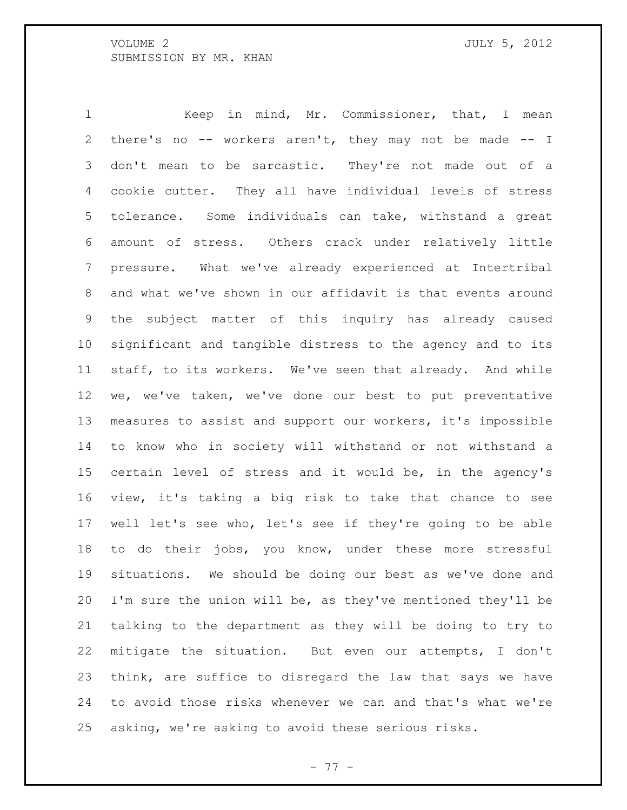Keep in mind, Mr. Commissioner, that, I mean there's no -- workers aren't, they may not be made -- I don't mean to be sarcastic. They're not made out of a cookie cutter. They all have individual levels of stress tolerance. Some individuals can take, withstand a great amount of stress. Others crack under relatively little pressure. What we've already experienced at Intertribal and what we've shown in our affidavit is that events around the subject matter of this inquiry has already caused significant and tangible distress to the agency and to its staff, to its workers. We've seen that already. And while we, we've taken, we've done our best to put preventative measures to assist and support our workers, it's impossible to know who in society will withstand or not withstand a certain level of stress and it would be, in the agency's view, it's taking a big risk to take that chance to see well let's see who, let's see if they're going to be able to do their jobs, you know, under these more stressful situations. We should be doing our best as we've done and I'm sure the union will be, as they've mentioned they'll be talking to the department as they will be doing to try to mitigate the situation. But even our attempts, I don't think, are suffice to disregard the law that says we have to avoid those risks whenever we can and that's what we're asking, we're asking to avoid these serious risks.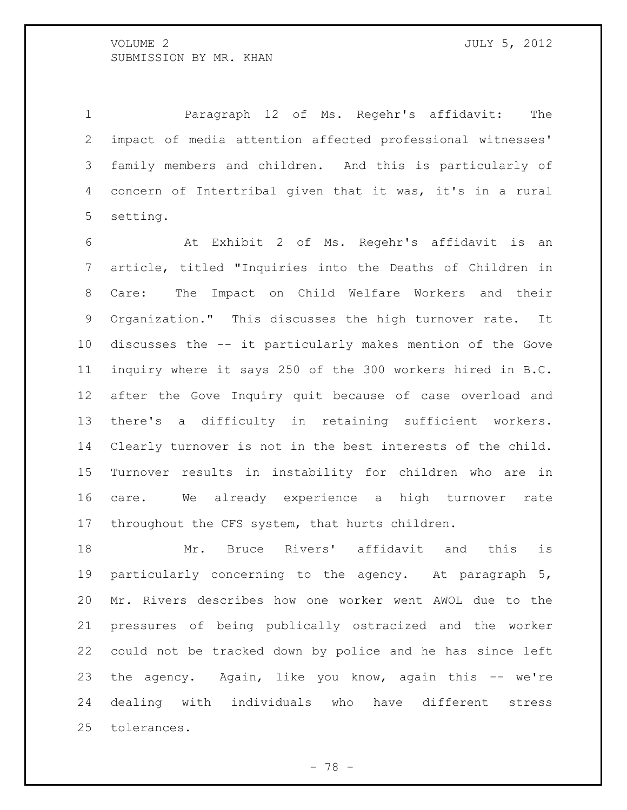Paragraph 12 of Ms. Regehr's affidavit: The impact of media attention affected professional witnesses' family members and children. And this is particularly of concern of Intertribal given that it was, it's in a rural setting.

 At Exhibit 2 of Ms. Regehr's affidavit is an article, titled "Inquiries into the Deaths of Children in Care: The Impact on Child Welfare Workers and their Organization." This discusses the high turnover rate. It discusses the -- it particularly makes mention of the Gove inquiry where it says 250 of the 300 workers hired in B.C. after the Gove Inquiry quit because of case overload and there's a difficulty in retaining sufficient workers. Clearly turnover is not in the best interests of the child. Turnover results in instability for children who are in care. We already experience a high turnover rate throughout the CFS system, that hurts children.

 Mr. Bruce Rivers' affidavit and this is particularly concerning to the agency. At paragraph 5, Mr. Rivers describes how one worker went AWOL due to the pressures of being publically ostracized and the worker could not be tracked down by police and he has since left the agency. Again, like you know, again this -- we're dealing with individuals who have different stress tolerances.

- 78 -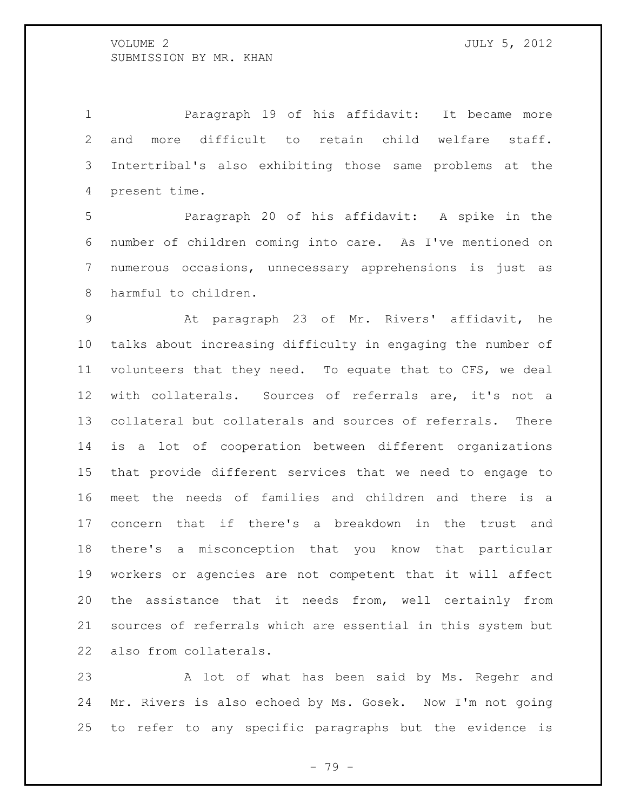Paragraph 19 of his affidavit: It became more and more difficult to retain child welfare staff. Intertribal's also exhibiting those same problems at the present time.

 Paragraph 20 of his affidavit: A spike in the number of children coming into care. As I've mentioned on numerous occasions, unnecessary apprehensions is just as harmful to children.

 At paragraph 23 of Mr. Rivers' affidavit, he talks about increasing difficulty in engaging the number of volunteers that they need. To equate that to CFS, we deal with collaterals. Sources of referrals are, it's not a collateral but collaterals and sources of referrals. There is a lot of cooperation between different organizations that provide different services that we need to engage to meet the needs of families and children and there is a concern that if there's a breakdown in the trust and there's a misconception that you know that particular workers or agencies are not competent that it will affect the assistance that it needs from, well certainly from sources of referrals which are essential in this system but also from collaterals.

 A lot of what has been said by Ms. Regehr and Mr. Rivers is also echoed by Ms. Gosek. Now I'm not going to refer to any specific paragraphs but the evidence is

- 79 -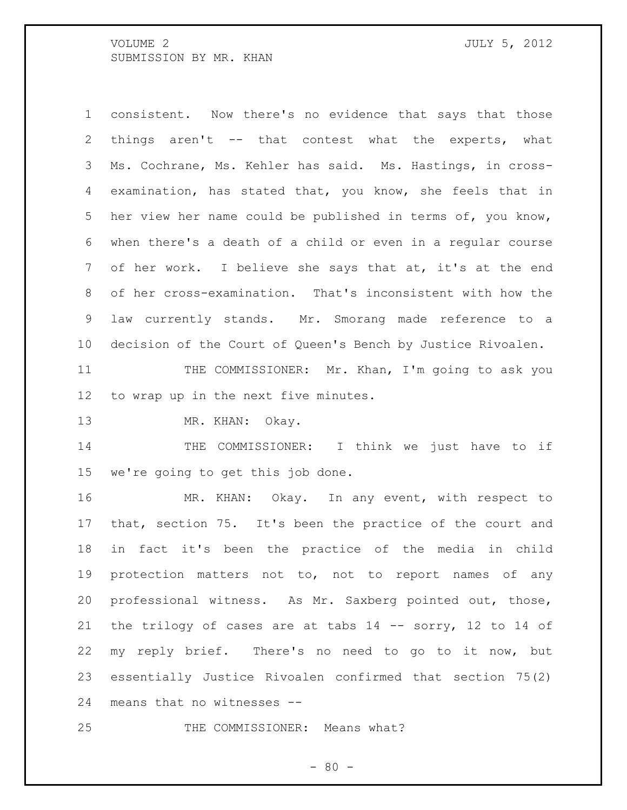consistent. Now there's no evidence that says that those things aren't -- that contest what the experts, what Ms. Cochrane, Ms. Kehler has said. Ms. Hastings, in cross- examination, has stated that, you know, she feels that in her view her name could be published in terms of, you know, when there's a death of a child or even in a regular course of her work. I believe she says that at, it's at the end of her cross-examination. That's inconsistent with how the law currently stands. Mr. Smorang made reference to a decision of the Court of Queen's Bench by Justice Rivoalen.

 THE COMMISSIONER: Mr. Khan, I'm going to ask you to wrap up in the next five minutes.

13 MR. KHAN: Okay.

14 THE COMMISSIONER: I think we just have to if we're going to get this job done.

 MR. KHAN: Okay. In any event, with respect to that, section 75. It's been the practice of the court and in fact it's been the practice of the media in child protection matters not to, not to report names of any professional witness. As Mr. Saxberg pointed out, those, the trilogy of cases are at tabs 14 -- sorry, 12 to 14 of my reply brief. There's no need to go to it now, but essentially Justice Rivoalen confirmed that section 75(2) means that no witnesses --

25 THE COMMISSIONER: Means what?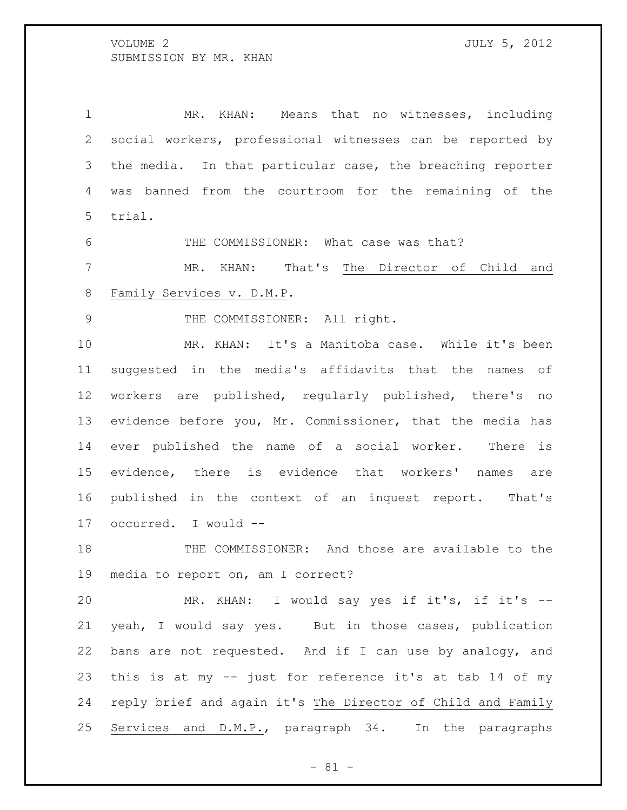MR. KHAN: Means that no witnesses, including social workers, professional witnesses can be reported by the media. In that particular case, the breaching reporter was banned from the courtroom for the remaining of the trial.

THE COMMISSIONER: What case was that?

 MR. KHAN: That's The Director of Child and Family Services v. D.M.P.

9 THE COMMISSIONER: All right.

 MR. KHAN: It's a Manitoba case. While it's been suggested in the media's affidavits that the names of workers are published, regularly published, there's no evidence before you, Mr. Commissioner, that the media has ever published the name of a social worker. There is evidence, there is evidence that workers' names are published in the context of an inquest report. That's occurred. I would --

 THE COMMISSIONER: And those are available to the media to report on, am I correct?

 MR. KHAN: I would say yes if it's, if it's -- yeah, I would say yes. But in those cases, publication bans are not requested. And if I can use by analogy, and this is at my -- just for reference it's at tab 14 of my reply brief and again it's The Director of Child and Family Services and D.M.P., paragraph 34. In the paragraphs

- 81 -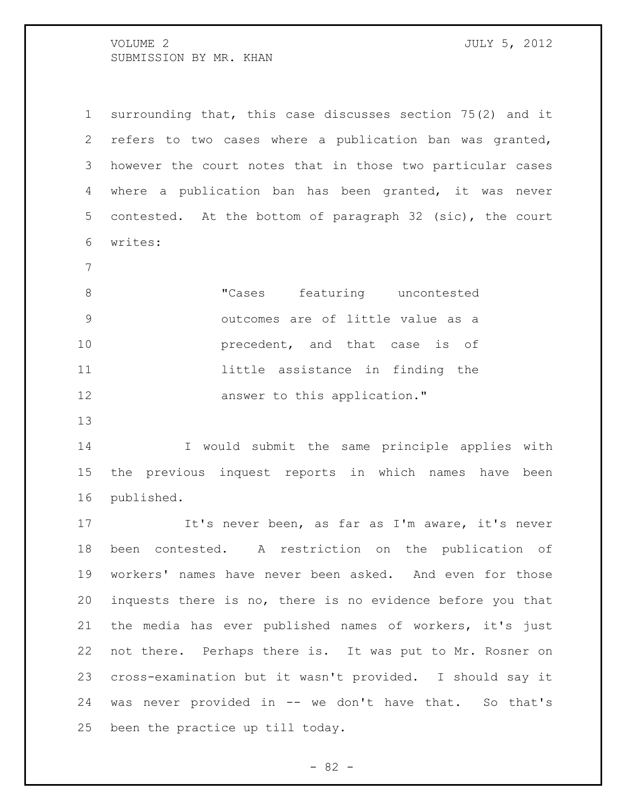VOLUME 2 SUBMISSION BY MR. KHAN

| . F<br>J<br>۱.<br>. . | 1 |
|-----------------------|---|
|                       |   |

 surrounding that, this case discusses section 75(2) and it refers to two cases where a publication ban was granted, however the court notes that in those two particular cases where a publication ban has been granted, it was never contested. At the bottom of paragraph 32 (sic), the court writes:

 "Cases featuring uncontested outcomes are of little value as a **precedent**, and that case is of 11 11 little assistance in finding the **answer** to this application."

 I would submit the same principle applies with the previous inquest reports in which names have been published.

 It's never been, as far as I'm aware, it's never been contested. A restriction on the publication of workers' names have never been asked. And even for those inquests there is no, there is no evidence before you that the media has ever published names of workers, it's just not there. Perhaps there is. It was put to Mr. Rosner on cross-examination but it wasn't provided. I should say it was never provided in -- we don't have that. So that's been the practice up till today.

 $- 82 -$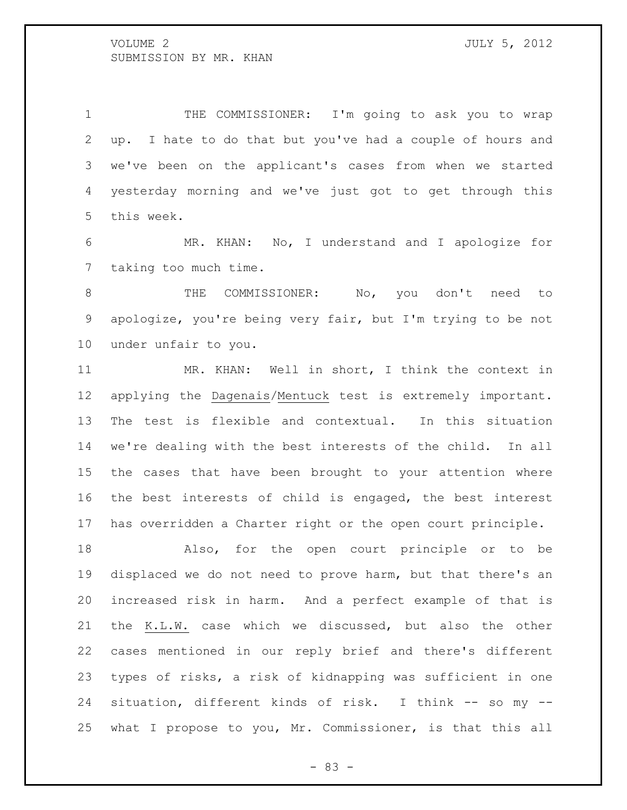THE COMMISSIONER: I'm going to ask you to wrap up. I hate to do that but you've had a couple of hours and we've been on the applicant's cases from when we started yesterday morning and we've just got to get through this this week.

 MR. KHAN: No, I understand and I apologize for taking too much time.

 THE COMMISSIONER: No, you don't need to apologize, you're being very fair, but I'm trying to be not under unfair to you.

 MR. KHAN: Well in short, I think the context in applying the Dagenais/Mentuck test is extremely important. The test is flexible and contextual. In this situation we're dealing with the best interests of the child. In all the cases that have been brought to your attention where the best interests of child is engaged, the best interest has overridden a Charter right or the open court principle.

 Also, for the open court principle or to be displaced we do not need to prove harm, but that there's an increased risk in harm. And a perfect example of that is the K.L.W. case which we discussed, but also the other cases mentioned in our reply brief and there's different types of risks, a risk of kidnapping was sufficient in one situation, different kinds of risk. I think -- so my -- what I propose to you, Mr. Commissioner, is that this all

- 83 -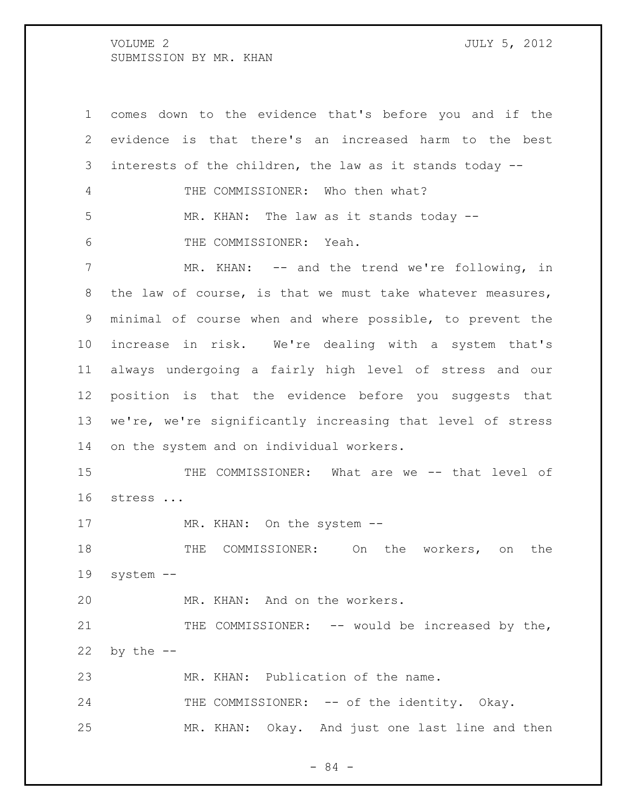comes down to the evidence that's before you and if the evidence is that there's an increased harm to the best interests of the children, the law as it stands today -- THE COMMISSIONER: Who then what? MR. KHAN: The law as it stands today -- THE COMMISSIONER: Yeah. 7 MR. KHAN: -- and the trend we're following, in the law of course, is that we must take whatever measures, minimal of course when and where possible, to prevent the increase in risk. We're dealing with a system that's always undergoing a fairly high level of stress and our position is that the evidence before you suggests that we're, we're significantly increasing that level of stress on the system and on individual workers. THE COMMISSIONER: What are we -- that level of stress ... 17 MR. KHAN: On the system -- THE COMMISSIONER: On the workers, on the system -- MR. KHAN: And on the workers. 21 THE COMMISSIONER: -- would be increased by the, by the  $-$  MR. KHAN: Publication of the name. 24 THE COMMISSIONER: -- of the identity. Okay. MR. KHAN: Okay. And just one last line and then

- 84 -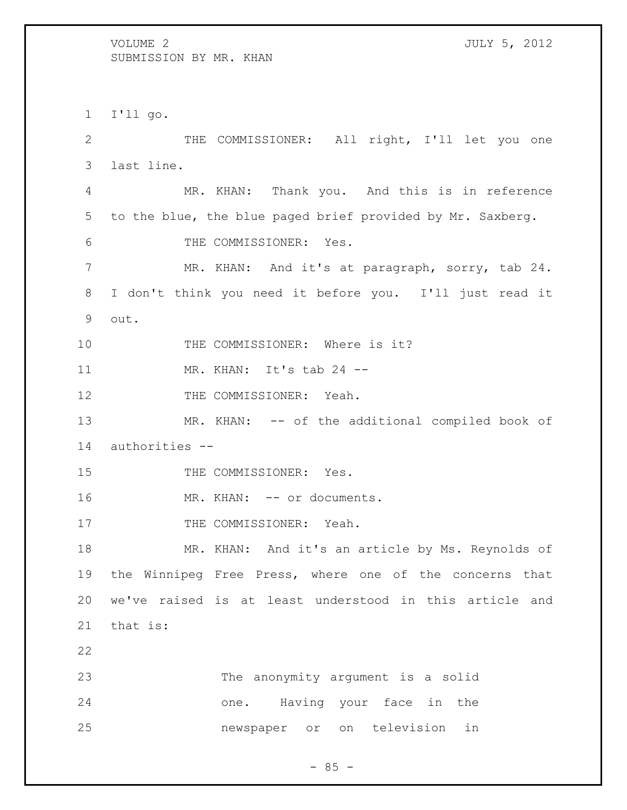I'll go. THE COMMISSIONER: All right, I'll let you one last line. MR. KHAN: Thank you. And this is in reference to the blue, the blue paged brief provided by Mr. Saxberg. THE COMMISSIONER: Yes. MR. KHAN: And it's at paragraph, sorry, tab 24. I don't think you need it before you. I'll just read it out. 10 THE COMMISSIONER: Where is it? MR. KHAN: It's tab 24 -- 12 THE COMMISSIONER: Yeah. 13 MR. KHAN: -- of the additional compiled book of authorities -- 15 THE COMMISSIONER: Yes. 16 MR. KHAN: -- or documents. 17 THE COMMISSIONER: Yeah. MR. KHAN: And it's an article by Ms. Reynolds of the Winnipeg Free Press, where one of the concerns that we've raised is at least understood in this article and that is: The anonymity argument is a solid one. Having your face in the newspaper or on television in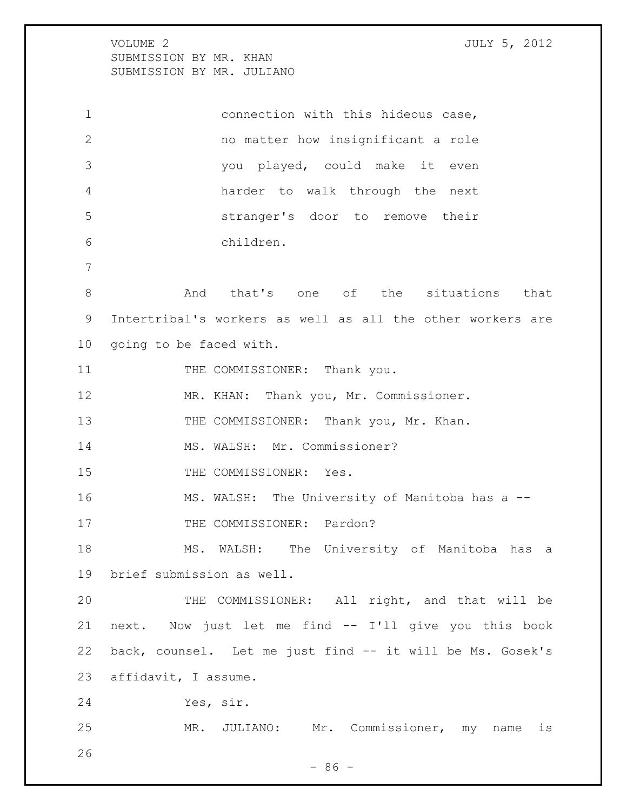VOLUME 2 JULY 5, 2012 SUBMISSION BY MR. KHAN SUBMISSION BY MR. JULIANO

 connection with this hideous case, no matter how insignificant a role you played, could make it even harder to walk through the next stranger's door to remove their children. And that's one of the situations that Intertribal's workers as well as all the other workers are going to be faced with. 11 THE COMMISSIONER: Thank you. MR. KHAN: Thank you, Mr. Commissioner. 13 THE COMMISSIONER: Thank you, Mr. Khan. 14 MS. WALSH: Mr. Commissioner? 15 THE COMMISSIONER: Yes. MS. WALSH: The University of Manitoba has a -- 17 THE COMMISSIONER: Pardon? MS. WALSH: The University of Manitoba has a brief submission as well. THE COMMISSIONER: All right, and that will be next. Now just let me find -- I'll give you this book back, counsel. Let me just find -- it will be Ms. Gosek's affidavit, I assume. Yes, sir. MR. JULIANO: Mr. Commissioner, my name is 

 $-86 -$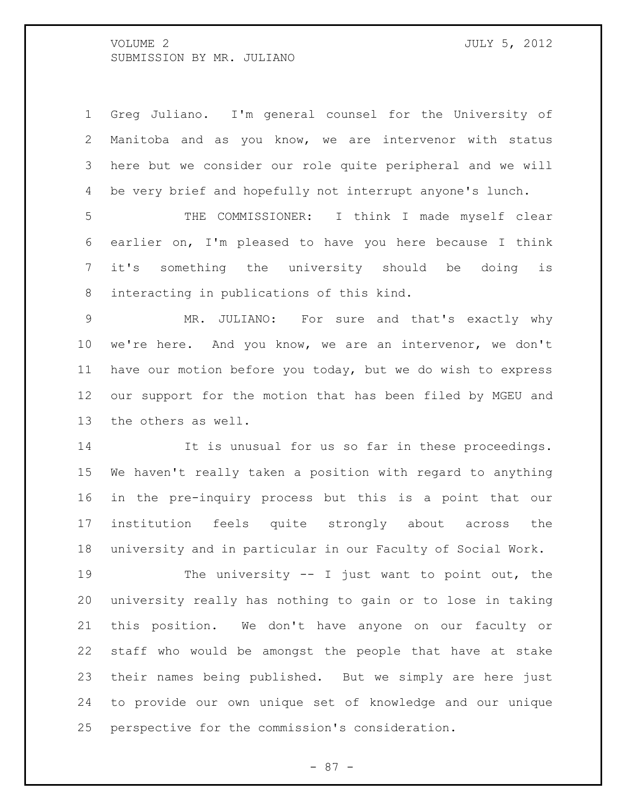Greg Juliano. I'm general counsel for the University of Manitoba and as you know, we are intervenor with status here but we consider our role quite peripheral and we will be very brief and hopefully not interrupt anyone's lunch.

 THE COMMISSIONER: I think I made myself clear earlier on, I'm pleased to have you here because I think it's something the university should be doing is interacting in publications of this kind.

 MR. JULIANO: For sure and that's exactly why we're here. And you know, we are an intervenor, we don't have our motion before you today, but we do wish to express our support for the motion that has been filed by MGEU and the others as well.

14 It is unusual for us so far in these proceedings. We haven't really taken a position with regard to anything in the pre-inquiry process but this is a point that our institution feels quite strongly about across the university and in particular in our Faculty of Social Work.

 The university -- I just want to point out, the university really has nothing to gain or to lose in taking this position. We don't have anyone on our faculty or staff who would be amongst the people that have at stake their names being published. But we simply are here just to provide our own unique set of knowledge and our unique perspective for the commission's consideration.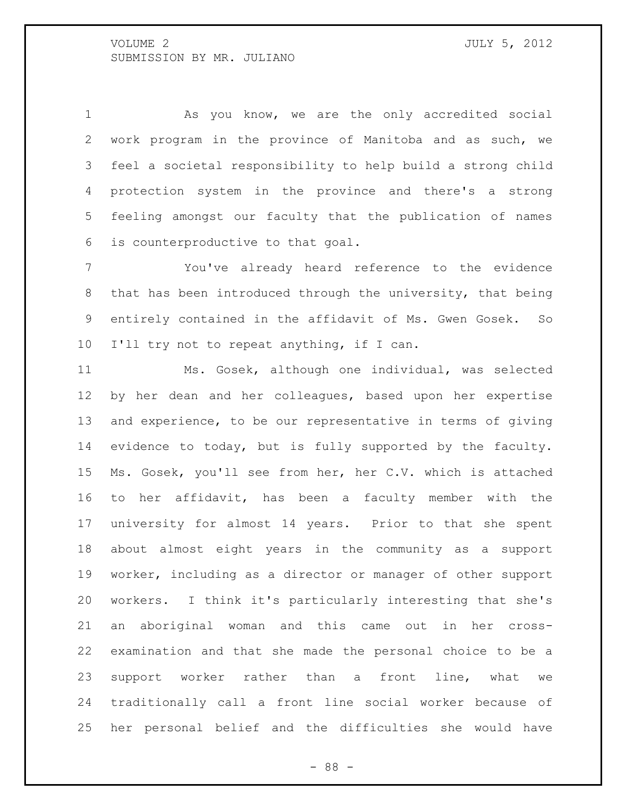As you know, we are the only accredited social work program in the province of Manitoba and as such, we feel a societal responsibility to help build a strong child protection system in the province and there's a strong feeling amongst our faculty that the publication of names is counterproductive to that goal.

 You've already heard reference to the evidence that has been introduced through the university, that being entirely contained in the affidavit of Ms. Gwen Gosek. So I'll try not to repeat anything, if I can.

 Ms. Gosek, although one individual, was selected by her dean and her colleagues, based upon her expertise and experience, to be our representative in terms of giving evidence to today, but is fully supported by the faculty. Ms. Gosek, you'll see from her, her C.V. which is attached to her affidavit, has been a faculty member with the university for almost 14 years. Prior to that she spent about almost eight years in the community as a support worker, including as a director or manager of other support workers. I think it's particularly interesting that she's an aboriginal woman and this came out in her cross- examination and that she made the personal choice to be a support worker rather than a front line, what we traditionally call a front line social worker because of her personal belief and the difficulties she would have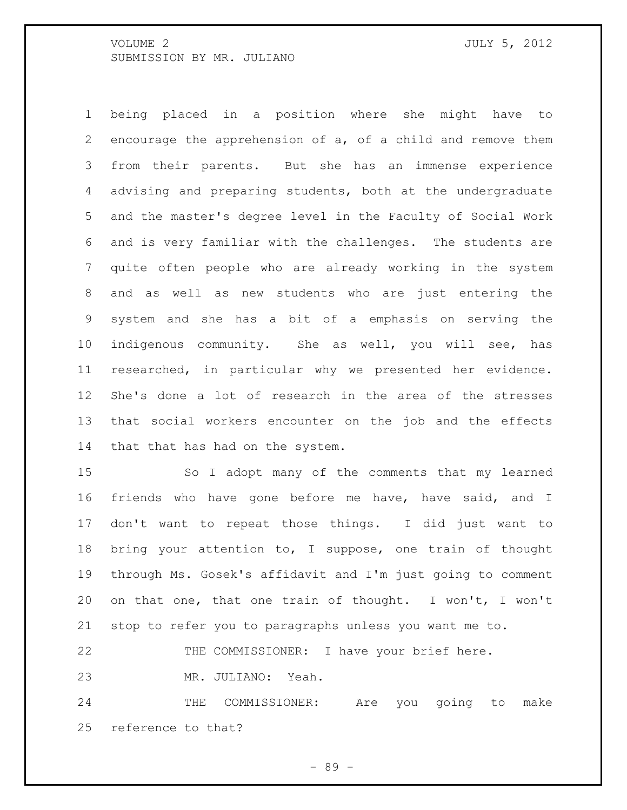being placed in a position where she might have to encourage the apprehension of a, of a child and remove them from their parents. But she has an immense experience advising and preparing students, both at the undergraduate and the master's degree level in the Faculty of Social Work and is very familiar with the challenges. The students are quite often people who are already working in the system and as well as new students who are just entering the system and she has a bit of a emphasis on serving the indigenous community. She as well, you will see, has researched, in particular why we presented her evidence. She's done a lot of research in the area of the stresses that social workers encounter on the job and the effects that that has had on the system.

 So I adopt many of the comments that my learned friends who have gone before me have, have said, and I don't want to repeat those things. I did just want to bring your attention to, I suppose, one train of thought through Ms. Gosek's affidavit and I'm just going to comment on that one, that one train of thought. I won't, I won't stop to refer you to paragraphs unless you want me to.

THE COMMISSIONER: I have your brief here.

MR. JULIANO: Yeah.

 THE COMMISSIONER: Are you going to make reference to that?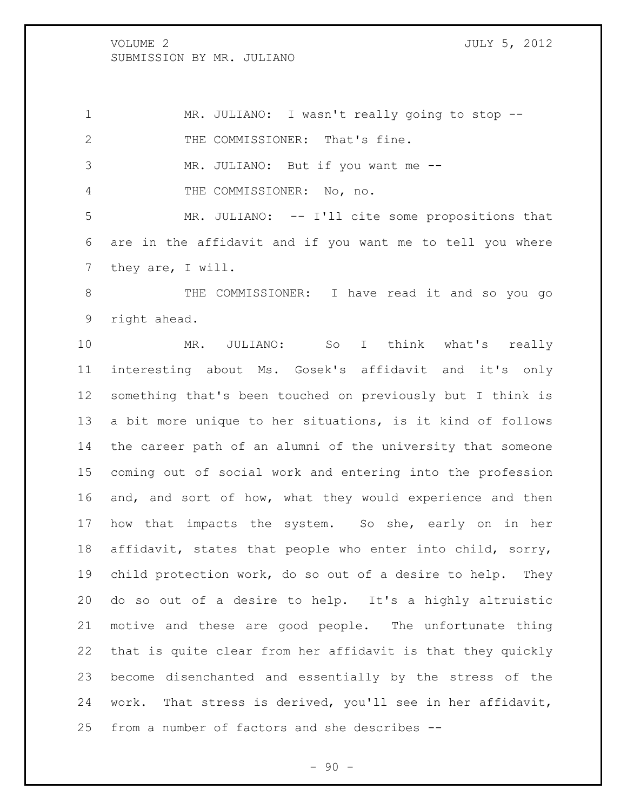MR. JULIANO: I wasn't really going to stop -- 2 THE COMMISSIONER: That's fine. MR. JULIANO: But if you want me -- THE COMMISSIONER: No, no. MR. JULIANO: -- I'll cite some propositions that are in the affidavit and if you want me to tell you where they are, I will.

 THE COMMISSIONER: I have read it and so you go right ahead.

 MR. JULIANO: So I think what's really interesting about Ms. Gosek's affidavit and it's only something that's been touched on previously but I think is a bit more unique to her situations, is it kind of follows the career path of an alumni of the university that someone coming out of social work and entering into the profession and, and sort of how, what they would experience and then 17 how that impacts the system. So she, early on in her affidavit, states that people who enter into child, sorry, child protection work, do so out of a desire to help. They do so out of a desire to help. It's a highly altruistic motive and these are good people. The unfortunate thing that is quite clear from her affidavit is that they quickly become disenchanted and essentially by the stress of the work. That stress is derived, you'll see in her affidavit, from a number of factors and she describes --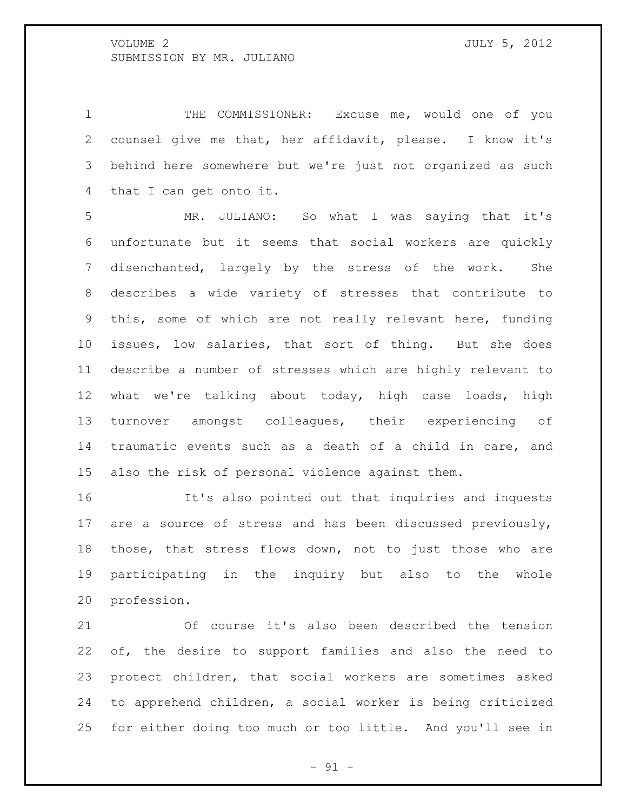THE COMMISSIONER: Excuse me, would one of you counsel give me that, her affidavit, please. I know it's behind here somewhere but we're just not organized as such that I can get onto it.

 MR. JULIANO: So what I was saying that it's unfortunate but it seems that social workers are quickly disenchanted, largely by the stress of the work. She describes a wide variety of stresses that contribute to this, some of which are not really relevant here, funding issues, low salaries, that sort of thing. But she does describe a number of stresses which are highly relevant to what we're talking about today, high case loads, high turnover amongst colleagues, their experiencing of traumatic events such as a death of a child in care, and also the risk of personal violence against them.

 It's also pointed out that inquiries and inquests are a source of stress and has been discussed previously, those, that stress flows down, not to just those who are participating in the inquiry but also to the whole profession.

 Of course it's also been described the tension of, the desire to support families and also the need to protect children, that social workers are sometimes asked to apprehend children, a social worker is being criticized for either doing too much or too little. And you'll see in

 $-91 -$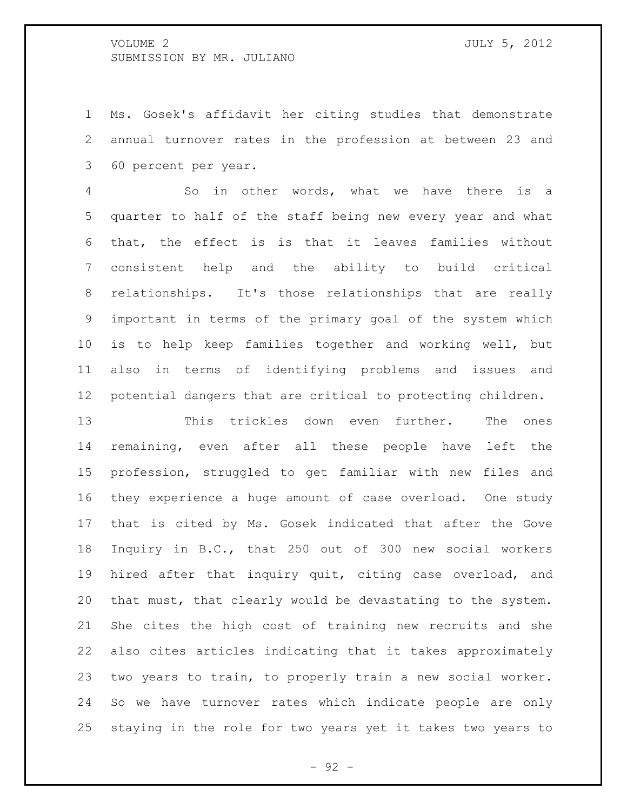Ms. Gosek's affidavit her citing studies that demonstrate annual turnover rates in the profession at between 23 and 60 percent per year.

 So in other words, what we have there is a quarter to half of the staff being new every year and what that, the effect is is that it leaves families without consistent help and the ability to build critical relationships. It's those relationships that are really important in terms of the primary goal of the system which is to help keep families together and working well, but also in terms of identifying problems and issues and potential dangers that are critical to protecting children.

 This trickles down even further. The ones remaining, even after all these people have left the profession, struggled to get familiar with new files and they experience a huge amount of case overload. One study that is cited by Ms. Gosek indicated that after the Gove Inquiry in B.C., that 250 out of 300 new social workers hired after that inquiry quit, citing case overload, and that must, that clearly would be devastating to the system. She cites the high cost of training new recruits and she also cites articles indicating that it takes approximately two years to train, to properly train a new social worker. So we have turnover rates which indicate people are only staying in the role for two years yet it takes two years to

- 92 -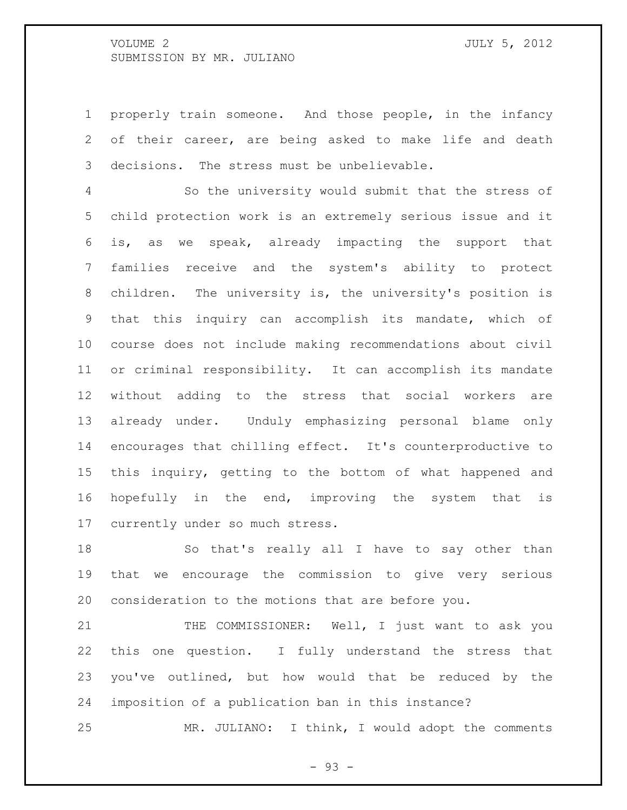properly train someone. And those people, in the infancy of their career, are being asked to make life and death decisions. The stress must be unbelievable.

 So the university would submit that the stress of child protection work is an extremely serious issue and it is, as we speak, already impacting the support that families receive and the system's ability to protect children. The university is, the university's position is that this inquiry can accomplish its mandate, which of course does not include making recommendations about civil or criminal responsibility. It can accomplish its mandate without adding to the stress that social workers are already under. Unduly emphasizing personal blame only encourages that chilling effect. It's counterproductive to this inquiry, getting to the bottom of what happened and hopefully in the end, improving the system that is currently under so much stress.

 So that's really all I have to say other than that we encourage the commission to give very serious consideration to the motions that are before you.

21 THE COMMISSIONER: Well, I just want to ask you this one question. I fully understand the stress that you've outlined, but how would that be reduced by the imposition of a publication ban in this instance?

MR. JULIANO: I think, I would adopt the comments

- 93 -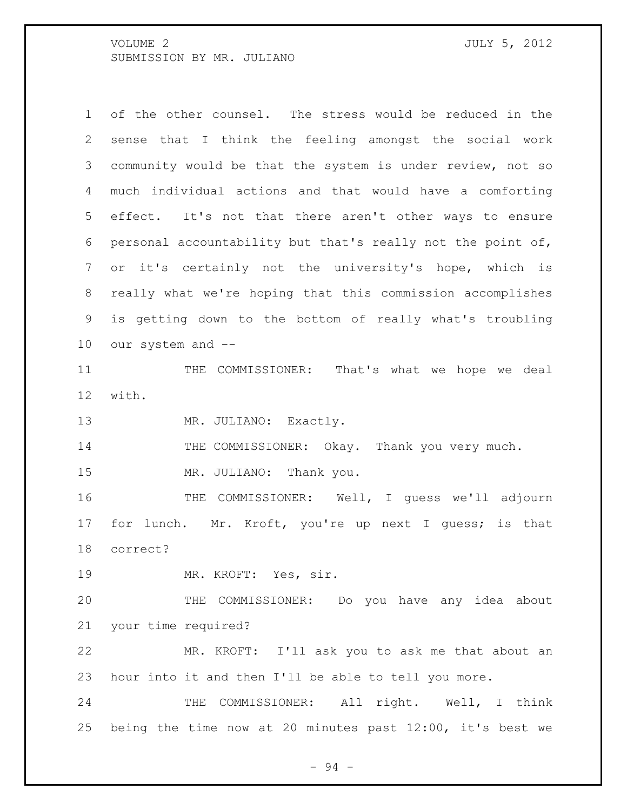of the other counsel. The stress would be reduced in the sense that I think the feeling amongst the social work community would be that the system is under review, not so much individual actions and that would have a comforting effect. It's not that there aren't other ways to ensure personal accountability but that's really not the point of, or it's certainly not the university's hope, which is really what we're hoping that this commission accomplishes is getting down to the bottom of really what's troubling our system and --

 THE COMMISSIONER: That's what we hope we deal with.

13 MR. JULIANO: Exactly.

14 THE COMMISSIONER: Okay. Thank you very much.

MR. JULIANO: Thank you.

 THE COMMISSIONER: Well, I guess we'll adjourn 17 for lunch. Mr. Kroft, you're up next I guess; is that correct?

MR. KROFT: Yes, sir.

 THE COMMISSIONER: Do you have any idea about your time required?

 MR. KROFT: I'll ask you to ask me that about an hour into it and then I'll be able to tell you more.

24 THE COMMISSIONER: All right. Well, I think being the time now at 20 minutes past 12:00, it's best we

- 94 -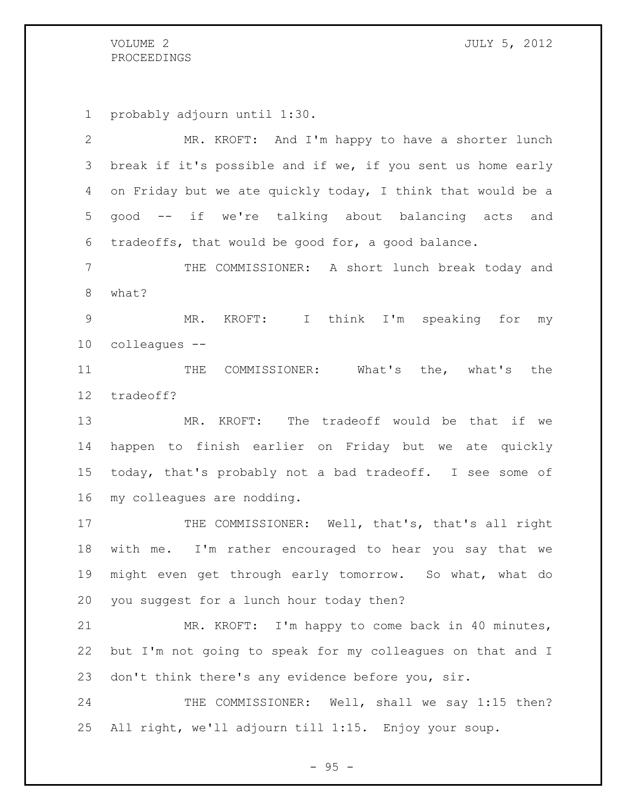# PROCEEDINGS

probably adjourn until 1:30.

 MR. KROFT: And I'm happy to have a shorter lunch break if it's possible and if we, if you sent us home early on Friday but we ate quickly today, I think that would be a good -- if we're talking about balancing acts and tradeoffs, that would be good for, a good balance. THE COMMISSIONER: A short lunch break today and what? MR. KROFT: I think I'm speaking for my colleagues -- 11 THE COMMISSIONER: What's the, what's the tradeoff? MR. KROFT: The tradeoff would be that if we happen to finish earlier on Friday but we ate quickly today, that's probably not a bad tradeoff. I see some of my colleagues are nodding. 17 THE COMMISSIONER: Well, that's, that's all right with me. I'm rather encouraged to hear you say that we might even get through early tomorrow. So what, what do you suggest for a lunch hour today then? MR. KROFT: I'm happy to come back in 40 minutes, but I'm not going to speak for my colleagues on that and I don't think there's any evidence before you, sir. 24 THE COMMISSIONER: Well, shall we say 1:15 then? All right, we'll adjourn till 1:15. Enjoy your soup.

- 95 -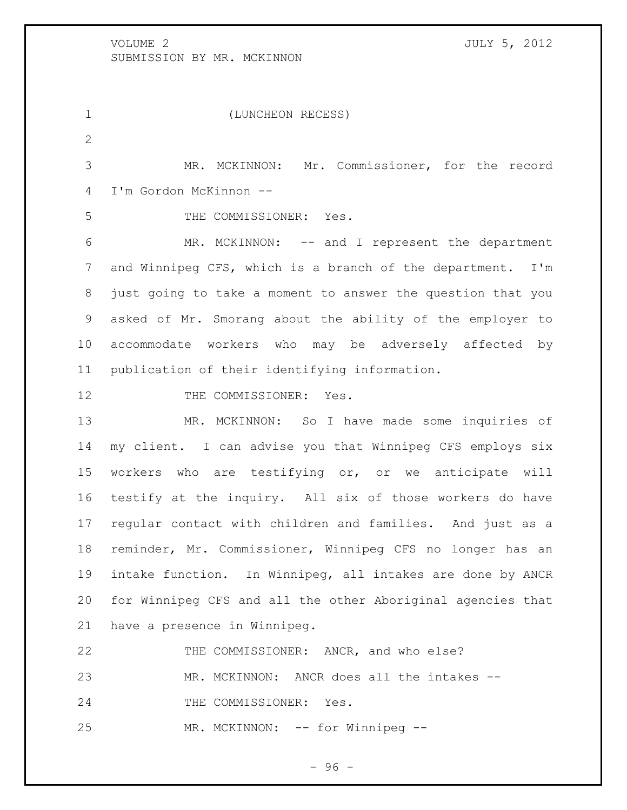(LUNCHEON RECESS) MR. MCKINNON: Mr. Commissioner, for the record I'm Gordon McKinnon -- THE COMMISSIONER: Yes. MR. MCKINNON: -- and I represent the department and Winnipeg CFS, which is a branch of the department. I'm just going to take a moment to answer the question that you asked of Mr. Smorang about the ability of the employer to accommodate workers who may be adversely affected by publication of their identifying information. 12 THE COMMISSIONER: Yes. MR. MCKINNON: So I have made some inquiries of my client. I can advise you that Winnipeg CFS employs six workers who are testifying or, or we anticipate will testify at the inquiry. All six of those workers do have regular contact with children and families. And just as a reminder, Mr. Commissioner, Winnipeg CFS no longer has an intake function. In Winnipeg, all intakes are done by ANCR for Winnipeg CFS and all the other Aboriginal agencies that have a presence in Winnipeg. THE COMMISSIONER: ANCR, and who else? MR. MCKINNON: ANCR does all the intakes -- 24 THE COMMISSIONER: Yes. 25 MR. MCKINNON: -- for Winnipeg --

- 96 -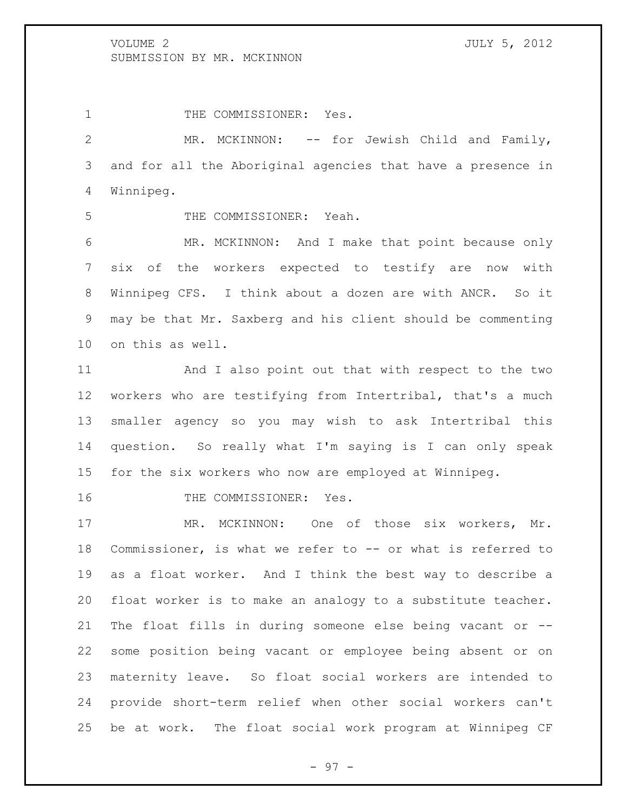1 THE COMMISSIONER: Yes.

 MR. MCKINNON: -- for Jewish Child and Family, and for all the Aboriginal agencies that have a presence in Winnipeg.

THE COMMISSIONER: Yeah.

 MR. MCKINNON: And I make that point because only six of the workers expected to testify are now with Winnipeg CFS. I think about a dozen are with ANCR. So it may be that Mr. Saxberg and his client should be commenting on this as well.

 And I also point out that with respect to the two workers who are testifying from Intertribal, that's a much smaller agency so you may wish to ask Intertribal this question. So really what I'm saying is I can only speak for the six workers who now are employed at Winnipeg.

16 THE COMMISSIONER: Yes.

17 MR. MCKINNON: One of those six workers, Mr. Commissioner, is what we refer to -- or what is referred to as a float worker. And I think the best way to describe a float worker is to make an analogy to a substitute teacher. The float fills in during someone else being vacant or -- some position being vacant or employee being absent or on maternity leave. So float social workers are intended to provide short-term relief when other social workers can't be at work. The float social work program at Winnipeg CF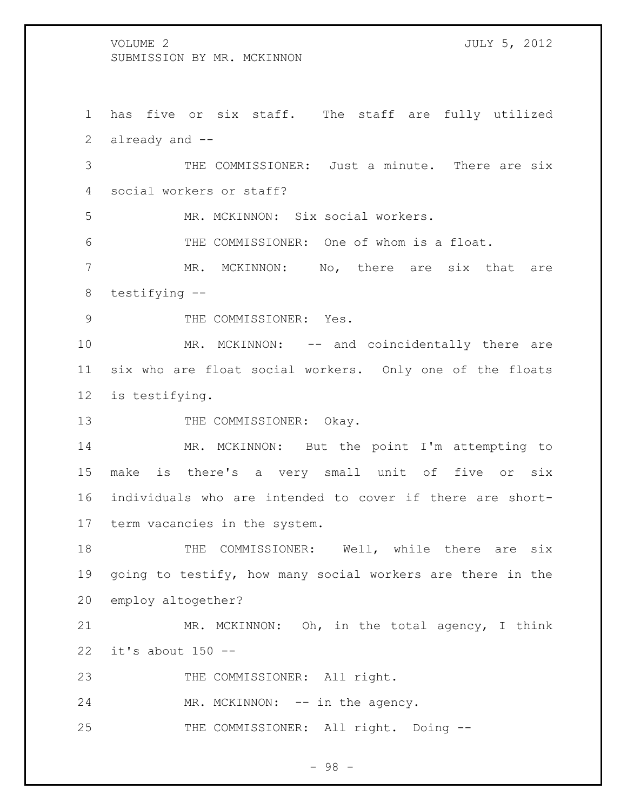has five or six staff. The staff are fully utilized already and --

 THE COMMISSIONER: Just a minute. There are six social workers or staff?

MR. MCKINNON: Six social workers.

THE COMMISSIONER: One of whom is a float.

7 MR. MCKINNON: No, there are six that are testifying --

9 THE COMMISSIONER: Yes.

10 MR. MCKINNON: -- and coincidentally there are six who are float social workers. Only one of the floats is testifying.

13 THE COMMISSIONER: Okay.

 MR. MCKINNON: But the point I'm attempting to make is there's a very small unit of five or six individuals who are intended to cover if there are short-term vacancies in the system.

18 THE COMMISSIONER: Well, while there are six going to testify, how many social workers are there in the employ altogether?

 MR. MCKINNON: Oh, in the total agency, I think it's about 150 --

23 THE COMMISSIONER: All right.

24 MR. MCKINNON: -- in the agency.

25 THE COMMISSIONER: All right. Doing --

- 98 -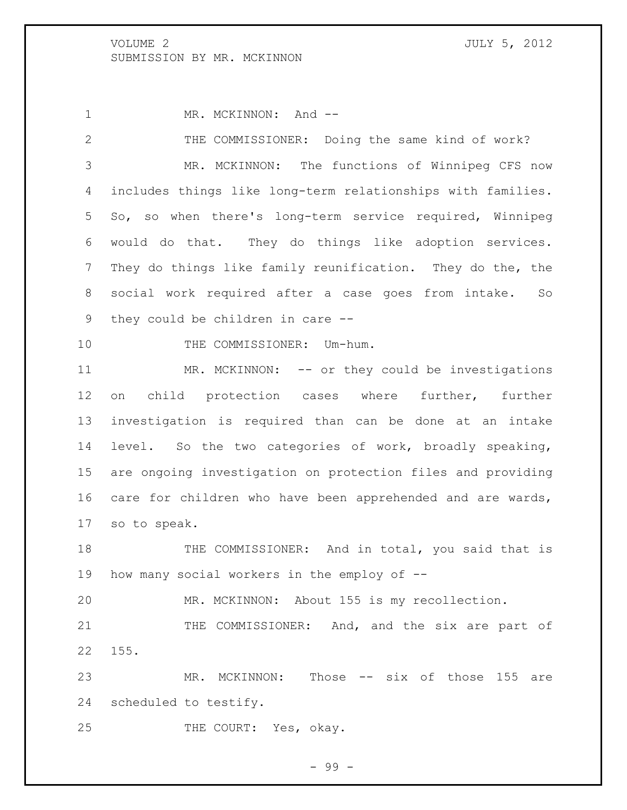1 MR. MCKINNON: And --

 THE COMMISSIONER: Doing the same kind of work? MR. MCKINNON: The functions of Winnipeg CFS now includes things like long-term relationships with families. So, so when there's long-term service required, Winnipeg would do that. They do things like adoption services. They do things like family reunification. They do the, the social work required after a case goes from intake. So they could be children in care -- 10 THE COMMISSIONER: Um-hum.

11 MR. MCKINNON: -- or they could be investigations on child protection cases where further, further investigation is required than can be done at an intake level. So the two categories of work, broadly speaking, are ongoing investigation on protection files and providing 16 care for children who have been apprehended and are wards, so to speak.

18 THE COMMISSIONER: And in total, you said that is how many social workers in the employ of --

MR. MCKINNON: About 155 is my recollection.

21 THE COMMISSIONER: And, and the six are part of 155.

23 MR. MCKINNON: Those -- six of those 155 are scheduled to testify.

25 THE COURT: Yes, okay.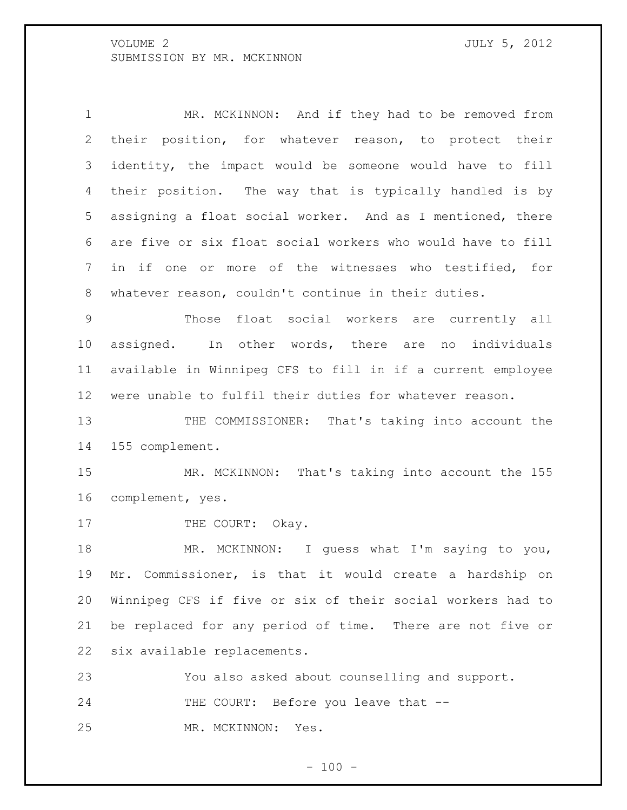1 MR. MCKINNON: And if they had to be removed from their position, for whatever reason, to protect their identity, the impact would be someone would have to fill their position. The way that is typically handled is by assigning a float social worker. And as I mentioned, there are five or six float social workers who would have to fill in if one or more of the witnesses who testified, for whatever reason, couldn't continue in their duties.

 Those float social workers are currently all assigned. In other words, there are no individuals available in Winnipeg CFS to fill in if a current employee were unable to fulfil their duties for whatever reason.

13 THE COMMISSIONER: That's taking into account the 155 complement.

 MR. MCKINNON: That's taking into account the 155 complement, yes.

17 THE COURT: Okay.

18 MR. MCKINNON: I guess what I'm saying to you, Mr. Commissioner, is that it would create a hardship on Winnipeg CFS if five or six of their social workers had to be replaced for any period of time. There are not five or six available replacements.

 You also asked about counselling and support. 24 THE COURT: Before you leave that --MR. MCKINNON: Yes.

 $- 100 -$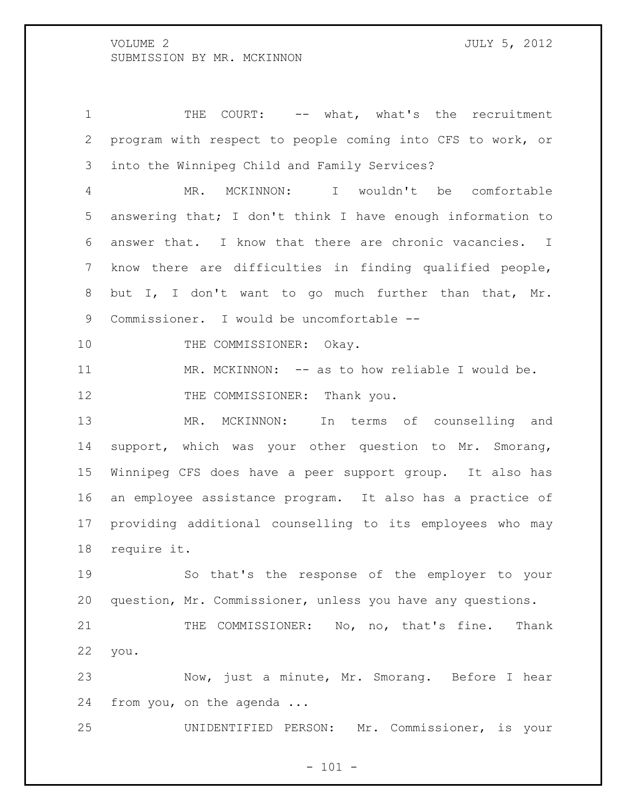1 THE COURT: -- what, what's the recruitment program with respect to people coming into CFS to work, or into the Winnipeg Child and Family Services?

 MR. MCKINNON: I wouldn't be comfortable answering that; I don't think I have enough information to answer that. I know that there are chronic vacancies. I know there are difficulties in finding qualified people, but I, I don't want to go much further than that, Mr. Commissioner. I would be uncomfortable --

10 THE COMMISSIONER: Okay.

11 MR. MCKINNON: -- as to how reliable I would be. 12 THE COMMISSIONER: Thank you.

 MR. MCKINNON: In terms of counselling and support, which was your other question to Mr. Smorang, Winnipeg CFS does have a peer support group. It also has an employee assistance program. It also has a practice of providing additional counselling to its employees who may require it.

 So that's the response of the employer to your question, Mr. Commissioner, unless you have any questions.

21 THE COMMISSIONER: No, no, that's fine. Thank you.

 Now, just a minute, Mr. Smorang. Before I hear from you, on the agenda ...

UNIDENTIFIED PERSON: Mr. Commissioner, is your

 $- 101 -$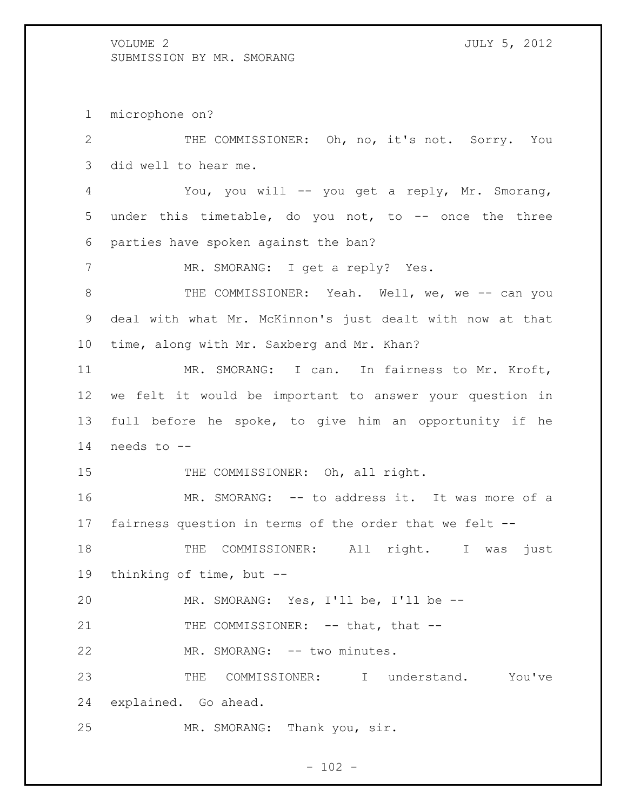microphone on?

 THE COMMISSIONER: Oh, no, it's not. Sorry. You did well to hear me. You, you will -- you get a reply, Mr. Smorang, under this timetable, do you not, to -- once the three parties have spoken against the ban? 7 MR. SMORANG: I get a reply? Yes. 8 THE COMMISSIONER: Yeah. Well, we, we -- can you deal with what Mr. McKinnon's just dealt with now at that time, along with Mr. Saxberg and Mr. Khan? MR. SMORANG: I can. In fairness to Mr. Kroft, we felt it would be important to answer your question in full before he spoke, to give him an opportunity if he needs to -- 15 THE COMMISSIONER: Oh, all right. MR. SMORANG: -- to address it. It was more of a fairness question in terms of the order that we felt -- 18 THE COMMISSIONER: All right. I was just thinking of time, but -- MR. SMORANG: Yes, I'll be, I'll be -- 21 THE COMMISSIONER: -- that, that --22 MR. SMORANG: -- two minutes. THE COMMISSIONER: I understand. You've explained. Go ahead. MR. SMORANG: Thank you, sir.

 $- 102 -$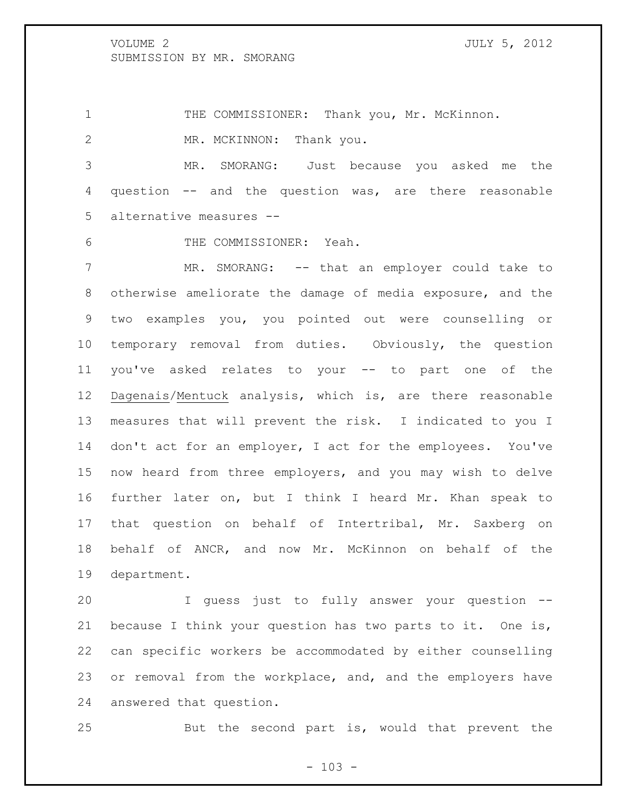1 THE COMMISSIONER: Thank you, Mr. McKinnon. 2 MR. MCKINNON: Thank you.

 MR. SMORANG: Just because you asked me the question -- and the question was, are there reasonable alternative measures --

THE COMMISSIONER: Yeah.

7 MR. SMORANG: -- that an employer could take to otherwise ameliorate the damage of media exposure, and the two examples you, you pointed out were counselling or temporary removal from duties. Obviously, the question you've asked relates to your -- to part one of the Dagenais/Mentuck analysis, which is, are there reasonable measures that will prevent the risk. I indicated to you I don't act for an employer, I act for the employees. You've now heard from three employers, and you may wish to delve further later on, but I think I heard Mr. Khan speak to that question on behalf of Intertribal, Mr. Saxberg on behalf of ANCR, and now Mr. McKinnon on behalf of the department.

 I guess just to fully answer your question -- because I think your question has two parts to it. One is, can specific workers be accommodated by either counselling 23 or removal from the workplace, and, and the employers have answered that question.

But the second part is, would that prevent the

 $- 103 -$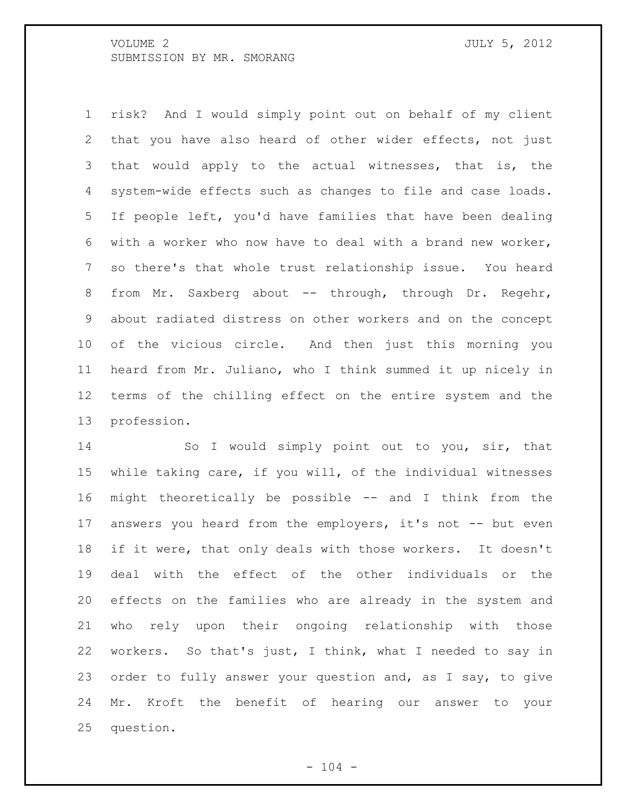risk? And I would simply point out on behalf of my client that you have also heard of other wider effects, not just that would apply to the actual witnesses, that is, the system-wide effects such as changes to file and case loads. If people left, you'd have families that have been dealing with a worker who now have to deal with a brand new worker, so there's that whole trust relationship issue. You heard 8 from Mr. Saxberg about -- through, through Dr. Regehr, about radiated distress on other workers and on the concept of the vicious circle. And then just this morning you heard from Mr. Juliano, who I think summed it up nicely in terms of the chilling effect on the entire system and the profession.

 So I would simply point out to you, sir, that while taking care, if you will, of the individual witnesses might theoretically be possible -- and I think from the 17 answers you heard from the employers, it's not -- but even if it were, that only deals with those workers. It doesn't deal with the effect of the other individuals or the effects on the families who are already in the system and who rely upon their ongoing relationship with those workers. So that's just, I think, what I needed to say in order to fully answer your question and, as I say, to give Mr. Kroft the benefit of hearing our answer to your question.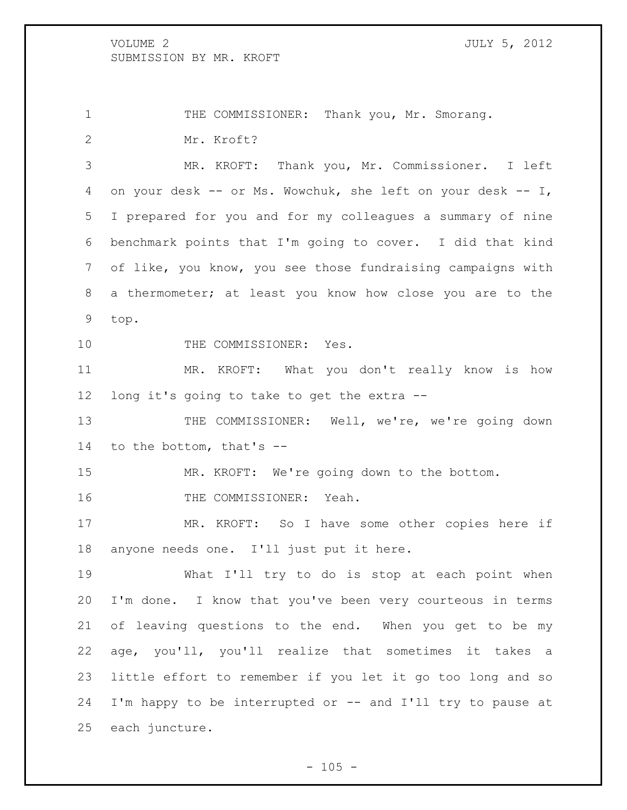1 THE COMMISSIONER: Thank you, Mr. Smorang. Mr. Kroft?

 MR. KROFT: Thank you, Mr. Commissioner. I left on your desk -- or Ms. Wowchuk, she left on your desk -- I, I prepared for you and for my colleagues a summary of nine benchmark points that I'm going to cover. I did that kind of like, you know, you see those fundraising campaigns with a thermometer; at least you know how close you are to the top.

10 THE COMMISSIONER: Yes.

 MR. KROFT: What you don't really know is how long it's going to take to get the extra --

13 THE COMMISSIONER: Well, we're, we're going down to the bottom, that's --

MR. KROFT: We're going down to the bottom.

THE COMMISSIONER: Yeah.

 MR. KROFT: So I have some other copies here if anyone needs one. I'll just put it here.

 What I'll try to do is stop at each point when I'm done. I know that you've been very courteous in terms of leaving questions to the end. When you get to be my age, you'll, you'll realize that sometimes it takes a little effort to remember if you let it go too long and so I'm happy to be interrupted or -- and I'll try to pause at each juncture.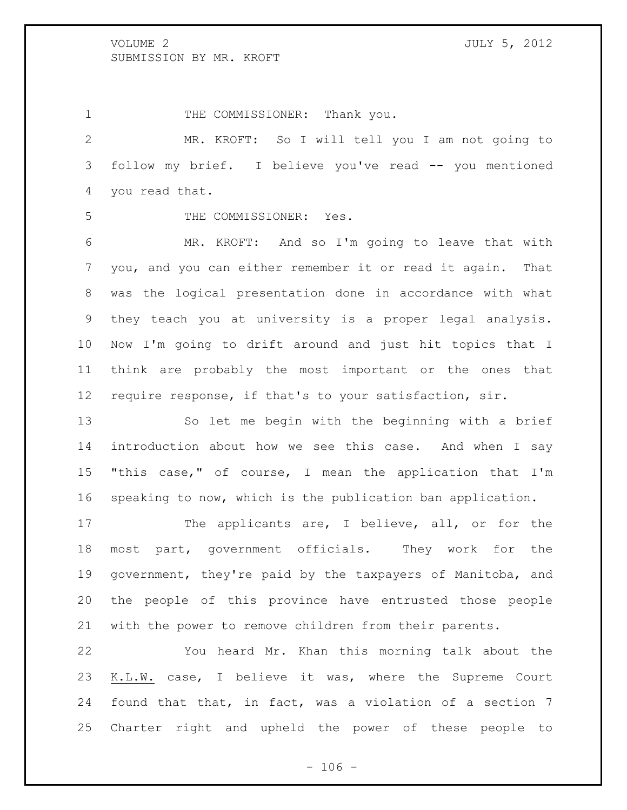1 THE COMMISSIONER: Thank you.

 MR. KROFT: So I will tell you I am not going to follow my brief. I believe you've read -- you mentioned you read that.

THE COMMISSIONER: Yes.

 MR. KROFT: And so I'm going to leave that with you, and you can either remember it or read it again. That was the logical presentation done in accordance with what they teach you at university is a proper legal analysis. Now I'm going to drift around and just hit topics that I think are probably the most important or the ones that require response, if that's to your satisfaction, sir.

 So let me begin with the beginning with a brief introduction about how we see this case. And when I say "this case," of course, I mean the application that I'm speaking to now, which is the publication ban application.

17 The applicants are, I believe, all, or for the most part, government officials. They work for the government, they're paid by the taxpayers of Manitoba, and the people of this province have entrusted those people with the power to remove children from their parents.

 You heard Mr. Khan this morning talk about the K.L.W. case, I believe it was, where the Supreme Court found that that, in fact, was a violation of a section 7 Charter right and upheld the power of these people to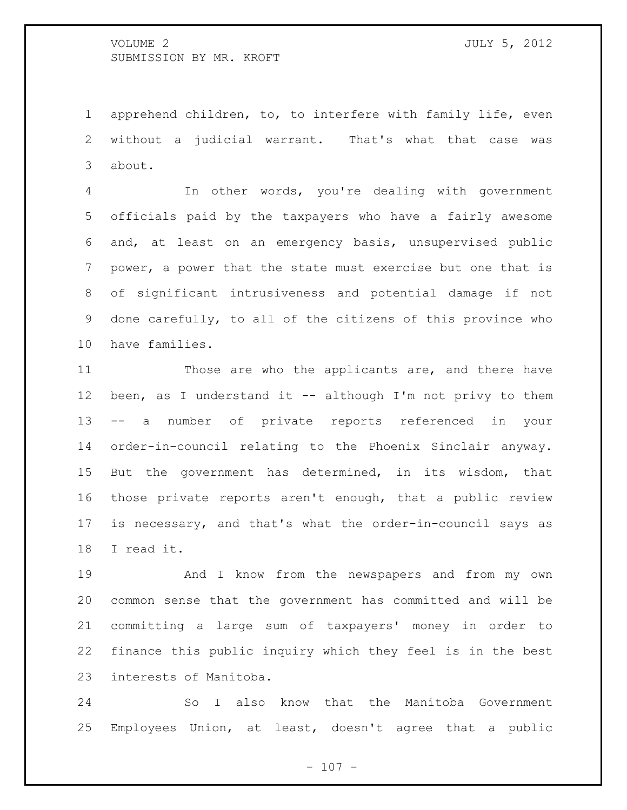apprehend children, to, to interfere with family life, even without a judicial warrant. That's what that case was about.

 In other words, you're dealing with government officials paid by the taxpayers who have a fairly awesome and, at least on an emergency basis, unsupervised public power, a power that the state must exercise but one that is of significant intrusiveness and potential damage if not done carefully, to all of the citizens of this province who have families.

 Those are who the applicants are, and there have 12 been, as I understand it -- although I'm not privy to them -- a number of private reports referenced in your order-in-council relating to the Phoenix Sinclair anyway. But the government has determined, in its wisdom, that those private reports aren't enough, that a public review is necessary, and that's what the order-in-council says as I read it.

 And I know from the newspapers and from my own common sense that the government has committed and will be committing a large sum of taxpayers' money in order to finance this public inquiry which they feel is in the best interests of Manitoba.

 So I also know that the Manitoba Government Employees Union, at least, doesn't agree that a public

 $- 107 -$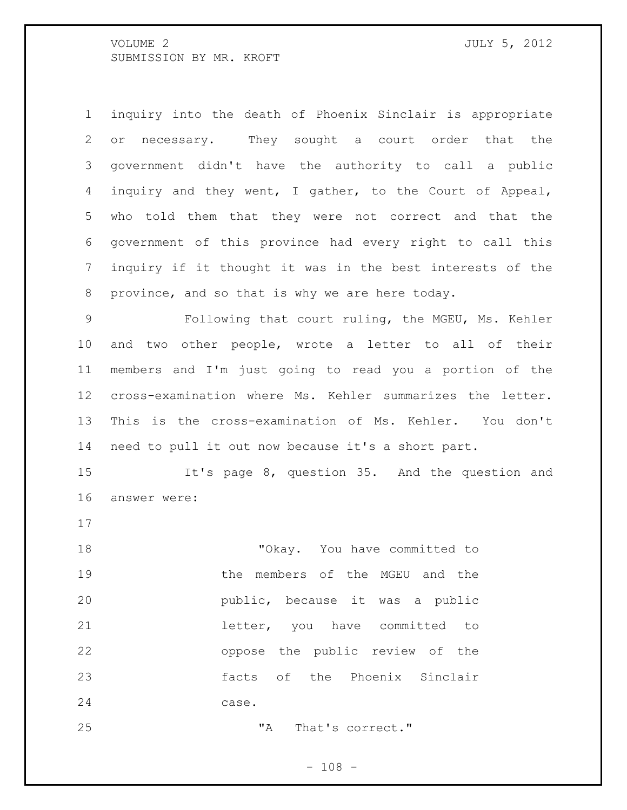inquiry into the death of Phoenix Sinclair is appropriate or necessary. They sought a court order that the government didn't have the authority to call a public inquiry and they went, I gather, to the Court of Appeal, who told them that they were not correct and that the government of this province had every right to call this inquiry if it thought it was in the best interests of the province, and so that is why we are here today. Following that court ruling, the MGEU, Ms. Kehler

 and two other people, wrote a letter to all of their members and I'm just going to read you a portion of the cross-examination where Ms. Kehler summarizes the letter. This is the cross-examination of Ms. Kehler. You don't need to pull it out now because it's a short part.

 It's page 8, question 35. And the question and answer were:

 "Okay. You have committed to the members of the MGEU and the public, because it was a public 21 and letter, you have committed to oppose the public review of the facts of the Phoenix Sinclair case.

25 That's correct."

 $- 108 -$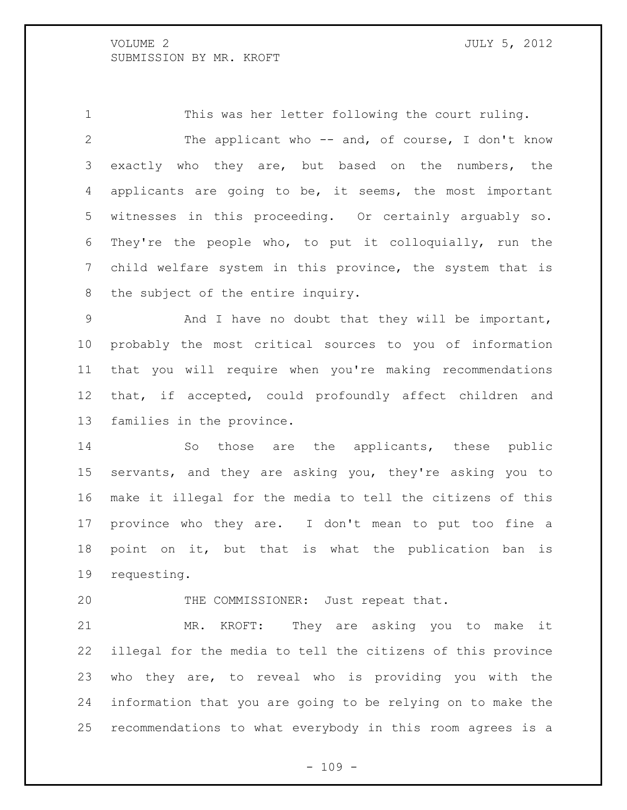This was her letter following the court ruling. 2 The applicant who -- and, of course, I don't know exactly who they are, but based on the numbers, the applicants are going to be, it seems, the most important witnesses in this proceeding. Or certainly arguably so. They're the people who, to put it colloquially, run the child welfare system in this province, the system that is the subject of the entire inquiry.

 And I have no doubt that they will be important, probably the most critical sources to you of information that you will require when you're making recommendations that, if accepted, could profoundly affect children and families in the province.

14 So those are the applicants, these public servants, and they are asking you, they're asking you to make it illegal for the media to tell the citizens of this province who they are. I don't mean to put too fine a point on it, but that is what the publication ban is requesting.

20 THE COMMISSIONER: Just repeat that.

 MR. KROFT: They are asking you to make it illegal for the media to tell the citizens of this province who they are, to reveal who is providing you with the information that you are going to be relying on to make the recommendations to what everybody in this room agrees is a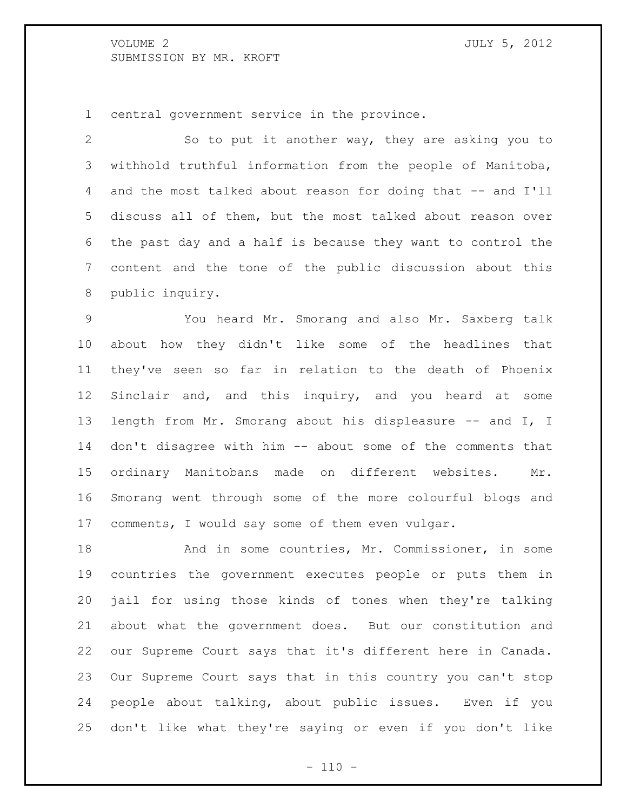central government service in the province.

 So to put it another way, they are asking you to withhold truthful information from the people of Manitoba, 4 and the most talked about reason for doing that -- and I'll discuss all of them, but the most talked about reason over the past day and a half is because they want to control the content and the tone of the public discussion about this public inquiry.

 You heard Mr. Smorang and also Mr. Saxberg talk about how they didn't like some of the headlines that they've seen so far in relation to the death of Phoenix Sinclair and, and this inquiry, and you heard at some 13 length from Mr. Smorang about his displeasure -- and I, I don't disagree with him -- about some of the comments that ordinary Manitobans made on different websites. Mr. Smorang went through some of the more colourful blogs and comments, I would say some of them even vulgar.

18 And in some countries, Mr. Commissioner, in some countries the government executes people or puts them in jail for using those kinds of tones when they're talking about what the government does. But our constitution and our Supreme Court says that it's different here in Canada. Our Supreme Court says that in this country you can't stop people about talking, about public issues. Even if you don't like what they're saying or even if you don't like

 $- 110 -$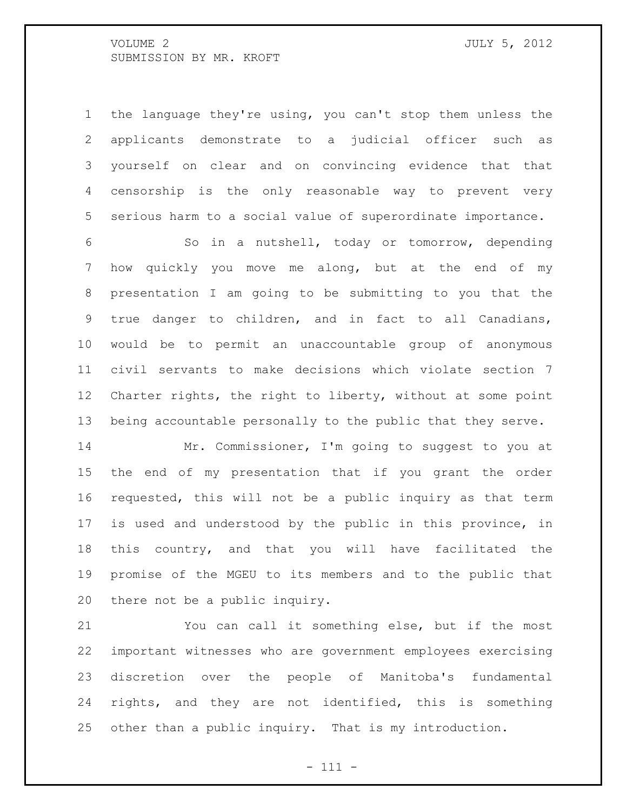the language they're using, you can't stop them unless the applicants demonstrate to a judicial officer such as yourself on clear and on convincing evidence that that censorship is the only reasonable way to prevent very serious harm to a social value of superordinate importance.

 So in a nutshell, today or tomorrow, depending how quickly you move me along, but at the end of my presentation I am going to be submitting to you that the true danger to children, and in fact to all Canadians, would be to permit an unaccountable group of anonymous civil servants to make decisions which violate section 7 Charter rights, the right to liberty, without at some point being accountable personally to the public that they serve.

 Mr. Commissioner, I'm going to suggest to you at the end of my presentation that if you grant the order requested, this will not be a public inquiry as that term is used and understood by the public in this province, in this country, and that you will have facilitated the promise of the MGEU to its members and to the public that there not be a public inquiry.

 You can call it something else, but if the most important witnesses who are government employees exercising discretion over the people of Manitoba's fundamental rights, and they are not identified, this is something other than a public inquiry. That is my introduction.

- 111 -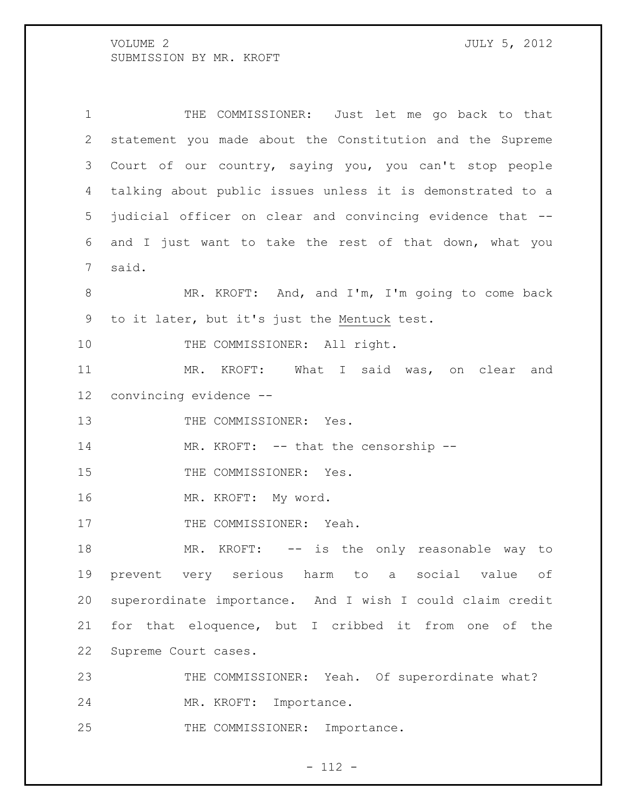THE COMMISSIONER: Just let me go back to that statement you made about the Constitution and the Supreme Court of our country, saying you, you can't stop people talking about public issues unless it is demonstrated to a judicial officer on clear and convincing evidence that -- and I just want to take the rest of that down, what you said. MR. KROFT: And, and I'm, I'm going to come back to it later, but it's just the Mentuck test. 10 THE COMMISSIONER: All right. MR. KROFT: What I said was, on clear and convincing evidence -- 13 THE COMMISSIONER: Yes. 14 MR. KROFT: -- that the censorship --15 THE COMMISSIONER: Yes. MR. KROFT: My word. 17 THE COMMISSIONER: Yeah. 18 MR. KROFT: -- is the only reasonable way to prevent very serious harm to a social value of superordinate importance. And I wish I could claim credit for that eloquence, but I cribbed it from one of the Supreme Court cases. 23 THE COMMISSIONER: Yeah. Of superordinate what? MR. KROFT: Importance. 25 THE COMMISSIONER: Importance.

- 112 -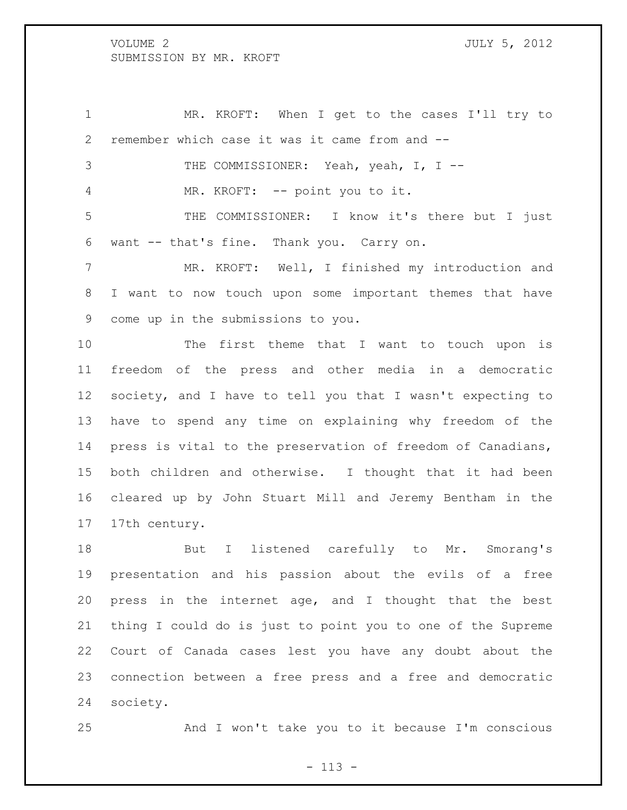MR. KROFT: When I get to the cases I'll try to remember which case it was it came from and -- THE COMMISSIONER: Yeah, yeah, I, I -- MR. KROFT: -- point you to it. THE COMMISSIONER: I know it's there but I just want -- that's fine. Thank you. Carry on. MR. KROFT: Well, I finished my introduction and I want to now touch upon some important themes that have come up in the submissions to you.

 The first theme that I want to touch upon is freedom of the press and other media in a democratic society, and I have to tell you that I wasn't expecting to have to spend any time on explaining why freedom of the press is vital to the preservation of freedom of Canadians, both children and otherwise. I thought that it had been cleared up by John Stuart Mill and Jeremy Bentham in the 17th century.

18 But I listened carefully to Mr. Smorang's presentation and his passion about the evils of a free press in the internet age, and I thought that the best thing I could do is just to point you to one of the Supreme Court of Canada cases lest you have any doubt about the connection between a free press and a free and democratic society.

And I won't take you to it because I'm conscious

 $- 113 -$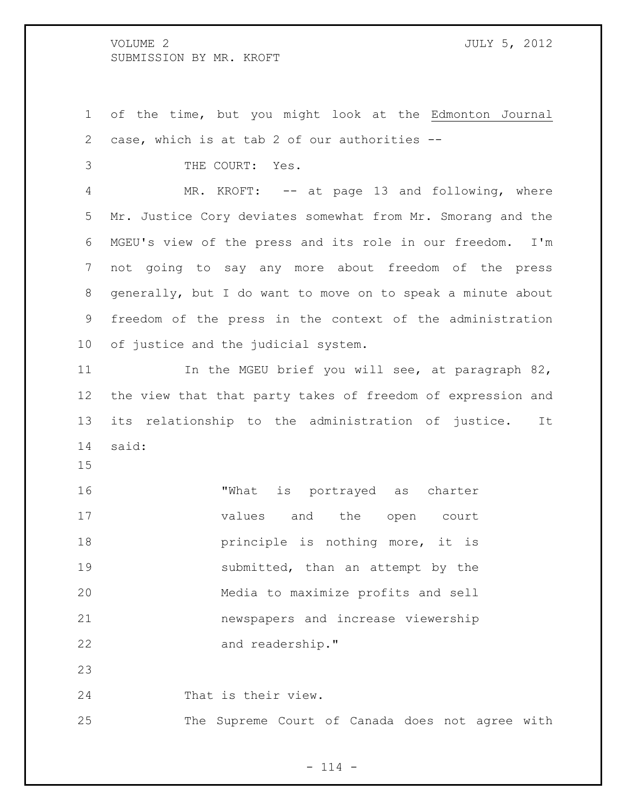of the time, but you might look at the Edmonton Journal case, which is at tab 2 of our authorities --

THE COURT: Yes.

4 MR. KROFT: -- at page 13 and following, where Mr. Justice Cory deviates somewhat from Mr. Smorang and the MGEU's view of the press and its role in our freedom. I'm not going to say any more about freedom of the press generally, but I do want to move on to speak a minute about freedom of the press in the context of the administration of justice and the judicial system.

 In the MGEU brief you will see, at paragraph 82, the view that that party takes of freedom of expression and its relationship to the administration of justice. It said:

 "What is portrayed as charter values and the open court **principle is nothing more, it is** 19 submitted, than an attempt by the Media to maximize profits and sell newspapers and increase viewership 22 and readership."

That is their view.

The Supreme Court of Canada does not agree with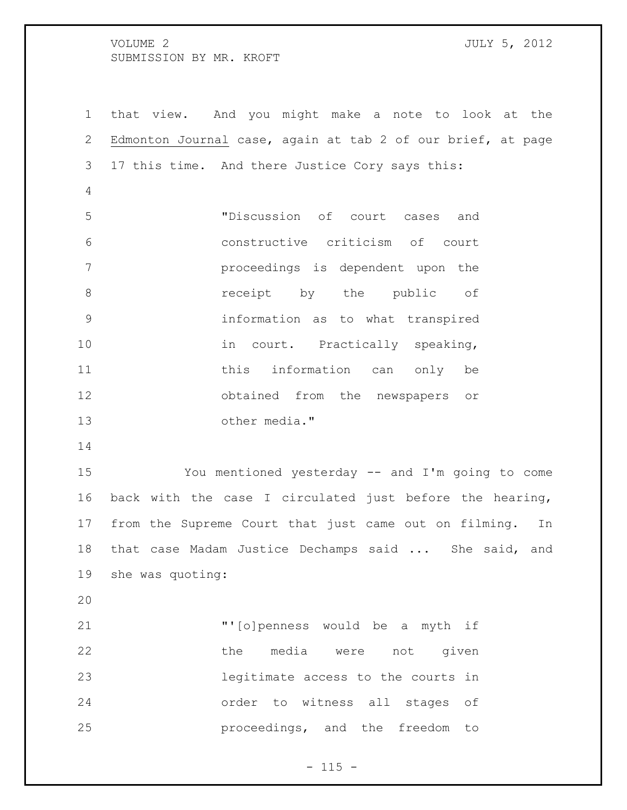that view. And you might make a note to look at the Edmonton Journal case, again at tab 2 of our brief, at page 17 this time. And there Justice Cory says this: "Discussion of court cases and constructive criticism of court proceedings is dependent upon the **8 receipt** by the public of information as to what transpired 10 in court. Practically speaking, 11 this information can only be obtained from the newspapers or other media." You mentioned yesterday -- and I'm going to come back with the case I circulated just before the hearing, from the Supreme Court that just came out on filming. In that case Madam Justice Dechamps said ... She said, and she was quoting: "'[o]penness would be a myth if 22 the media were not given legitimate access to the courts in order to witness all stages of

 $- 115 -$ 

proceedings, and the freedom to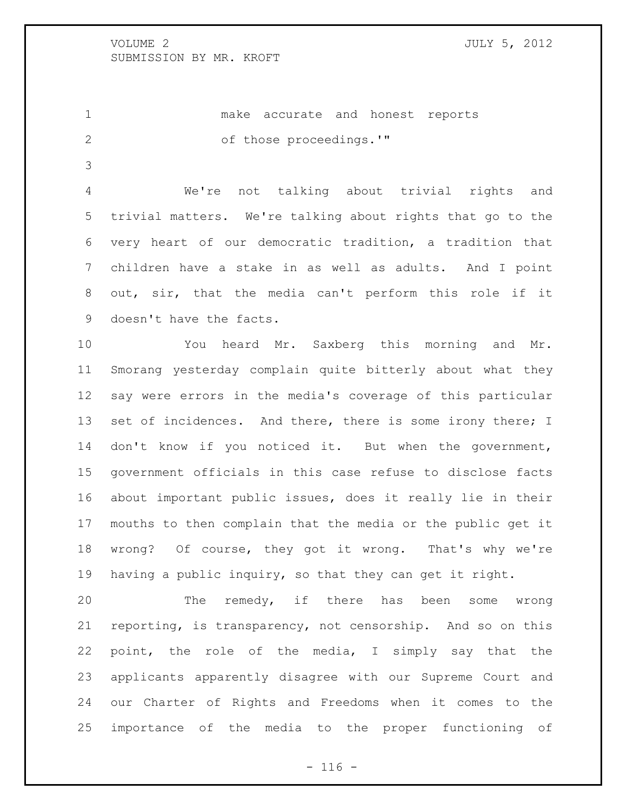make accurate and honest reports 2 of those proceedings.'"

 We're not talking about trivial rights and trivial matters. We're talking about rights that go to the very heart of our democratic tradition, a tradition that children have a stake in as well as adults. And I point out, sir, that the media can't perform this role if it doesn't have the facts.

 You heard Mr. Saxberg this morning and Mr. Smorang yesterday complain quite bitterly about what they say were errors in the media's coverage of this particular 13 set of incidences. And there, there is some irony there; I 14 don't know if you noticed it. But when the government, government officials in this case refuse to disclose facts about important public issues, does it really lie in their mouths to then complain that the media or the public get it wrong? Of course, they got it wrong. That's why we're having a public inquiry, so that they can get it right.

 The remedy, if there has been some wrong reporting, is transparency, not censorship. And so on this point, the role of the media, I simply say that the applicants apparently disagree with our Supreme Court and our Charter of Rights and Freedoms when it comes to the importance of the media to the proper functioning of

 $- 116 -$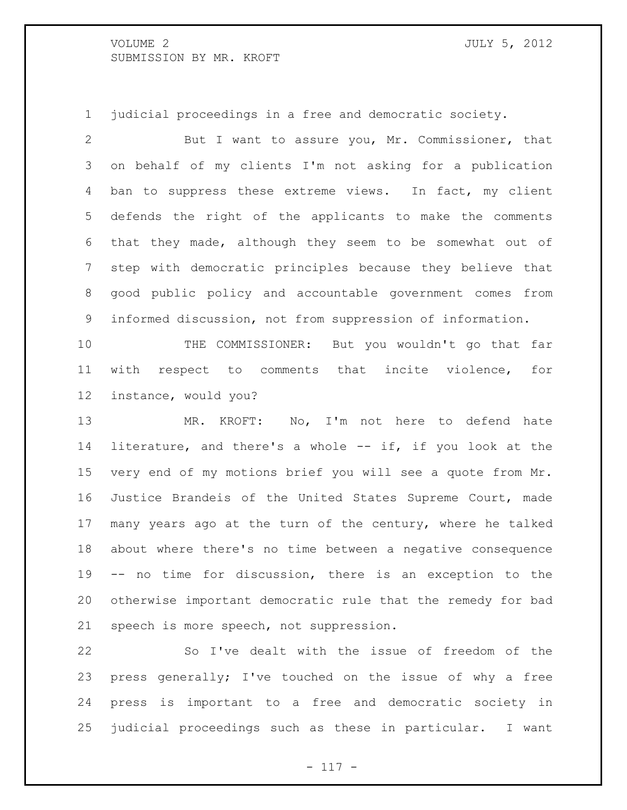judicial proceedings in a free and democratic society.

 But I want to assure you, Mr. Commissioner, that on behalf of my clients I'm not asking for a publication 4 ban to suppress these extreme views. In fact, my client defends the right of the applicants to make the comments that they made, although they seem to be somewhat out of step with democratic principles because they believe that good public policy and accountable government comes from informed discussion, not from suppression of information.

 THE COMMISSIONER: But you wouldn't go that far with respect to comments that incite violence, for instance, would you?

 MR. KROFT: No, I'm not here to defend hate literature, and there's a whole -- if, if you look at the very end of my motions brief you will see a quote from Mr. Justice Brandeis of the United States Supreme Court, made many years ago at the turn of the century, where he talked about where there's no time between a negative consequence -- no time for discussion, there is an exception to the otherwise important democratic rule that the remedy for bad speech is more speech, not suppression.

 So I've dealt with the issue of freedom of the press generally; I've touched on the issue of why a free press is important to a free and democratic society in judicial proceedings such as these in particular. I want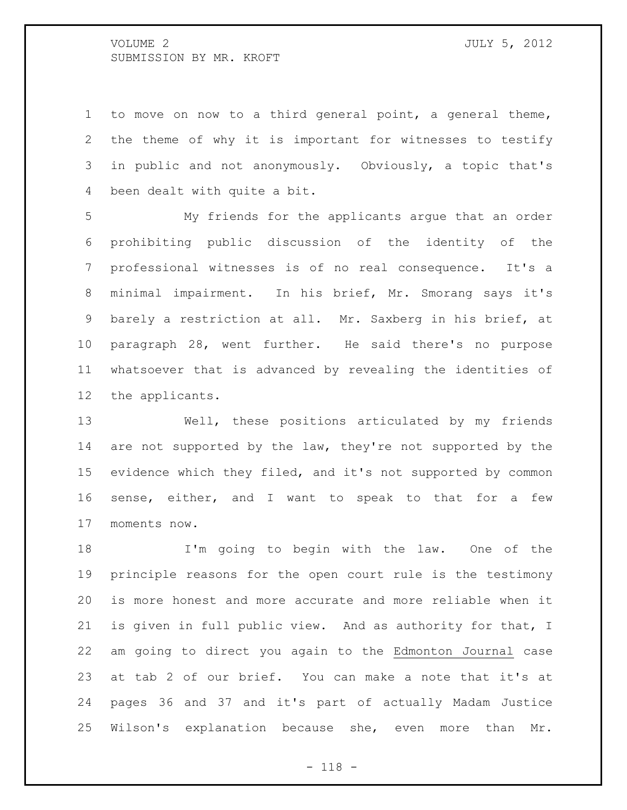to move on now to a third general point, a general theme, the theme of why it is important for witnesses to testify in public and not anonymously. Obviously, a topic that's been dealt with quite a bit.

 My friends for the applicants argue that an order prohibiting public discussion of the identity of the professional witnesses is of no real consequence. It's a minimal impairment. In his brief, Mr. Smorang says it's barely a restriction at all. Mr. Saxberg in his brief, at paragraph 28, went further. He said there's no purpose whatsoever that is advanced by revealing the identities of the applicants.

 Well, these positions articulated by my friends 14 are not supported by the law, they're not supported by the evidence which they filed, and it's not supported by common sense, either, and I want to speak to that for a few moments now.

 I'm going to begin with the law. One of the principle reasons for the open court rule is the testimony is more honest and more accurate and more reliable when it is given in full public view. And as authority for that, I am going to direct you again to the Edmonton Journal case at tab 2 of our brief. You can make a note that it's at pages 36 and 37 and it's part of actually Madam Justice Wilson's explanation because she, even more than Mr.

- 118 -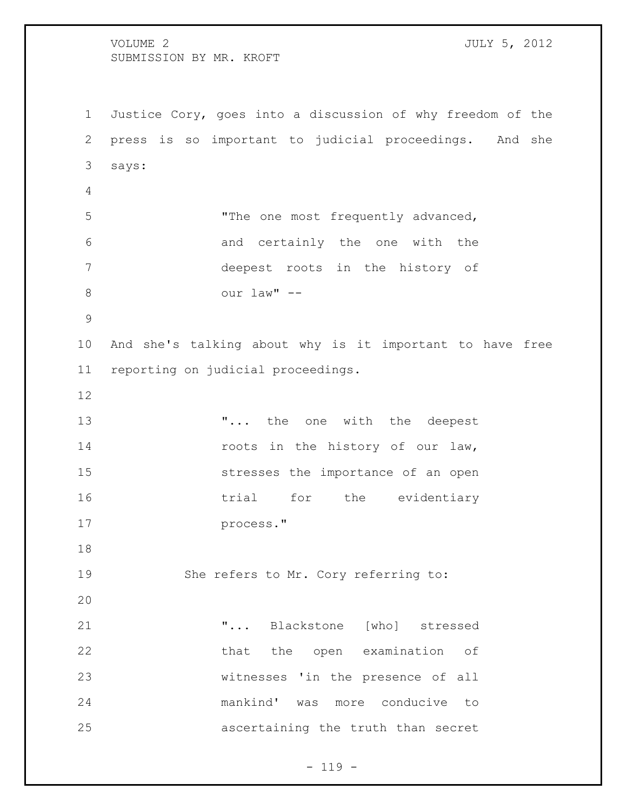VOLUME 2 JULY 5, 2012 SUBMISSION BY MR. KROFT Justice Cory, goes into a discussion of why freedom of the press is so important to judicial proceedings. And she says: "The one most frequently advanced, and certainly the one with the deepest roots in the history of our law" -- And she's talking about why is it important to have free reporting on judicial proceedings. **...** the one with the deepest 14 roots in the history of our law, stresses the importance of an open 16 trial for the evidentiary process." She refers to Mr. Cory referring to: "... Blackstone [who] stressed 22 that the open examination of witnesses 'in the presence of all mankind' was more conducive to ascertaining the truth than secret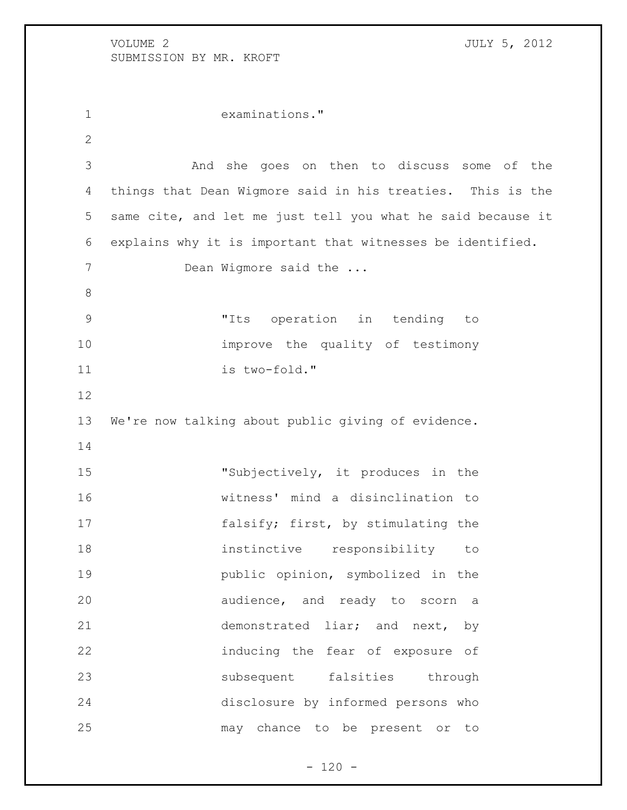examinations." And she goes on then to discuss some of the things that Dean Wigmore said in his treaties. This is the same cite, and let me just tell you what he said because it explains why it is important that witnesses be identified. 7 Dean Wigmore said the ... "Its operation in tending to improve the quality of testimony is two-fold." We're now talking about public giving of evidence. 15 "Subjectively, it produces in the witness' mind a disinclination to 17 falsify; first, by stimulating the instinctive responsibility to public opinion, symbolized in the audience, and ready to scorn a demonstrated liar; and next, by inducing the fear of exposure of subsequent falsities through disclosure by informed persons who may chance to be present or to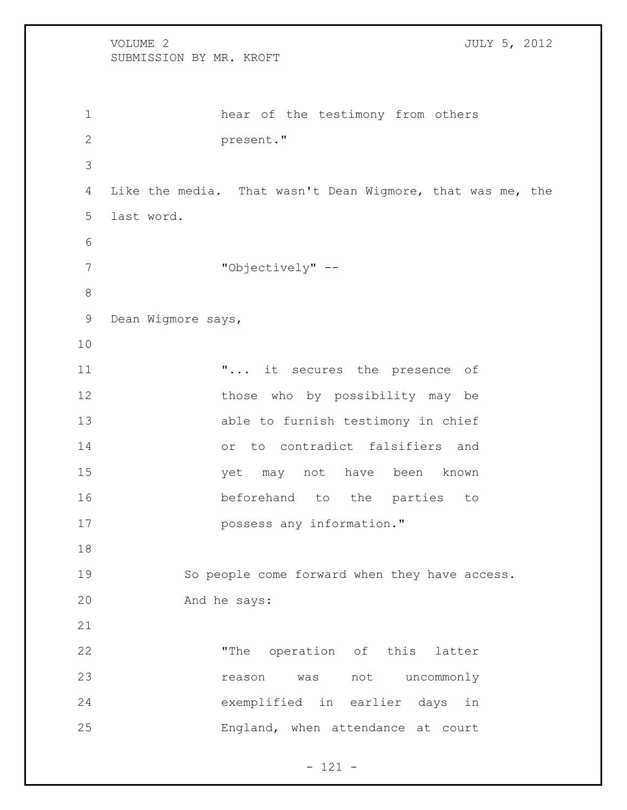```
VOLUME 2 JULY 5, 2012
   SUBMISSION BY MR. KROFT
1 hear of the testimony from others 
2 present."
3
4 Like the media. That wasn't Dean Wigmore, that was me, the 
5 last word.
6
7 "Objectively" --
8
9 Dean Wigmore says, 
10
11 "... it secures the presence of 
12 those who by possibility may be
13 able to furnish testimony in chief 
14 or to contradict falsifiers and 
15 yet may not have been known 
16 beforehand to the parties to 
17 possess any information."
18
19 So people come forward when they have access. 
20 And he says:
21
22 "The operation of this latter 
23 reason was not uncommonly 
24 exemplified in earlier days in 
25 England, when attendance at court
```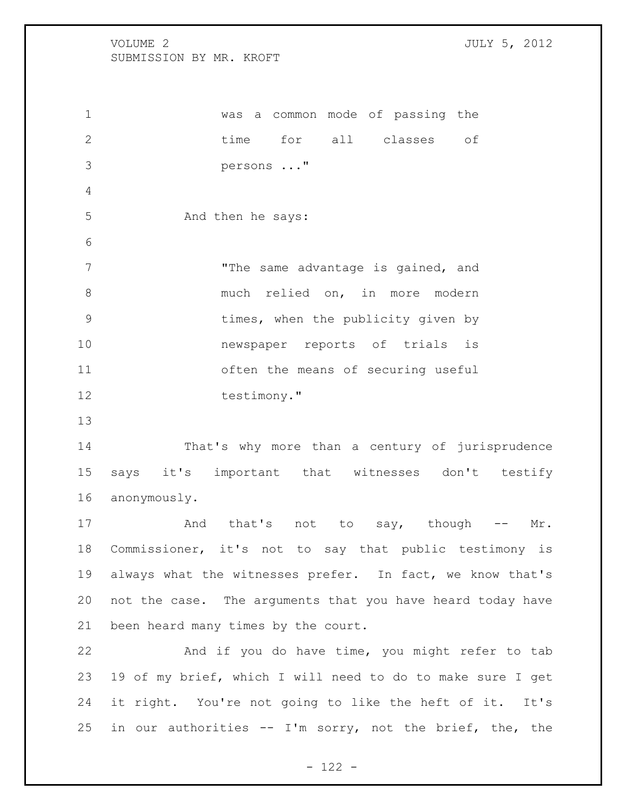was a common mode of passing the time for all classes of persons ..." 5 And then he says: 7 The same advantage is gained, and 8 much relied on, in more modern times, when the publicity given by newspaper reports of trials is often the means of securing useful 12 testimony." That's why more than a century of jurisprudence says it's important that witnesses don't testify anonymously. 17 And that's not to say, though -- Mr. Commissioner, it's not to say that public testimony is always what the witnesses prefer. In fact, we know that's not the case. The arguments that you have heard today have been heard many times by the court. And if you do have time, you might refer to tab 19 of my brief, which I will need to do to make sure I get

in our authorities -- I'm sorry, not the brief, the, the

it right. You're not going to like the heft of it. It's

- 122 -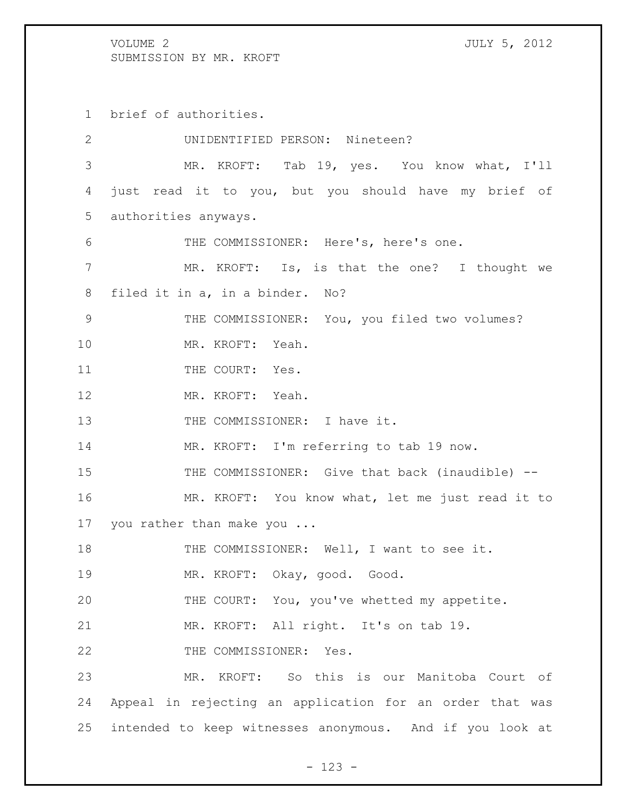brief of authorities.

| $\mathbf{2}$ | UNIDENTIFIED PERSON: Nineteen?                           |
|--------------|----------------------------------------------------------|
| 3            | MR. KROFT: Tab 19, yes. You know what, I'll              |
| 4            | just read it to you, but you should have my brief of     |
| 5            | authorities anyways.                                     |
| 6            | THE COMMISSIONER: Here's, here's one.                    |
| 7            | MR. KROFT: Is, is that the one? I thought we             |
| 8            | filed it in a, in a binder. No?                          |
| 9            | THE COMMISSIONER: You, you filed two volumes?            |
| 10           | MR. KROFT: Yeah.                                         |
| 11           | THE COURT: Yes.                                          |
| 12           | MR. KROFT: Yeah.                                         |
| 13           | THE COMMISSIONER: I have it.                             |
| 14           | MR. KROFT: I'm referring to tab 19 now.                  |
| 15           | THE COMMISSIONER: Give that back (inaudible) --          |
| 16           | MR. KROFT: You know what, let me just read it to         |
| 17           | you rather than make you                                 |
| 18           | THE COMMISSIONER: Well, I want to see it.                |
| 19           | MR. KROFT: Okay, good. Good.                             |
| 20           | THE COURT: You, you've whetted my appetite.              |
| 21           | MR. KROFT: All right. It's on tab 19.                    |
| 22           | THE COMMISSIONER: Yes.                                   |
| 23           | MR. KROFT: So this is our Manitoba Court of              |
| 24           | Appeal in rejecting an application for an order that was |
| 25           | intended to keep witnesses anonymous. And if you look at |

- 123 -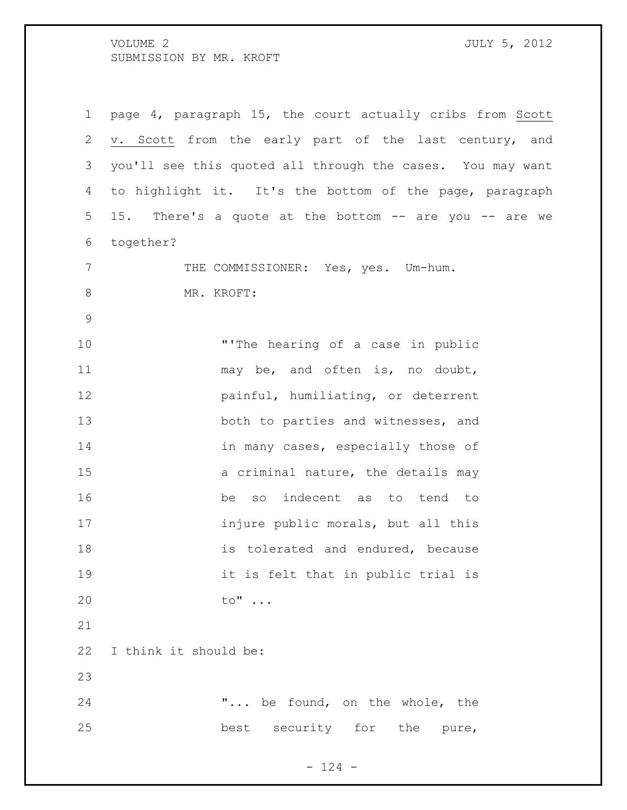VOLUME 2 SUBMISSION BY MR. KROFT

| ı<br>ï<br>- 1 |  |
|---------------|--|

| $\mathbf 1$   | page 4, paragraph 15, the court actually cribs from Scott  |
|---------------|------------------------------------------------------------|
| 2             | v. Scott from the early part of the last century, and      |
| 3             | you'll see this quoted all through the cases. You may want |
| 4             | to highlight it. It's the bottom of the page, paragraph    |
| 5             | 15. There's a quote at the bottom -- are you -- are we     |
| 6             | together?                                                  |
| 7             | THE COMMISSIONER: Yes, yes. Um-hum.                        |
| 8             | MR. KROFT:                                                 |
| $\mathcal{G}$ |                                                            |
| 10            | "'The hearing of a case in public                          |
| 11            | may be, and often is, no doubt,                            |
| 12            | painful, humiliating, or deterrent                         |
| 13            | both to parties and witnesses, and                         |
| 14            | in many cases, especially those of                         |
| 15            | a criminal nature, the details may                         |
| 16            | be so indecent as to tend to                               |
| 17            | injure public morals, but all this                         |
| 18            | is tolerated and endured, because                          |
| 19            | it is felt that in public trial is                         |
| 20            | to"                                                        |
| 21            |                                                            |
| 22            | I think it should be:                                      |
| 23            |                                                            |
| 24            | " be found, on the whole, the                              |
| 25            | best security for the pure,                                |
|               |                                                            |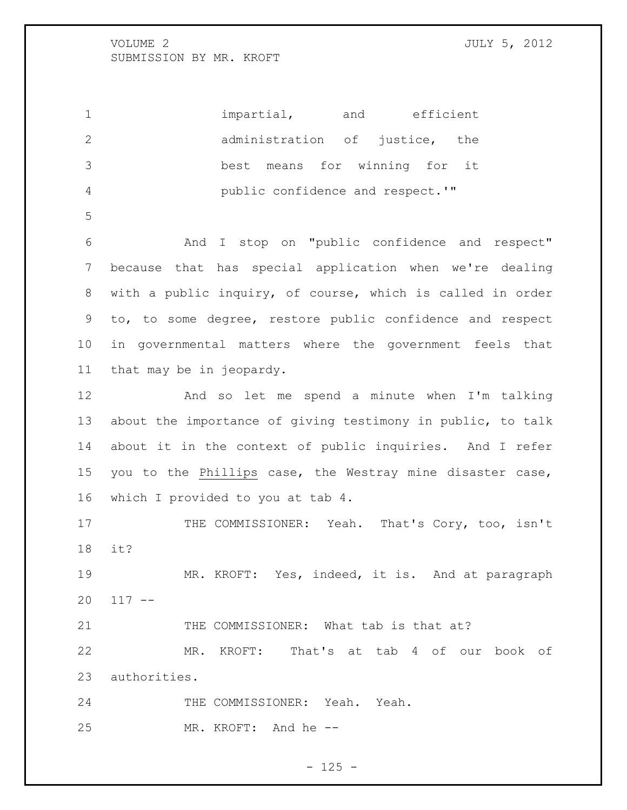1 impartial, and efficient administration of justice, the best means for winning for it public confidence and respect.'"

 And I stop on "public confidence and respect" because that has special application when we're dealing with a public inquiry, of course, which is called in order to, to some degree, restore public confidence and respect in governmental matters where the government feels that that may be in jeopardy.

 And so let me spend a minute when I'm talking about the importance of giving testimony in public, to talk about it in the context of public inquiries. And I refer you to the Phillips case, the Westray mine disaster case, which I provided to you at tab 4.

17 THE COMMISSIONER: Yeah. That's Cory, too, isn't it?

 MR. KROFT: Yes, indeed, it is. And at paragraph  $20 \t 117 - -$ 

THE COMMISSIONER: What tab is that at?

 MR. KROFT: That's at tab 4 of our book of authorities.

 THE COMMISSIONER: Yeah. Yeah. MR. KROFT: And he --

 $- 125 -$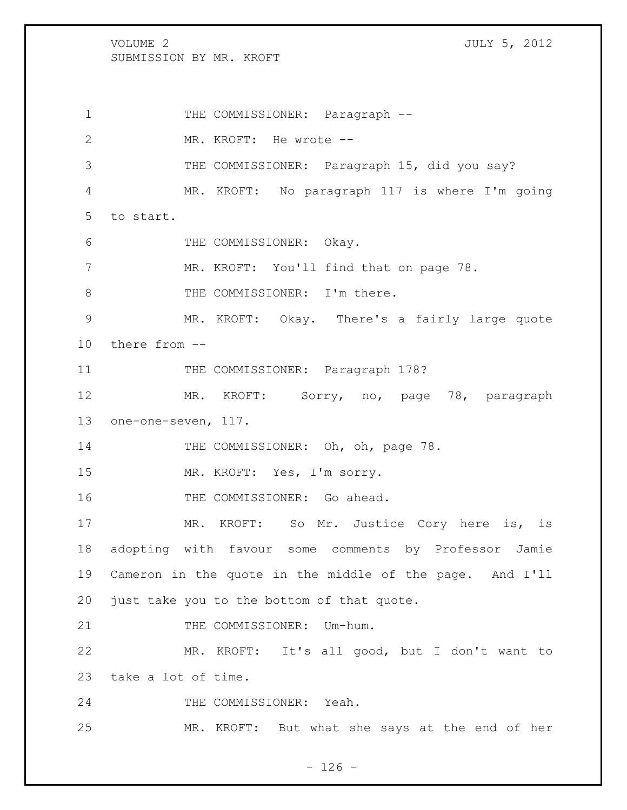VOLUME 2 JULY 5, 2012 SUBMISSION BY MR. KROFT 1 THE COMMISSIONER: Paragraph --2 MR. KROFT: He wrote --3 THE COMMISSIONER: Paragraph 15, did you say? 4 MR. KROFT: No paragraph 117 is where I'm going 5 to start. 6 THE COMMISSIONER: Okay. 7 MR. KROFT: You'll find that on page 78. 8 THE COMMISSIONER: I'm there. 9 MR. KROFT: Okay. There's a fairly large quote 10 there from -- 11 THE COMMISSIONER: Paragraph 178? 12 MR. KROFT: Sorry, no, page 78, paragraph 13 one-one-seven, 117. 14 THE COMMISSIONER: Oh, oh, page 78. 15 MR. KROFT: Yes, I'm sorry. 16 THE COMMISSIONER: Go ahead. 17 MR. KROFT: So Mr. Justice Cory here is, is 18 adopting with favour some comments by Professor Jamie 19 Cameron in the quote in the middle of the page. And I'll 20 just take you to the bottom of that quote. 21 THE COMMISSIONER: Um-hum. 22 MR. KROFT: It's all good, but I don't want to 23 take a lot of time. 24 THE COMMISSIONER: Yeah. 25 MR. KROFT: But what she says at the end of her

 $- 126 -$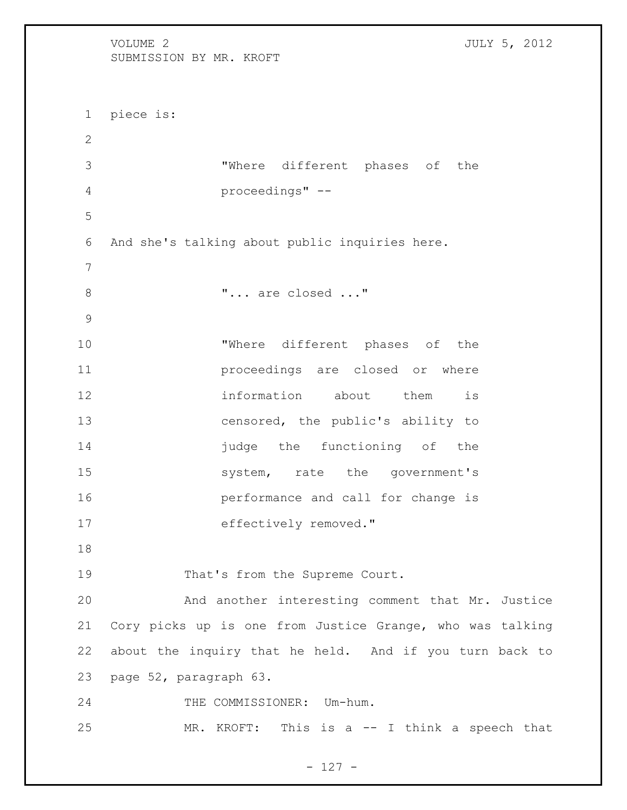VOLUME 2 JULY 5, 2012 SUBMISSION BY MR. KROFT piece is: "Where different phases of the proceedings" -- And she's talking about public inquiries here. 8  $\ldots$  "... are closed ..." "Where different phases of the proceedings are closed or where information about them is censored, the public's ability to **judge** the functioning of the 15 system, rate the government's performance and call for change is 17 effectively removed." 19 That's from the Supreme Court. And another interesting comment that Mr. Justice Cory picks up is one from Justice Grange, who was talking about the inquiry that he held. And if you turn back to page 52, paragraph 63. 24 THE COMMISSIONER: Um-hum. MR. KROFT: This is a -- I think a speech that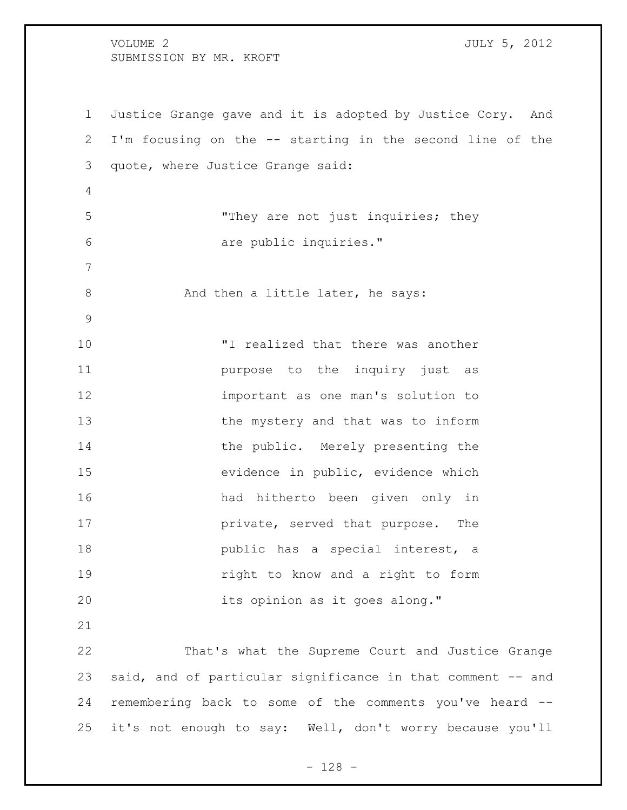Justice Grange gave and it is adopted by Justice Cory. And I'm focusing on the -- starting in the second line of the quote, where Justice Grange said: "They are not just inquiries; they are public inquiries." 8 And then a little later, he says: "I realized that there was another **purpose** to the inquiry just as important as one man's solution to the mystery and that was to inform 14 the public. Merely presenting the evidence in public, evidence which had hitherto been given only in **private, served that purpose.** The **public** has a special interest, a right to know and a right to form its opinion as it goes along." That's what the Supreme Court and Justice Grange said, and of particular significance in that comment -- and remembering back to some of the comments you've heard -- it's not enough to say: Well, don't worry because you'll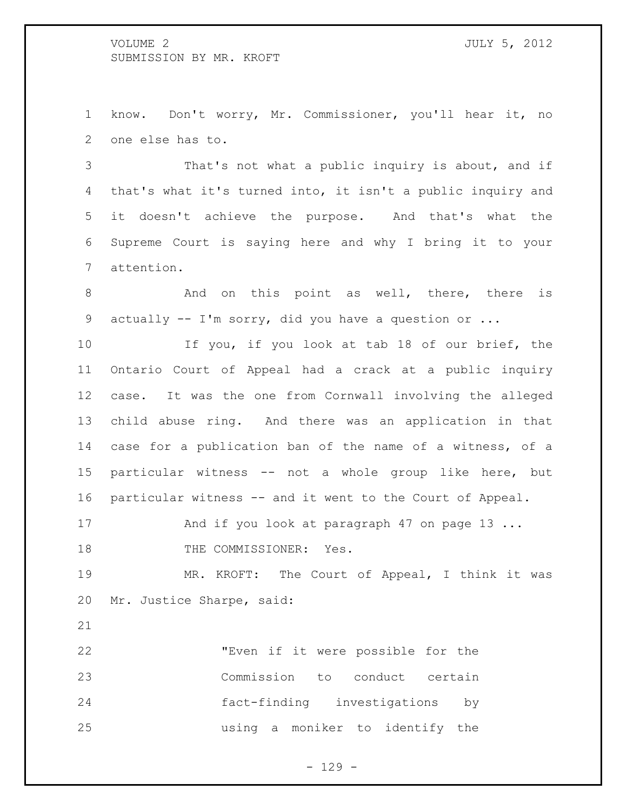know. Don't worry, Mr. Commissioner, you'll hear it, no one else has to.

 That's not what a public inquiry is about, and if that's what it's turned into, it isn't a public inquiry and it doesn't achieve the purpose. And that's what the Supreme Court is saying here and why I bring it to your attention.

8 6 And on this point as well, there, there is actually -- I'm sorry, did you have a question or ...

 If you, if you look at tab 18 of our brief, the Ontario Court of Appeal had a crack at a public inquiry case. It was the one from Cornwall involving the alleged child abuse ring. And there was an application in that case for a publication ban of the name of a witness, of a particular witness -- not a whole group like here, but particular witness -- and it went to the Court of Appeal.

17 And if you look at paragraph 47 on page 13 ...

18 THE COMMISSIONER: Yes.

 MR. KROFT: The Court of Appeal, I think it was Mr. Justice Sharpe, said:

 "Even if it were possible for the Commission to conduct certain fact-finding investigations by using a moniker to identify the

 $- 129 -$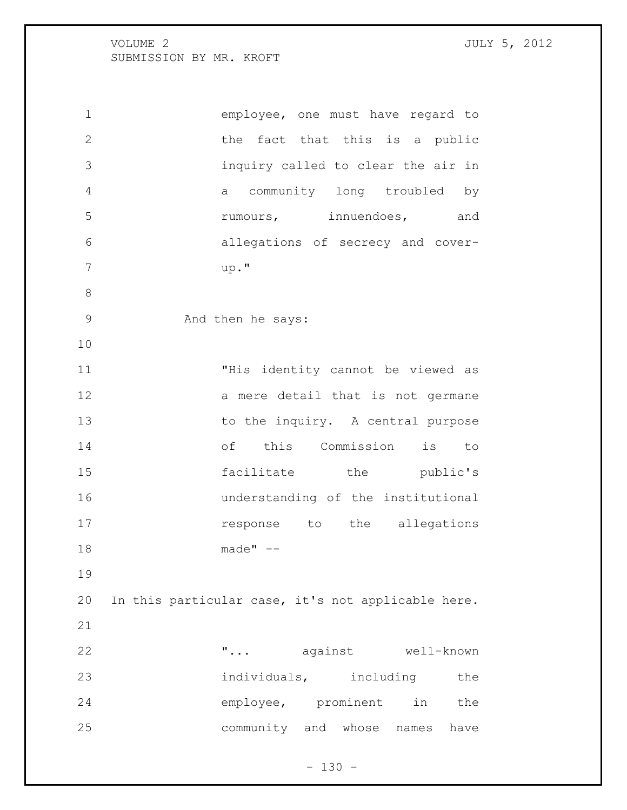employee, one must have regard to 2 the fact that this is a public inquiry called to clear the air in a community long troubled by **19 rumours**, the innuendoes, and allegations of secrecy and cover- up." And then he says: "His identity cannot be viewed as 12 a mere detail that is not germane 13 to the inquiry. A central purpose of this Commission is to 15 facilitate the public's understanding of the institutional **response** to the allegations made" -- In this particular case, it's not applicable here. "... against well-known 23 individuals, including the 24 employee, prominent in the community and whose names have

 $- 130 -$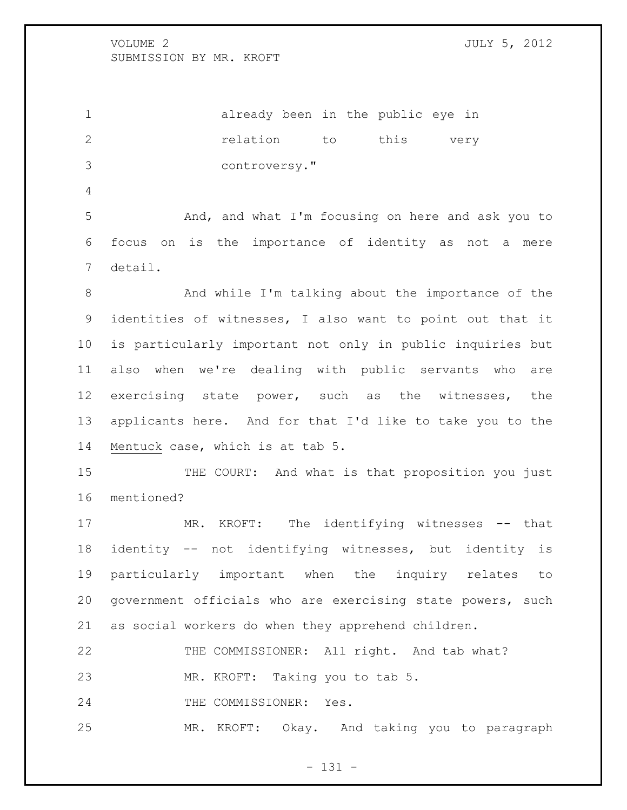already been in the public eye in *relation* to this very controversy." And, and what I'm focusing on here and ask you to focus on is the importance of identity as not a mere detail. 8 And while I'm talking about the importance of the identities of witnesses, I also want to point out that it is particularly important not only in public inquiries but also when we're dealing with public servants who are exercising state power, such as the witnesses, the applicants here. And for that I'd like to take you to the Mentuck case, which is at tab 5. 15 THE COURT: And what is that proposition you just mentioned? MR. KROFT: The identifying witnesses -- that identity -- not identifying witnesses, but identity is particularly important when the inquiry relates to government officials who are exercising state powers, such as social workers do when they apprehend children. THE COMMISSIONER: All right. And tab what?

MR. KROFT: Taking you to tab 5.

24 THE COMMISSIONER: Yes.

MR. KROFT: Okay. And taking you to paragraph

- 131 -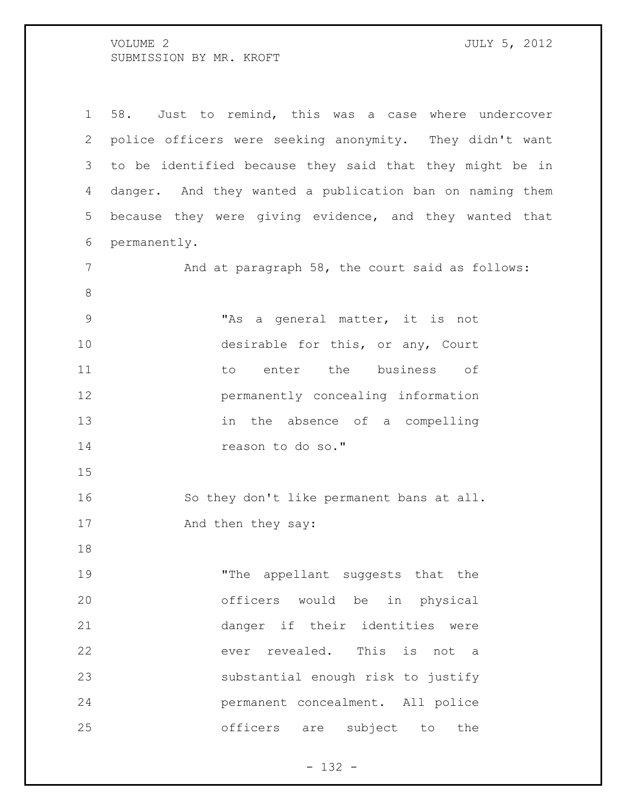58. Just to remind, this was a case where undercover police officers were seeking anonymity. They didn't want to be identified because they said that they might be in danger. And they wanted a publication ban on naming them because they were giving evidence, and they wanted that permanently. 7 And at paragraph 58, the court said as follows: "As a general matter, it is not 10 desirable for this, or any, Court to enter the business of permanently concealing information in the absence of a compelling reason to do so." 16 So they don't like permanent bans at all. 17 And then they say: "The appellant suggests that the officers would be in physical danger if their identities were ever revealed. This is not a substantial enough risk to justify permanent concealment. All police officers are subject to the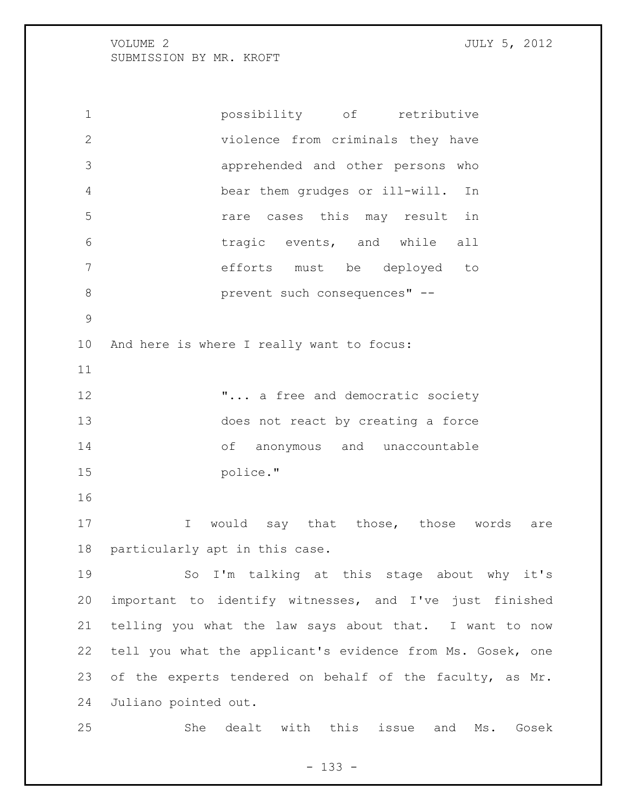possibility of retributive violence from criminals they have apprehended and other persons who bear them grudges or ill-will. In rare cases this may result in tragic events, and while all efforts must be deployed to 8 prevent such consequences" -- And here is where I really want to focus: **"...** a free and democratic society does not react by creating a force of anonymous and unaccountable police." 17 1 I would say that those, those words are particularly apt in this case. So I'm talking at this stage about why it's important to identify witnesses, and I've just finished telling you what the law says about that. I want to now tell you what the applicant's evidence from Ms. Gosek, one 23 of the experts tendered on behalf of the faculty, as Mr. Juliano pointed out. She dealt with this issue and Ms. Gosek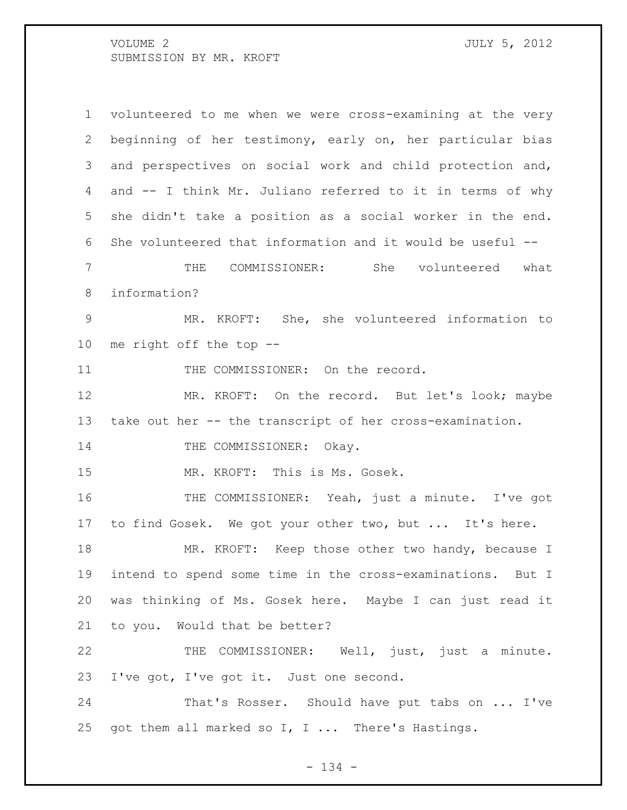volunteered to me when we were cross-examining at the very beginning of her testimony, early on, her particular bias and perspectives on social work and child protection and, and -- I think Mr. Juliano referred to it in terms of why she didn't take a position as a social worker in the end. She volunteered that information and it would be useful -- THE COMMISSIONER: She volunteered what information? MR. KROFT: She, she volunteered information to me right off the top -- 11 THE COMMISSIONER: On the record. MR. KROFT: On the record. But let's look; maybe take out her -- the transcript of her cross-examination. 14 THE COMMISSIONER: Okay. MR. KROFT: This is Ms. Gosek. THE COMMISSIONER: Yeah, just a minute. I've got to find Gosek. We got your other two, but ... It's here. MR. KROFT: Keep those other two handy, because I intend to spend some time in the cross-examinations. But I was thinking of Ms. Gosek here. Maybe I can just read it to you. Would that be better? THE COMMISSIONER: Well, just, just a minute. I've got, I've got it. Just one second. That's Rosser. Should have put tabs on ... I've got them all marked so I, I ... There's Hastings.

- 134 -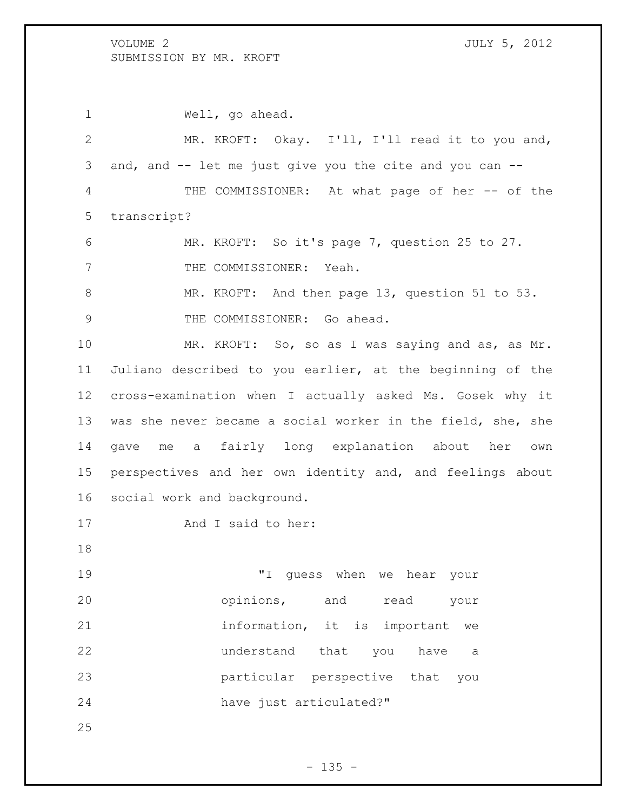Well, go ahead. MR. KROFT: Okay. I'll, I'll read it to you and, and, and -- let me just give you the cite and you can -- 4 THE COMMISSIONER: At what page of her -- of the transcript? MR. KROFT: So it's page 7, question 25 to 27. 7 THE COMMISSIONER: Yeah. 8 MR. KROFT: And then page 13, question 51 to 53. 9 THE COMMISSIONER: Go ahead. MR. KROFT: So, so as I was saying and as, as Mr. Juliano described to you earlier, at the beginning of the cross-examination when I actually asked Ms. Gosek why it was she never became a social worker in the field, she, she gave me a fairly long explanation about her own perspectives and her own identity and, and feelings about social work and background. 17 And I said to her: "I guess when we hear your opinions, and read your information, it is important we understand that you have a particular perspective that you have just articulated?"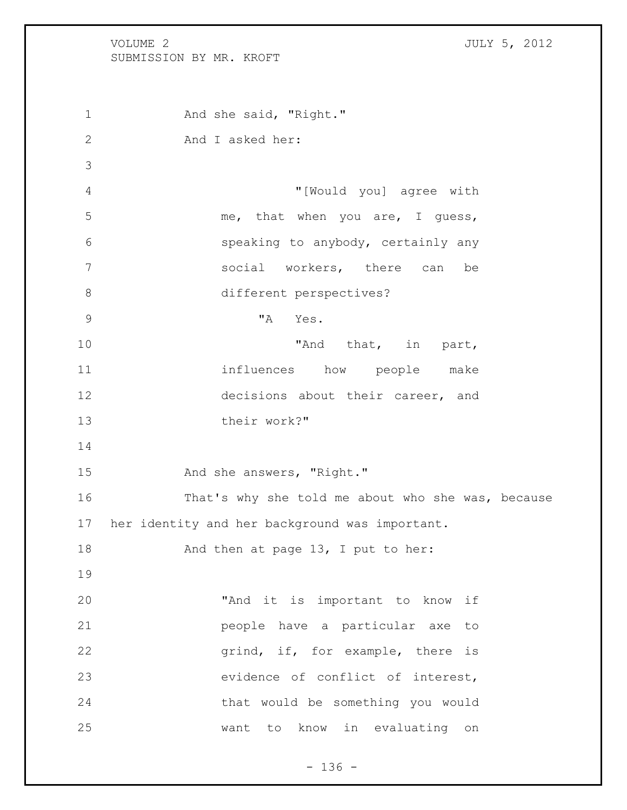VOLUME 2 JULY 5, 2012 SUBMISSION BY MR. KROFT 1 And she said, "Right." And I asked her: "[Would you] agree with 5 me, that when you are, I guess, speaking to anybody, certainly any social workers, there can be 8 different perspectives? "A Yes. 10 That, in part, influences how people make decisions about their career, and their work?" 15 And she answers, "Right." That's why she told me about who she was, because her identity and her background was important. 18 And then at page 13, I put to her: "And it is important to know if people have a particular axe to **grind, if, for example, there is**  evidence of conflict of interest, that would be something you would want to know in evaluating on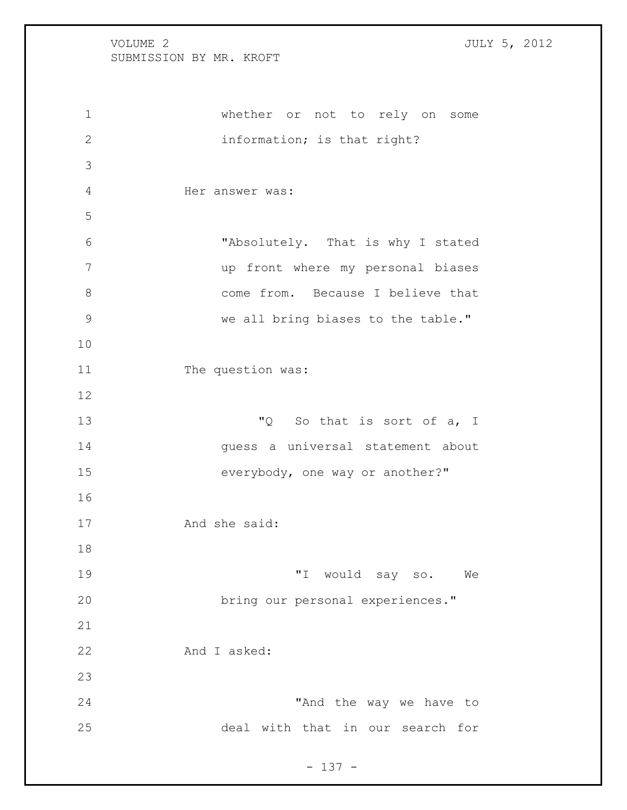whether or not to rely on some information; is that right? Her answer was: "Absolutely. That is why I stated up front where my personal biases 8 come from. Because I believe that 9 we all bring biases to the table." 11 The question was: 13 TQ So that is sort of a, I guess a universal statement about everybody, one way or another?" And she said: "I would say so. We bring our personal experiences." And I asked: 24 The way we have to deal with that in our search for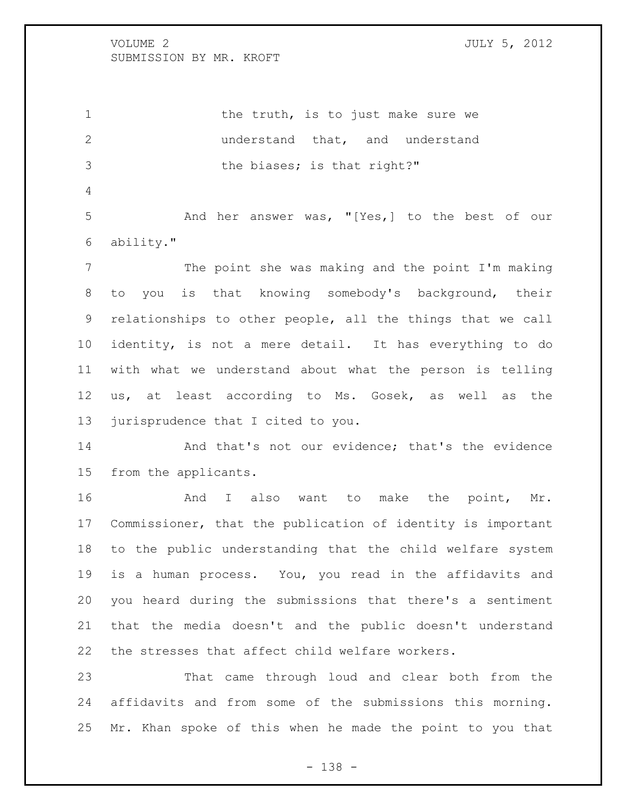1 the truth, is to just make sure we understand that, and understand 3 the biases; is that right?"

 And her answer was, "[Yes,] to the best of our ability."

 The point she was making and the point I'm making to you is that knowing somebody's background, their relationships to other people, all the things that we call identity, is not a mere detail. It has everything to do with what we understand about what the person is telling us, at least according to Ms. Gosek, as well as the jurisprudence that I cited to you.

14 And that's not our evidence; that's the evidence from the applicants.

16 And I also want to make the point, Mr. Commissioner, that the publication of identity is important to the public understanding that the child welfare system is a human process. You, you read in the affidavits and you heard during the submissions that there's a sentiment that the media doesn't and the public doesn't understand the stresses that affect child welfare workers.

 That came through loud and clear both from the affidavits and from some of the submissions this morning. Mr. Khan spoke of this when he made the point to you that

- 138 -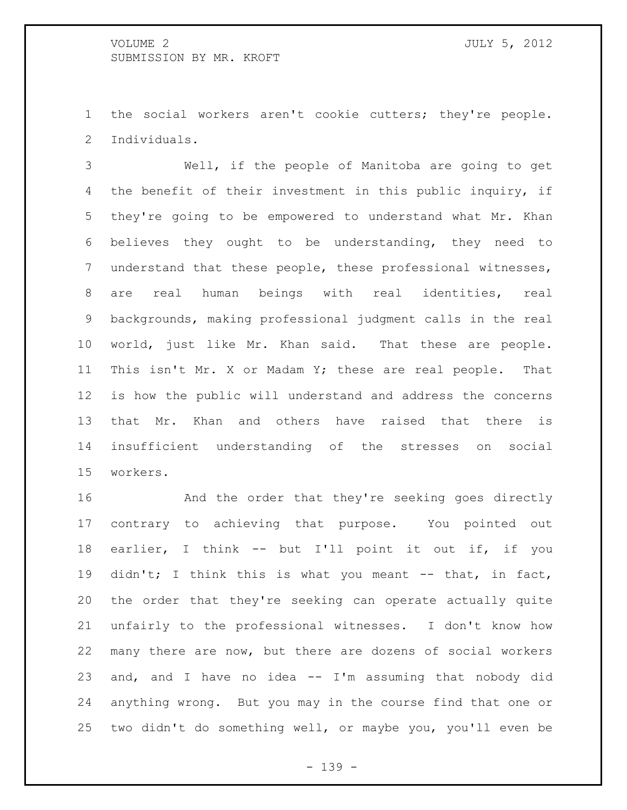the social workers aren't cookie cutters; they're people. Individuals.

 Well, if the people of Manitoba are going to get the benefit of their investment in this public inquiry, if they're going to be empowered to understand what Mr. Khan believes they ought to be understanding, they need to understand that these people, these professional witnesses, are real human beings with real identities, real backgrounds, making professional judgment calls in the real world, just like Mr. Khan said. That these are people. This isn't Mr. X or Madam Y; these are real people. That is how the public will understand and address the concerns that Mr. Khan and others have raised that there is insufficient understanding of the stresses on social workers.

 And the order that they're seeking goes directly contrary to achieving that purpose. You pointed out earlier, I think -- but I'll point it out if, if you didn't; I think this is what you meant -- that, in fact, the order that they're seeking can operate actually quite unfairly to the professional witnesses. I don't know how many there are now, but there are dozens of social workers and, and I have no idea -- I'm assuming that nobody did anything wrong. But you may in the course find that one or two didn't do something well, or maybe you, you'll even be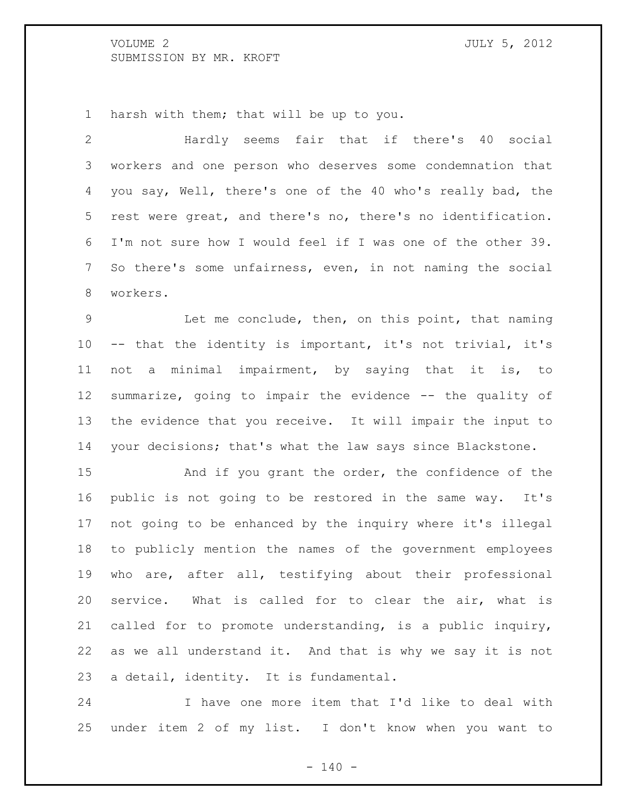harsh with them; that will be up to you.

 Hardly seems fair that if there's 40 social workers and one person who deserves some condemnation that you say, Well, there's one of the 40 who's really bad, the rest were great, and there's no, there's no identification. I'm not sure how I would feel if I was one of the other 39. So there's some unfairness, even, in not naming the social workers.

 Let me conclude, then, on this point, that naming -- that the identity is important, it's not trivial, it's not a minimal impairment, by saying that it is, to summarize, going to impair the evidence -- the quality of the evidence that you receive. It will impair the input to your decisions; that's what the law says since Blackstone.

 And if you grant the order, the confidence of the public is not going to be restored in the same way. It's not going to be enhanced by the inquiry where it's illegal to publicly mention the names of the government employees who are, after all, testifying about their professional service. What is called for to clear the air, what is called for to promote understanding, is a public inquiry, as we all understand it. And that is why we say it is not a detail, identity. It is fundamental.

 I have one more item that I'd like to deal with under item 2 of my list. I don't know when you want to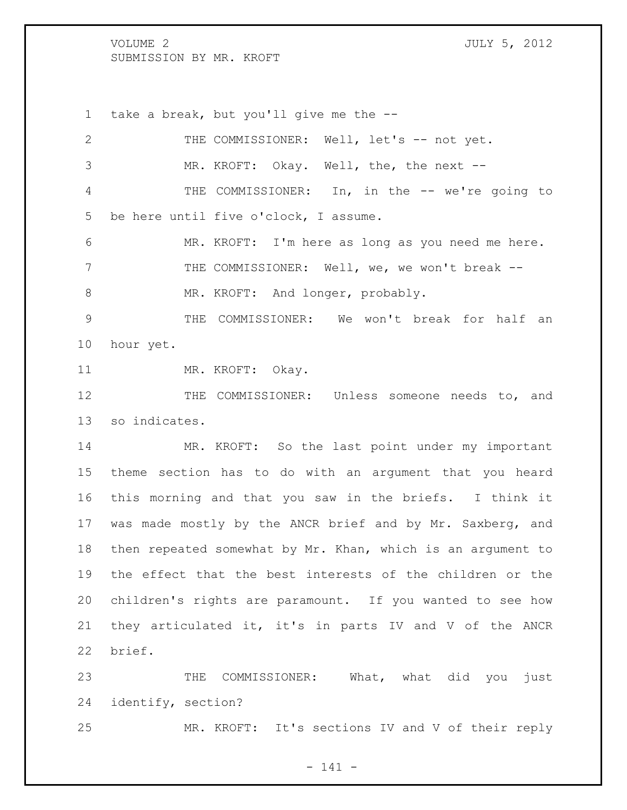take a break, but you'll give me the --

| $\overline{2}$ | THE COMMISSIONER: Well, let's -- not yet.                   |
|----------------|-------------------------------------------------------------|
| 3              | MR. KROFT: Okay. Well, the, the next --                     |
| 4              | THE COMMISSIONER: In, in the -- we're going to              |
| 5              | be here until five o'clock, I assume.                       |
| 6              | MR. KROFT: I'm here as long as you need me here.            |
| 7              | THE COMMISSIONER: Well, we, we won't break --               |
| $8\,$          | MR. KROFT: And longer, probably.                            |
| $\mathcal{G}$  | THE COMMISSIONER: We won't break for half an                |
| 10             | hour yet.                                                   |
| 11             | MR. KROFT: Okay.                                            |
| 12             | THE COMMISSIONER: Unless someone needs to, and              |
| 13             | so indicates.                                               |
| 14             | MR. KROFT: So the last point under my important             |
| 15             | theme section has to do with an argument that you heard     |
| 16             | this morning and that you saw in the briefs. I think it     |
| 17             | was made mostly by the ANCR brief and by Mr. Saxberg, and   |
| 18             | then repeated somewhat by Mr. Khan, which is an argument to |
| 19             | the effect that the best interests of the children or the   |
| 20             | children's rights are paramount. If you wanted to see how   |
| 21             | they articulated it, it's in parts IV and V of the ANCR     |
| 22             | brief.                                                      |
| 23             | COMMISSIONER: What, what did you just<br>THE                |
| 24             | identify, section?                                          |

MR. KROFT: It's sections IV and V of their reply

- 141 -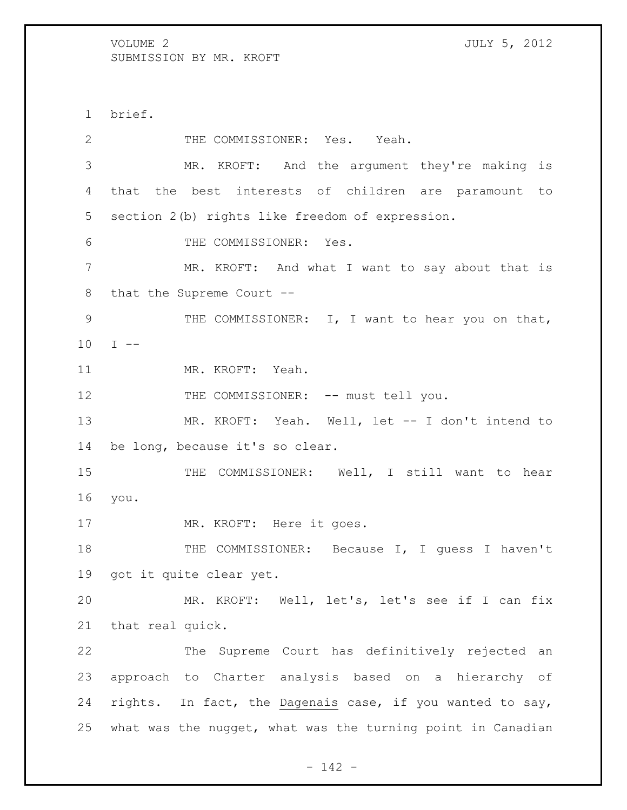brief. 2 THE COMMISSIONER: Yes. Yeah. MR. KROFT: And the argument they're making is that the best interests of children are paramount to section 2(b) rights like freedom of expression. THE COMMISSIONER: Yes. MR. KROFT: And what I want to say about that is that the Supreme Court -- 9 THE COMMISSIONER: I, I want to hear you on that, I  $-$  MR. KROFT: Yeah. 12 THE COMMISSIONER: -- must tell you. MR. KROFT: Yeah. Well, let -- I don't intend to be long, because it's so clear. 15 THE COMMISSIONER: Well, I still want to hear you. 17 MR. KROFT: Here it goes. THE COMMISSIONER: Because I, I guess I haven't got it quite clear yet. MR. KROFT: Well, let's, let's see if I can fix that real quick. The Supreme Court has definitively rejected an approach to Charter analysis based on a hierarchy of rights. In fact, the Dagenais case, if you wanted to say, what was the nugget, what was the turning point in Canadian

- 142 -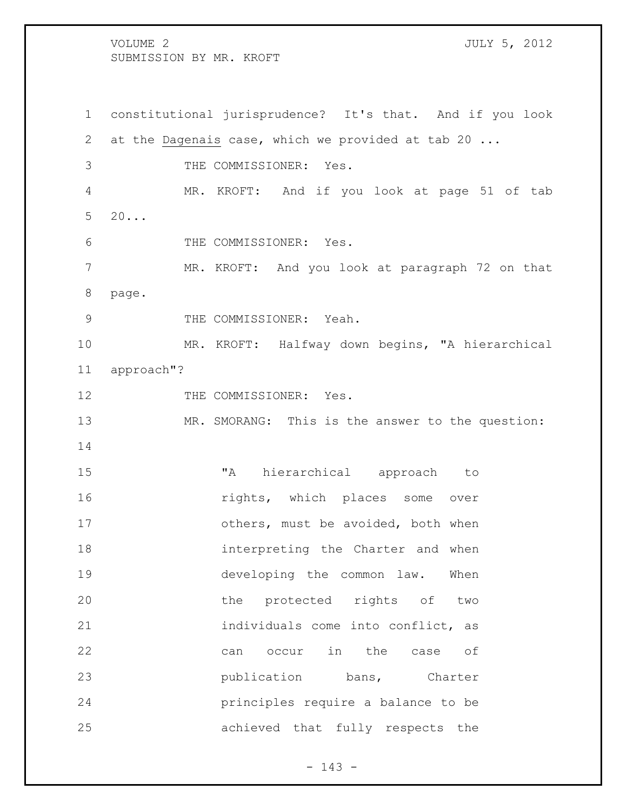constitutional jurisprudence? It's that. And if you look at the Dagenais case, which we provided at tab 20 ... THE COMMISSIONER: Yes. MR. KROFT: And if you look at page 51 of tab  $5 \quad 20...$  THE COMMISSIONER: Yes. MR. KROFT: And you look at paragraph 72 on that page. 9 THE COMMISSIONER: Yeah. MR. KROFT: Halfway down begins, "A hierarchical approach"? 12 THE COMMISSIONER: Yes. 13 MR. SMORANG: This is the answer to the question: "A hierarchical approach to **16** rights, which places some over 17 others, must be avoided, both when interpreting the [Charter](http://www.canlii.org/en/ca/laws/stat/schedule-b-to-the-canada-act-1982-uk-1982-c-11/latest/schedule-b-to-the-canada-act-1982-uk-1982-c-11.html) and when developing the common law. When the protected rights of two 21 individuals come into conflict, as can occur in the case of **publication** bans, [Charter](http://www.canlii.org/en/ca/laws/stat/schedule-b-to-the-canada-act-1982-uk-1982-c-11/latest/schedule-b-to-the-canada-act-1982-uk-1982-c-11.html) principles require a balance to be achieved that fully respects the

- 143 -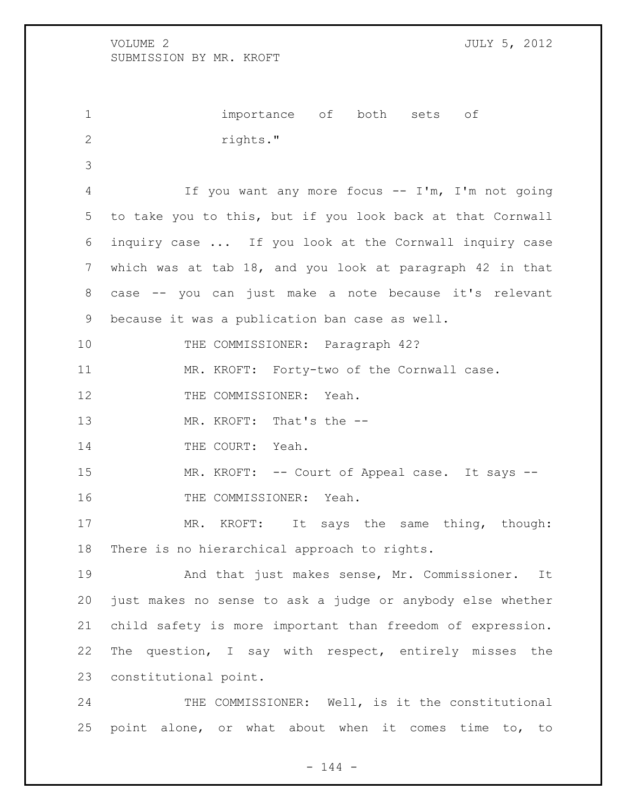importance of both sets of 2 rights." If you want any more focus -- I'm, I'm not going to take you to this, but if you look back at that Cornwall inquiry case ... If you look at the Cornwall inquiry case which was at tab 18, and you look at paragraph 42 in that case -- you can just make a note because it's relevant because it was a publication ban case as well. THE COMMISSIONER: Paragraph 42? MR. KROFT: Forty-two of the Cornwall case. 12 THE COMMISSIONER: Yeah. 13 MR. KROFT: That's the --14 THE COURT: Yeah. 15 MR. KROFT: -- Court of Appeal case. It says -- THE COMMISSIONER: Yeah. 17 MR. KROFT: It says the same thing, though: There is no hierarchical approach to rights. And that just makes sense, Mr. Commissioner. It just makes no sense to ask a judge or anybody else whether child safety is more important than freedom of expression. The question, I say with respect, entirely misses the constitutional point.

24 THE COMMISSIONER: Well, is it the constitutional point alone, or what about when it comes time to, to

 $- 144 -$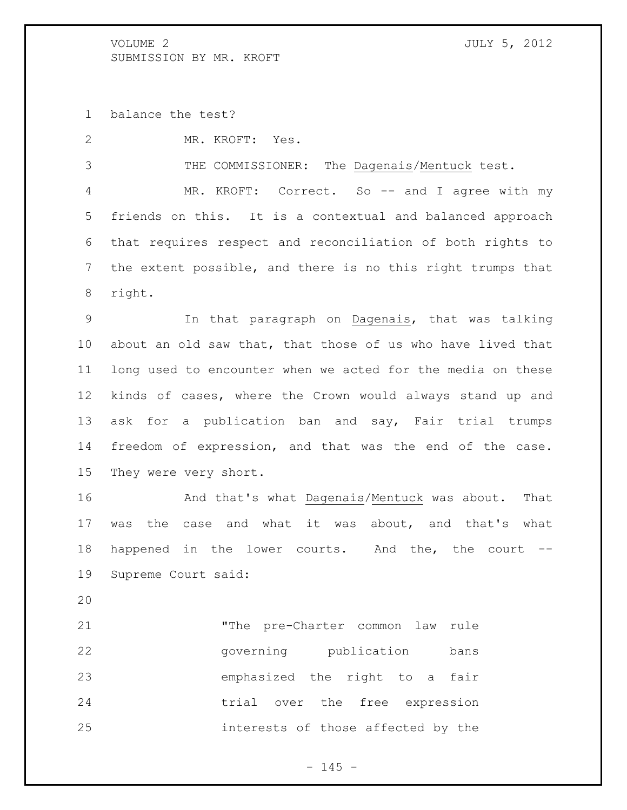balance the test?

MR. KROFT: Yes.

THE COMMISSIONER: The Dagenais/Mentuck test.

4 MR. KROFT: Correct. So -- and I agree with my friends on this. It is a contextual and balanced approach that requires respect and reconciliation of both rights to the extent possible, and there is no this right trumps that right.

 In that paragraph on Dagenais, that was talking about an old saw that, that those of us who have lived that long used to encounter when we acted for the media on these kinds of cases, where the Crown would always stand up and ask for a publication ban and say, Fair trial trumps freedom of expression, and that was the end of the case. They were very short.

 And that's what Dagenais/Mentuck was about. That was the case and what it was about, and that's what happened in the lower courts. And the, the court -- Supreme Court said:

 "The pre[-Charter](http://www.canlii.org/en/ca/laws/stat/schedule-b-to-the-canada-act-1982-uk-1982-c-11/latest/schedule-b-to-the-canada-act-1982-uk-1982-c-11.html) common law rule governing publication bans emphasized the right to a fair trial over the free expression interests of those affected by the

 $- 145 -$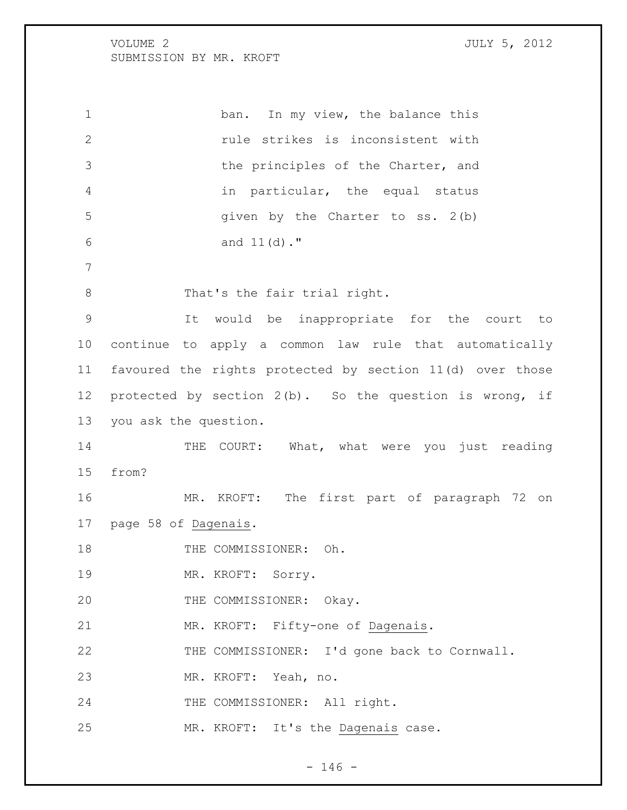1 ban. In my view, the balance this rule strikes is inconsistent with 3 the principles of the [Charter,](http://www.canlii.org/en/ca/laws/stat/schedule-b-to-the-canada-act-1982-uk-1982-c-11/latest/schedule-b-to-the-canada-act-1982-uk-1982-c-11.html) and in particular, the equal status given by the [Charter](http://www.canlii.org/en/ca/laws/stat/schedule-b-to-the-canada-act-1982-uk-1982-c-11/latest/schedule-b-to-the-canada-act-1982-uk-1982-c-11.html) to [ss. 2\(](http://www.canlii.org/en/ca/laws/stat/schedule-b-to-the-canada-act-1982-uk-1982-c-11/latest/schedule-b-to-the-canada-act-1982-uk-1982-c-11.html#sec2_smooth)b) and [11\(](http://www.canlii.org/en/ca/laws/stat/schedule-b-to-the-canada-act-1982-uk-1982-c-11/latest/schedule-b-to-the-canada-act-1982-uk-1982-c-11.html#sec11_smooth)d)." 8 That's the fair trial right. It would be inappropriate for the court to continue to apply a common law rule that automatically favoured the rights protected by section 11(d) over those protected by section 2(b). So the question is wrong, if you ask the question. 14 THE COURT: What, what were you just reading from? MR. KROFT: The first part of paragraph 72 on page 58 of Dagenais. 18 THE COMMISSIONER: Oh. MR. KROFT: Sorry. 20 THE COMMISSIONER: Okay. MR. KROFT: Fifty-one of Dagenais. THE COMMISSIONER: I'd gone back to Cornwall. MR. KROFT: Yeah, no. 24 THE COMMISSIONER: All right. MR. KROFT: It's the Dagenais case.

 $- 146 -$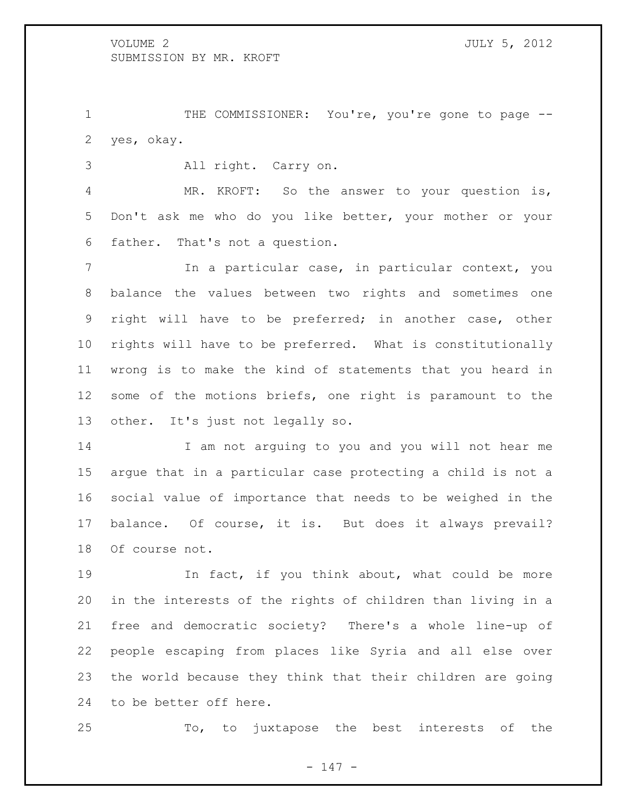THE COMMISSIONER: You're, you're gone to page -- yes, okay.

All right. Carry on.

 MR. KROFT: So the answer to your question is, Don't ask me who do you like better, your mother or your father. That's not a question.

 In a particular case, in particular context, you balance the values between two rights and sometimes one right will have to be preferred; in another case, other rights will have to be preferred. What is constitutionally wrong is to make the kind of statements that you heard in some of the motions briefs, one right is paramount to the other. It's just not legally so.

 I am not arguing to you and you will not hear me argue that in a particular case protecting a child is not a social value of importance that needs to be weighed in the balance. Of course, it is. But does it always prevail? Of course not.

 In fact, if you think about, what could be more in the interests of the rights of children than living in a free and democratic society? There's a whole line-up of people escaping from places like Syria and all else over the world because they think that their children are going to be better off here.

To, to juxtapose the best interests of the

- 147 -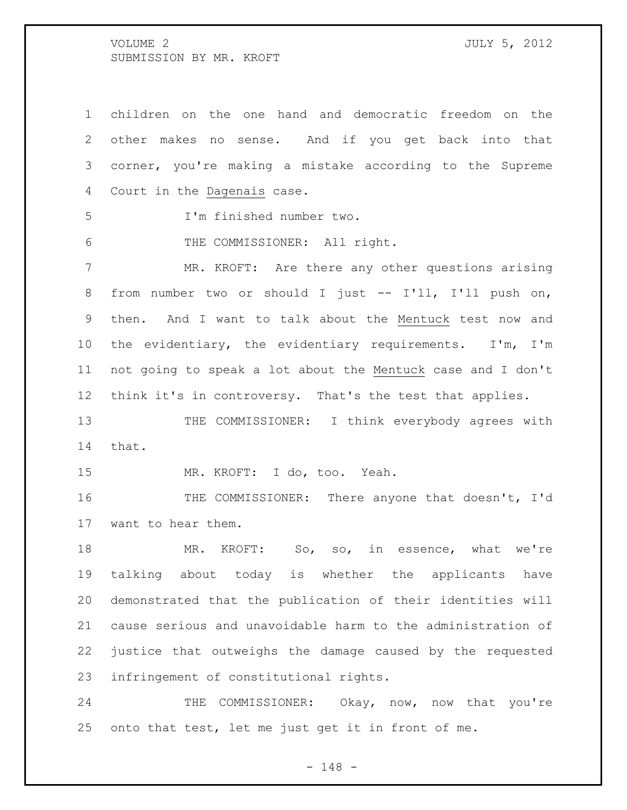children on the one hand and democratic freedom on the other makes no sense. And if you get back into that corner, you're making a mistake according to the Supreme Court in the Dagenais case. I'm finished number two. THE COMMISSIONER: All right. MR. KROFT: Are there any other questions arising from number two or should I just -- I'll, I'll push on, then. And I want to talk about the Mentuck test now and the evidentiary, the evidentiary requirements. I'm, I'm not going to speak a lot about the Mentuck case and I don't think it's in controversy. That's the test that applies. 13 THE COMMISSIONER: I think everybody agrees with that. MR. KROFT: I do, too. Yeah. THE COMMISSIONER: There anyone that doesn't, I'd want to hear them. 18 MR. KROFT: So, so, in essence, what we're talking about today is whether the applicants have demonstrated that the publication of their identities will cause serious and unavoidable harm to the administration of justice that outweighs the damage caused by the requested infringement of constitutional rights. 24 THE COMMISSIONER: Okay, now, now that you're

onto that test, let me just get it in front of me.

- 148 -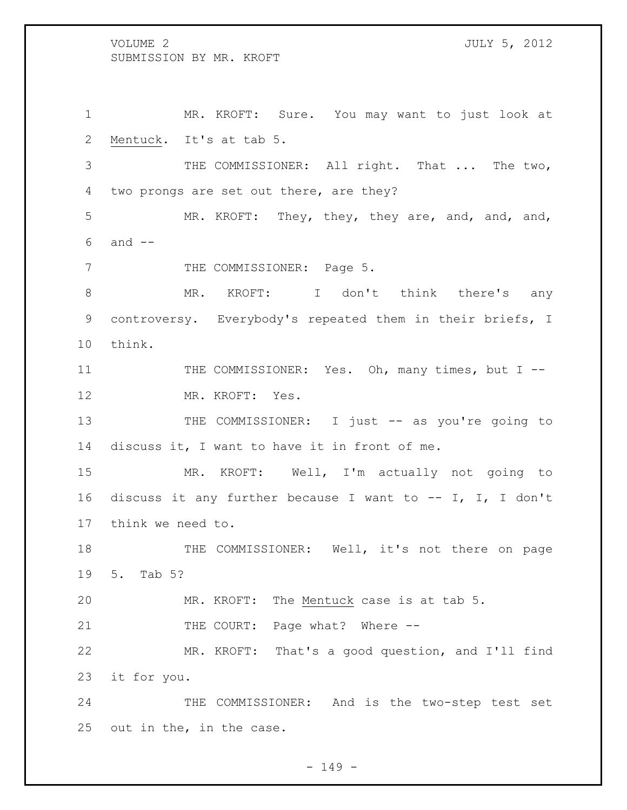MR. KROFT: Sure. You may want to just look at Mentuck. It's at tab 5. THE COMMISSIONER: All right. That ... The two, two prongs are set out there, are they? MR. KROFT: They, they, they are, and, and, and, and -- 7 THE COMMISSIONER: Page 5. 8 MR. KROFT: I don't think there's any controversy. Everybody's repeated them in their briefs, I think. 11 THE COMMISSIONER: Yes. Oh, many times, but I --12 MR. KROFT: Yes. 13 THE COMMISSIONER: I just -- as you're going to discuss it, I want to have it in front of me. MR. KROFT: Well, I'm actually not going to discuss it any further because I want to -- I, I, I don't think we need to. 18 THE COMMISSIONER: Well, it's not there on page 5. Tab 5? MR. KROFT: The Mentuck case is at tab 5. 21 THE COURT: Page what? Where -- MR. KROFT: That's a good question, and I'll find it for you. THE COMMISSIONER: And is the two-step test set out in the, in the case.

 $- 149 -$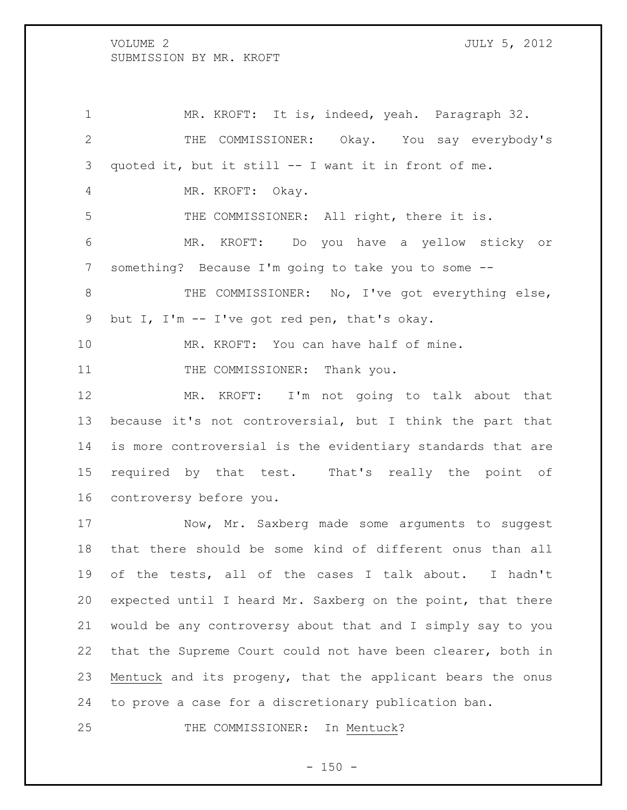MR. KROFT: It is, indeed, yeah. Paragraph 32. THE COMMISSIONER: Okay. You say everybody's quoted it, but it still -- I want it in front of me. MR. KROFT: Okay. THE COMMISSIONER: All right, there it is. MR. KROFT: Do you have a yellow sticky or something? Because I'm going to take you to some -- 8 THE COMMISSIONER: No, I've got everything else, but I, I'm -- I've got red pen, that's okay. MR. KROFT: You can have half of mine. 11 THE COMMISSIONER: Thank you. MR. KROFT: I'm not going to talk about that because it's not controversial, but I think the part that is more controversial is the evidentiary standards that are required by that test. That's really the point of controversy before you. 17 Now, Mr. Saxberg made some arguments to suggest that there should be some kind of different onus than all of the tests, all of the cases I talk about. I hadn't expected until I heard Mr. Saxberg on the point, that there would be any controversy about that and I simply say to you

 that the Supreme Court could not have been clearer, both in Mentuck and its progeny, that the applicant bears the onus to prove a case for a discretionary publication ban.

25 THE COMMISSIONER: In Mentuck?

 $- 150 -$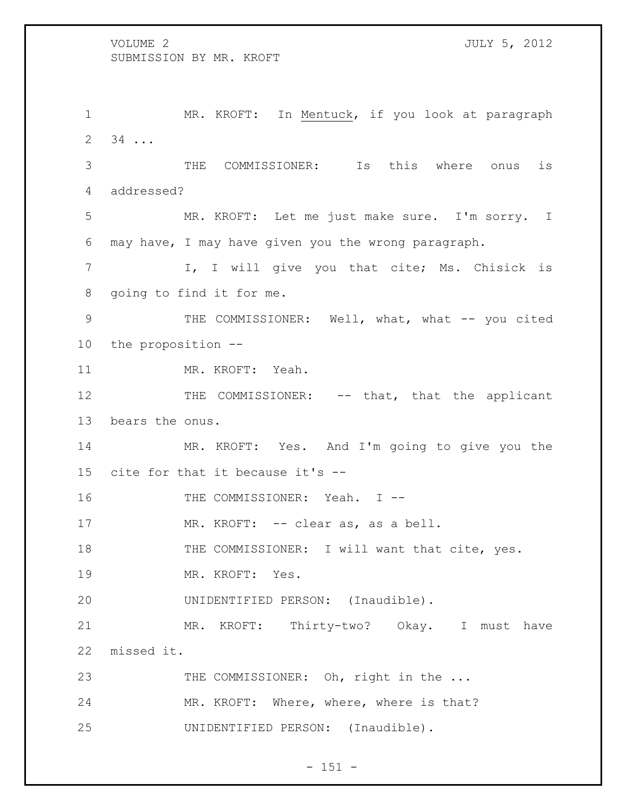1 MR. KROFT: In Mentuck, if you look at paragraph 34 ... THE COMMISSIONER: Is this where onus is addressed? MR. KROFT: Let me just make sure. I'm sorry. I may have, I may have given you the wrong paragraph. 7 1, I will give you that cite; Ms. Chisick is going to find it for me. 9 THE COMMISSIONER: Well, what, what -- you cited the proposition -- MR. KROFT: Yeah. 12 THE COMMISSIONER: -- that, that the applicant bears the onus. MR. KROFT: Yes. And I'm going to give you the cite for that it because it's -- 16 THE COMMISSIONER: Yeah. I --17 MR. KROFT: -- clear as, as a bell. 18 THE COMMISSIONER: I will want that cite, yes. MR. KROFT: Yes. UNIDENTIFIED PERSON: (Inaudible). MR. KROFT: Thirty-two? Okay. I must have missed it. 23 THE COMMISSIONER: Oh, right in the ... MR. KROFT: Where, where, where is that?

 $- 151 -$ 

UNIDENTIFIED PERSON: (Inaudible).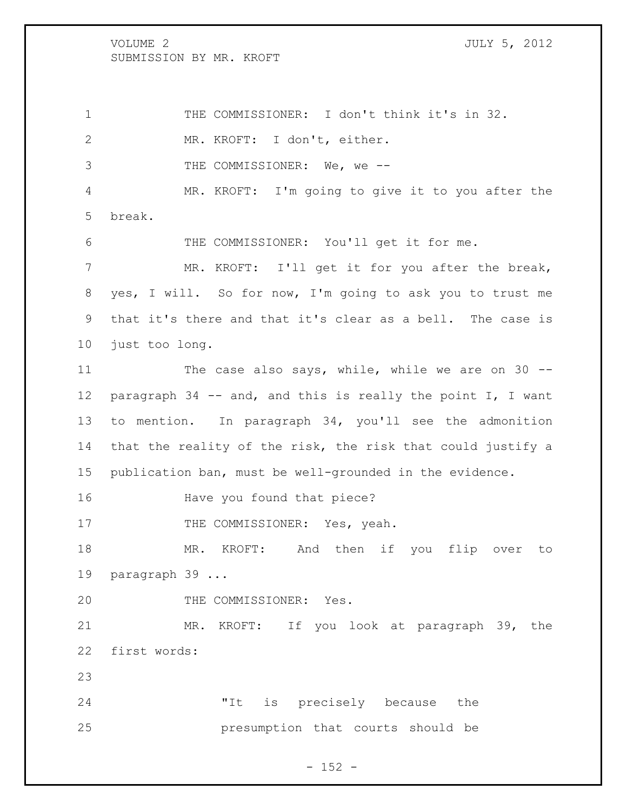THE COMMISSIONER: I don't think it's in 32. MR. KROFT: I don't, either. 3 THE COMMISSIONER: We, we -- MR. KROFT: I'm going to give it to you after the break. THE COMMISSIONER: You'll get it for me. MR. KROFT: I'll get it for you after the break, yes, I will. So for now, I'm going to ask you to trust me that it's there and that it's clear as a bell. The case is just too long. 11 The case also says, while, while we are on 30 --12 paragraph 34 -- and, and this is really the point I, I want to mention. In paragraph 34, you'll see the admonition that the reality of the risk, the risk that could justify a publication ban, must be well-grounded in the evidence. Have you found that piece? 17 THE COMMISSIONER: Yes, yeah.

 MR. KROFT: And then if you flip over to paragraph 39 ...

20 THE COMMISSIONER: Yes.

 MR. KROFT: If you look at paragraph 39, the first words:

 "It is precisely because the presumption that courts should be

 $- 152 -$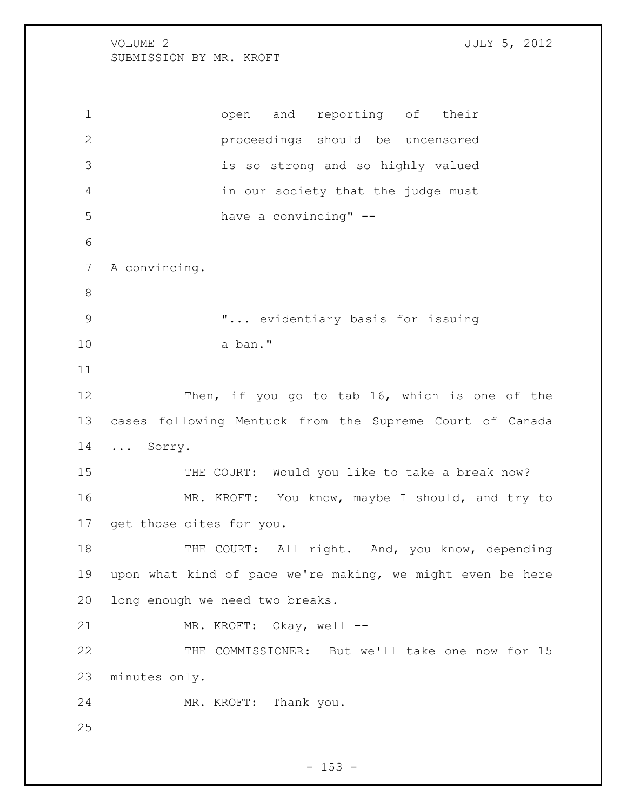open and reporting of their proceedings should be uncensored is so strong and so highly valued in our society that the judge must have a convincing" -- A convincing. "... evidentiary basis for issuing a ban." Then, if you go to tab 16, which is one of the cases following Mentuck from the Supreme Court of Canada ... Sorry. 15 THE COURT: Would you like to take a break now? MR. KROFT: You know, maybe I should, and try to get those cites for you. 18 THE COURT: All right. And, you know, depending upon what kind of pace we're making, we might even be here long enough we need two breaks. 21 MR. KROFT: Okay, well -- THE COMMISSIONER: But we'll take one now for 15 minutes only. MR. KROFT: Thank you.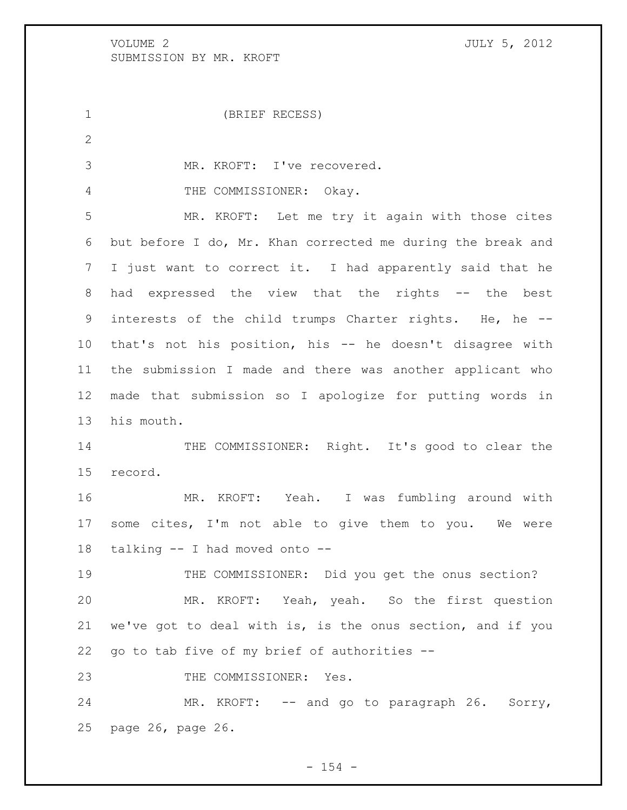(BRIEF RECESS) MR. KROFT: I've recovered. 4 THE COMMISSIONER: Okay. MR. KROFT: Let me try it again with those cites but before I do, Mr. Khan corrected me during the break and I just want to correct it. I had apparently said that he 8 had expressed the view that the rights -- the best interests of the child trumps Charter rights. He, he -- that's not his position, his -- he doesn't disagree with the submission I made and there was another applicant who made that submission so I apologize for putting words in his mouth. 14 THE COMMISSIONER: Right. It's good to clear the record. MR. KROFT: Yeah. I was fumbling around with some cites, I'm not able to give them to you. We were talking -- I had moved onto -- THE COMMISSIONER: Did you get the onus section? MR. KROFT: Yeah, yeah. So the first question we've got to deal with is, is the onus section, and if you go to tab five of my brief of authorities -- 23 THE COMMISSIONER: Yes. 24 MR. KROFT: -- and go to paragraph 26. Sorry, page 26, page 26.

 $- 154 -$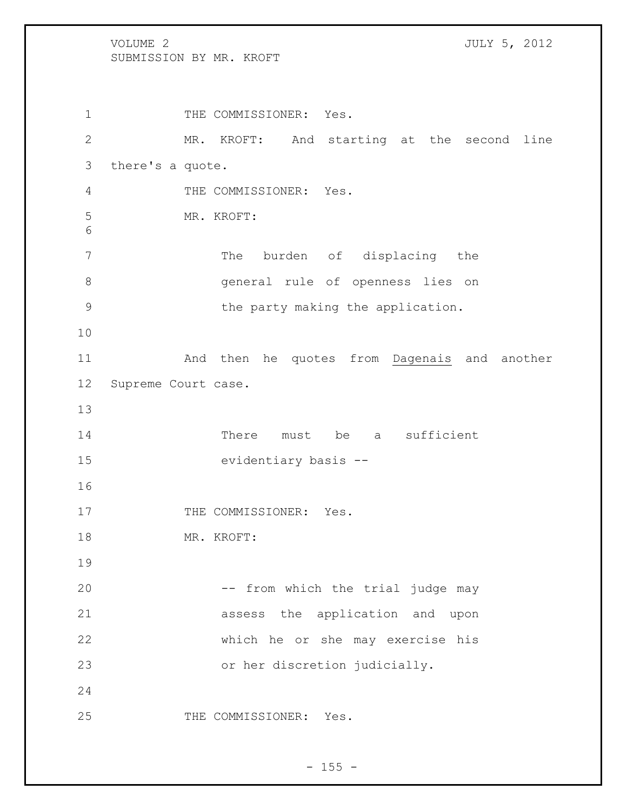1 THE COMMISSIONER: Yes. MR. KROFT: And starting at the second line there's a quote. THE COMMISSIONER: Yes. MR. KROFT: 7 The burden of displacing the general rule of openness lies on the party making the application. And then he quotes from Dagenais and another Supreme Court case. 14 There must be a sufficient evidentiary basis -- 17 THE COMMISSIONER: Yes. MR. KROFT: 20 -- from which the trial judge may assess the application and upon which he or she may exercise his or her discretion judicially. 25 THE COMMISSIONER: Yes.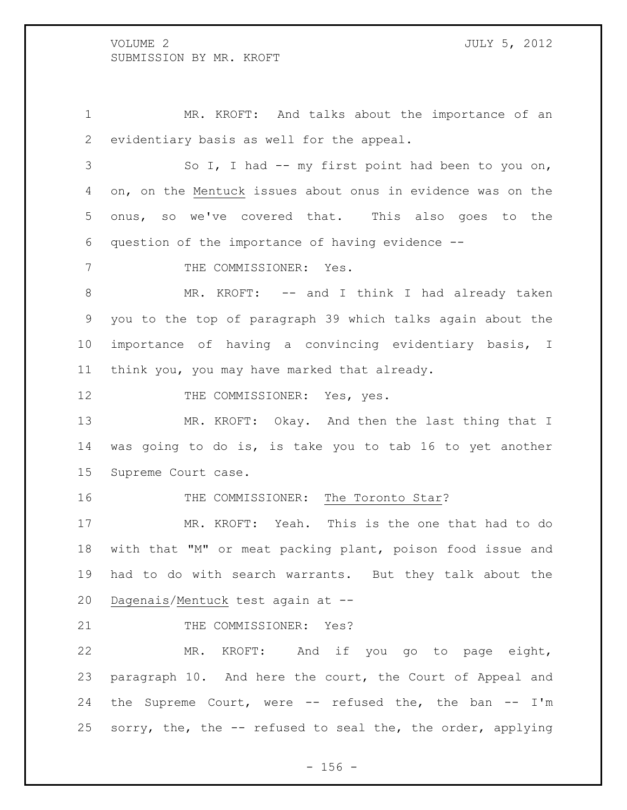MR. KROFT: And talks about the importance of an evidentiary basis as well for the appeal.

 So I, I had -- my first point had been to you on, on, on the Mentuck issues about onus in evidence was on the onus, so we've covered that. This also goes to the question of the importance of having evidence --

7 THE COMMISSIONER: Yes.

8 MR. KROFT: -- and I think I had already taken you to the top of paragraph 39 which talks again about the importance of having a convincing evidentiary basis, I think you, you may have marked that already.

12 THE COMMISSIONER: Yes, yes.

13 MR. KROFT: Okay. And then the last thing that I was going to do is, is take you to tab 16 to yet another Supreme Court case.

16 THE COMMISSIONER: The Toronto Star?

 MR. KROFT: Yeah. This is the one that had to do with that "M" or meat packing plant, poison food issue and had to do with search warrants. But they talk about the Dagenais/Mentuck test again at --

21 THE COMMISSIONER: Yes?

 MR. KROFT: And if you go to page eight, paragraph 10. And here the court, the Court of Appeal and the Supreme Court, were -- refused the, the ban -- I'm sorry, the, the -- refused to seal the, the order, applying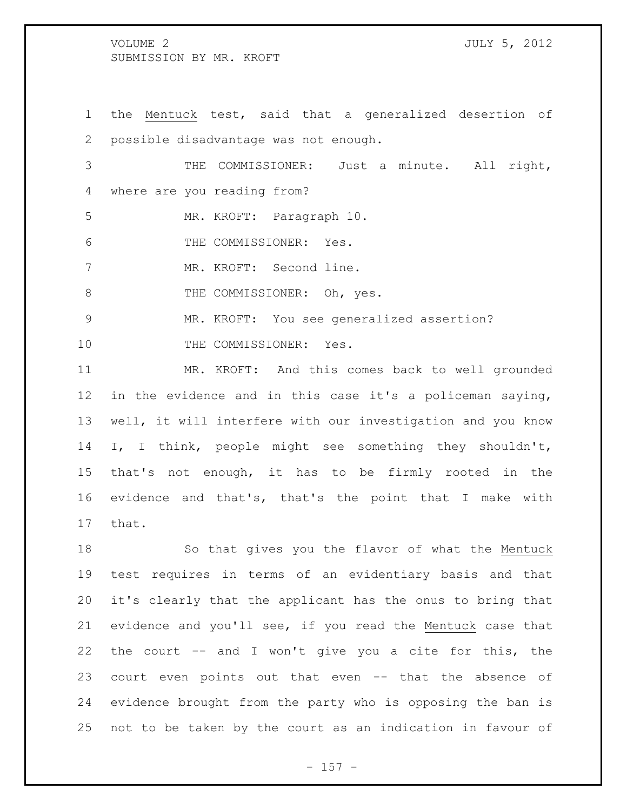the Mentuck test, said that a generalized desertion of possible disadvantage was not enough. THE COMMISSIONER: Just a minute. All right, where are you reading from? MR. KROFT: Paragraph 10. THE COMMISSIONER: Yes. MR. KROFT: Second line. 8 THE COMMISSIONER: Oh, yes. MR. KROFT: You see generalized assertion? 10 THE COMMISSIONER: Yes. MR. KROFT: And this comes back to well grounded

 in the evidence and in this case it's a policeman saying, well, it will interfere with our investigation and you know I, I think, people might see something they shouldn't, that's not enough, it has to be firmly rooted in the evidence and that's, that's the point that I make with that.

 So that gives you the flavor of what the Mentuck test requires in terms of an evidentiary basis and that it's clearly that the applicant has the onus to bring that evidence and you'll see, if you read the Mentuck case that the court -- and I won't give you a cite for this, the court even points out that even -- that the absence of evidence brought from the party who is opposing the ban is not to be taken by the court as an indication in favour of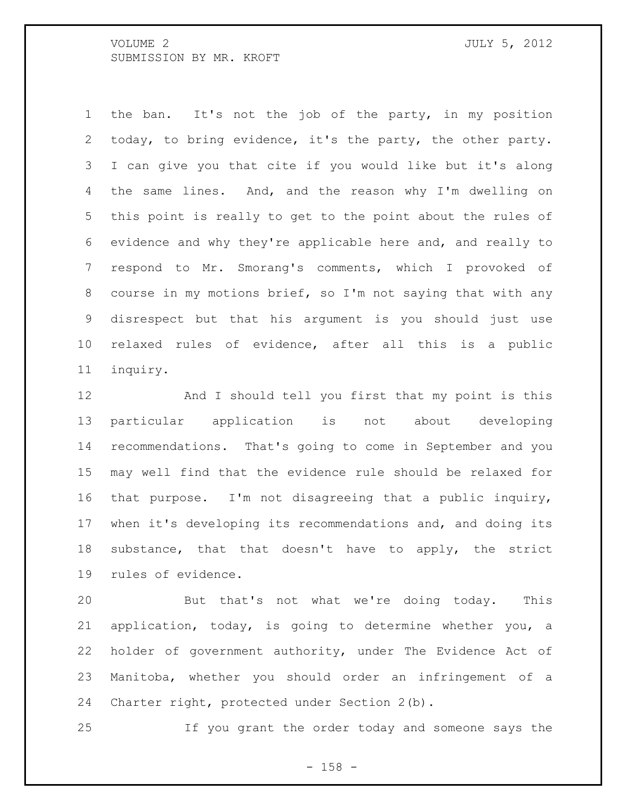the ban. It's not the job of the party, in my position today, to bring evidence, it's the party, the other party. I can give you that cite if you would like but it's along the same lines. And, and the reason why I'm dwelling on this point is really to get to the point about the rules of evidence and why they're applicable here and, and really to respond to Mr. Smorang's comments, which I provoked of course in my motions brief, so I'm not saying that with any disrespect but that his argument is you should just use relaxed rules of evidence, after all this is a public inquiry.

 And I should tell you first that my point is this particular application is not about developing recommendations. That's going to come in September and you may well find that the evidence rule should be relaxed for that purpose. I'm not disagreeing that a public inquiry, when it's developing its recommendations and, and doing its substance, that that doesn't have to apply, the strict rules of evidence.

 But that's not what we're doing today. This application, today, is going to determine whether you, a holder of government authority, under The Evidence Act of Manitoba, whether you should order an infringement of a Charter right, protected under Section 2(b).

If you grant the order today and someone says the

- 158 -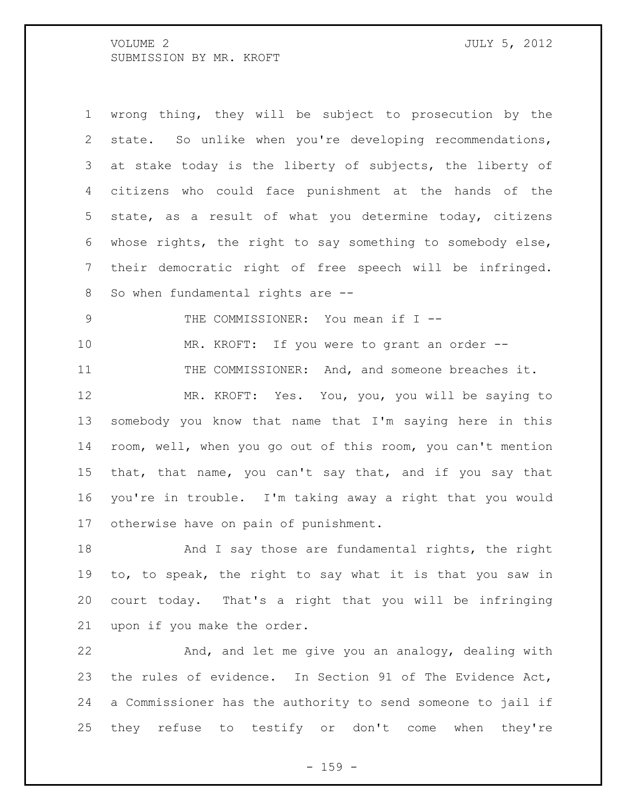wrong thing, they will be subject to prosecution by the state. So unlike when you're developing recommendations, at stake today is the liberty of subjects, the liberty of citizens who could face punishment at the hands of the state, as a result of what you determine today, citizens whose rights, the right to say something to somebody else, their democratic right of free speech will be infringed. 8 So when fundamental rights are --

THE COMMISSIONER: You mean if I --

 MR. KROFT: If you were to grant an order -- THE COMMISSIONER: And, and someone breaches it. MR. KROFT: Yes. You, you, you will be saying to somebody you know that name that I'm saying here in this room, well, when you go out of this room, you can't mention that, that name, you can't say that, and if you say that you're in trouble. I'm taking away a right that you would otherwise have on pain of punishment.

18 And I say those are fundamental rights, the right to, to speak, the right to say what it is that you saw in court today. That's a right that you will be infringing upon if you make the order.

 And, and let me give you an analogy, dealing with the rules of evidence. In Section 91 of The Evidence Act, a Commissioner has the authority to send someone to jail if they refuse to testify or don't come when they're

 $- 159 -$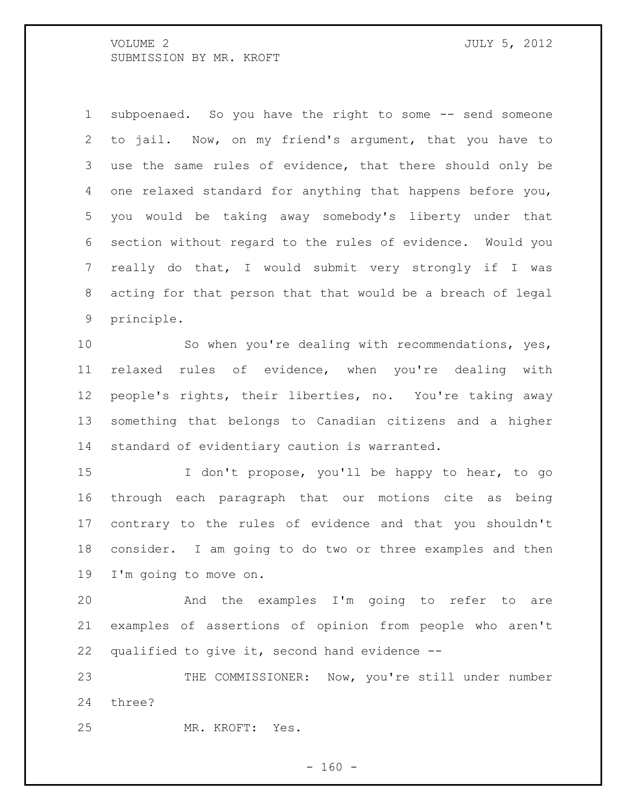subpoenaed. So you have the right to some -- send someone to jail. Now, on my friend's argument, that you have to use the same rules of evidence, that there should only be one relaxed standard for anything that happens before you, you would be taking away somebody's liberty under that section without regard to the rules of evidence. Would you really do that, I would submit very strongly if I was acting for that person that that would be a breach of legal principle.

 So when you're dealing with recommendations, yes, relaxed rules of evidence, when you're dealing with people's rights, their liberties, no. You're taking away something that belongs to Canadian citizens and a higher standard of evidentiary caution is warranted.

 I don't propose, you'll be happy to hear, to go through each paragraph that our motions cite as being contrary to the rules of evidence and that you shouldn't consider. I am going to do two or three examples and then I'm going to move on.

 And the examples I'm going to refer to are examples of assertions of opinion from people who aren't qualified to give it, second hand evidence --

23 THE COMMISSIONER: Now, you're still under number three?

MR. KROFT: Yes.

 $- 160 -$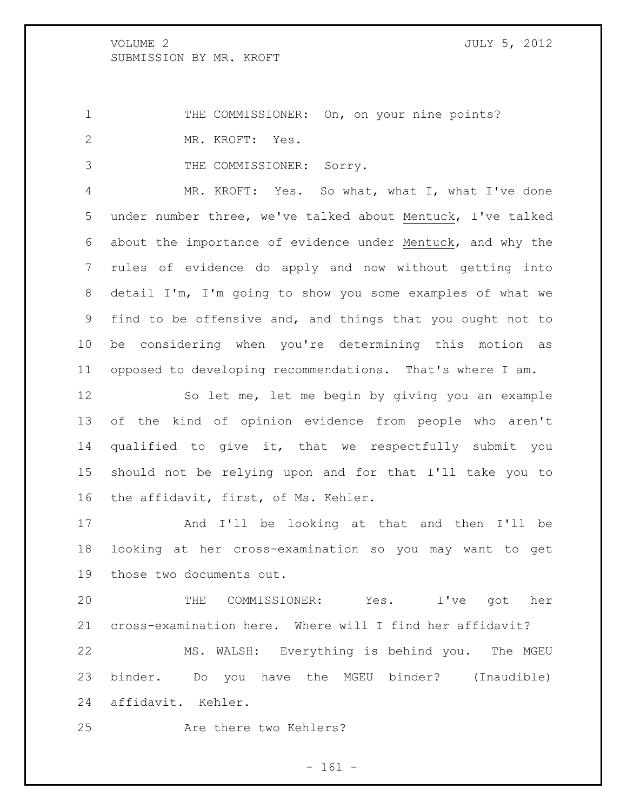1 THE COMMISSIONER: On, on your nine points? MR. KROFT: Yes.

THE COMMISSIONER: Sorry.

 MR. KROFT: Yes. So what, what I, what I've done under number three, we've talked about Mentuck, I've talked about the importance of evidence under Mentuck, and why the rules of evidence do apply and now without getting into detail I'm, I'm going to show you some examples of what we find to be offensive and, and things that you ought not to be considering when you're determining this motion as opposed to developing recommendations. That's where I am.

 So let me, let me begin by giving you an example of the kind of opinion evidence from people who aren't qualified to give it, that we respectfully submit you should not be relying upon and for that I'll take you to the affidavit, first, of Ms. Kehler.

 And I'll be looking at that and then I'll be looking at her cross-examination so you may want to get those two documents out.

 THE COMMISSIONER: Yes. I've got her cross-examination here. Where will I find her affidavit? MS. WALSH: Everything is behind you. The MGEU binder. Do you have the MGEU binder? (Inaudible) affidavit. Kehler.

25 Are there two Kehlers?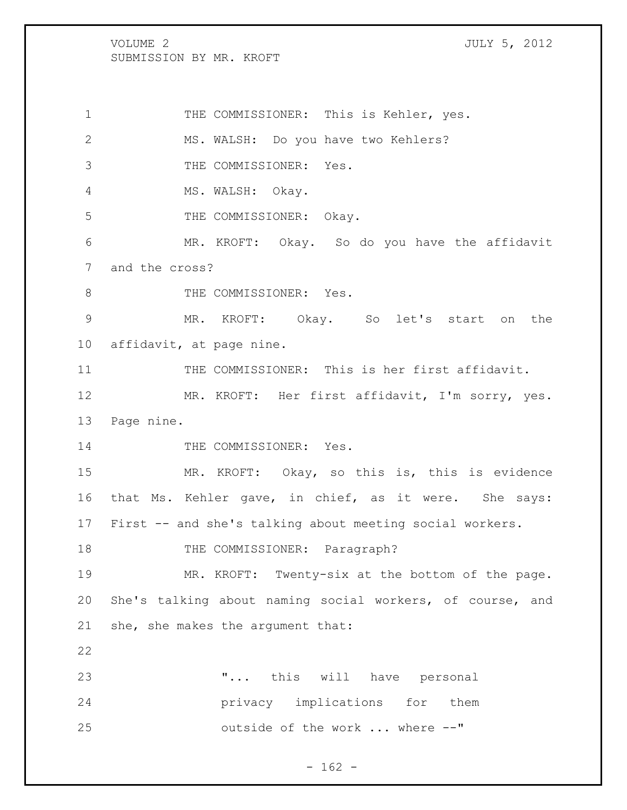VOLUME 2 JULY 5, 2012 SUBMISSION BY MR. KROFT THE COMMISSIONER: This is Kehler, yes. MS. WALSH: Do you have two Kehlers? THE COMMISSIONER: Yes. 4 MS. WALSH: Okay. 5 THE COMMISSIONER: Okay. MR. KROFT: Okay. So do you have the affidavit and the cross? 8 THE COMMISSIONER: Yes. MR. KROFT: Okay. So let's start on the affidavit, at page nine. THE COMMISSIONER: This is her first affidavit. MR. KROFT: Her first affidavit, I'm sorry, yes. Page nine. 14 THE COMMISSIONER: Yes. MR. KROFT: Okay, so this is, this is evidence that Ms. Kehler gave, in chief, as it were. She says: First -- and she's talking about meeting social workers. 18 THE COMMISSIONER: Paragraph? MR. KROFT: Twenty-six at the bottom of the page. She's talking about naming social workers, of course, and she, she makes the argument that: "... this will have personal privacy implications for them outside of the work ... where --"

 $- 162 -$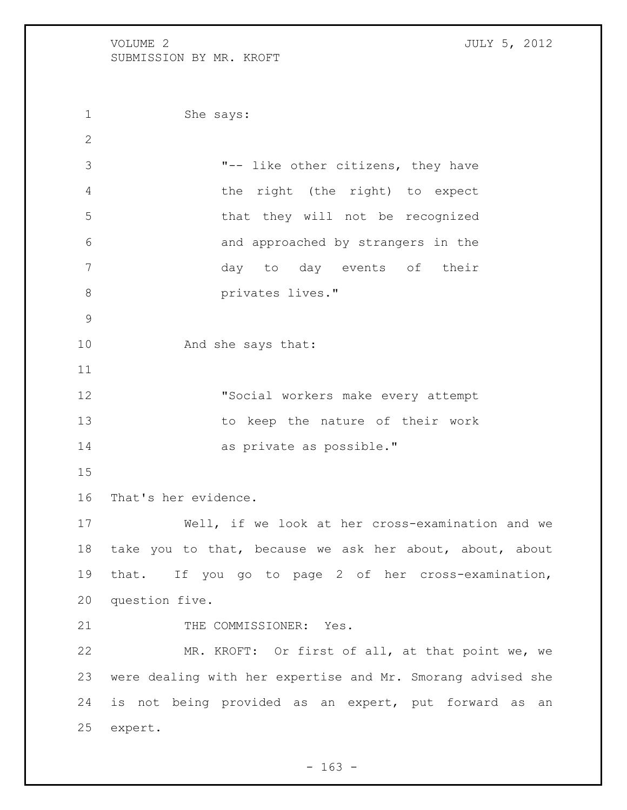She says: "-- like other citizens, they have the right (the right) to expect that they will not be recognized and approached by strangers in the day to day events of their **b** privates lives." 10 And she says that: "Social workers make every attempt to keep the nature of their work as private as possible." That's her evidence. Well, if we look at her cross-examination and we take you to that, because we ask her about, about, about that. If you go to page 2 of her cross-examination, question five. 21 THE COMMISSIONER: Yes. MR. KROFT: Or first of all, at that point we, we were dealing with her expertise and Mr. Smorang advised she is not being provided as an expert, put forward as an expert.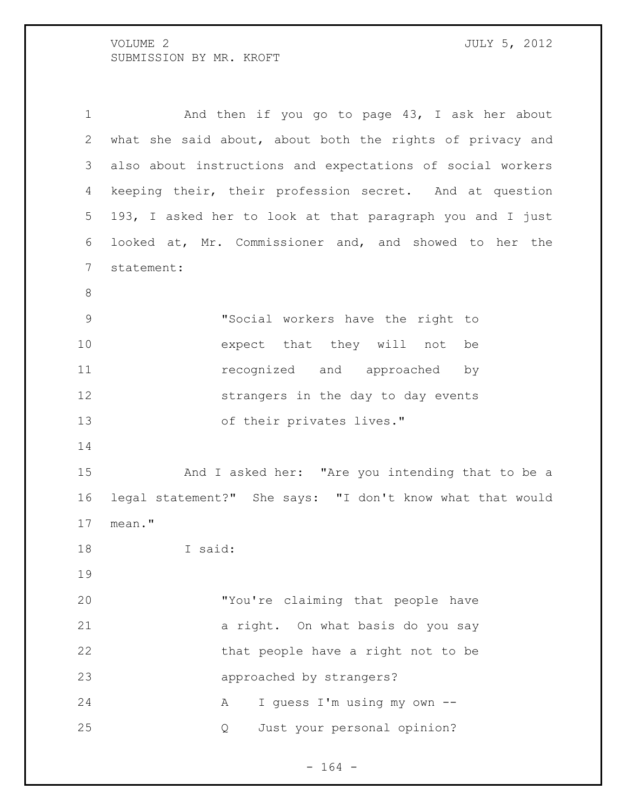1 And then if you go to page 43, I ask her about what she said about, about both the rights of privacy and also about instructions and expectations of social workers keeping their, their profession secret. And at question 193, I asked her to look at that paragraph you and I just looked at, Mr. Commissioner and, and showed to her the statement: "Social workers have the right to expect that they will not be **1** recognized and approached by strangers in the day to day events of their privates lives." And I asked her: "Are you intending that to be a legal statement?" She says: "I don't know what that would mean." I said: "You're claiming that people have a right. On what basis do you say 22 that people have a right not to be approached by strangers? 24 A I guess I'm using my own --Q Just your personal opinion?

 $- 164 -$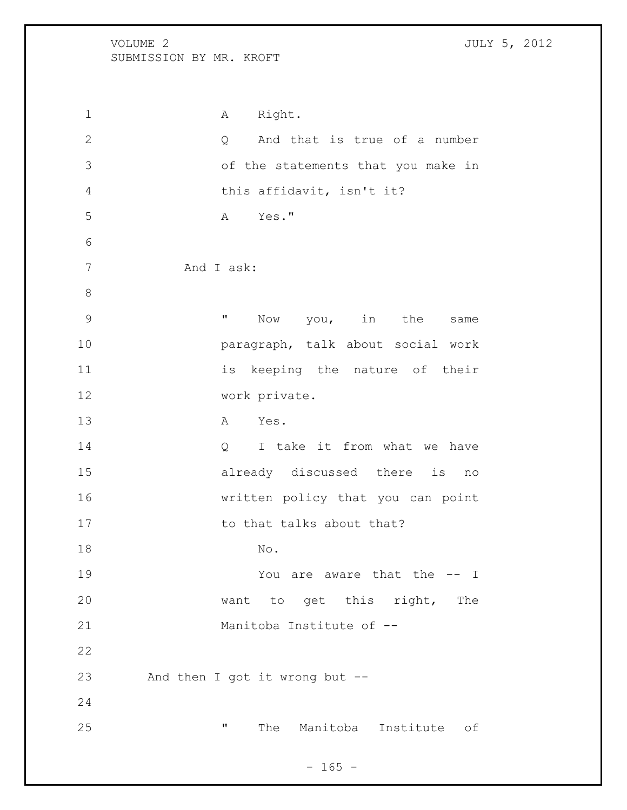1 A Right. 2 Q And that is true of a number of the statements that you make in this affidavit, isn't it? A Yes." And I ask: 9 The Mow you, in the same paragraph, talk about social work 11 is keeping the nature of their work private. A Yes. 14 Q I take it from what we have already discussed there is no written policy that you can point 17 to that talks about that? 18 No. 19 Tou are aware that the  $-$  I want to get this right, The Manitoba Institute of -- And then I got it wrong but -- " The Manitoba Institute of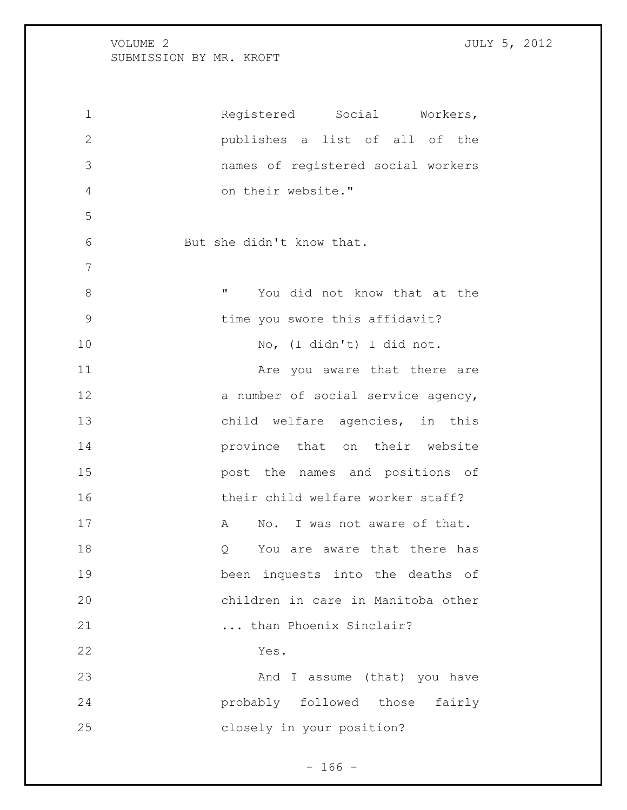Registered Social Workers, publishes a list of all of the names of registered social workers on their website." But she didn't know that. **WE SET MENU** You did not know that at the time you swore this affidavit? No, (I didn't) I did not. 11 Are you aware that there are 12 a number of social service agency, child welfare agencies, in this province that on their website post the names and positions of 16 their child welfare worker staff? 17 A No. I was not aware of that. 18 and 18 Q You are aware that there has been inquests into the deaths of children in care in Manitoba other ... than Phoenix Sinclair? Yes. 23 And I assume (that) you have probably followed those fairly closely in your position?

 $- 166 -$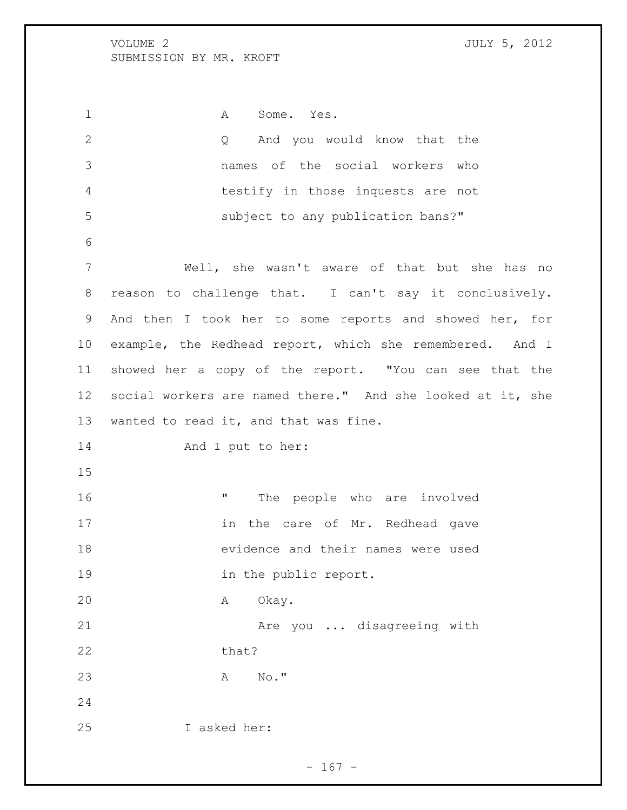1 A Some. Yes. Q And you would know that the names of the social workers who testify in those inquests are not subject to any publication bans?" Well, she wasn't aware of that but she has no reason to challenge that. I can't say it conclusively. And then I took her to some reports and showed her, for example, the Redhead report, which she remembered. And I showed her a copy of the report. "You can see that the social workers are named there." And she looked at it, she wanted to read it, and that was fine. 14 And I put to her: **"** The people who are involved 17 in the care of Mr. Redhead gave evidence and their names were used 19 in the public report. A Okay. 21 Are you ... disagreeing with 22 that? A No." I asked her:

 $- 167 -$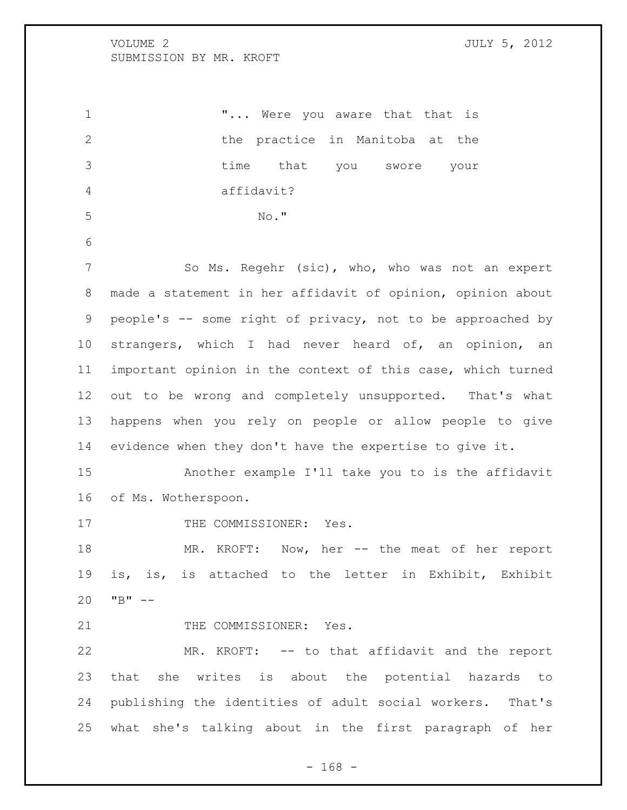1 T... Were you aware that that is 2 the practice in Manitoba at the time that you swore your affidavit? No." So Ms. Regehr (sic), who, who was not an expert made a statement in her affidavit of opinion, opinion about people's -- some right of privacy, not to be approached by strangers, which I had never heard of, an opinion, an important opinion in the context of this case, which turned out to be wrong and completely unsupported. That's what happens when you rely on people or allow people to give evidence when they don't have the expertise to give it. Another example I'll take you to is the affidavit of Ms. Wotherspoon. 17 THE COMMISSIONER: Yes. MR. KROFT: Now, her -- the meat of her report is, is, is attached to the letter in Exhibit, Exhibit "B"  $-$ 21 THE COMMISSIONER: Yes. MR. KROFT: -- to that affidavit and the report that she writes is about the potential hazards to publishing the identities of adult social workers. That's what she's talking about in the first paragraph of her

- 168 -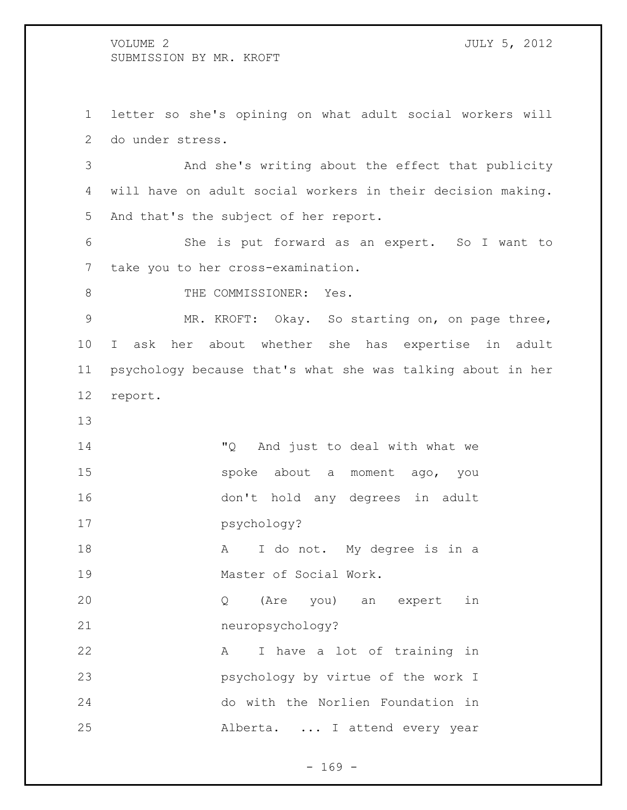letter so she's opining on what adult social workers will do under stress. And she's writing about the effect that publicity

 will have on adult social workers in their decision making. And that's the subject of her report.

 She is put forward as an expert. So I want to take you to her cross-examination.

8 THE COMMISSIONER: Yes.

 MR. KROFT: Okay. So starting on, on page three, I ask her about whether she has expertise in adult psychology because that's what she was talking about in her report.

 "Q And just to deal with what we spoke about a moment ago, you don't hold any degrees in adult psychology? 18 A I do not. My degree is in a 19 Master of Social Work. Q (Are you) an expert in neuropsychology? 22 A I have a lot of training in psychology by virtue of the work I do with the Norlien Foundation in Alberta. ... I attend every year

- 169 -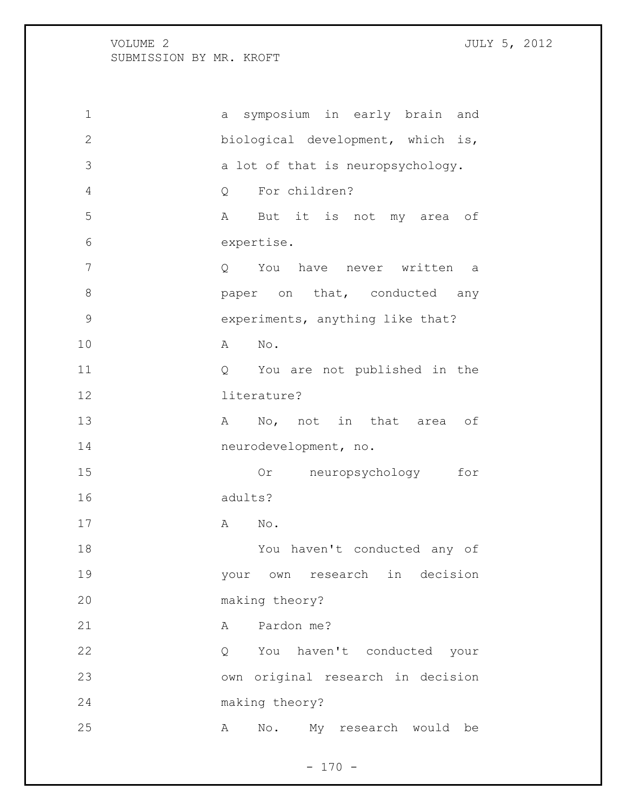a symposium in early brain and biological development, which is, a lot of that is neuropsychology. Q For children? A But it is not my area of expertise. Q You have never written a **8 paper** on that, conducted any experiments, anything like that? A No. Q You are not published in the literature? 13 A No, not in that area of neurodevelopment, no. Or neuropsychology for adults? 17 A No. You haven't conducted any of your own research in decision making theory? 21 A Pardon me? Q You haven't conducted your own original research in decision making theory? A No. My research would be

 $- 170 -$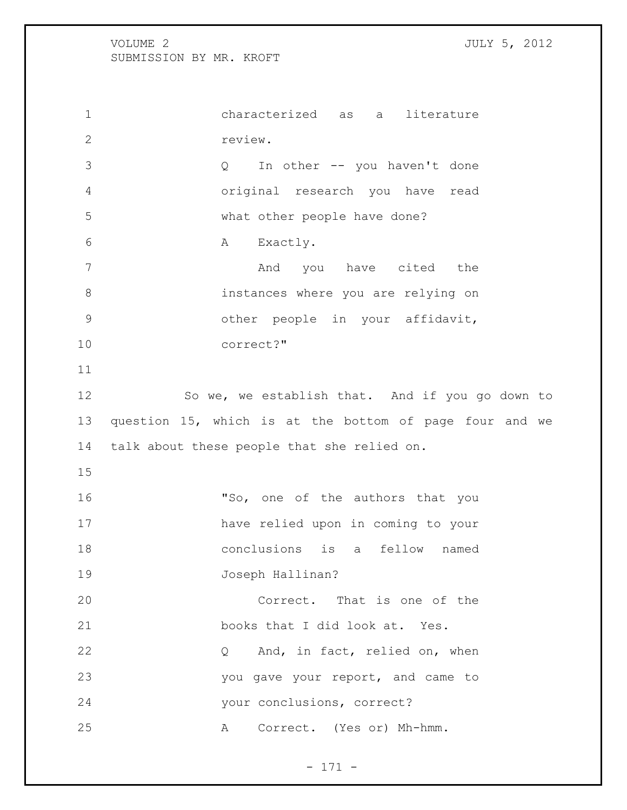characterized as a literature review. Q In other -- you haven't done original research you have read what other people have done? 6 A Exactly. 7 And you have cited the instances where you are relying on other people in your affidavit, correct?" 12 So we, we establish that. And if you go down to question 15, which is at the bottom of page four and we talk about these people that she relied on. 16 "So, one of the authors that you have relied upon in coming to your conclusions is a fellow named Joseph Hallinan? Correct. That is one of the books that I did look at. Yes. 22 Q And, in fact, relied on, when you gave your report, and came to your conclusions, correct? A Correct. (Yes or) Mh-hmm.

- 171 -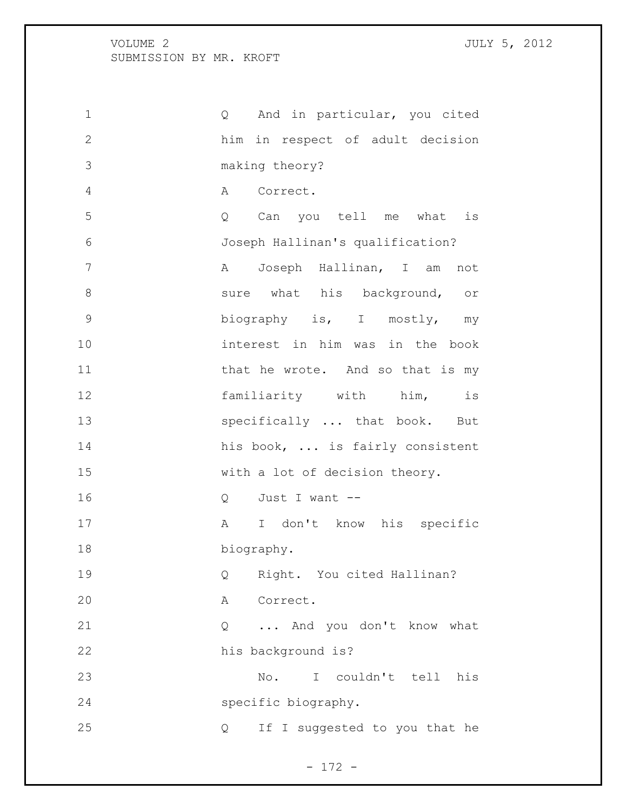| $\mathbf 1$    | Q And in particular, you cited              |
|----------------|---------------------------------------------|
| $\mathbf{2}$   | him in respect of adult decision            |
| 3              | making theory?                              |
| $\overline{4}$ | A Correct.                                  |
| 5              | Q Can you tell me what is                   |
| 6              | Joseph Hallinan's qualification?            |
| $\overline{7}$ | A Joseph Hallinan, I am<br>not              |
| $8\,$          | sure what his background,<br>O <sub>T</sub> |
| $\mathcal{G}$  | biography is, I mostly, my                  |
| 10             | interest in him was in the book             |
| 11             | that he wrote. And so that is my            |
| 12             | familiarity with him,<br>is                 |
| 13             | specifically  that book.<br>But             |
| 14             | his book,  is fairly consistent             |
| 15             | with a lot of decision theory.              |
| 16             | Q Just I want --                            |
| 17             | A I don't know his specific                 |
| 18             | biography.                                  |
| 19             | Right. You cited Hallinan?<br>Q             |
| 20             | Α<br>Correct.                               |
| 21             | And you don't know what<br>Q                |
| 22             | his background is?                          |
| 23             | couldn't tell<br>his<br>No.<br>$\mathbb{I}$ |
| 24             | specific biography.                         |
| 25             | If I suggested to you that he<br>Q          |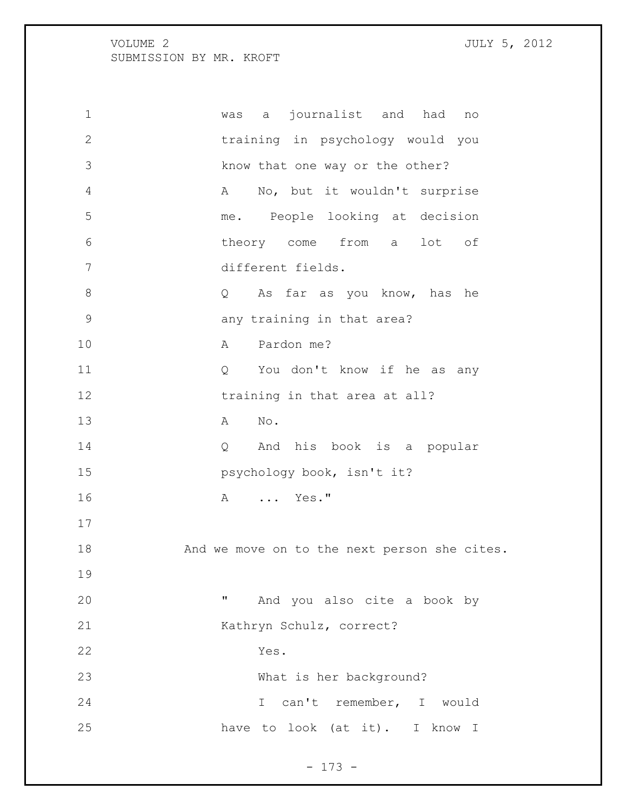was a journalist and had no training in psychology would you know that one way or the other? A No, but it wouldn't surprise me. People looking at decision theory come from a lot of different fields. Q As far as you know, has he 9 any training in that area? 10 A Pardon me? Q You don't know if he as any 12 training in that area at all? A No. Q And his book is a popular **psychology book, isn't it?** 16 A ... Yes." 18 And we move on to the next person she cites. " And you also cite a book by Kathryn Schulz, correct? Yes. What is her background? I can't remember, I would have to look (at it). I know I

- 173 -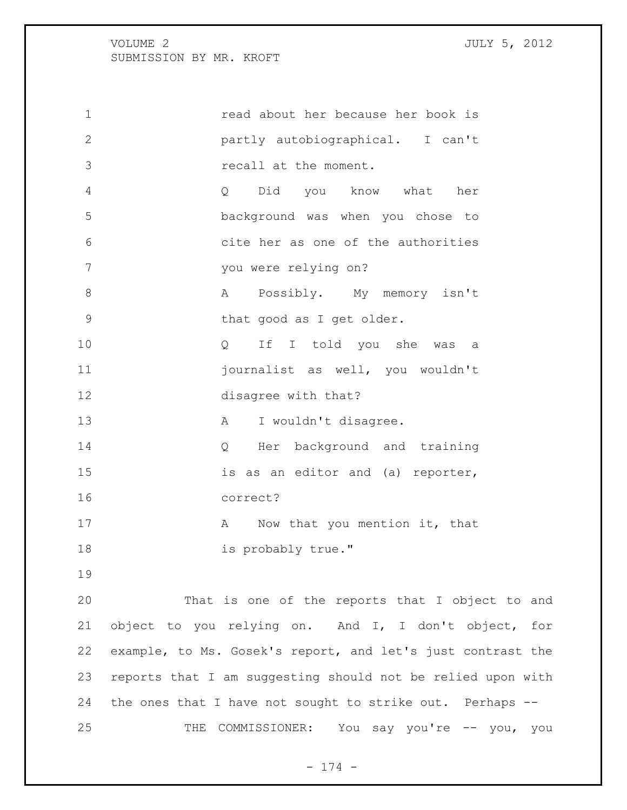read about her because her book is partly autobiographical. I can't recall at the moment. Q Did you know what her background was when you chose to cite her as one of the authorities you were relying on? 8 A Possibly. My memory isn't 9 that good as I get older. Q If I told you she was a journalist as well, you wouldn't disagree with that? 13 A I wouldn't disagree. 14 Q Her background and training is as an editor and (a) reporter, correct? 17 A Now that you mention it, that 18 is probably true." That is one of the reports that I object to and object to you relying on. And I, I don't object, for example, to Ms. Gosek's report, and let's just contrast the reports that I am suggesting should not be relied upon with the ones that I have not sought to strike out. Perhaps --

THE COMMISSIONER: You say you're -- you, you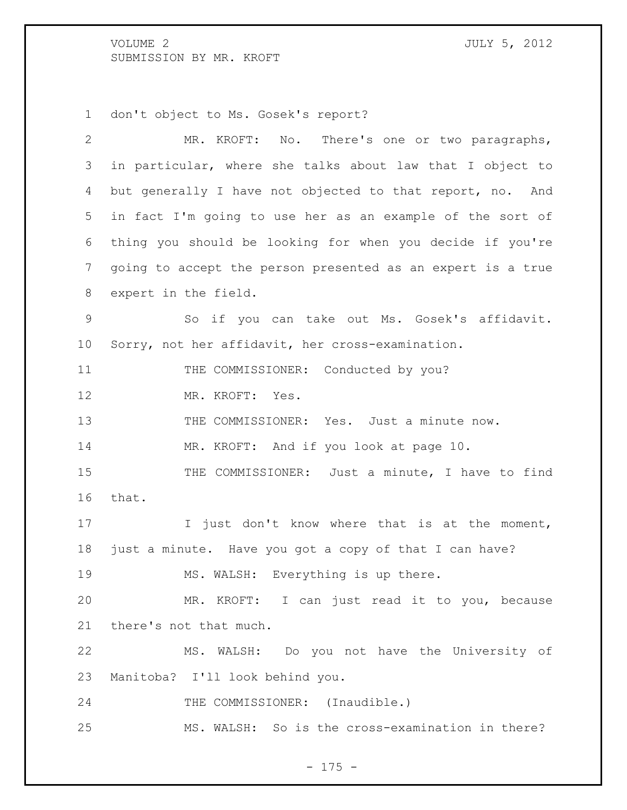don't object to Ms. Gosek's report?

| $\mathbf{2}$ | MR. KROFT: No. There's one or two paragraphs,               |
|--------------|-------------------------------------------------------------|
| 3            | in particular, where she talks about law that I object to   |
| 4            | but generally I have not objected to that report, no. And   |
| 5            | in fact I'm going to use her as an example of the sort of   |
| 6            | thing you should be looking for when you decide if you're   |
| 7            | going to accept the person presented as an expert is a true |
| 8            | expert in the field.                                        |
| $\mathsf 9$  | So if you can take out Ms. Gosek's affidavit.               |
| 10           | Sorry, not her affidavit, her cross-examination.            |
| 11           | THE COMMISSIONER: Conducted by you?                         |
| 12           | MR. KROFT: Yes.                                             |
| 13           | THE COMMISSIONER: Yes. Just a minute now.                   |
| 14           | MR. KROFT: And if you look at page 10.                      |
| 15           | THE COMMISSIONER: Just a minute, I have to find             |
| 16           | that.                                                       |
| 17           | I just don't know where that is at the moment,              |
| 18           | just a minute. Have you got a copy of that I can have?      |
| 19           | MS. WALSH: Everything is up there.                          |
| 20           | MR. KROFT: I can just read it to you, because               |
| 21           | there's not that much.                                      |
| 22           | MS. WALSH: Do you not have the University of                |
| 23           | Manitoba? I'll look behind you.                             |
| 24           | THE COMMISSIONER: (Inaudible.)                              |
| 25           | MS. WALSH: So is the cross-examination in there?            |

- 175 -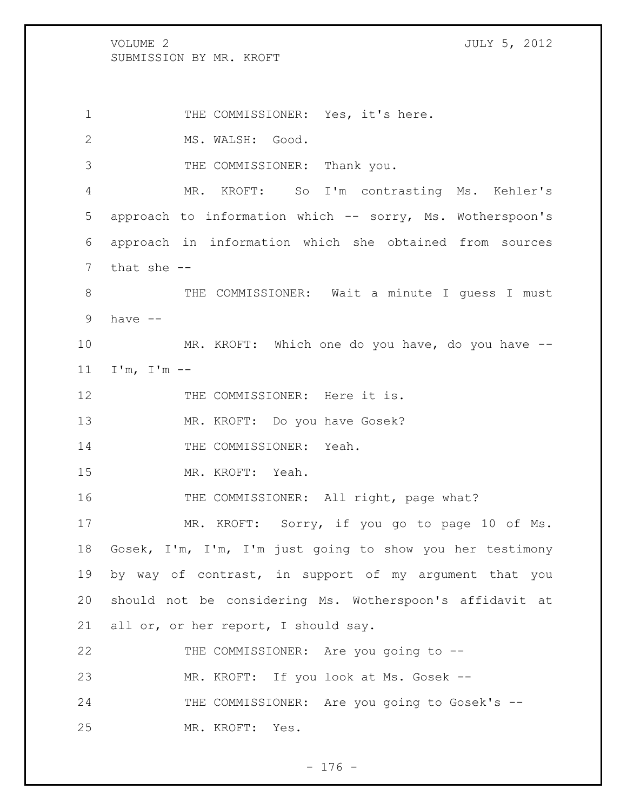VOLUME 2 JULY 5, 2012 SUBMISSION BY MR. KROFT 1 THE COMMISSIONER: Yes, it's here. 2 MS. WALSH: Good. THE COMMISSIONER: Thank you. MR. KROFT: So I'm contrasting Ms. Kehler's approach to information which -- sorry, Ms. Wotherspoon's approach in information which she obtained from sources that she -- 8 THE COMMISSIONER: Wait a minute I quess I must have -- MR. KROFT: Which one do you have, do you have -- I'm, I'm -- 12 THE COMMISSIONER: Here it is. MR. KROFT: Do you have Gosek? 14 THE COMMISSIONER: Yeah. MR. KROFT: Yeah. 16 THE COMMISSIONER: All right, page what? MR. KROFT: Sorry, if you go to page 10 of Ms. Gosek, I'm, I'm, I'm just going to show you her testimony by way of contrast, in support of my argument that you should not be considering Ms. Wotherspoon's affidavit at all or, or her report, I should say. 22 THE COMMISSIONER: Are you going to -- MR. KROFT: If you look at Ms. Gosek -- 24 THE COMMISSIONER: Are you going to Gosek's --MR. KROFT: Yes.

 $- 176 -$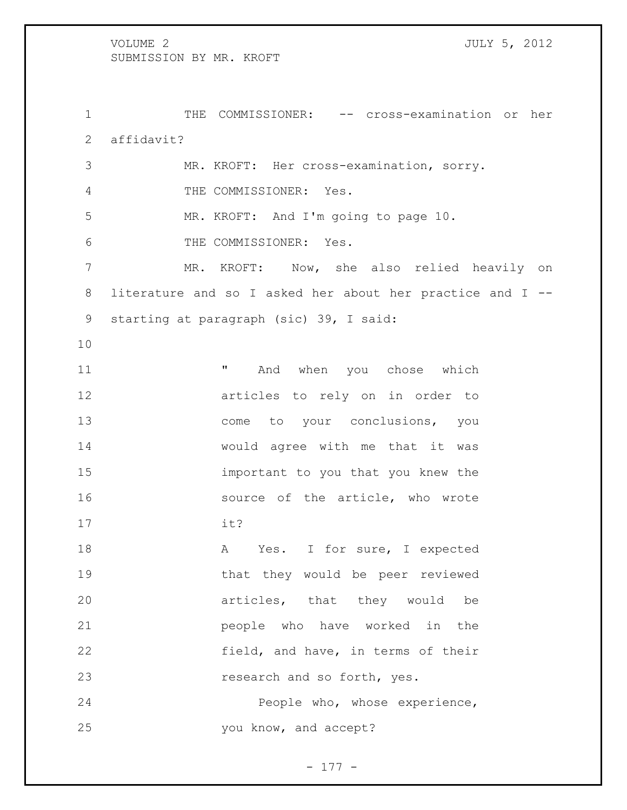THE COMMISSIONER: -- cross-examination or her affidavit? MR. KROFT: Her cross-examination, sorry. THE COMMISSIONER: Yes. MR. KROFT: And I'm going to page 10. THE COMMISSIONER: Yes. MR. KROFT: Now, she also relied heavily on literature and so I asked her about her practice and I -- starting at paragraph (sic) 39, I said: 11 The Moviet Monday when you chose which articles to rely on in order to 13 come to your conclusions, you would agree with me that it was important to you that you knew the 16 source of the article, who wrote it? 18 A Yes. I for sure, I expected that they would be peer reviewed articles, that they would be people who have worked in the 22 field, and have, in terms of their 23 research and so forth, yes. People who, whose experience, you know, and accept?

- 177 -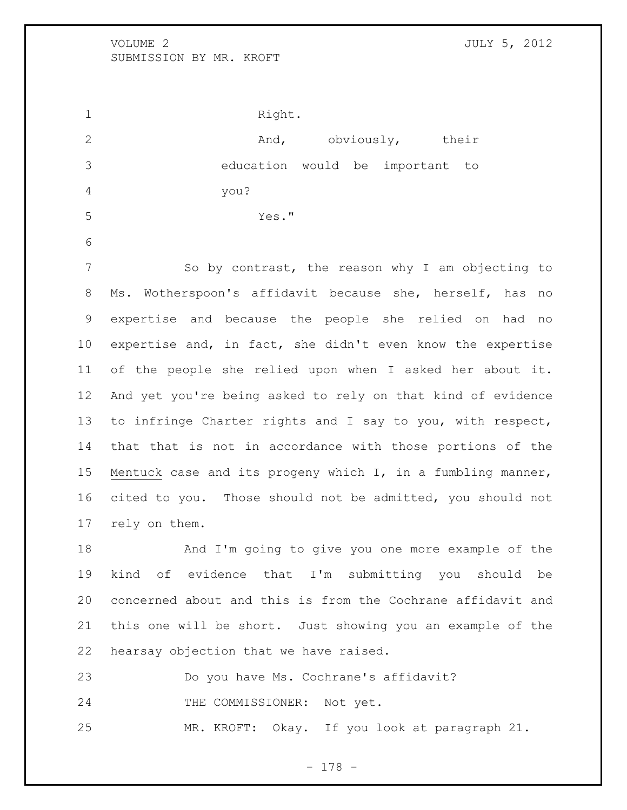1 Right. 2 And, obviously, their education would be important to you? Yes." So by contrast, the reason why I am objecting to Ms. Wotherspoon's affidavit because she, herself, has no expertise and because the people she relied on had no expertise and, in fact, she didn't even know the expertise of the people she relied upon when I asked her about it. And yet you're being asked to rely on that kind of evidence to infringe Charter rights and I say to you, with respect, that that is not in accordance with those portions of the Mentuck case and its progeny which I, in a fumbling manner, cited to you. Those should not be admitted, you should not rely on them. And I'm going to give you one more example of the kind of evidence that I'm submitting you should be concerned about and this is from the Cochrane affidavit and this one will be short. Just showing you an example of the hearsay objection that we have raised.

Do you have Ms. Cochrane's affidavit?

24 THE COMMISSIONER: Not yet.

MR. KROFT: Okay. If you look at paragraph 21.

- 178 -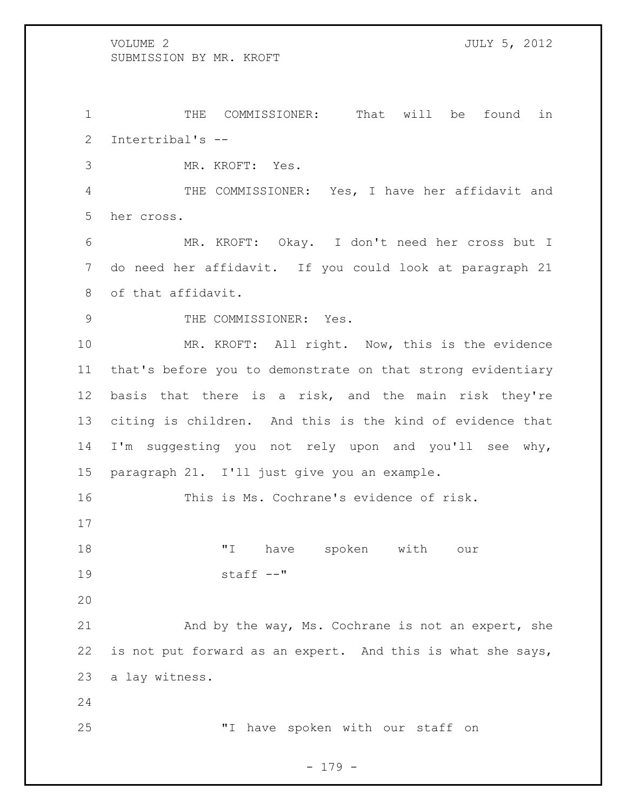THE COMMISSIONER: That will be found in Intertribal's --

MR. KROFT: Yes.

 THE COMMISSIONER: Yes, I have her affidavit and her cross.

 MR. KROFT: Okay. I don't need her cross but I do need her affidavit. If you could look at paragraph 21 of that affidavit.

9 THE COMMISSIONER: Yes.

 MR. KROFT: All right. Now, this is the evidence that's before you to demonstrate on that strong evidentiary basis that there is a risk, and the main risk they're citing is children. And this is the kind of evidence that I'm suggesting you not rely upon and you'll see why, paragraph 21. I'll just give you an example.

This is Ms. Cochrane's evidence of risk.

 "I have spoken with our staff --"

 And by the way, Ms. Cochrane is not an expert, she is not put forward as an expert. And this is what she says, a lay witness.

"I have spoken with our staff on

- 179 -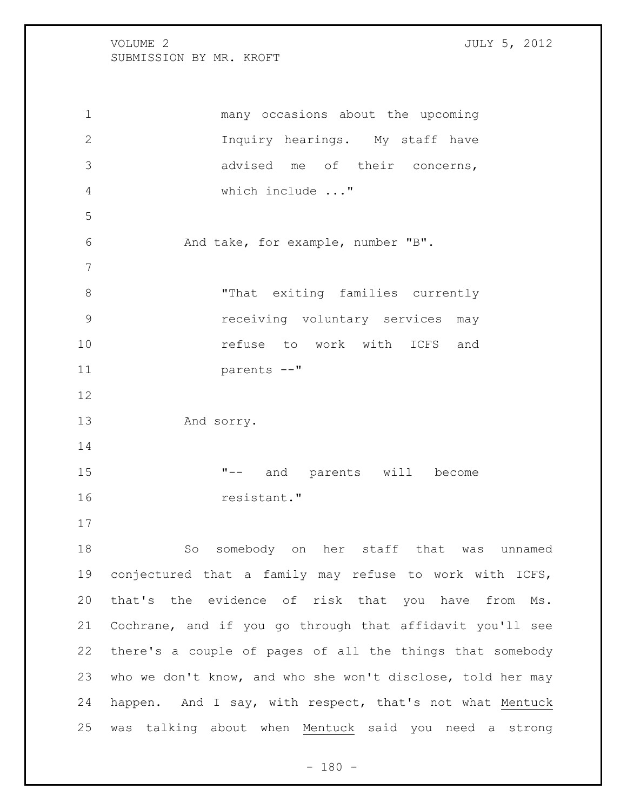many occasions about the upcoming Inquiry hearings. My staff have advised me of their concerns, which include ..." And take, for example, number "B". "That exiting families currently receiving voluntary services may **10 refuse** to work with ICFS and parents --" And sorry. "-- and parents will become resistant." So somebody on her staff that was unnamed conjectured that a family may refuse to work with ICFS, that's the evidence of risk that you have from Ms. Cochrane, and if you go through that affidavit you'll see there's a couple of pages of all the things that somebody who we don't know, and who she won't disclose, told her may happen. And I say, with respect, that's not what Mentuck was talking about when Mentuck said you need a strong

 $- 180 -$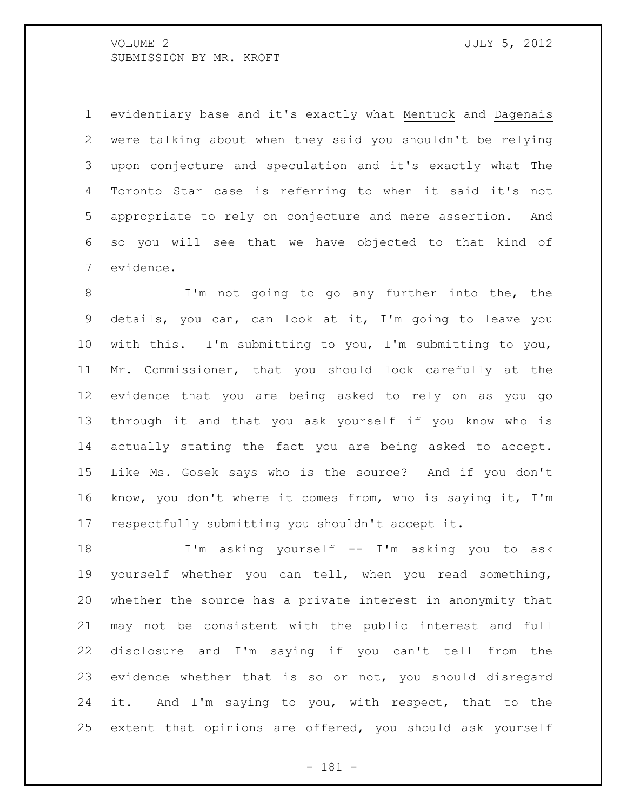evidentiary base and it's exactly what Mentuck and Dagenais were talking about when they said you shouldn't be relying upon conjecture and speculation and it's exactly what The Toronto Star case is referring to when it said it's not appropriate to rely on conjecture and mere assertion. And so you will see that we have objected to that kind of evidence.

 I'm not going to go any further into the, the details, you can, can look at it, I'm going to leave you with this. I'm submitting to you, I'm submitting to you, Mr. Commissioner, that you should look carefully at the evidence that you are being asked to rely on as you go through it and that you ask yourself if you know who is actually stating the fact you are being asked to accept. Like Ms. Gosek says who is the source? And if you don't know, you don't where it comes from, who is saying it, I'm respectfully submitting you shouldn't accept it.

 I'm asking yourself -- I'm asking you to ask yourself whether you can tell, when you read something, whether the source has a private interest in anonymity that may not be consistent with the public interest and full disclosure and I'm saying if you can't tell from the evidence whether that is so or not, you should disregard it. And I'm saying to you, with respect, that to the extent that opinions are offered, you should ask yourself

- 181 -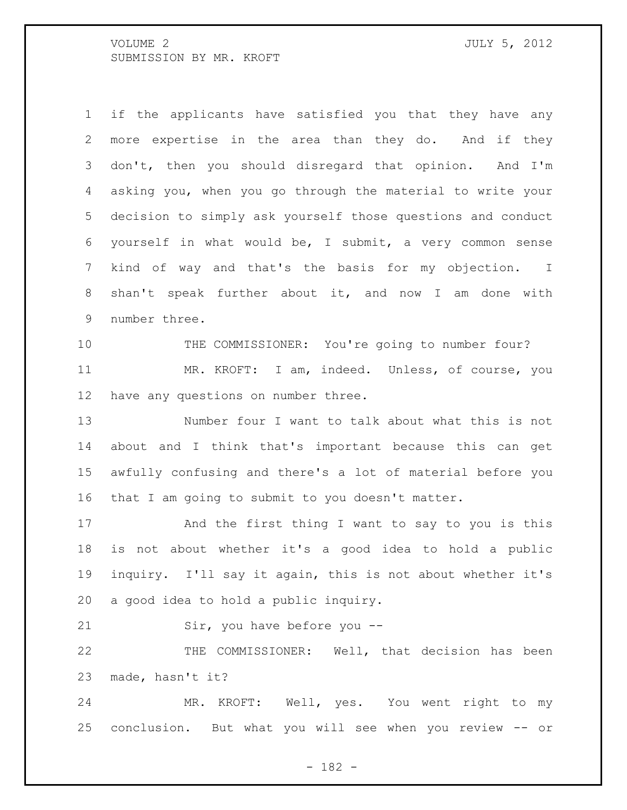if the applicants have satisfied you that they have any more expertise in the area than they do. And if they don't, then you should disregard that opinion. And I'm asking you, when you go through the material to write your decision to simply ask yourself those questions and conduct yourself in what would be, I submit, a very common sense kind of way and that's the basis for my objection. I shan't speak further about it, and now I am done with number three.

10 THE COMMISSIONER: You're going to number four? MR. KROFT: I am, indeed. Unless, of course, you have any questions on number three.

 Number four I want to talk about what this is not about and I think that's important because this can get awfully confusing and there's a lot of material before you that I am going to submit to you doesn't matter.

 And the first thing I want to say to you is this is not about whether it's a good idea to hold a public inquiry. I'll say it again, this is not about whether it's a good idea to hold a public inquiry.

Sir, you have before you --

 THE COMMISSIONER: Well, that decision has been made, hasn't it?

 MR. KROFT: Well, yes. You went right to my conclusion. But what you will see when you review -- or

- 182 -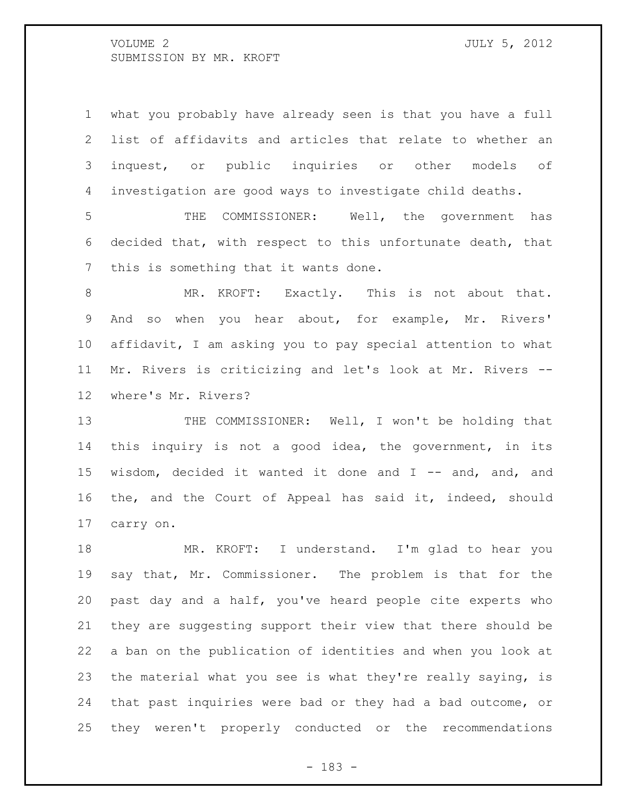what you probably have already seen is that you have a full list of affidavits and articles that relate to whether an inquest, or public inquiries or other models of investigation are good ways to investigate child deaths.

 THE COMMISSIONER: Well, the government has decided that, with respect to this unfortunate death, that this is something that it wants done.

8 MR. KROFT: Exactly. This is not about that. And so when you hear about, for example, Mr. Rivers' affidavit, I am asking you to pay special attention to what Mr. Rivers is criticizing and let's look at Mr. Rivers -- where's Mr. Rivers?

13 THE COMMISSIONER: Well, I won't be holding that this inquiry is not a good idea, the government, in its wisdom, decided it wanted it done and I -- and, and, and the, and the Court of Appeal has said it, indeed, should carry on.

 MR. KROFT: I understand. I'm glad to hear you say that, Mr. Commissioner. The problem is that for the past day and a half, you've heard people cite experts who they are suggesting support their view that there should be a ban on the publication of identities and when you look at the material what you see is what they're really saying, is that past inquiries were bad or they had a bad outcome, or they weren't properly conducted or the recommendations

- 183 -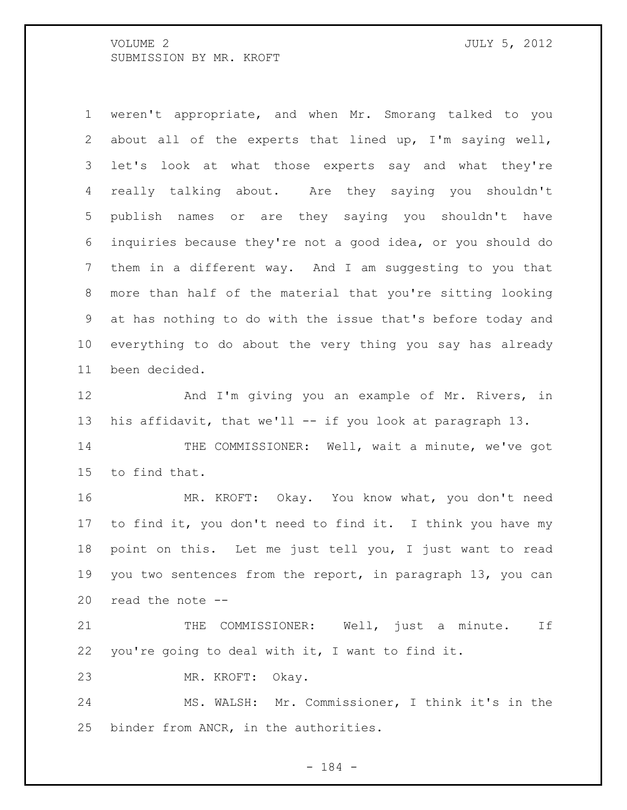weren't appropriate, and when Mr. Smorang talked to you about all of the experts that lined up, I'm saying well, let's look at what those experts say and what they're really talking about. Are they saying you shouldn't publish names or are they saying you shouldn't have inquiries because they're not a good idea, or you should do them in a different way. And I am suggesting to you that more than half of the material that you're sitting looking at has nothing to do with the issue that's before today and everything to do about the very thing you say has already been decided.

12 And I'm giving you an example of Mr. Rivers, in his affidavit, that we'll -- if you look at paragraph 13.

 THE COMMISSIONER: Well, wait a minute, we've got to find that.

 MR. KROFT: Okay. You know what, you don't need to find it, you don't need to find it. I think you have my point on this. Let me just tell you, I just want to read you two sentences from the report, in paragraph 13, you can read the note --

21 THE COMMISSIONER: Well, just a minute. If you're going to deal with it, I want to find it.

MR. KROFT: Okay.

 MS. WALSH: Mr. Commissioner, I think it's in the binder from ANCR, in the authorities.

- 184 -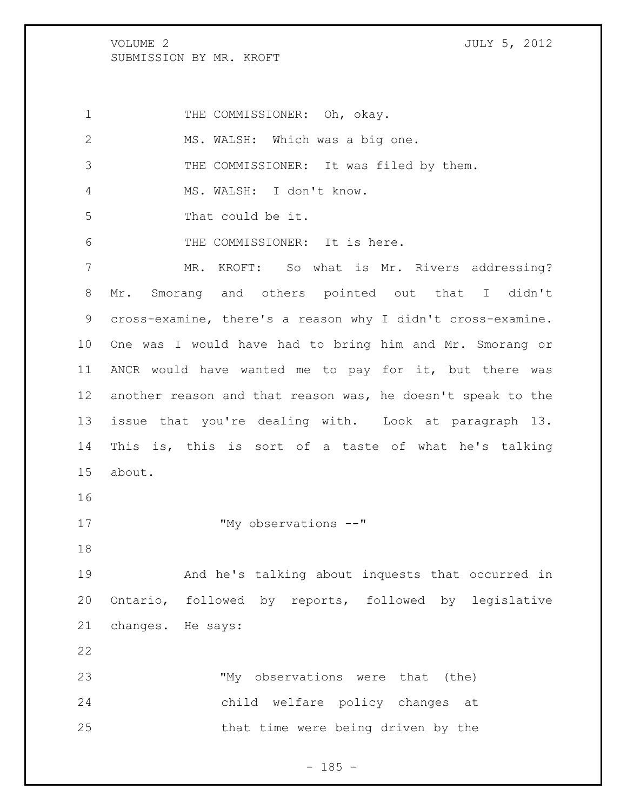1 THE COMMISSIONER: Oh, okay. MS. WALSH: Which was a big one. THE COMMISSIONER: It was filed by them. MS. WALSH: I don't know. That could be it. THE COMMISSIONER: It is here. MR. KROFT: So what is Mr. Rivers addressing? Mr. Smorang and others pointed out that I didn't cross-examine, there's a reason why I didn't cross-examine. One was I would have had to bring him and Mr. Smorang or ANCR would have wanted me to pay for it, but there was another reason and that reason was, he doesn't speak to the issue that you're dealing with. Look at paragraph 13. This is, this is sort of a taste of what he's talking about. 17 "My observations --" And he's talking about inquests that occurred in Ontario, followed by reports, followed by legislative changes. He says: "My observations were that (the) child welfare policy changes at that time were being driven by the

 $- 185 -$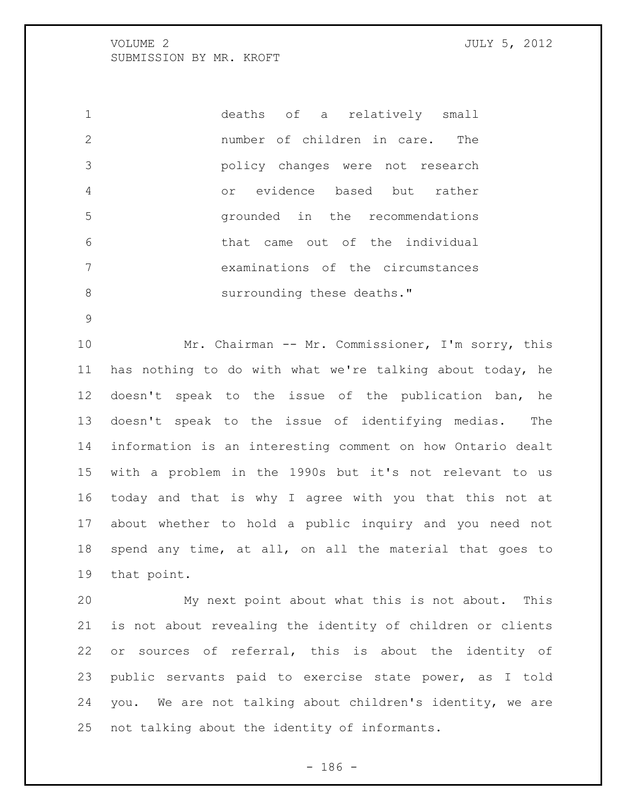deaths of a relatively small number of children in care. The policy changes were not research or evidence based but rather grounded in the recommendations that came out of the individual examinations of the circumstances 8 surrounding these deaths."

 Mr. Chairman -- Mr. Commissioner, I'm sorry, this has nothing to do with what we're talking about today, he doesn't speak to the issue of the publication ban, he doesn't speak to the issue of identifying medias. The information is an interesting comment on how Ontario dealt with a problem in the 1990s but it's not relevant to us today and that is why I agree with you that this not at about whether to hold a public inquiry and you need not spend any time, at all, on all the material that goes to that point.

 My next point about what this is not about. This is not about revealing the identity of children or clients or sources of referral, this is about the identity of public servants paid to exercise state power, as I told you. We are not talking about children's identity, we are not talking about the identity of informants.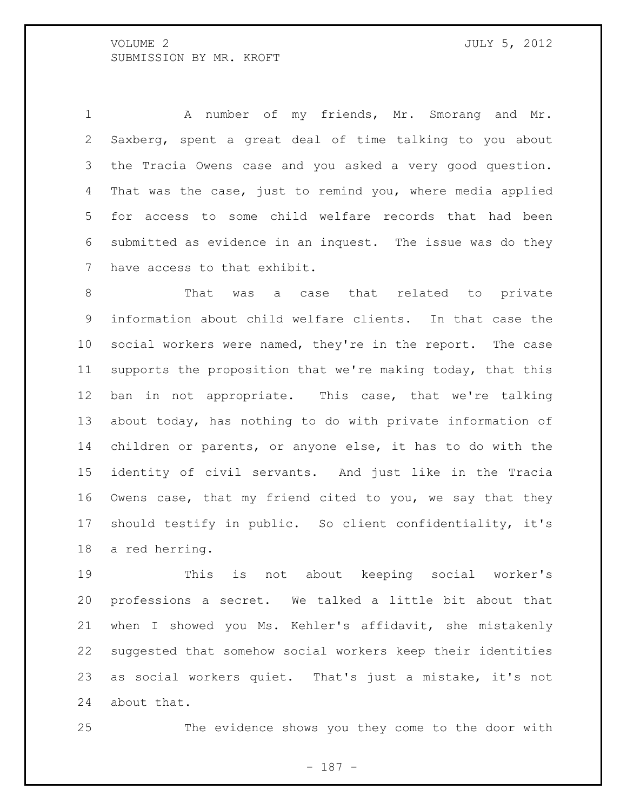A number of my friends, Mr. Smorang and Mr. Saxberg, spent a great deal of time talking to you about the Tracia Owens case and you asked a very good question. That was the case, just to remind you, where media applied for access to some child welfare records that had been submitted as evidence in an inquest. The issue was do they have access to that exhibit.

8 That was a case that related to private information about child welfare clients. In that case the social workers were named, they're in the report. The case supports the proposition that we're making today, that this ban in not appropriate. This case, that we're talking about today, has nothing to do with private information of children or parents, or anyone else, it has to do with the identity of civil servants. And just like in the Tracia Owens case, that my friend cited to you, we say that they should testify in public. So client confidentiality, it's a red herring.

 This is not about keeping social worker's professions a secret. We talked a little bit about that when I showed you Ms. Kehler's affidavit, she mistakenly suggested that somehow social workers keep their identities as social workers quiet. That's just a mistake, it's not about that.

The evidence shows you they come to the door with

- 187 -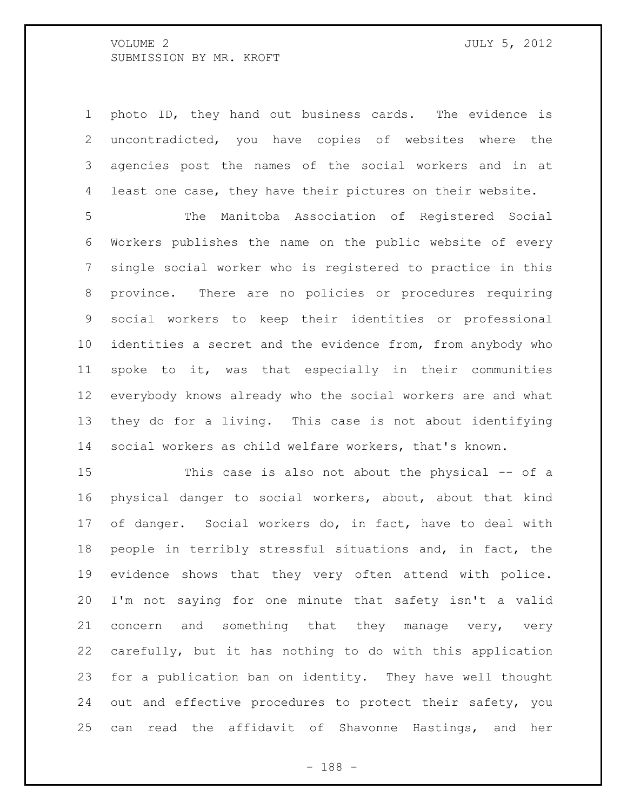photo ID, they hand out business cards. The evidence is uncontradicted, you have copies of websites where the agencies post the names of the social workers and in at least one case, they have their pictures on their website.

 The Manitoba Association of Registered Social Workers publishes the name on the public website of every single social worker who is registered to practice in this province. There are no policies or procedures requiring social workers to keep their identities or professional 10 identities a secret and the evidence from, from anybody who spoke to it, was that especially in their communities everybody knows already who the social workers are and what they do for a living. This case is not about identifying social workers as child welfare workers, that's known.

 This case is also not about the physical -- of a physical danger to social workers, about, about that kind of danger. Social workers do, in fact, have to deal with people in terribly stressful situations and, in fact, the evidence shows that they very often attend with police. I'm not saying for one minute that safety isn't a valid concern and something that they manage very, very carefully, but it has nothing to do with this application for a publication ban on identity. They have well thought out and effective procedures to protect their safety, you can read the affidavit of Shavonne Hastings, and her

- 188 -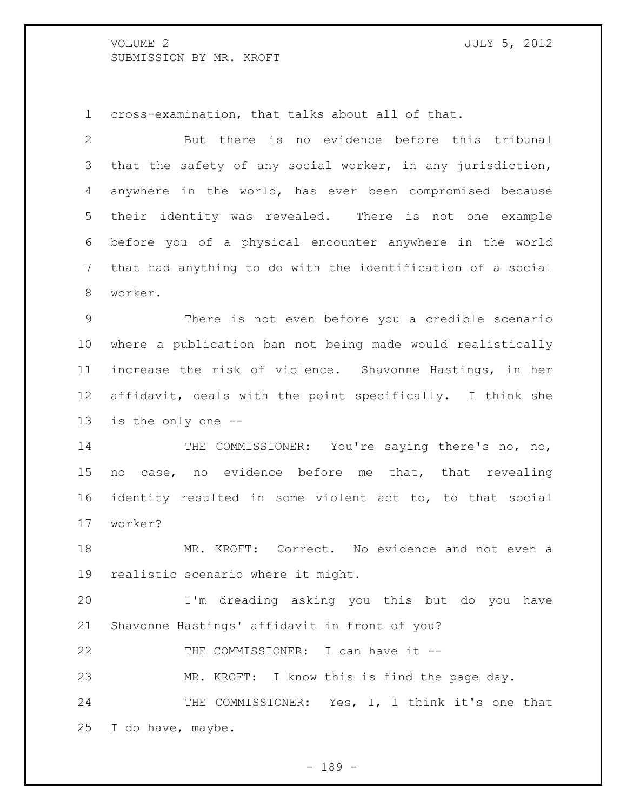cross-examination, that talks about all of that.

 But there is no evidence before this tribunal that the safety of any social worker, in any jurisdiction, anywhere in the world, has ever been compromised because their identity was revealed. There is not one example before you of a physical encounter anywhere in the world that had anything to do with the identification of a social worker.

 There is not even before you a credible scenario where a publication ban not being made would realistically increase the risk of violence. Shavonne Hastings, in her affidavit, deals with the point specifically. I think she is the only one --

14 THE COMMISSIONER: You're saying there's no, no, no case, no evidence before me that, that revealing identity resulted in some violent act to, to that social worker?

 MR. KROFT: Correct. No evidence and not even a realistic scenario where it might.

 I'm dreading asking you this but do you have Shavonne Hastings' affidavit in front of you?

22 THE COMMISSIONER: I can have it --

MR. KROFT: I know this is find the page day.

24 THE COMMISSIONER: Yes, I, I think it's one that I do have, maybe.

- 189 -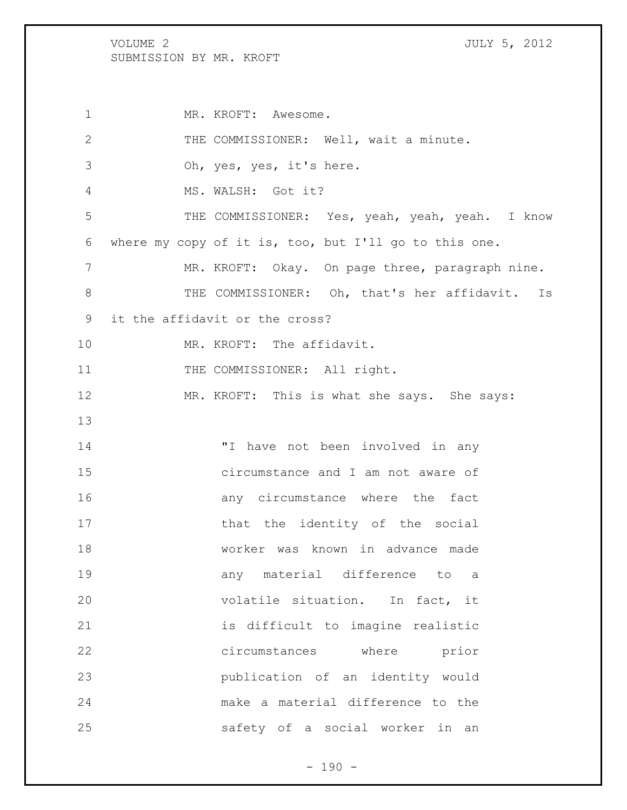1 MR. KROFT: Awesome. THE COMMISSIONER: Well, wait a minute. Oh, yes, yes, it's here. MS. WALSH: Got it? THE COMMISSIONER: Yes, yeah, yeah, yeah. I know where my copy of it is, too, but I'll go to this one. 7 MR. KROFT: Okay. On page three, paragraph nine. THE COMMISSIONER: Oh, that's her affidavit. Is it the affidavit or the cross? MR. KROFT: The affidavit. 11 THE COMMISSIONER: All right. MR. KROFT: This is what she says. She says: 14 Thave not been involved in any circumstance and I am not aware of **16 any** circumstance where the fact 17 that the identity of the social worker was known in advance made any material difference to a volatile situation. In fact, it is difficult to imagine realistic circumstances where prior publication of an identity would make a material difference to the safety of a social worker in an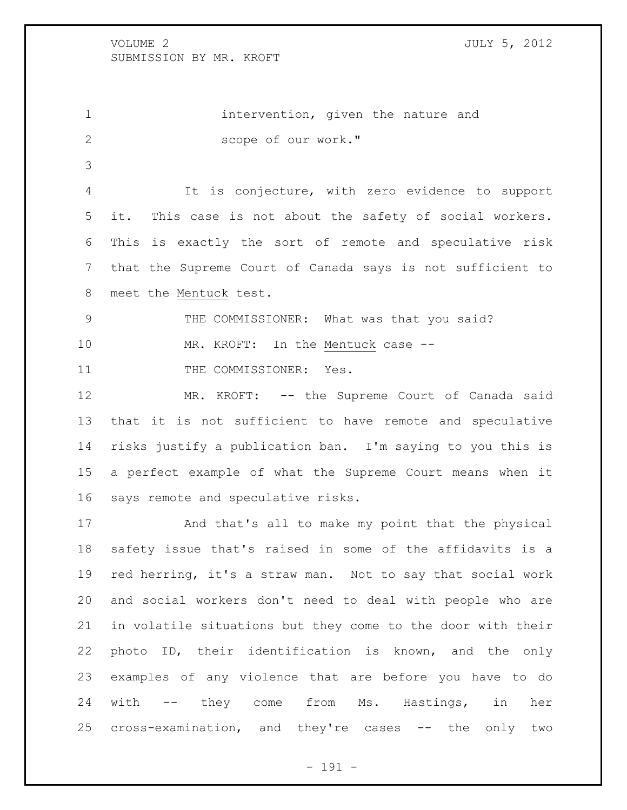1 intervention, given the nature and scope of our work."

 It is conjecture, with zero evidence to support it. This case is not about the safety of social workers. This is exactly the sort of remote and speculative risk that the Supreme Court of Canada says is not sufficient to meet the Mentuck test.

THE COMMISSIONER: What was that you said?

10 MR. KROFT: In the Mentuck case --

11 THE COMMISSIONER: Yes.

12 MR. KROFT: -- the Supreme Court of Canada said that it is not sufficient to have remote and speculative risks justify a publication ban. I'm saying to you this is a perfect example of what the Supreme Court means when it says remote and speculative risks.

 And that's all to make my point that the physical safety issue that's raised in some of the affidavits is a red herring, it's a straw man. Not to say that social work and social workers don't need to deal with people who are in volatile situations but they come to the door with their photo ID, their identification is known, and the only examples of any violence that are before you have to do with -- they come from Ms. Hastings, in her cross-examination, and they're cases -- the only two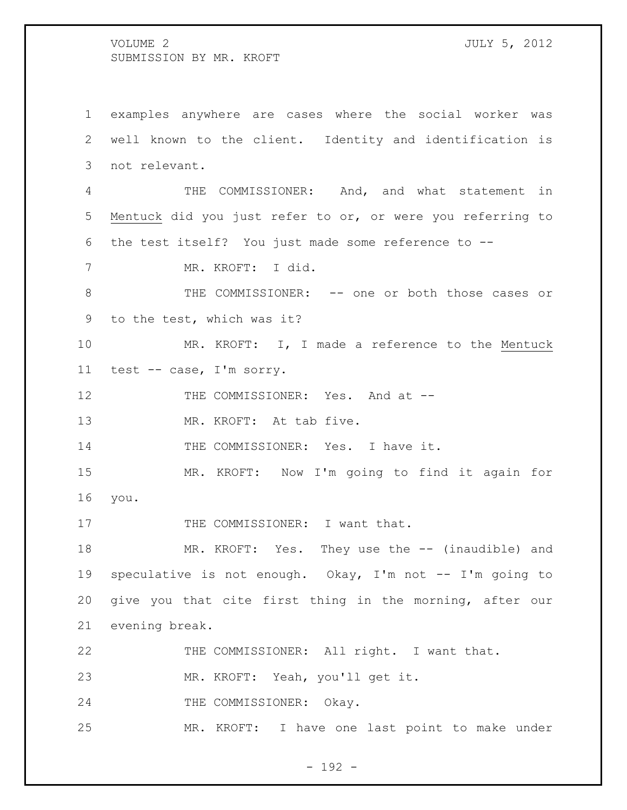examples anywhere are cases where the social worker was well known to the client. Identity and identification is not relevant. THE COMMISSIONER: And, and what statement in Mentuck did you just refer to or, or were you referring to the test itself? You just made some reference to -- MR. KROFT: I did. 8 THE COMMISSIONER: -- one or both those cases or to the test, which was it? MR. KROFT: I, I made a reference to the Mentuck test -- case, I'm sorry. 12 THE COMMISSIONER: Yes. And at -- MR. KROFT: At tab five. THE COMMISSIONER: Yes. I have it. MR. KROFT: Now I'm going to find it again for you. 17 THE COMMISSIONER: I want that. MR. KROFT: Yes. They use the -- (inaudible) and speculative is not enough. Okay, I'm not -- I'm going to give you that cite first thing in the morning, after our evening break. THE COMMISSIONER: All right. I want that. MR. KROFT: Yeah, you'll get it. 24 THE COMMISSIONER: Okay.

- 192 -

MR. KROFT: I have one last point to make under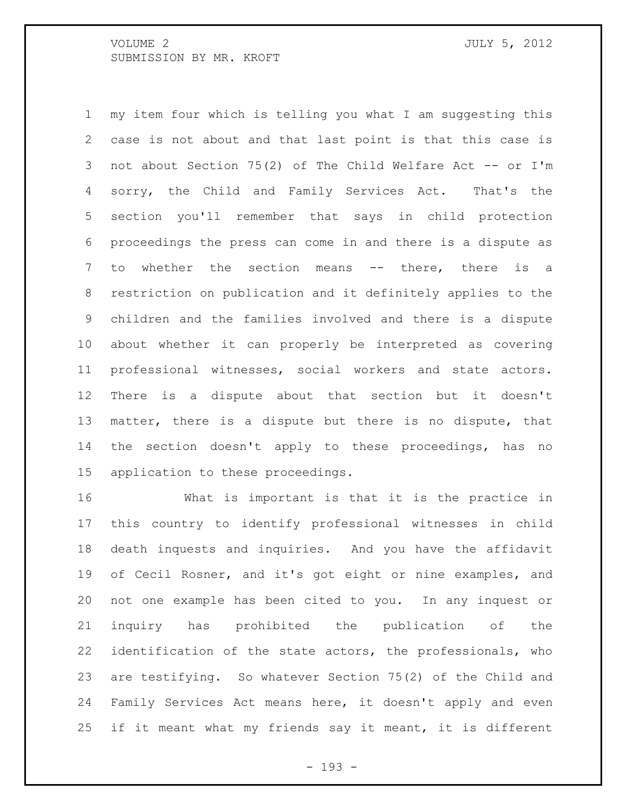my item four which is telling you what I am suggesting this case is not about and that last point is that this case is not about Section 75(2) of The Child Welfare Act -- or I'm sorry, the Child and Family Services Act. That's the section you'll remember that says in child protection proceedings the press can come in and there is a dispute as 7 to whether the section means -- there, there is a restriction on publication and it definitely applies to the children and the families involved and there is a dispute about whether it can properly be interpreted as covering professional witnesses, social workers and state actors. There is a dispute about that section but it doesn't matter, there is a dispute but there is no dispute, that the section doesn't apply to these proceedings, has no application to these proceedings.

 What is important is that it is the practice in this country to identify professional witnesses in child death inquests and inquiries. And you have the affidavit of Cecil Rosner, and it's got eight or nine examples, and not one example has been cited to you. In any inquest or inquiry has prohibited the publication of the identification of the state actors, the professionals, who are testifying. So whatever Section 75(2) of the Child and Family Services Act means here, it doesn't apply and even if it meant what my friends say it meant, it is different

- 193 -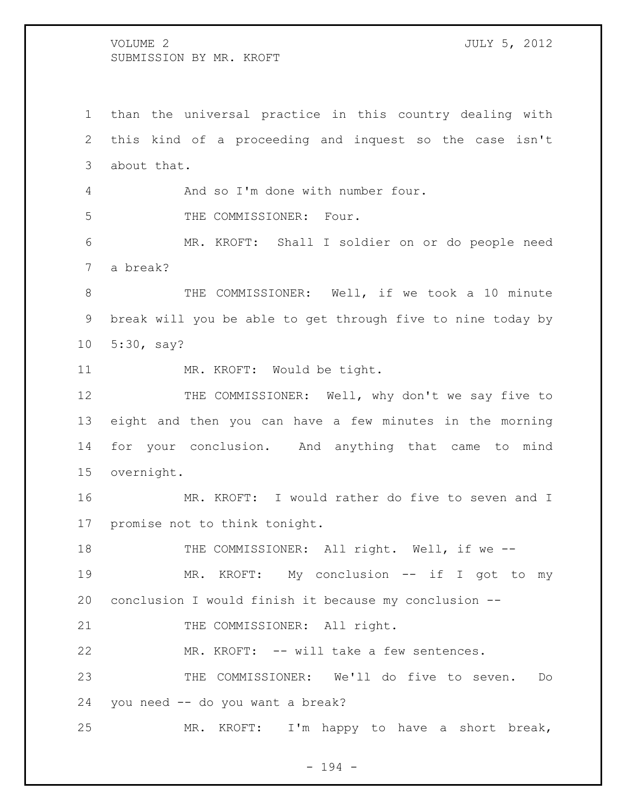than the universal practice in this country dealing with this kind of a proceeding and inquest so the case isn't about that.

And so I'm done with number four.

5 THE COMMISSIONER: Four.

 MR. KROFT: Shall I soldier on or do people need a break?

 THE COMMISSIONER: Well, if we took a 10 minute break will you be able to get through five to nine today by 5:30, say?

11 MR. KROFT: Would be tight.

12 THE COMMISSIONER: Well, why don't we say five to eight and then you can have a few minutes in the morning for your conclusion. And anything that came to mind overnight.

 MR. KROFT: I would rather do five to seven and I promise not to think tonight.

18 THE COMMISSIONER: All right. Well, if we --

19 MR. KROFT: My conclusion -- if I got to my conclusion I would finish it because my conclusion --

21 THE COMMISSIONER: All right.

MR. KROFT: -- will take a few sentences.

 THE COMMISSIONER: We'll do five to seven. Do you need -- do you want a break?

MR. KROFT: I'm happy to have a short break,

- 194 -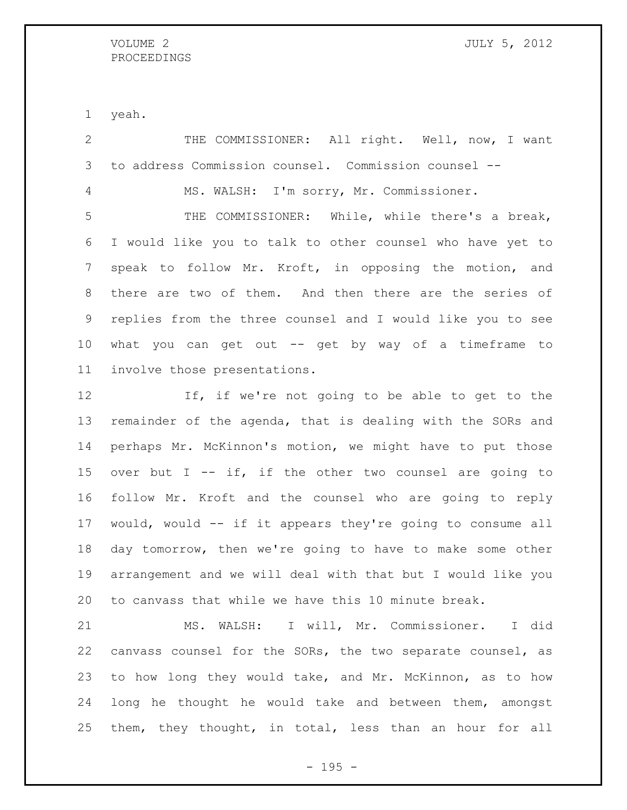### VOLUME 2 JULY 5, 2012 PROCEEDINGS

yeah.

 THE COMMISSIONER: All right. Well, now, I want to address Commission counsel. Commission counsel -- MS. WALSH: I'm sorry, Mr. Commissioner. THE COMMISSIONER: While, while there's a break, I would like you to talk to other counsel who have yet to speak to follow Mr. Kroft, in opposing the motion, and there are two of them. And then there are the series of replies from the three counsel and I would like you to see what you can get out -- get by way of a timeframe to involve those presentations. 12 If, if we're not going to be able to get to the remainder of the agenda, that is dealing with the SORs and

 perhaps Mr. McKinnon's motion, we might have to put those 15 over but I  $-$  if, if the other two counsel are going to follow Mr. Kroft and the counsel who are going to reply would, would -- if it appears they're going to consume all day tomorrow, then we're going to have to make some other arrangement and we will deal with that but I would like you to canvass that while we have this 10 minute break.

 MS. WALSH: I will, Mr. Commissioner. I did canvass counsel for the SORs, the two separate counsel, as to how long they would take, and Mr. McKinnon, as to how long he thought he would take and between them, amongst them, they thought, in total, less than an hour for all

- 195 -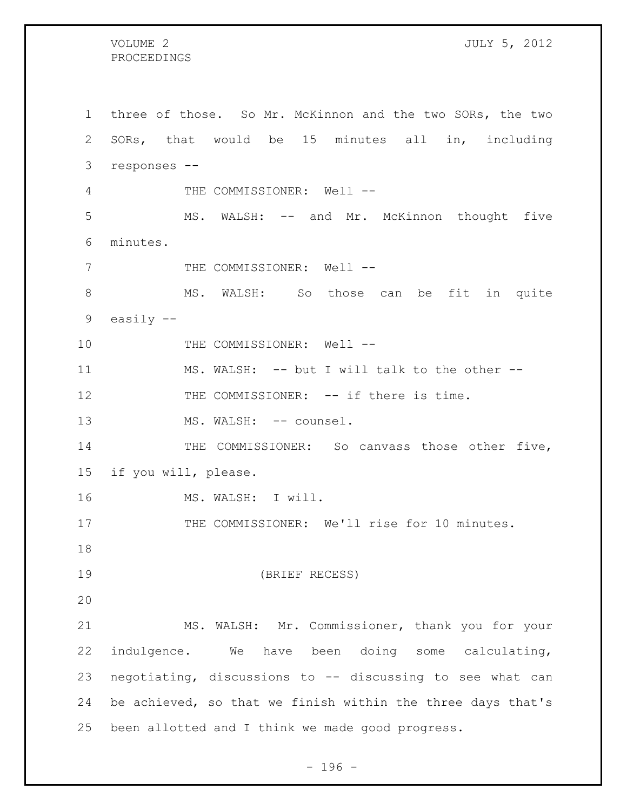### PROCEEDINGS

 three of those. So Mr. McKinnon and the two SORs, the two SORs, that would be 15 minutes all in, including responses -- 4 THE COMMISSIONER: Well -- MS. WALSH: -- and Mr. McKinnon thought five minutes. 7 THE COMMISSIONER: Well -- MS. WALSH: So those can be fit in quite easily -- 10 THE COMMISSIONER: Well -- MS. WALSH: -- but I will talk to the other -- 12 THE COMMISSIONER: -- if there is time. 13 MS. WALSH: -- counsel. 14 THE COMMISSIONER: So canvass those other five, if you will, please. MS. WALSH: I will. 17 THE COMMISSIONER: We'll rise for 10 minutes. (BRIEF RECESS) MS. WALSH: Mr. Commissioner, thank you for your indulgence. We have been doing some calculating, negotiating, discussions to -- discussing to see what can be achieved, so that we finish within the three days that's been allotted and I think we made good progress.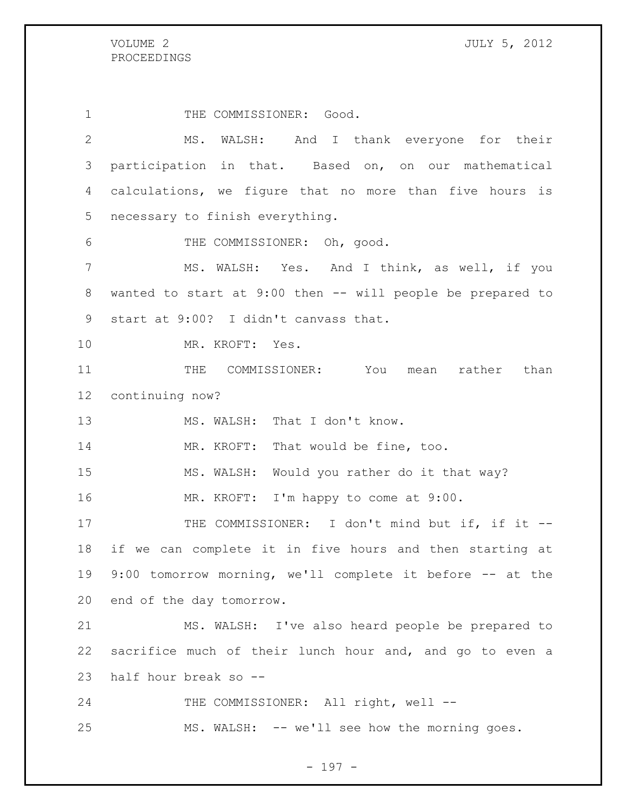1 THE COMMISSIONER: Good. MS. WALSH: And I thank everyone for their participation in that. Based on, on our mathematical calculations, we figure that no more than five hours is necessary to finish everything. THE COMMISSIONER: Oh, good. MS. WALSH: Yes. And I think, as well, if you wanted to start at 9:00 then -- will people be prepared to start at 9:00? I didn't canvass that. MR. KROFT: Yes. 11 THE COMMISSIONER: You mean rather than continuing now? 13 MS. WALSH: That I don't know. 14 MR. KROFT: That would be fine, too. MS. WALSH: Would you rather do it that way? MR. KROFT: I'm happy to come at 9:00. 17 THE COMMISSIONER: I don't mind but if, if it -- if we can complete it in five hours and then starting at 9:00 tomorrow morning, we'll complete it before -- at the end of the day tomorrow. MS. WALSH: I've also heard people be prepared to sacrifice much of their lunch hour and, and go to even a half hour break so -- 24 THE COMMISSIONER: All right, well --MS. WALSH: -- we'll see how the morning goes.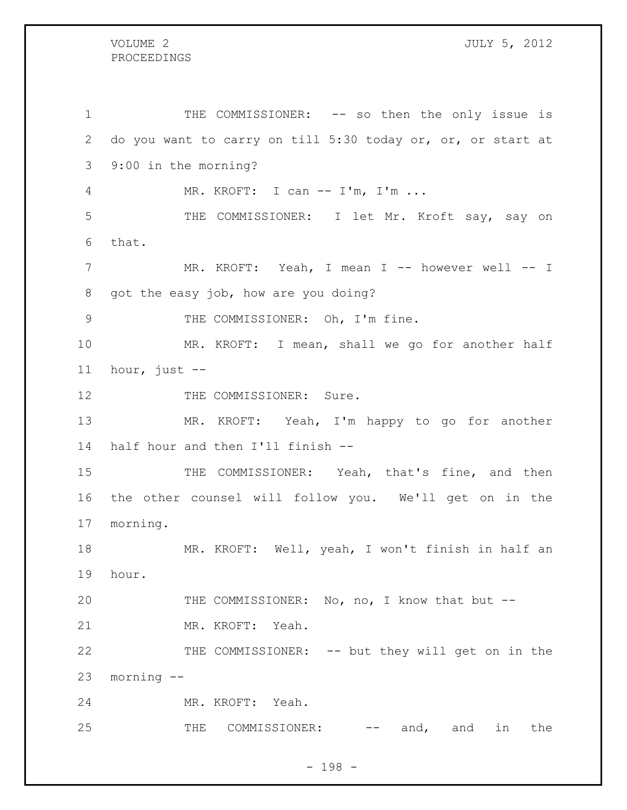# PROCEEDINGS

1 THE COMMISSIONER: -- so then the only issue is do you want to carry on till 5:30 today or, or, or start at 9:00 in the morning? MR. KROFT: I can -- I'm, I'm ... THE COMMISSIONER: I let Mr. Kroft say, say on that. MR. KROFT: Yeah, I mean I -- however well -- I got the easy job, how are you doing? 9 THE COMMISSIONER: Oh, I'm fine. MR. KROFT: I mean, shall we go for another half hour, just -- 12 THE COMMISSIONER: Sure. MR. KROFT: Yeah, I'm happy to go for another half hour and then I'll finish -- 15 THE COMMISSIONER: Yeah, that's fine, and then the other counsel will follow you. We'll get on in the morning. MR. KROFT: Well, yeah, I won't finish in half an hour. THE COMMISSIONER: No, no, I know that but -- MR. KROFT: Yeah. THE COMMISSIONER: -- but they will get on in the morning -- MR. KROFT: Yeah. 25 THE COMMISSIONER: -- and, and in the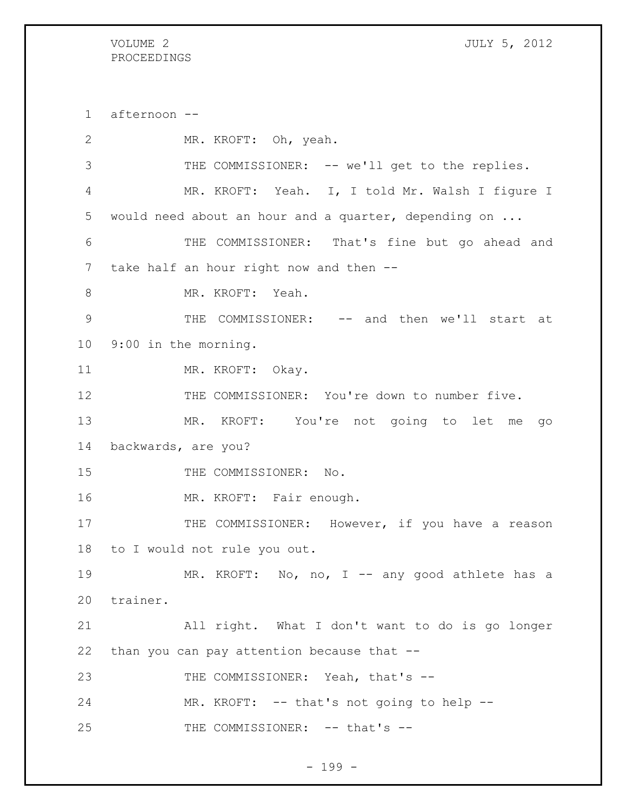## PROCEEDINGS

VOLUME 2 JULY 5, 2012

 afternoon -- MR. KROFT: Oh, yeah. THE COMMISSIONER: -- we'll get to the replies. MR. KROFT: Yeah. I, I told Mr. Walsh I figure I would need about an hour and a quarter, depending on ... THE COMMISSIONER: That's fine but go ahead and take half an hour right now and then -- 8 MR. KROFT: Yeah. THE COMMISSIONER: -- and then we'll start at 9:00 in the morning. 11 MR. KROFT: Okay. THE COMMISSIONER: You're down to number five. MR. KROFT: You're not going to let me go backwards, are you? 15 THE COMMISSIONER: No. MR. KROFT: Fair enough. 17 THE COMMISSIONER: However, if you have a reason to I would not rule you out. 19 MR. KROFT: No, no, I -- any good athlete has a trainer. All right. What I don't want to do is go longer than you can pay attention because that -- 23 THE COMMISSIONER: Yeah, that's --24 MR. KROFT: -- that's not going to help --25 THE COMMISSIONER: -- that's --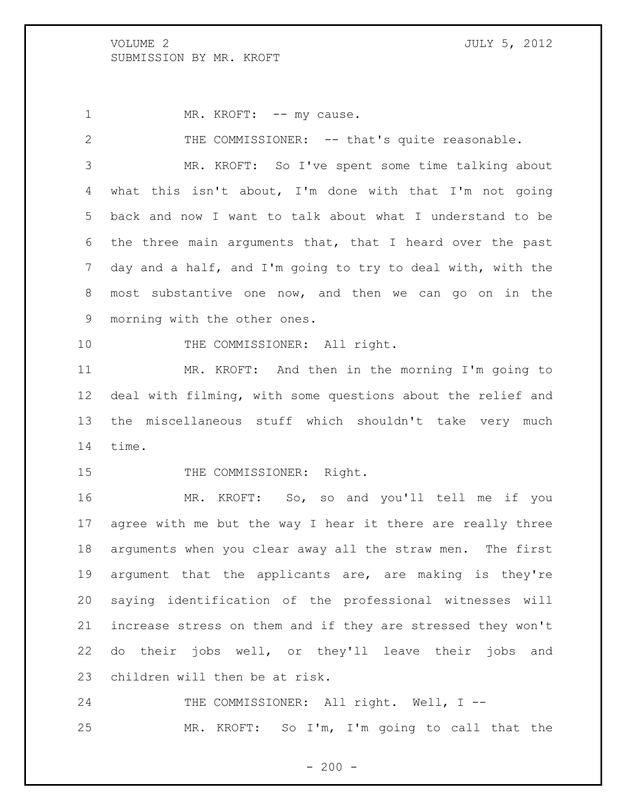1 MR. KROFT: -- my cause.

 THE COMMISSIONER: -- that's quite reasonable. MR. KROFT: So I've spent some time talking about what this isn't about, I'm done with that I'm not going back and now I want to talk about what I understand to be the three main arguments that, that I heard over the past day and a half, and I'm going to try to deal with, with the most substantive one now, and then we can go on in the morning with the other ones. 10 THE COMMISSIONER: All right. MR. KROFT: And then in the morning I'm going to deal with filming, with some questions about the relief and the miscellaneous stuff which shouldn't take very much time. 15 THE COMMISSIONER: Right. MR. KROFT: So, so and you'll tell me if you agree with me but the way I hear it there are really three arguments when you clear away all the straw men. The first argument that the applicants are, are making is they're saying identification of the professional witnesses will

 do their jobs well, or they'll leave their jobs and children will then be at risk.

increase stress on them and if they are stressed they won't

24 THE COMMISSIONER: All right. Well, I --MR. KROFT: So I'm, I'm going to call that the

 $-200 -$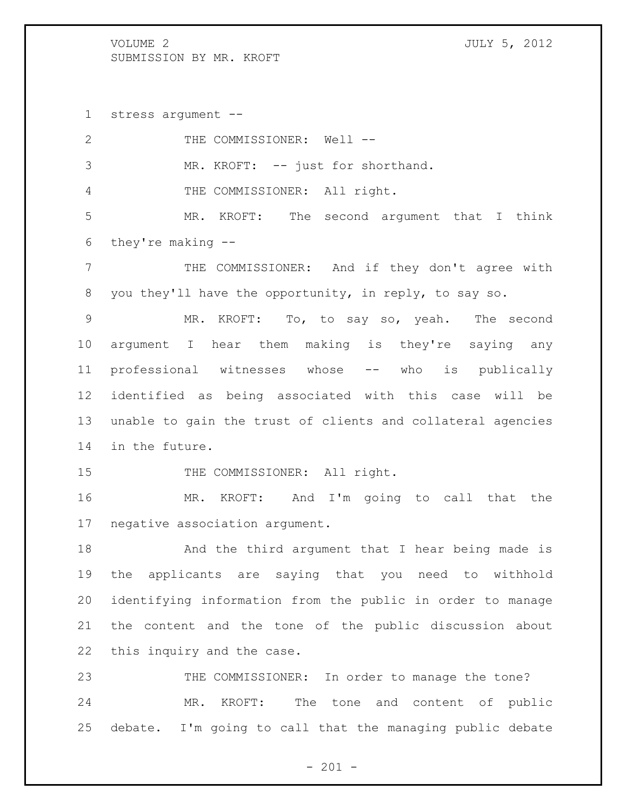stress argument --

| $\mathbf{2}$    | THE COMMISSIONER: Well --                                   |
|-----------------|-------------------------------------------------------------|
| 3               | MR. KROFT: -- just for shorthand.                           |
| $\overline{4}$  | THE COMMISSIONER: All right.                                |
| 5               | MR. KROFT: The second argument that I think                 |
| 6               | they're making --                                           |
| $7\phantom{.}$  | THE COMMISSIONER: And if they don't agree with              |
| 8               | you they'll have the opportunity, in reply, to say so.      |
| 9               | MR. KROFT: To, to say so, yeah. The second                  |
| 10              | argument I hear them making is they're saying any           |
| 11              | professional witnesses whose -- who is publically           |
| 12 <sup>°</sup> | identified as being associated with this case will be       |
| 13              | unable to gain the trust of clients and collateral agencies |
| 14              | in the future.                                              |
| 15              | THE COMMISSIONER: All right.                                |
| 16              | MR. KROFT: And I'm going to call that the                   |
| 17              | negative association argument.                              |
| 18              | And the third argument that I hear being made is            |
| 19              | applicants are saying that you need to withhold<br>the      |
| 20              | identifying information from the public in order to manage  |
| 21              | the content and the tone of the public discussion about     |
| 22              | this inquiry and the case.                                  |
| 23              | THE COMMISSIONER: In order to manage the tone?              |
| 24              | The tone and content of public<br>MR.<br>KROFT:             |
| 25              | debate. I'm going to call that the managing public debate   |
|                 |                                                             |

- 201 -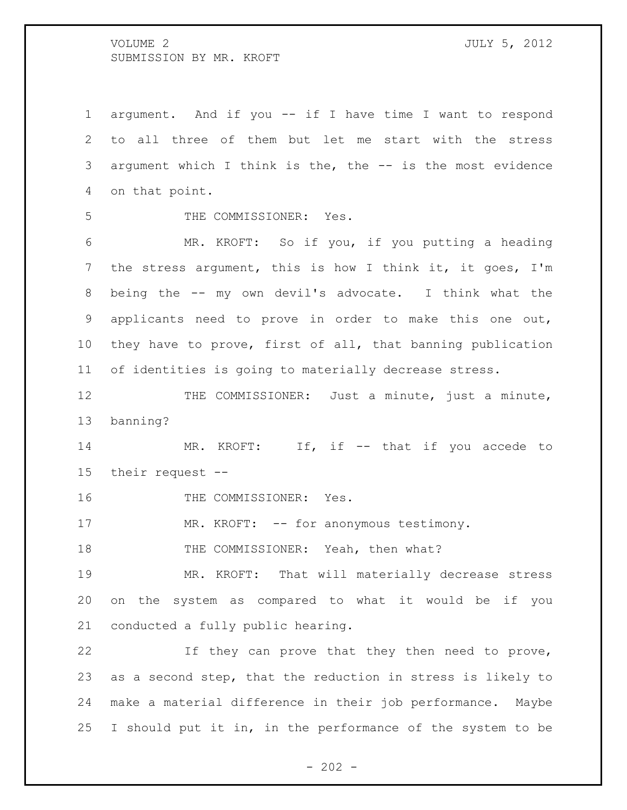argument. And if you -- if I have time I want to respond to all three of them but let me start with the stress argument which I think is the, the -- is the most evidence on that point. THE COMMISSIONER: Yes. MR. KROFT: So if you, if you putting a heading the stress argument, this is how I think it, it goes, I'm being the -- my own devil's advocate. I think what the applicants need to prove in order to make this one out, they have to prove, first of all, that banning publication of identities is going to materially decrease stress. 12 THE COMMISSIONER: Just a minute, just a minute, banning?

14 MR. KROFT: If, if -- that if you accede to their request --

16 THE COMMISSIONER: Yes.

17 MR. KROFT: -- for anonymous testimony.

18 THE COMMISSIONER: Yeah, then what?

 MR. KROFT: That will materially decrease stress on the system as compared to what it would be if you conducted a fully public hearing.

 If they can prove that they then need to prove, as a second step, that the reduction in stress is likely to make a material difference in their job performance. Maybe I should put it in, in the performance of the system to be

 $- 202 -$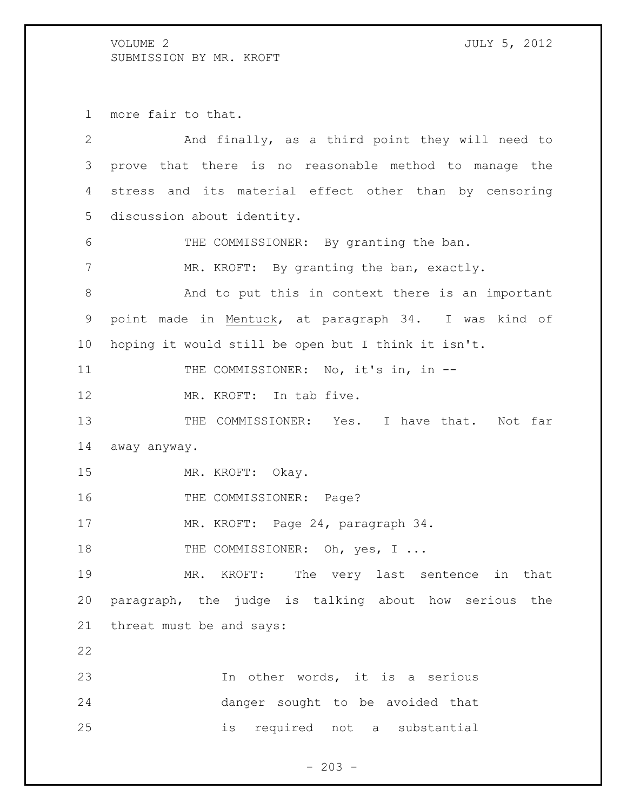more fair to that.

| $\overline{2}$ | And finally, as a third point they will need to        |
|----------------|--------------------------------------------------------|
| 3              | prove that there is no reasonable method to manage the |
| 4              | stress and its material effect other than by censoring |
| 5              | discussion about identity.                             |
| 6              | THE COMMISSIONER: By granting the ban.                 |
| 7              | MR. KROFT: By granting the ban, exactly.               |
| $8\,$          | And to put this in context there is an important       |
| 9              | point made in Mentuck, at paragraph 34. I was kind of  |
| 10             | hoping it would still be open but I think it isn't.    |
| 11             | THE COMMISSIONER: No, it's in, in --                   |
| 12             | MR. KROFT: In tab five.                                |
| 13             | THE COMMISSIONER: Yes. I have that. Not far            |
| 14             | away anyway.                                           |
| 15             | MR. KROFT: Okay.                                       |
| 16             | THE COMMISSIONER: Page?                                |
| 17             | MR. KROFT: Page 24, paragraph 34.                      |
| 18             | THE COMMISSIONER: Oh, yes, I                           |
| 19             | MR. KROFT: The very last sentence in that              |
| 20             | paragraph, the judge is talking about how serious the  |
| 21             | threat must be and says:                               |
| 22             |                                                        |
| 23             | In other words, it is a serious                        |
| 24             | danger sought to be avoided that                       |
| 25             | required not a substantial<br>is                       |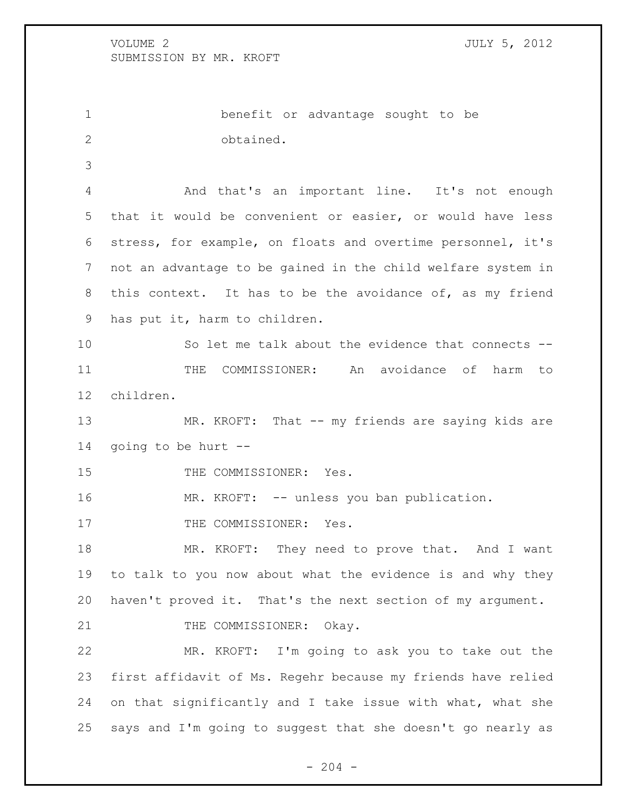benefit or advantage sought to be obtained. And that's an important line. It's not enough that it would be convenient or easier, or would have less stress, for example, on floats and overtime personnel, it's not an advantage to be gained in the child welfare system in this context. It has to be the avoidance of, as my friend has put it, harm to children. So let me talk about the evidence that connects -- 11 THE COMMISSIONER: An avoidance of harm to children. 13 MR. KROFT: That -- my friends are saying kids are going to be hurt -- 15 THE COMMISSIONER: Yes. MR. KROFT: -- unless you ban publication. 17 THE COMMISSIONER: Yes. MR. KROFT: They need to prove that. And I want to talk to you now about what the evidence is and why they haven't proved it. That's the next section of my argument. 21 THE COMMISSIONER: Okay. MR. KROFT: I'm going to ask you to take out the first affidavit of Ms. Regehr because my friends have relied

 on that significantly and I take issue with what, what she says and I'm going to suggest that she doesn't go nearly as

 $-204 -$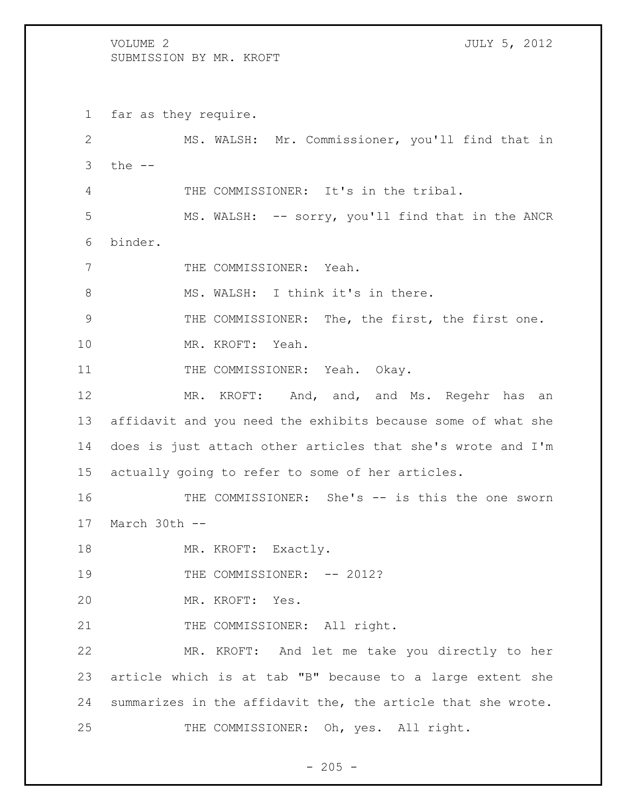VOLUME 2 JULY 5, 2012 SUBMISSION BY MR. KROFT far as they require. MS. WALSH: Mr. Commissioner, you'll find that in the  $-$  THE COMMISSIONER: It's in the tribal. MS. WALSH: -- sorry, you'll find that in the ANCR binder. 7 THE COMMISSIONER: Yeah. 8 MS. WALSH: I think it's in there. THE COMMISSIONER: The, the first, the first one. MR. KROFT: Yeah. 11 THE COMMISSIONER: Yeah. Okay. 12 MR. KROFT: And, and, and Ms. Regehr has an affidavit and you need the exhibits because some of what she does is just attach other articles that she's wrote and I'm actually going to refer to some of her articles. THE COMMISSIONER: She's -- is this the one sworn March 30th -- 18 MR. KROFT: Exactly. 19 THE COMMISSIONER:  $-- 2012$ ? MR. KROFT: Yes. 21 THE COMMISSIONER: All right. MR. KROFT: And let me take you directly to her article which is at tab "B" because to a large extent she summarizes in the affidavit the, the article that she wrote. THE COMMISSIONER: Oh, yes. All right.

 $- 205 -$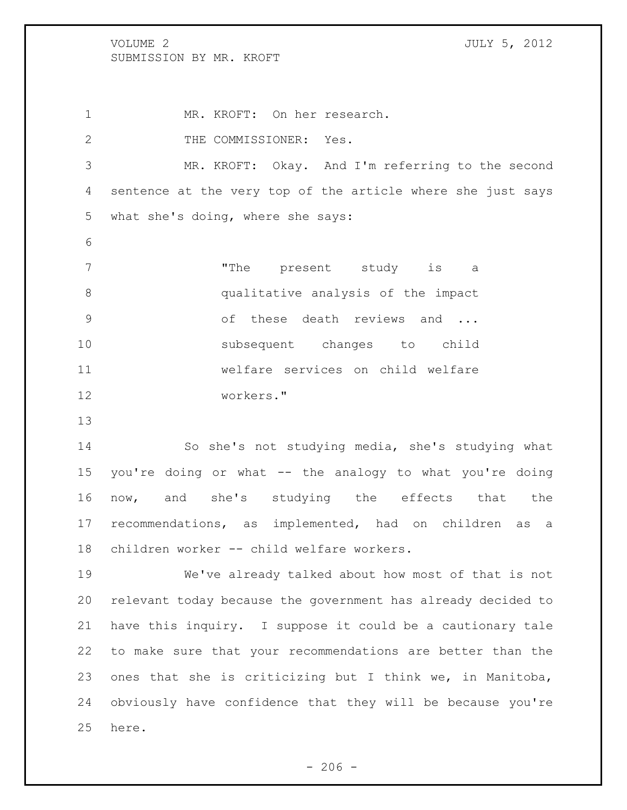MR. KROFT: On her research. 2 THE COMMISSIONER: Yes. MR. KROFT: Okay. And I'm referring to the second sentence at the very top of the article where she just says what she's doing, where she says: 7 The present study is a qualitative analysis of the impact 9 of these death reviews and ... subsequent changes to child welfare services on child welfare workers."

 So she's not studying media, she's studying what you're doing or what -- the analogy to what you're doing now, and she's studying the effects that the recommendations, as implemented, had on children as a children worker -- child welfare workers.

 We've already talked about how most of that is not relevant today because the government has already decided to have this inquiry. I suppose it could be a cautionary tale to make sure that your recommendations are better than the ones that she is criticizing but I think we, in Manitoba, obviously have confidence that they will be because you're here.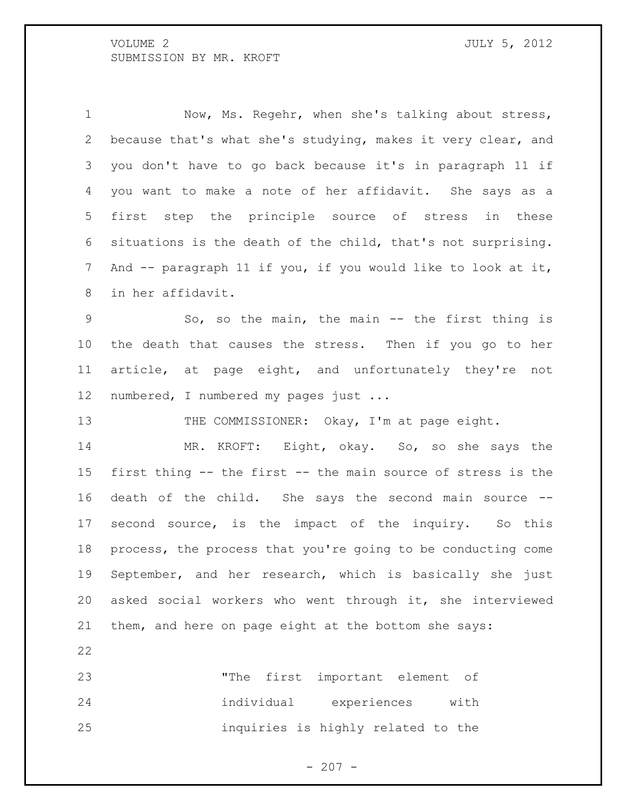1 Now, Ms. Regehr, when she's talking about stress, because that's what she's studying, makes it very clear, and you don't have to go back because it's in paragraph 11 if you want to make a note of her affidavit. She says as a first step the principle source of stress in these situations is the death of the child, that's not surprising. And -- paragraph 11 if you, if you would like to look at it, in her affidavit.

 So, so the main, the main -- the first thing is the death that causes the stress. Then if you go to her article, at page eight, and unfortunately they're not numbered, I numbered my pages just ...

13 THE COMMISSIONER: Okay, I'm at page eight.

 MR. KROFT: Eight, okay. So, so she says the first thing -- the first -- the main source of stress is the death of the child. She says the second main source -- second source, is the impact of the inquiry. So this process, the process that you're going to be conducting come September, and her research, which is basically she just asked social workers who went through it, she interviewed them, and here on page eight at the bottom she says:

 "The first important element of individual experiences with inquiries is highly related to the

 $- 207 -$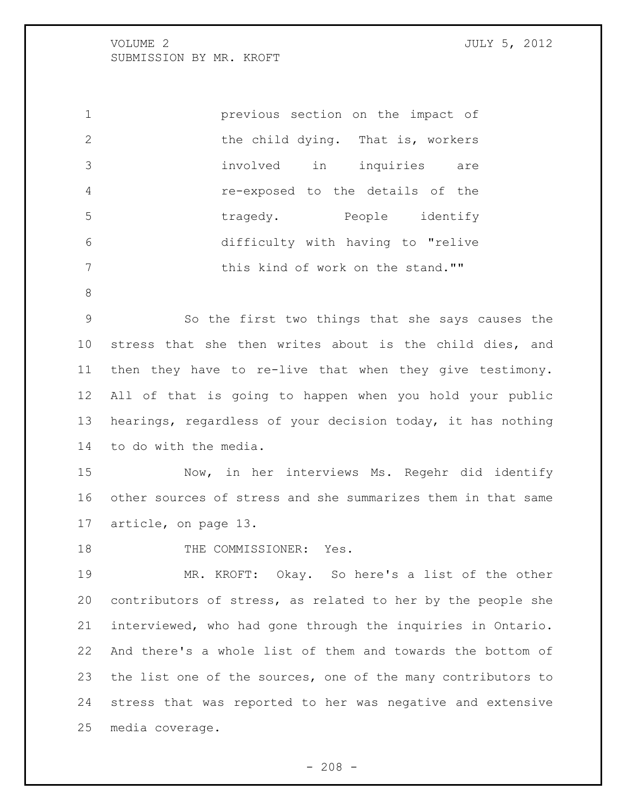previous section on the impact of 2 the child dying. That is, workers involved in inquiries are re-exposed to the details of the tragedy. People identify difficulty with having to "relive 7 this kind of work on the stand.""

 So the first two things that she says causes the stress that she then writes about is the child dies, and then they have to re-live that when they give testimony. All of that is going to happen when you hold your public hearings, regardless of your decision today, it has nothing to do with the media.

 Now, in her interviews Ms. Regehr did identify other sources of stress and she summarizes them in that same article, on page 13.

18 THE COMMISSIONER: Yes.

 MR. KROFT: Okay. So here's a list of the other contributors of stress, as related to her by the people she interviewed, who had gone through the inquiries in Ontario. And there's a whole list of them and towards the bottom of the list one of the sources, one of the many contributors to stress that was reported to her was negative and extensive media coverage.

 $- 208 -$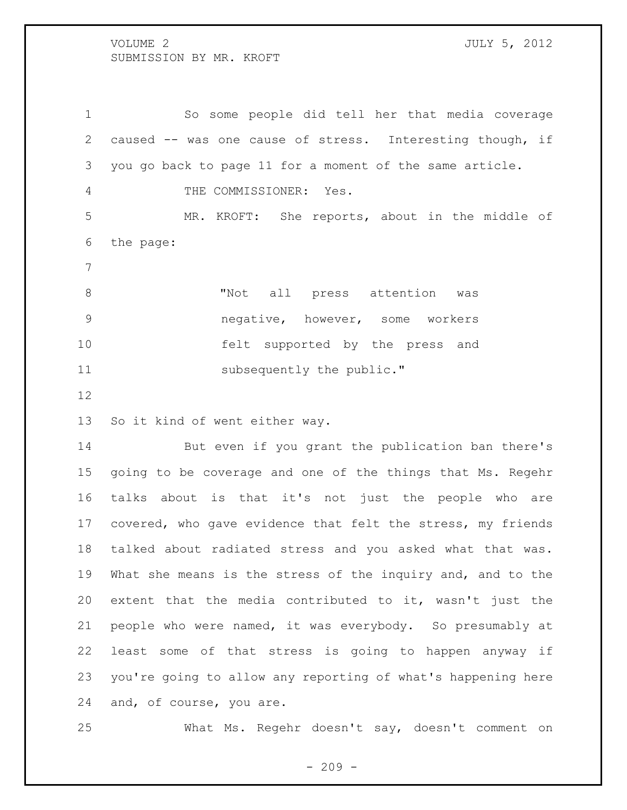So some people did tell her that media coverage caused -- was one cause of stress. Interesting though, if you go back to page 11 for a moment of the same article. 4 THE COMMISSIONER: Yes. MR. KROFT: She reports, about in the middle of the page: 8 TNot all press attention was negative, however, some workers felt supported by the press and

11 subsequently the public."

So it kind of went either way.

 But even if you grant the publication ban there's going to be coverage and one of the things that Ms. Regehr talks about is that it's not just the people who are covered, who gave evidence that felt the stress, my friends talked about radiated stress and you asked what that was. What she means is the stress of the inquiry and, and to the extent that the media contributed to it, wasn't just the people who were named, it was everybody. So presumably at least some of that stress is going to happen anyway if you're going to allow any reporting of what's happening here and, of course, you are.

What Ms. Regehr doesn't say, doesn't comment on

 $-209 -$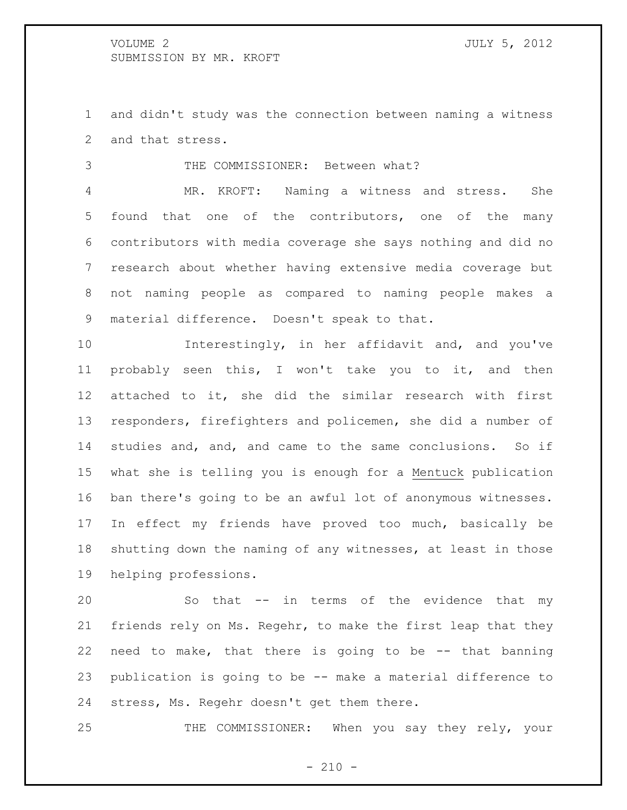and didn't study was the connection between naming a witness and that stress.

THE COMMISSIONER: Between what?

 MR. KROFT: Naming a witness and stress. She found that one of the contributors, one of the many contributors with media coverage she says nothing and did no research about whether having extensive media coverage but not naming people as compared to naming people makes a material difference. Doesn't speak to that.

 Interestingly, in her affidavit and, and you've probably seen this, I won't take you to it, and then attached to it, she did the similar research with first responders, firefighters and policemen, she did a number of studies and, and, and came to the same conclusions. So if what she is telling you is enough for a Mentuck publication ban there's going to be an awful lot of anonymous witnesses. In effect my friends have proved too much, basically be shutting down the naming of any witnesses, at least in those helping professions.

 So that -- in terms of the evidence that my friends rely on Ms. Regehr, to make the first leap that they need to make, that there is going to be -- that banning publication is going to be -- make a material difference to stress, Ms. Regehr doesn't get them there.

THE COMMISSIONER: When you say they rely, your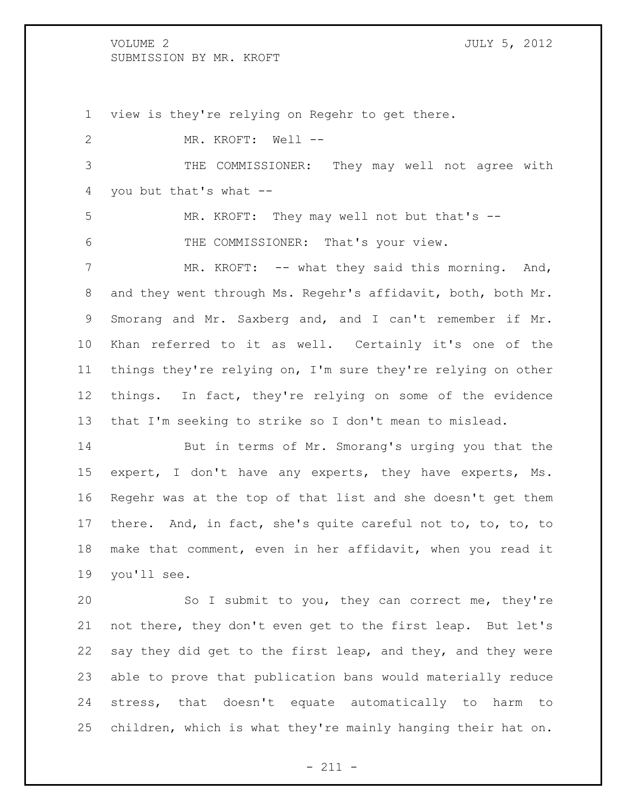view is they're relying on Regehr to get there. MR. KROFT: Well -- THE COMMISSIONER: They may well not agree with you but that's what -- MR. KROFT: They may well not but that's -- THE COMMISSIONER: That's your view. 7 MR. KROFT: -- what they said this morning. And, and they went through Ms. Regehr's affidavit, both, both Mr. Smorang and Mr. Saxberg and, and I can't remember if Mr. Khan referred to it as well. Certainly it's one of the things they're relying on, I'm sure they're relying on other things. In fact, they're relying on some of the evidence that I'm seeking to strike so I don't mean to mislead. But in terms of Mr. Smorang's urging you that the expert, I don't have any experts, they have experts, Ms. Regehr was at the top of that list and she doesn't get them there. And, in fact, she's quite careful not to, to, to, to

 make that comment, even in her affidavit, when you read it you'll see.

 So I submit to you, they can correct me, they're not there, they don't even get to the first leap. But let's say they did get to the first leap, and they, and they were able to prove that publication bans would materially reduce stress, that doesn't equate automatically to harm to children, which is what they're mainly hanging their hat on.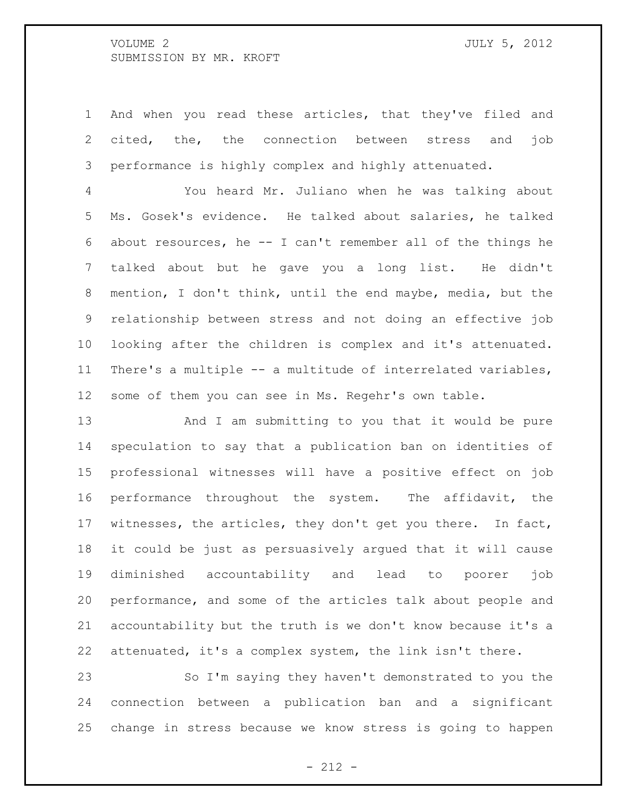And when you read these articles, that they've filed and cited, the, the connection between stress and job performance is highly complex and highly attenuated.

 You heard Mr. Juliano when he was talking about Ms. Gosek's evidence. He talked about salaries, he talked about resources, he -- I can't remember all of the things he talked about but he gave you a long list. He didn't mention, I don't think, until the end maybe, media, but the relationship between stress and not doing an effective job looking after the children is complex and it's attenuated. There's a multiple -- a multitude of interrelated variables, some of them you can see in Ms. Regehr's own table.

 And I am submitting to you that it would be pure speculation to say that a publication ban on identities of professional witnesses will have a positive effect on job performance throughout the system. The affidavit, the witnesses, the articles, they don't get you there. In fact, it could be just as persuasively argued that it will cause diminished accountability and lead to poorer job performance, and some of the articles talk about people and accountability but the truth is we don't know because it's a attenuated, it's a complex system, the link isn't there.

 So I'm saying they haven't demonstrated to you the connection between a publication ban and a significant change in stress because we know stress is going to happen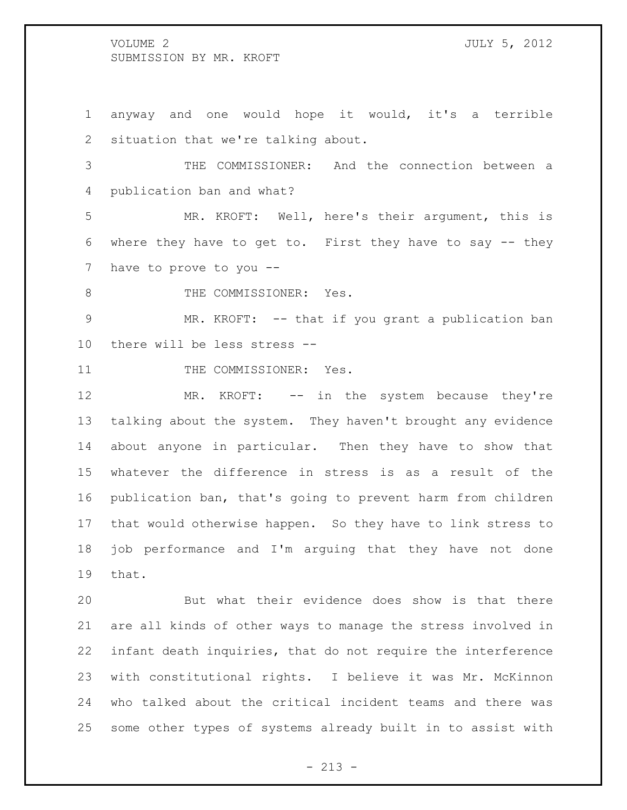anyway and one would hope it would, it's a terrible situation that we're talking about.

 THE COMMISSIONER: And the connection between a publication ban and what?

 MR. KROFT: Well, here's their argument, this is where they have to get to. First they have to say -- they have to prove to you --

8 THE COMMISSIONER: Yes.

 MR. KROFT: -- that if you grant a publication ban there will be less stress --

11 THE COMMISSIONER: Yes.

12 MR. KROFT: -- in the system because they're talking about the system. They haven't brought any evidence about anyone in particular. Then they have to show that whatever the difference in stress is as a result of the publication ban, that's going to prevent harm from children that would otherwise happen. So they have to link stress to job performance and I'm arguing that they have not done that.

 But what their evidence does show is that there are all kinds of other ways to manage the stress involved in infant death inquiries, that do not require the interference with constitutional rights. I believe it was Mr. McKinnon who talked about the critical incident teams and there was some other types of systems already built in to assist with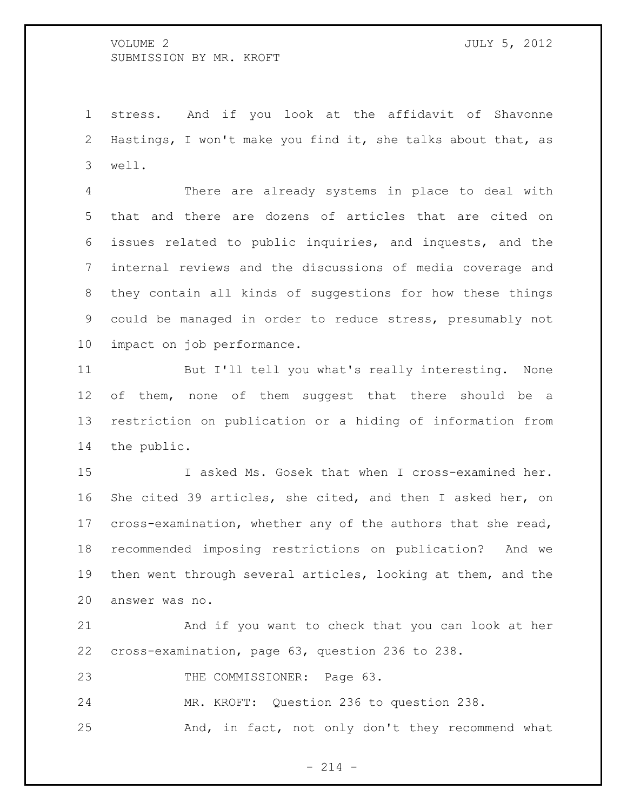stress. And if you look at the affidavit of Shavonne Hastings, I won't make you find it, she talks about that, as well.

 There are already systems in place to deal with that and there are dozens of articles that are cited on issues related to public inquiries, and inquests, and the internal reviews and the discussions of media coverage and they contain all kinds of suggestions for how these things could be managed in order to reduce stress, presumably not impact on job performance.

 But I'll tell you what's really interesting. None 12 of them, none of them suggest that there should be a restriction on publication or a hiding of information from the public.

 I asked Ms. Gosek that when I cross-examined her. She cited 39 articles, she cited, and then I asked her, on cross-examination, whether any of the authors that she read, recommended imposing restrictions on publication? And we then went through several articles, looking at them, and the answer was no.

 And if you want to check that you can look at her cross-examination, page 63, question 236 to 238.

23 THE COMMISSIONER: Page 63.

MR. KROFT: Question 236 to question 238.

And, in fact, not only don't they recommend what

 $- 214 -$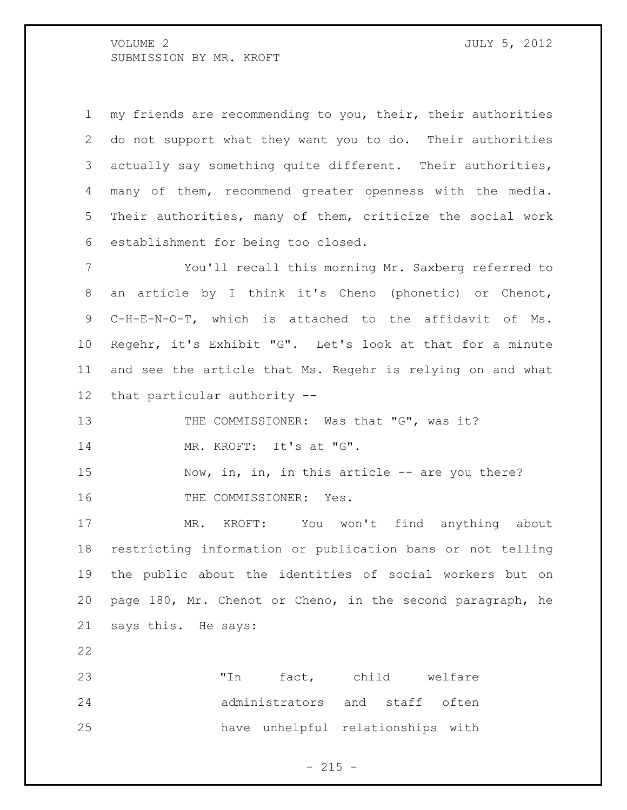my friends are recommending to you, their, their authorities do not support what they want you to do. Their authorities actually say something quite different. Their authorities, many of them, recommend greater openness with the media. Their authorities, many of them, criticize the social work establishment for being too closed.

 You'll recall this morning Mr. Saxberg referred to an article by I think it's Cheno (phonetic) or Chenot, C-H-E-N-O-T, which is attached to the affidavit of Ms. Regehr, it's Exhibit "G". Let's look at that for a minute and see the article that Ms. Regehr is relying on and what that particular authority --

13 THE COMMISSIONER: Was that "G", was it? MR. KROFT: It's at "G".

15 Now, in, in, in this article -- are you there? 16 THE COMMISSIONER: Yes.

 MR. KROFT: You won't find anything about restricting information or publication bans or not telling the public about the identities of social workers but on page 180, Mr. Chenot or Cheno, in the second paragraph, he says this. He says:

23 TIn fact, child welfare administrators and staff often have unhelpful relationships with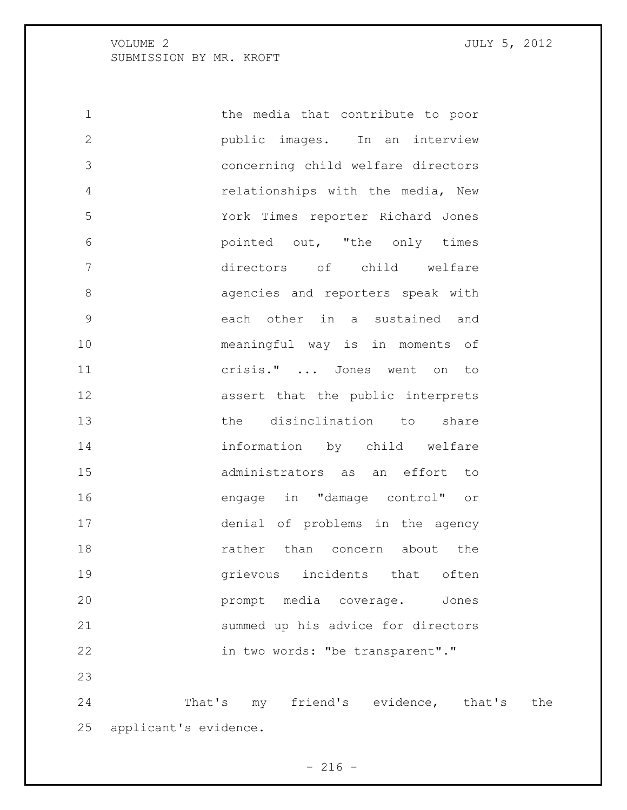applicant's evidence.

 the media that contribute to poor public images. In an interview concerning child welfare directors relationships with the media, New York Times reporter Richard Jones pointed out, "the only times directors of child welfare **8 agencies** and reporters speak with each other in a sustained and meaningful way is in moments of crisis." ... Jones went on to assert that the public interprets the disinclination to share information by child welfare administrators as an effort to engage in "damage control" or denial of problems in the agency **18** rather than concern about the grievous incidents that often prompt media coverage. Jones summed up his advice for directors in two words: "be transparent"." That's my friend's evidence, that's the

 $- 216 -$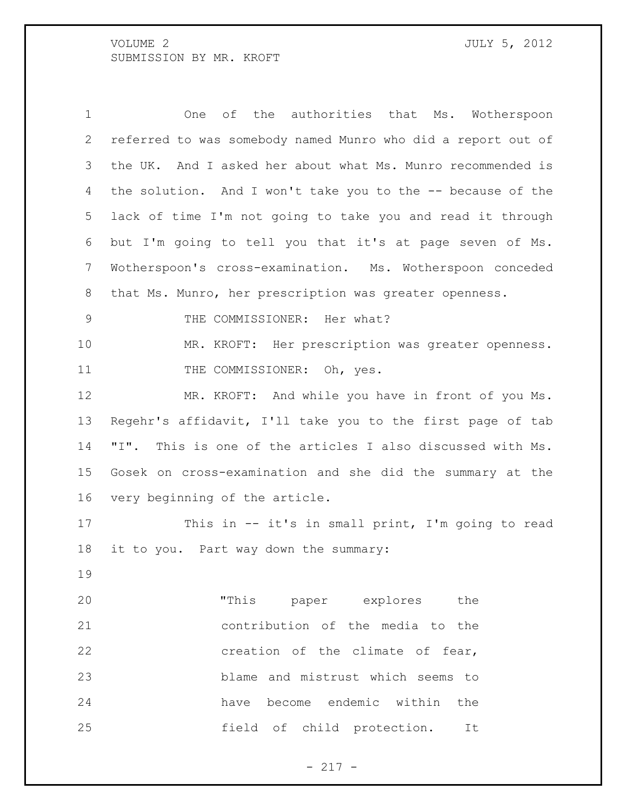One of the authorities that Ms. Wotherspoon referred to was somebody named Munro who did a report out of the UK. And I asked her about what Ms. Munro recommended is the solution. And I won't take you to the -- because of the lack of time I'm not going to take you and read it through but I'm going to tell you that it's at page seven of Ms. Wotherspoon's cross-examination. Ms. Wotherspoon conceded that Ms. Munro, her prescription was greater openness. 9 THE COMMISSIONER: Her what? MR. KROFT: Her prescription was greater openness. 11 THE COMMISSIONER: Oh, yes. MR. KROFT: And while you have in front of you Ms. Regehr's affidavit, I'll take you to the first page of tab "I". This is one of the articles I also discussed with Ms. Gosek on cross-examination and she did the summary at the very beginning of the article. This in -- it's in small print, I'm going to read it to you. Part way down the summary: "This paper explores the contribution of the media to the **creation** of the climate of fear, blame and mistrust which seems to have become endemic within the field of child protection. It

- 217 -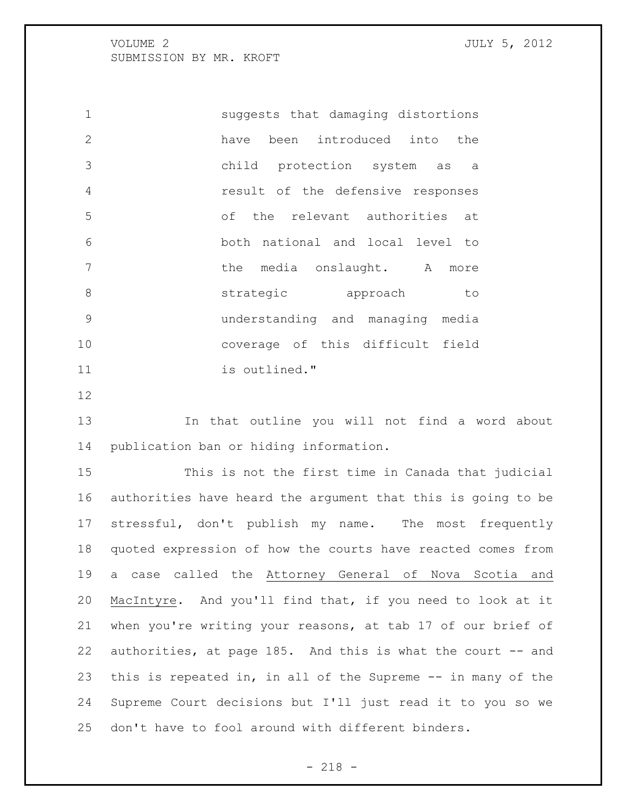suggests that damaging distortions have been introduced into the child protection system as a result of the defensive responses of the relevant authorities at both national and local level to 7 the media onslaught. A more **8 strategic** approach to understanding and managing media coverage of this difficult field is outlined."

 In that outline you will not find a word about publication ban or hiding information.

 This is not the first time in Canada that judicial authorities have heard the argument that this is going to be stressful, don't publish my name. The most frequently quoted expression of how the courts have reacted comes from a case called the Attorney General of Nova Scotia and MacIntyre. And you'll find that, if you need to look at it when you're writing your reasons, at tab 17 of our brief of 22 authorities, at page 185. And this is what the court -- and this is repeated in, in all of the Supreme -- in many of the Supreme Court decisions but I'll just read it to you so we don't have to fool around with different binders.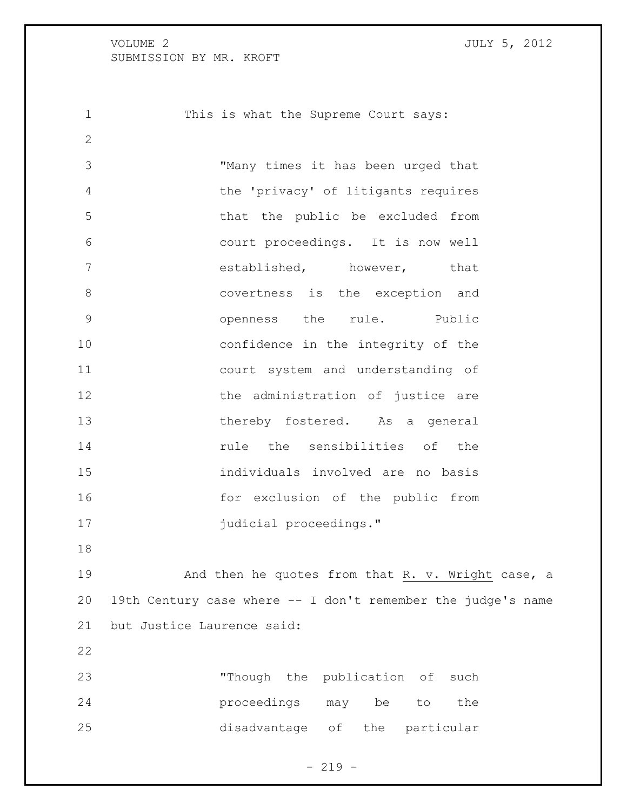1 This is what the Supreme Court says:

 "Many times it has been urged that the 'privacy' of litigants requires that the public be excluded from court proceedings. It is now well established, however, that covertness is the exception and openness the rule. Public confidence in the integrity of the court system and understanding of 12 the administration of justice are thereby fostered. As a general **14 rule** the sensibilities of the individuals involved are no basis for exclusion of the public from **judicial proceedings."** 

19 And then he quotes from that R. v. Wright case, a 19th Century case where -- I don't remember the judge's name but Justice Laurence said:

| 23  | "Though the publication of such |  |  |     |
|-----|---------------------------------|--|--|-----|
| 24  | proceedings may be to           |  |  | the |
| 2.5 | disadvantage of the particular  |  |  |     |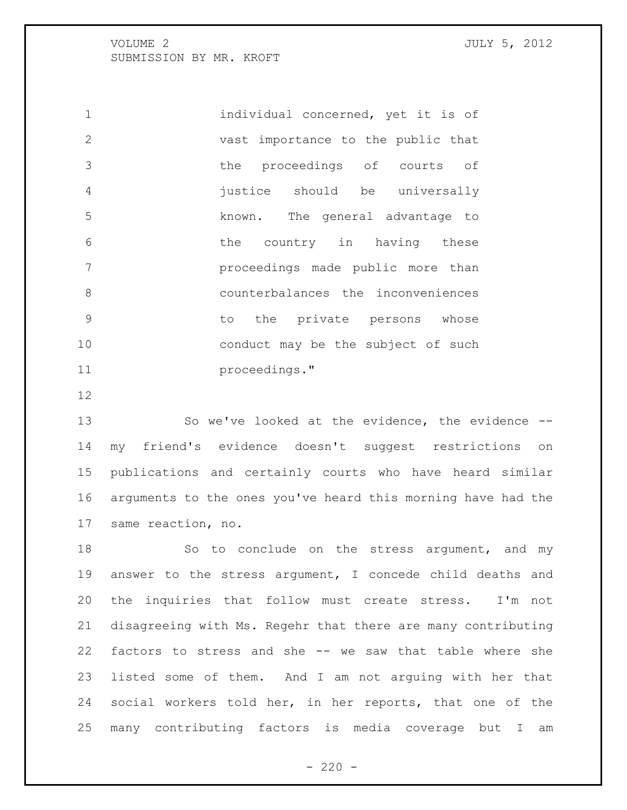individual concerned, yet it is of vast importance to the public that the proceedings of courts of justice should be universally known. The general advantage to the country in having these proceedings made public more than counterbalances the inconveniences to the private persons whose 10 conduct may be the subject of such proceedings."

 So we've looked at the evidence, the evidence -- my friend's evidence doesn't suggest restrictions on publications and certainly courts who have heard similar arguments to the ones you've heard this morning have had the same reaction, no.

18 So to conclude on the stress argument, and my answer to the stress argument, I concede child deaths and the inquiries that follow must create stress. I'm not disagreeing with Ms. Regehr that there are many contributing factors to stress and she -- we saw that table where she listed some of them. And I am not arguing with her that social workers told her, in her reports, that one of the many contributing factors is media coverage but I am

 $- 220 -$